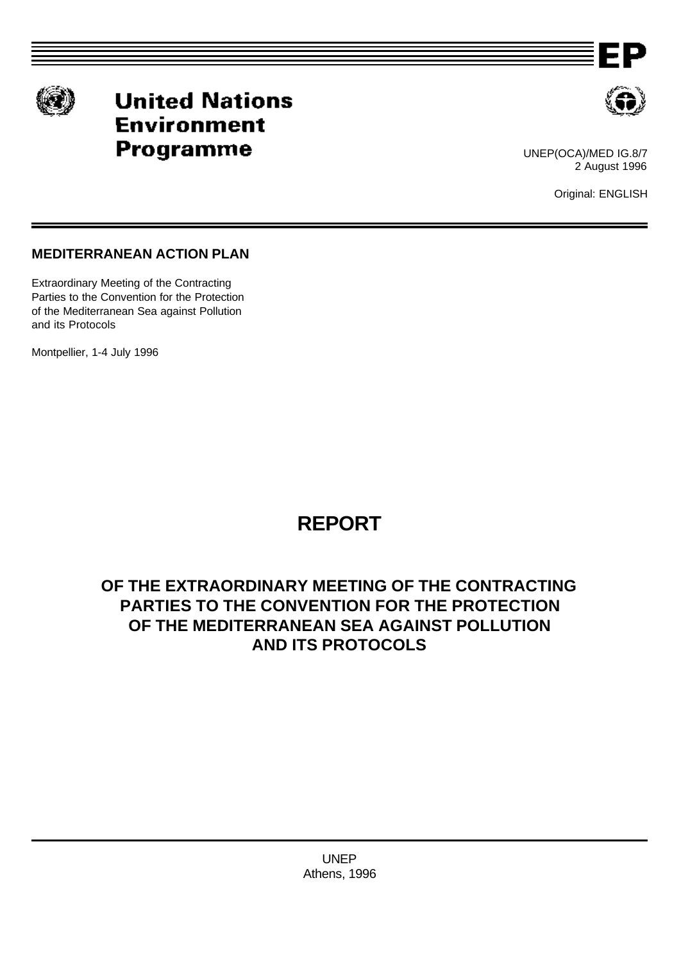

# **United Nations Environment** Programme



UNEP(OCA)/MED IG.8/7 2 August 1996

Original: ENGLISH

# **MEDITERRANEAN ACTION PLAN**

Extraordinary Meeting of the Contracting Parties to the Convention for the Protection of the Mediterranean Sea against Pollution and its Protocols

Montpellier, 1-4 July 1996

# **REPORT**

# **OF THE EXTRAORDINARY MEETING OF THE CONTRACTING PARTIES TO THE CONVENTION FOR THE PROTECTION OF THE MEDITERRANEAN SEA AGAINST POLLUTION AND ITS PROTOCOLS**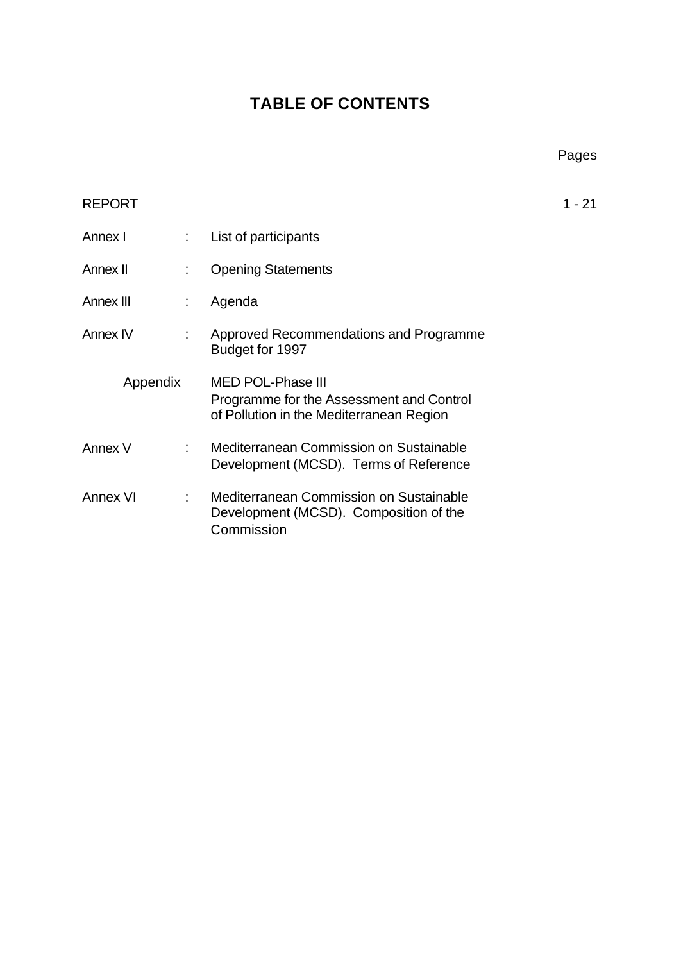# **TABLE OF CONTENTS**

| <b>REPORT</b> |                           |                                                                                                                  | 1 - 21 |
|---------------|---------------------------|------------------------------------------------------------------------------------------------------------------|--------|
| Annex I       | $\mathbb{Z}^{\times}$     | List of participants                                                                                             |        |
| Annex II      | ÷                         | <b>Opening Statements</b>                                                                                        |        |
| Annex III     | ÷                         | Agenda                                                                                                           |        |
| Annex IV      | ÷                         | Approved Recommendations and Programme<br>Budget for 1997                                                        |        |
| Appendix      |                           | <b>MED POL-Phase III</b><br>Programme for the Assessment and Control<br>of Pollution in the Mediterranean Region |        |
| Annex V       | t.                        | Mediterranean Commission on Sustainable<br>Development (MCSD). Terms of Reference                                |        |
| Annex VI      | $\mathbb{Z}^{\mathbb{Z}}$ | Mediterranean Commission on Sustainable<br>Development (MCSD). Composition of the<br>Commission                  |        |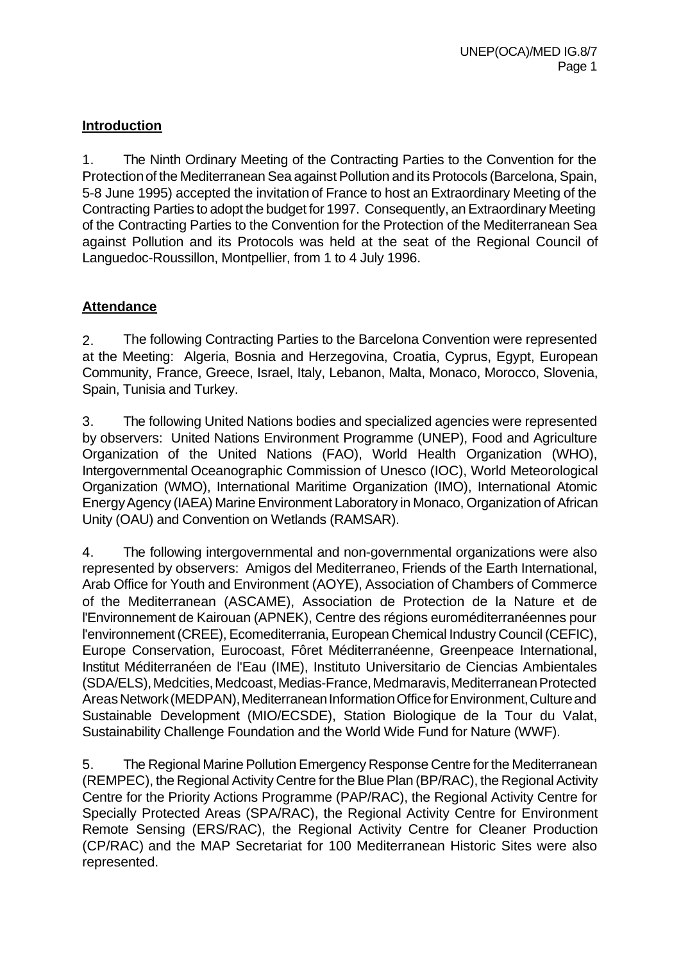# **Introduction**

1. The Ninth Ordinary Meeting of the Contracting Parties to the Convention for the Protection of the Mediterranean Sea against Pollution and its Protocols (Barcelona, Spain, 5-8 June 1995) accepted the invitation of France to host an Extraordinary Meeting of the Contracting Parties to adopt the budget for 1997. Consequently, an Extraordinary Meeting of the Contracting Parties to the Convention for the Protection of the Mediterranean Sea against Pollution and its Protocols was held at the seat of the Regional Council of Languedoc-Roussillon, Montpellier, from 1 to 4 July 1996.

# **Attendance**

2. The following Contracting Parties to the Barcelona Convention were represented at the Meeting: Algeria, Bosnia and Herzegovina, Croatia, Cyprus, Egypt, European Community, France, Greece, Israel, Italy, Lebanon, Malta, Monaco, Morocco, Slovenia, Spain, Tunisia and Turkey.

3. The following United Nations bodies and specialized agencies were represented by observers: United Nations Environment Programme (UNEP), Food and Agriculture Organization of the United Nations (FAO), World Health Organization (WHO), Intergovernmental Oceanographic Commission of Unesco (IOC), World Meteorological Organization (WMO), International Maritime Organization (IMO), International Atomic Energy Agency (IAEA) Marine Environment Laboratory in Monaco, Organization of African Unity (OAU) and Convention on Wetlands (RAMSAR).

4. The following intergovernmental and non-governmental organizations were also represented by observers: Amigos del Mediterraneo, Friends of the Earth International, Arab Office for Youth and Environment (AOYE), Association of Chambers of Commerce of the Mediterranean (ASCAME), Association de Protection de la Nature et de l'Environnement de Kairouan (APNEK), Centre des régions euroméditerranéennes pour l'environnement (CREE), Ecomediterrania, European Chemical Industry Council (CEFIC), Europe Conservation, Eurocoast, Fôret Méditerranéenne, Greenpeace International, Institut Méditerranéen de l'Eau (IME), Instituto Universitario de Ciencias Ambientales (SDA/ELS), Medcities, Medcoast, Medias-France, Medmaravis, Mediterranean Protected Areas Network (MEDPAN), Mediterranean Information Office for Environment, Culture and Sustainable Development (MIO/ECSDE), Station Biologique de la Tour du Valat, Sustainability Challenge Foundation and the World Wide Fund for Nature (WWF).

5. The Regional Marine Pollution Emergency Response Centre for the Mediterranean (REMPEC), the Regional Activity Centre for the Blue Plan (BP/RAC), the Regional Activity Centre for the Priority Actions Programme (PAP/RAC), the Regional Activity Centre for Specially Protected Areas (SPA/RAC), the Regional Activity Centre for Environment Remote Sensing (ERS/RAC), the Regional Activity Centre for Cleaner Production (CP/RAC) and the MAP Secretariat for 100 Mediterranean Historic Sites were also represented.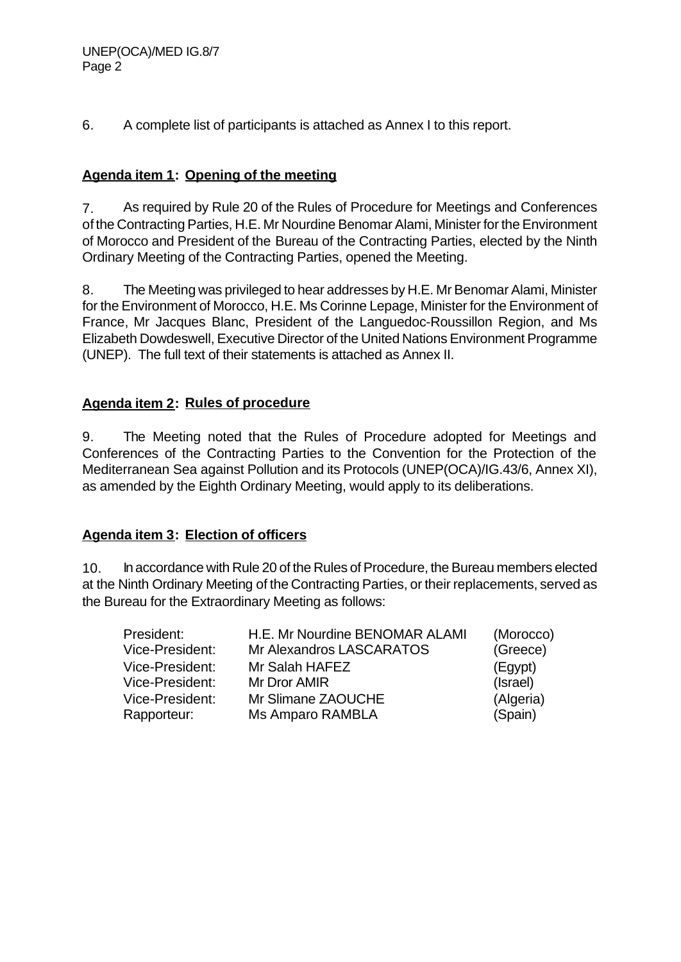6. A complete list of participants is attached as Annex I to this report.

# **Agenda item 1: Opening of the meeting**

7. As required by Rule 20 of the Rules of Procedure for Meetings and Conferences of the Contracting Parties, H.E. Mr Nourdine Benomar Alami, Minister for the Environment of Morocco and President of the Bureau of the Contracting Parties, elected by the Ninth Ordinary Meeting of the Contracting Parties, opened the Meeting.

8. The Meeting was privileged to hear addresses by H.E. Mr Benomar Alami, Minister for the Environment of Morocco, H.E. Ms Corinne Lepage, Minister for the Environment of France, Mr Jacques Blanc, President of the Languedoc-Roussillon Region, and Ms Elizabeth Dowdeswell, Executive Director of the United Nations Environment Programme (UNEP). The full text of their statements is attached as Annex II.

# **Agenda item 2: Rules of procedure**

9. The Meeting noted that the Rules of Procedure adopted for Meetings and Conferences of the Contracting Parties to the Convention for the Protection of the Mediterranean Sea against Pollution and its Protocols (UNEP(OCA)/IG.43/6, Annex XI), as amended by the Eighth Ordinary Meeting, would apply to its deliberations.

# **Agenda item 3: Election of officers**

10. In accordance with Rule 20 of the Rules of Procedure, the Bureau members elected at the Ninth Ordinary Meeting of the Contracting Parties, or their replacements, served as the Bureau for the Extraordinary Meeting as follows:

| President:      | H.E. Mr Nourdine BENOMAR ALAMI | (Morocco) |
|-----------------|--------------------------------|-----------|
| Vice-President: | Mr Alexandros LASCARATOS       | (Greece)  |
| Vice-President: | Mr Salah HAFEZ                 | (Egypt)   |
| Vice-President: | Mr Dror AMIR                   | (Israel)  |
| Vice-President: | Mr Slimane ZAOUCHE             | (Algeria) |
| Rapporteur:     | Ms Amparo RAMBLA               | (Spain)   |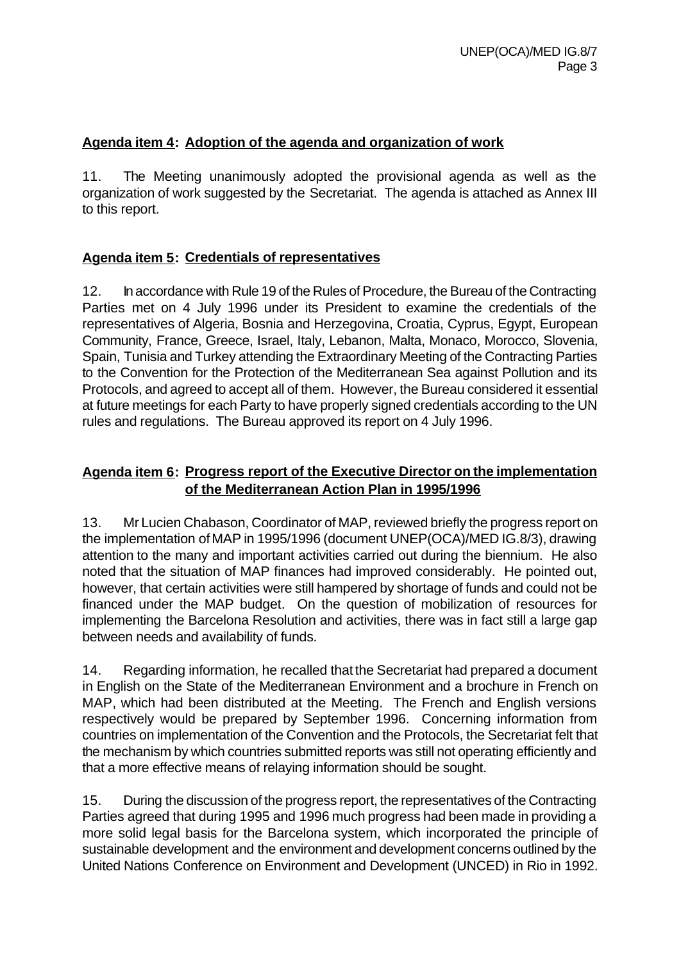# **Agenda item 4: Adoption of the agenda and organization of work**

11. The Meeting unanimously adopted the provisional agenda as well as the organization of work suggested by the Secretariat. The agenda is attached as Annex III to this report.

# **Agenda item 5: Credentials of representatives**

12. In accordance with Rule 19 of the Rules of Procedure, the Bureau of the Contracting Parties met on 4 July 1996 under its President to examine the credentials of the representatives of Algeria, Bosnia and Herzegovina, Croatia, Cyprus, Egypt, European Community, France, Greece, Israel, Italy, Lebanon, Malta, Monaco, Morocco, Slovenia, Spain, Tunisia and Turkey attending the Extraordinary Meeting of the Contracting Parties to the Convention for the Protection of the Mediterranean Sea against Pollution and its Protocols, and agreed to accept all of them. However, the Bureau considered it essential at future meetings for each Party to have properly signed credentials according to the UN rules and regulations. The Bureau approved its report on 4 July 1996.

# **Agenda item 6: Progress report of the Executive Director on the implementation of the Mediterranean Action Plan in 1995/1996**

13. Mr Lucien Chabason, Coordinator of MAP, reviewed briefly the progress report on the implementation of MAP in 1995/1996 (document UNEP(OCA)/MED IG.8/3), drawing attention to the many and important activities carried out during the biennium. He also noted that the situation of MAP finances had improved considerably. He pointed out, however, that certain activities were still hampered by shortage of funds and could not be financed under the MAP budget. On the question of mobilization of resources for implementing the Barcelona Resolution and activities, there was in fact still a large gap between needs and availability of funds.

14. Regarding information, he recalled that the Secretariat had prepared a document in English on the State of the Mediterranean Environment and a brochure in French on MAP, which had been distributed at the Meeting. The French and English versions respectively would be prepared by September 1996. Concerning information from countries on implementation of the Convention and the Protocols, the Secretariat felt that the mechanism by which countries submitted reports was still not operating efficiently and that a more effective means of relaying information should be sought.

15. During the discussion of the progress report, the representatives of the Contracting Parties agreed that during 1995 and 1996 much progress had been made in providing a more solid legal basis for the Barcelona system, which incorporated the principle of sustainable development and the environment and development concerns outlined by the United Nations Conference on Environment and Development (UNCED) in Rio in 1992.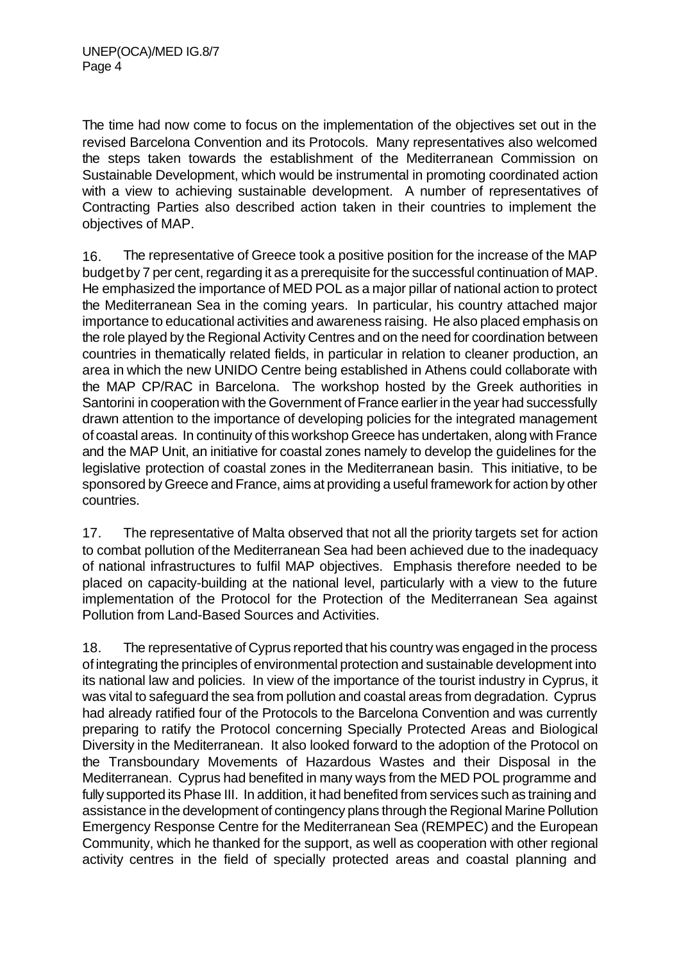The time had now come to focus on the implementation of the objectives set out in the revised Barcelona Convention and its Protocols. Many representatives also welcomed the steps taken towards the establishment of the Mediterranean Commission on Sustainable Development, which would be instrumental in promoting coordinated action with a view to achieving sustainable development. A number of representatives of Contracting Parties also described action taken in their countries to implement the objectives of MAP.

16. The representative of Greece took a positive position for the increase of the MAP budget by 7 per cent, regarding it as a prerequisite for the successful continuation of MAP. He emphasized the importance of MED POL as a major pillar of national action to protect the Mediterranean Sea in the coming years. In particular, his country attached major importance to educational activities and awareness raising. He also placed emphasis on the role played by the Regional Activity Centres and on the need for coordination between countries in thematically related fields, in particular in relation to cleaner production, an area in which the new UNIDO Centre being established in Athens could collaborate with the MAP CP/RAC in Barcelona. The workshop hosted by the Greek authorities in Santorini in cooperation with the Government of France earlier in the year had successfully drawn attention to the importance of developing policies for the integrated management of coastal areas. In continuity of this workshop Greece has undertaken, along with France and the MAP Unit, an initiative for coastal zones namely to develop the guidelines for the legislative protection of coastal zones in the Mediterranean basin. This initiative, to be sponsored by Greece and France, aims at providing a useful framework for action by other countries.

17. The representative of Malta observed that not all the priority targets set for action to combat pollution of the Mediterranean Sea had been achieved due to the inadequacy of national infrastructures to fulfil MAP objectives. Emphasis therefore needed to be placed on capacity-building at the national level, particularly with a view to the future implementation of the Protocol for the Protection of the Mediterranean Sea against Pollution from Land-Based Sources and Activities.

18. The representative of Cyprus reported that his country was engaged in the process of integrating the principles of environmental protection and sustainable development into its national law and policies. In view of the importance of the tourist industry in Cyprus, it was vital to safeguard the sea from pollution and coastal areas from degradation. Cyprus had already ratified four of the Protocols to the Barcelona Convention and was currently preparing to ratify the Protocol concerning Specially Protected Areas and Biological Diversity in the Mediterranean. It also looked forward to the adoption of the Protocol on the Transboundary Movements of Hazardous Wastes and their Disposal in the Mediterranean. Cyprus had benefited in many ways from the MED POL programme and fully supported its Phase III. In addition, it had benefited from services such as training and assistance in the development of contingency plans through the Regional Marine Pollution Emergency Response Centre for the Mediterranean Sea (REMPEC) and the European Community, which he thanked for the support, as well as cooperation with other regional activity centres in the field of specially protected areas and coastal planning and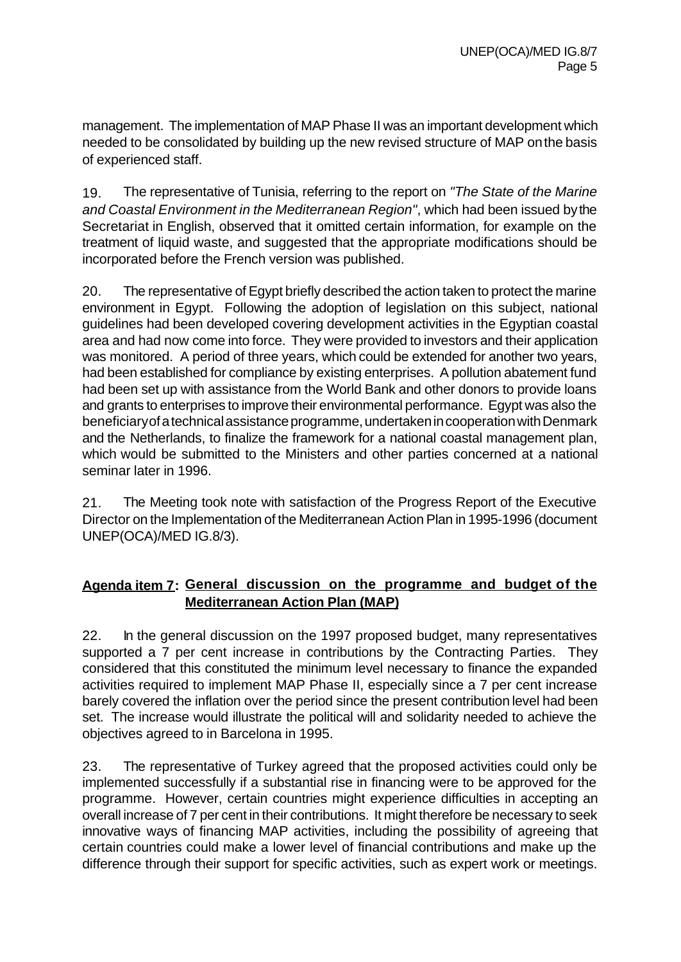management. The implementation of MAP Phase II was an important development which needed to be consolidated by building up the new revised structure of MAP on the basis of experienced staff.

19. The representative of Tunisia, referring to the report on *"The State of the Marine and Coastal Environment in the Mediterranean Region"*, which had been issued by the Secretariat in English, observed that it omitted certain information, for example on the treatment of liquid waste, and suggested that the appropriate modifications should be incorporated before the French version was published.

20. The representative of Egypt briefly described the action taken to protect the marine environment in Egypt. Following the adoption of legislation on this subject, national guidelines had been developed covering development activities in the Egyptian coastal area and had now come into force. They were provided to investors and their application was monitored. A period of three years, which could be extended for another two years, had been established for compliance by existing enterprises. A pollution abatement fund had been set up with assistance from the World Bank and other donors to provide loans and grants to enterprises to improve their environmental performance. Egypt was also the beneficiary of a technical assistance programme, undertaken in cooperation with Denmark and the Netherlands, to finalize the framework for a national coastal management plan, which would be submitted to the Ministers and other parties concerned at a national seminar later in 1996.

21. The Meeting took note with satisfaction of the Progress Report of the Executive Director on the Implementation of the Mediterranean Action Plan in 1995-1996 (document UNEP(OCA)/MED IG.8/3).

# **Agenda item 7: General discussion on the programme and budget of the Mediterranean Action Plan (MAP)**

22. In the general discussion on the 1997 proposed budget, many representatives supported a 7 per cent increase in contributions by the Contracting Parties. They considered that this constituted the minimum level necessary to finance the expanded activities required to implement MAP Phase II, especially since a 7 per cent increase barely covered the inflation over the period since the present contribution level had been set. The increase would illustrate the political will and solidarity needed to achieve the objectives agreed to in Barcelona in 1995.

23. The representative of Turkey agreed that the proposed activities could only be implemented successfully if a substantial rise in financing were to be approved for the programme. However, certain countries might experience difficulties in accepting an overall increase of 7 per cent in their contributions. It might therefore be necessary to seek innovative ways of financing MAP activities, including the possibility of agreeing that certain countries could make a lower level of financial contributions and make up the difference through their support for specific activities, such as expert work or meetings.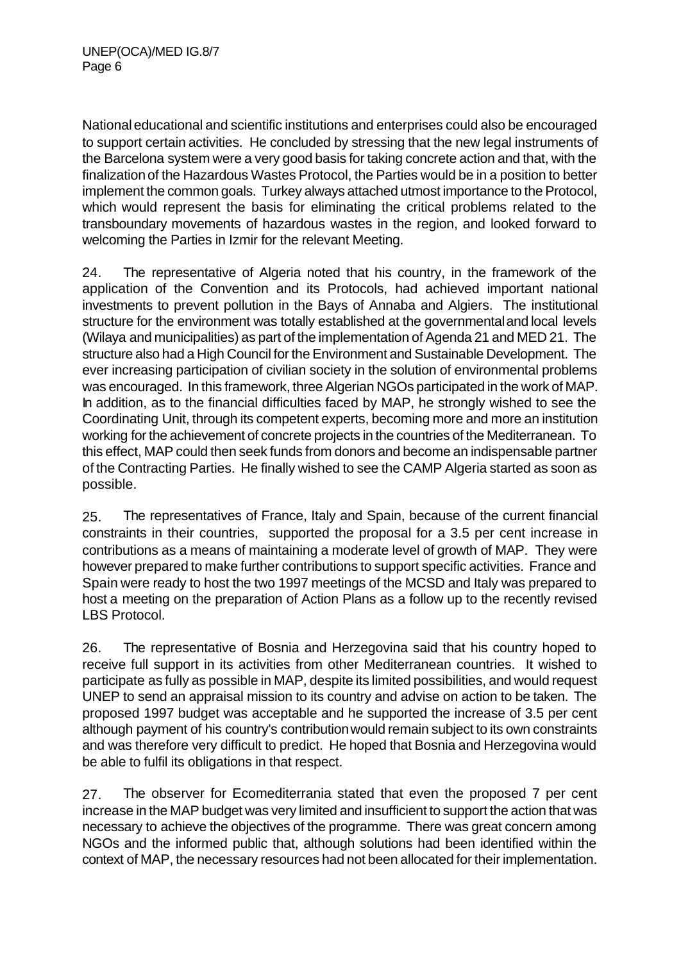National educational and scientific institutions and enterprises could also be encouraged to support certain activities. He concluded by stressing that the new legal instruments of the Barcelona system were a very good basis for taking concrete action and that, with the finalization of the Hazardous Wastes Protocol, the Parties would be in a position to better implement the common goals. Turkey always attached utmost importance to the Protocol, which would represent the basis for eliminating the critical problems related to the transboundary movements of hazardous wastes in the region, and looked forward to welcoming the Parties in Izmir for the relevant Meeting.

24. The representative of Algeria noted that his country, in the framework of the application of the Convention and its Protocols, had achieved important national investments to prevent pollution in the Bays of Annaba and Algiers. The institutional structure for the environment was totally established at the governmental and local levels (Wilaya and municipalities) as part of the implementation of Agenda 21 and MED 21. The structure also had a High Council for the Environment and Sustainable Development. The ever increasing participation of civilian society in the solution of environmental problems was encouraged. In this framework, three Algerian NGOs participated in the work of MAP. In addition, as to the financial difficulties faced by MAP, he strongly wished to see the Coordinating Unit, through its competent experts, becoming more and more an institution working for the achievement of concrete projects in the countries of the Mediterranean. To this effect, MAP could then seek funds from donors and become an indispensable partner of the Contracting Parties. He finally wished to see the CAMP Algeria started as soon as possible.

25. The representatives of France, Italy and Spain, because of the current financial constraints in their countries, supported the proposal for a 3.5 per cent increase in contributions as a means of maintaining a moderate level of growth of MAP. They were however prepared to make further contributions to support specific activities. France and Spain were ready to host the two 1997 meetings of the MCSD and Italy was prepared to host a meeting on the preparation of Action Plans as a follow up to the recently revised LBS Protocol.

26. The representative of Bosnia and Herzegovina said that his country hoped to receive full support in its activities from other Mediterranean countries. It wished to participate as fully as possible in MAP, despite its limited possibilities, and would request UNEP to send an appraisal mission to its country and advise on action to be taken. The proposed 1997 budget was acceptable and he supported the increase of 3.5 per cent although payment of his country's contribution would remain subject to its own constraints and was therefore very difficult to predict. He hoped that Bosnia and Herzegovina would be able to fulfil its obligations in that respect.

27. The observer for Ecomediterrania stated that even the proposed 7 per cent increase in the MAP budget was very limited and insufficient to support the action that was necessary to achieve the objectives of the programme. There was great concern among NGOs and the informed public that, although solutions had been identified within the context of MAP, the necessary resources had not been allocated for their implementation.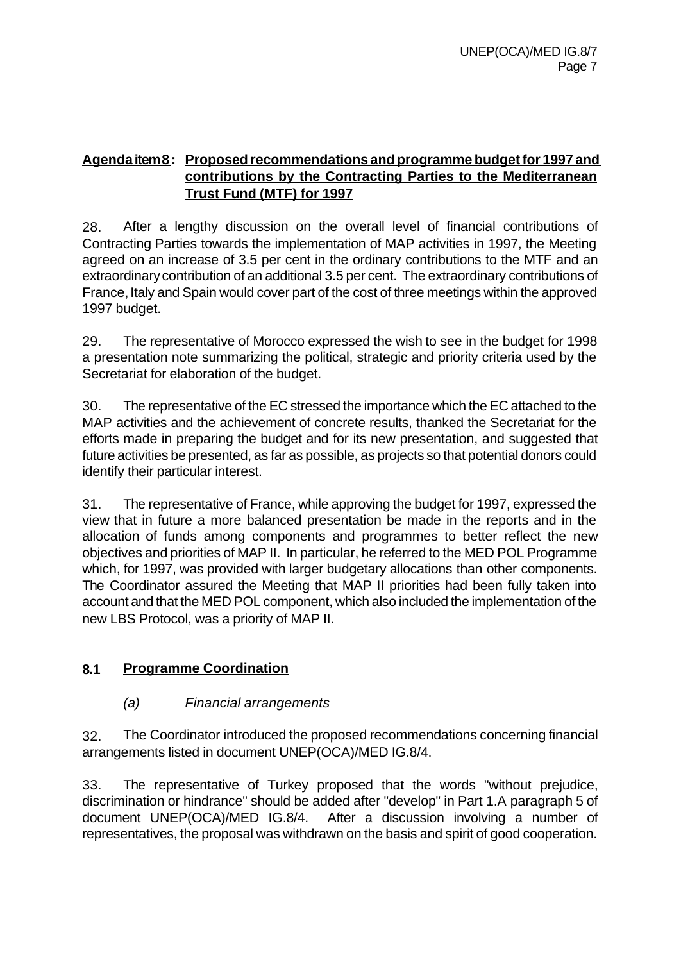# **Agenda item 8 : Proposed recommendations and programme budget for 1997 and contributions by the Contracting Parties to the Mediterranean Trust Fund (MTF) for 1997**

28. After a lengthy discussion on the overall level of financial contributions of Contracting Parties towards the implementation of MAP activities in 1997, the Meeting agreed on an increase of 3.5 per cent in the ordinary contributions to the MTF and an extraordinary contribution of an additional 3.5 per cent. The extraordinary contributions of France, Italy and Spain would cover part of the cost of three meetings within the approved 1997 budget.

29. The representative of Morocco expressed the wish to see in the budget for 1998 a presentation note summarizing the political, strategic and priority criteria used by the Secretariat for elaboration of the budget.

30. The representative of the EC stressed the importance which the EC attached to the MAP activities and the achievement of concrete results, thanked the Secretariat for the efforts made in preparing the budget and for its new presentation, and suggested that future activities be presented, as far as possible, as projects so that potential donors could identify their particular interest.

31. The representative of France, while approving the budget for 1997, expressed the view that in future a more balanced presentation be made in the reports and in the allocation of funds among components and programmes to better reflect the new objectives and priorities of MAP II. In particular, he referred to the MED POL Programme which, for 1997, was provided with larger budgetary allocations than other components. The Coordinator assured the Meeting that MAP II priorities had been fully taken into account and that the MED POL component, which also included the implementation of the new LBS Protocol, was a priority of MAP II.

# **8.1 Programme Coordination**

# *(a) Financial arrangements*

32. The Coordinator introduced the proposed recommendations concerning financial arrangements listed in document UNEP(OCA)/MED IG.8/4.

33. The representative of Turkey proposed that the words "without prejudice, discrimination or hindrance" should be added after "develop" in Part 1.A paragraph 5 of document UNEP(OCA)/MED IG.8/4. After a discussion involving a number of representatives, the proposal was withdrawn on the basis and spirit of good cooperation.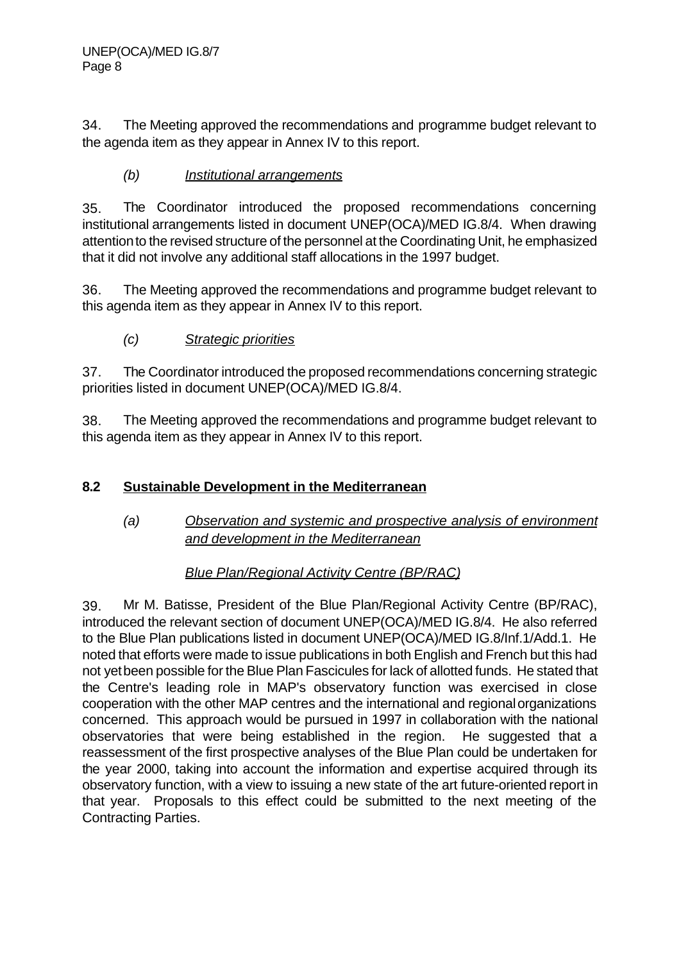34. The Meeting approved the recommendations and programme budget relevant to the agenda item as they appear in Annex IV to this report.

# *(b) Institutional arrangements*

35. The Coordinator introduced the proposed recommendations concerning institutional arrangements listed in document UNEP(OCA)/MED IG.8/4. When drawing attention to the revised structure of the personnel at the Coordinating Unit, he emphasized that it did not involve any additional staff allocations in the 1997 budget.

36. The Meeting approved the recommendations and programme budget relevant to this agenda item as they appear in Annex IV to this report.

*(c) Strategic priorities*

37. The Coordinator introduced the proposed recommendations concerning strategic priorities listed in document UNEP(OCA)/MED IG.8/4.

38. The Meeting approved the recommendations and programme budget relevant to this agenda item as they appear in Annex IV to this report.

# **8.2 Sustainable Development in the Mediterranean**

# *(a) Observation and systemic and prospective analysis of environment and development in the Mediterranean*

# *Blue Plan/Regional Activity Centre (BP/RAC)*

39. Mr M. Batisse, President of the Blue Plan/Regional Activity Centre (BP/RAC), introduced the relevant section of document UNEP(OCA)/MED IG.8/4. He also referred to the Blue Plan publications listed in document UNEP(OCA)/MED IG.8/Inf.1/Add.1. He noted that efforts were made to issue publications in both English and French but this had not yet been possible for the Blue Plan Fascicules for lack of allotted funds. He stated that the Centre's leading role in MAP's observatory function was exercised in close cooperation with the other MAP centres and the international and regional organizations concerned. This approach would be pursued in 1997 in collaboration with the national observatories that were being established in the region. He suggested that a reassessment of the first prospective analyses of the Blue Plan could be undertaken for the year 2000, taking into account the information and expertise acquired through its observatory function, with a view to issuing a new state of the art future-oriented report in that year. Proposals to this effect could be submitted to the next meeting of the Contracting Parties.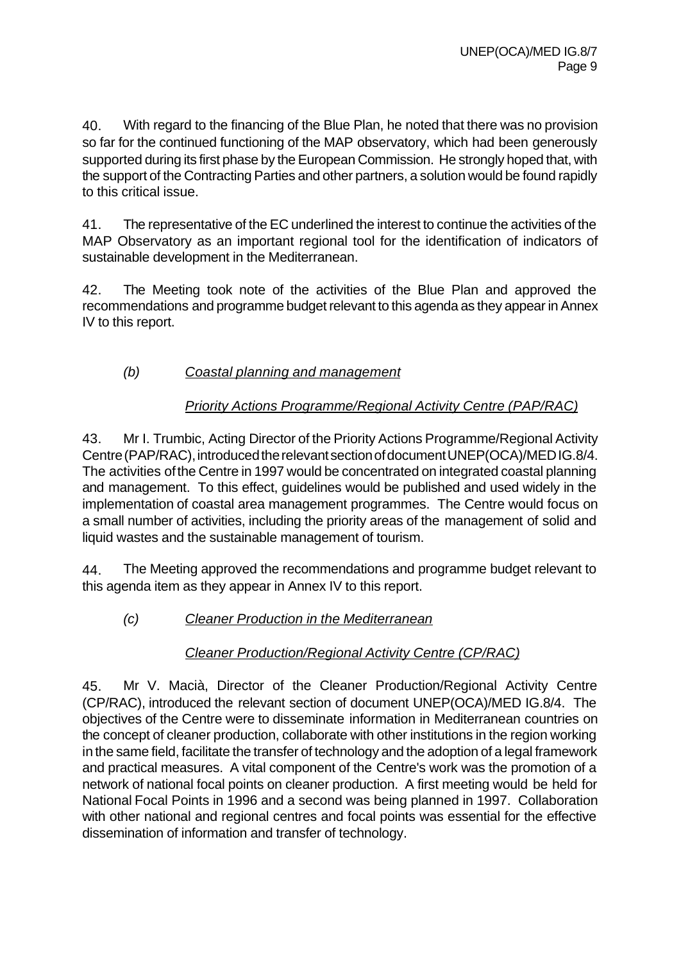40. With regard to the financing of the Blue Plan, he noted that there was no provision so far for the continued functioning of the MAP observatory, which had been generously supported during its first phase by the European Commission. He strongly hoped that, with the support of the Contracting Parties and other partners, a solution would be found rapidly to this critical issue.

41. The representative of the EC underlined the interest to continue the activities of the MAP Observatory as an important regional tool for the identification of indicators of sustainable development in the Mediterranean.

42. The Meeting took note of the activities of the Blue Plan and approved the recommendations and programme budget relevant to this agenda as they appear in Annex IV to this report.

# *(b) Coastal planning and management*

# *Priority Actions Programme/Regional Activity Centre (PAP/RAC)*

43. Mr I. Trumbic, Acting Director of the Priority Actions Programme/Regional Activity Centre (PAP/RAC), introduced the relevant section of document UNEP(OCA)/MED IG.8/4. The activities of the Centre in 1997 would be concentrated on integrated coastal planning and management. To this effect, guidelines would be published and used widely in the implementation of coastal area management programmes. The Centre would focus on a small number of activities, including the priority areas of the management of solid and liquid wastes and the sustainable management of tourism.

44. The Meeting approved the recommendations and programme budget relevant to this agenda item as they appear in Annex IV to this report.

# *(c) Cleaner Production in the Mediterranean*

# *Cleaner Production/Regional Activity Centre (CP/RAC)*

45. Mr V. Macià, Director of the Cleaner Production/Regional Activity Centre (CP/RAC), introduced the relevant section of document UNEP(OCA)/MED IG.8/4. The objectives of the Centre were to disseminate information in Mediterranean countries on the concept of cleaner production, collaborate with other institutions in the region working in the same field, facilitate the transfer of technology and the adoption of a legal framework and practical measures. A vital component of the Centre's work was the promotion of a network of national focal points on cleaner production. A first meeting would be held for National Focal Points in 1996 and a second was being planned in 1997. Collaboration with other national and regional centres and focal points was essential for the effective dissemination of information and transfer of technology.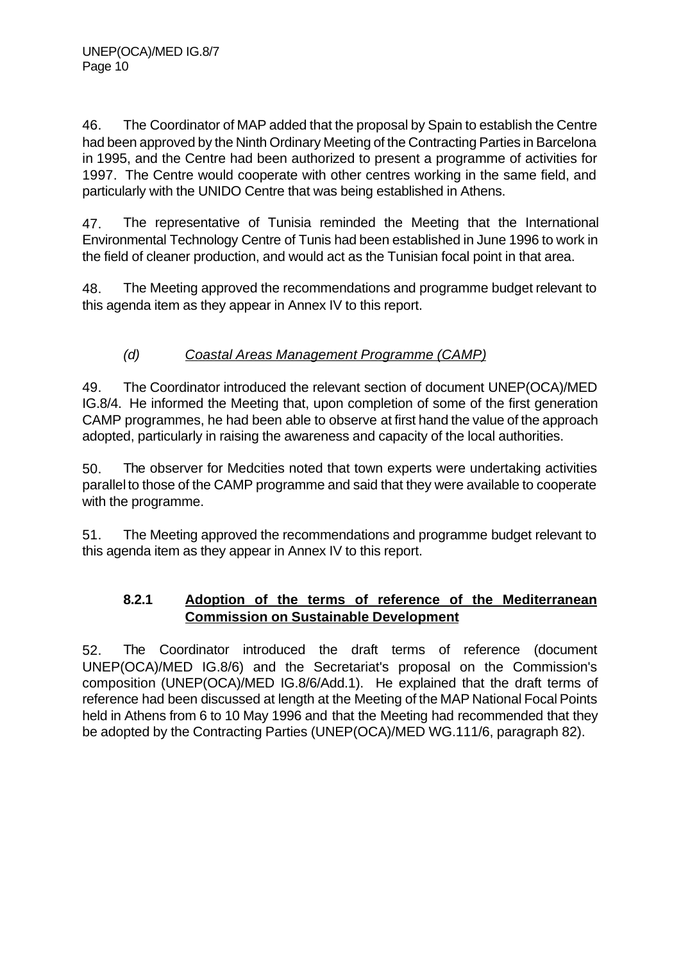46. The Coordinator of MAP added that the proposal by Spain to establish the Centre had been approved by the Ninth Ordinary Meeting of the Contracting Parties in Barcelona in 1995, and the Centre had been authorized to present a programme of activities for 1997. The Centre would cooperate with other centres working in the same field, and particularly with the UNIDO Centre that was being established in Athens.

47. The representative of Tunisia reminded the Meeting that the International Environmental Technology Centre of Tunis had been established in June 1996 to work in the field of cleaner production, and would act as the Tunisian focal point in that area.

48. The Meeting approved the recommendations and programme budget relevant to this agenda item as they appear in Annex IV to this report.

# *(d) Coastal Areas Management Programme (CAMP)*

49. The Coordinator introduced the relevant section of document UNEP(OCA)/MED IG.8/4. He informed the Meeting that, upon completion of some of the first generation CAMP programmes, he had been able to observe at first hand the value of the approach adopted, particularly in raising the awareness and capacity of the local authorities.

50. The observer for Medcities noted that town experts were undertaking activities parallel to those of the CAMP programme and said that they were available to cooperate with the programme.

51. The Meeting approved the recommendations and programme budget relevant to this agenda item as they appear in Annex IV to this report.

# **8.2.1 Adoption of the terms of reference of the Mediterranean Commission on Sustainable Development**

52. The Coordinator introduced the draft terms of reference (document UNEP(OCA)/MED IG.8/6) and the Secretariat's proposal on the Commission's composition (UNEP(OCA)/MED IG.8/6/Add.1). He explained that the draft terms of reference had been discussed at length at the Meeting of the MAP National Focal Points held in Athens from 6 to 10 May 1996 and that the Meeting had recommended that they be adopted by the Contracting Parties (UNEP(OCA)/MED WG.111/6, paragraph 82).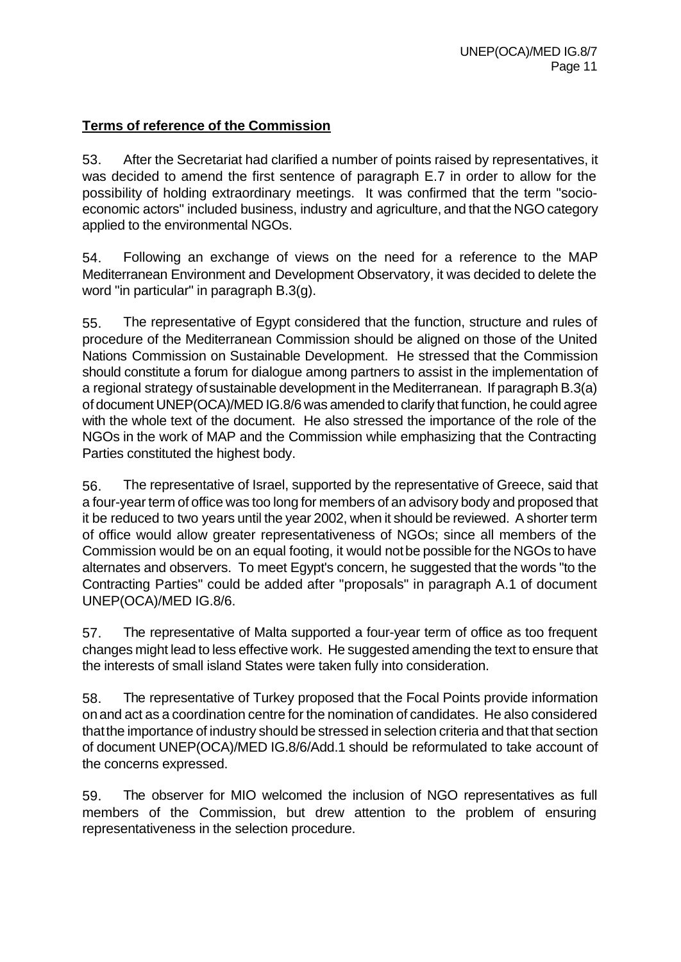# **Terms of reference of the Commission**

53. After the Secretariat had clarified a number of points raised by representatives, it was decided to amend the first sentence of paragraph E.7 in order to allow for the possibility of holding extraordinary meetings. It was confirmed that the term "socioeconomic actors" included business, industry and agriculture, and that the NGO category applied to the environmental NGOs.

54. Following an exchange of views on the need for a reference to the MAP Mediterranean Environment and Development Observatory, it was decided to delete the word "in particular" in paragraph B.3(g).

55. The representative of Egypt considered that the function, structure and rules of procedure of the Mediterranean Commission should be aligned on those of the United Nations Commission on Sustainable Development. He stressed that the Commission should constitute a forum for dialogue among partners to assist in the implementation of a regional strategy of sustainable development in the Mediterranean. If paragraph B.3(a) of document UNEP(OCA)/MED IG.8/6 was amended to clarify that function, he could agree with the whole text of the document. He also stressed the importance of the role of the NGOs in the work of MAP and the Commission while emphasizing that the Contracting Parties constituted the highest body.

56. The representative of Israel, supported by the representative of Greece, said that a four-year term of office was too long for members of an advisory body and proposed that it be reduced to two years until the year 2002, when it should be reviewed. A shorter term of office would allow greater representativeness of NGOs; since all members of the Commission would be on an equal footing, it would not be possible for the NGOs to have alternates and observers. To meet Egypt's concern, he suggested that the words "to the Contracting Parties" could be added after "proposals" in paragraph A.1 of document UNEP(OCA)/MED IG.8/6.

57. The representative of Malta supported a four-year term of office as too frequent changes might lead to less effective work. He suggested amending the text to ensure that the interests of small island States were taken fully into consideration.

58. The representative of Turkey proposed that the Focal Points provide information on and act as a coordination centre for the nomination of candidates. He also considered that the importance of industry should be stressed in selection criteria and that that section of document UNEP(OCA)/MED IG.8/6/Add.1 should be reformulated to take account of the concerns expressed.

59. The observer for MIO welcomed the inclusion of NGO representatives as full members of the Commission, but drew attention to the problem of ensuring representativeness in the selection procedure.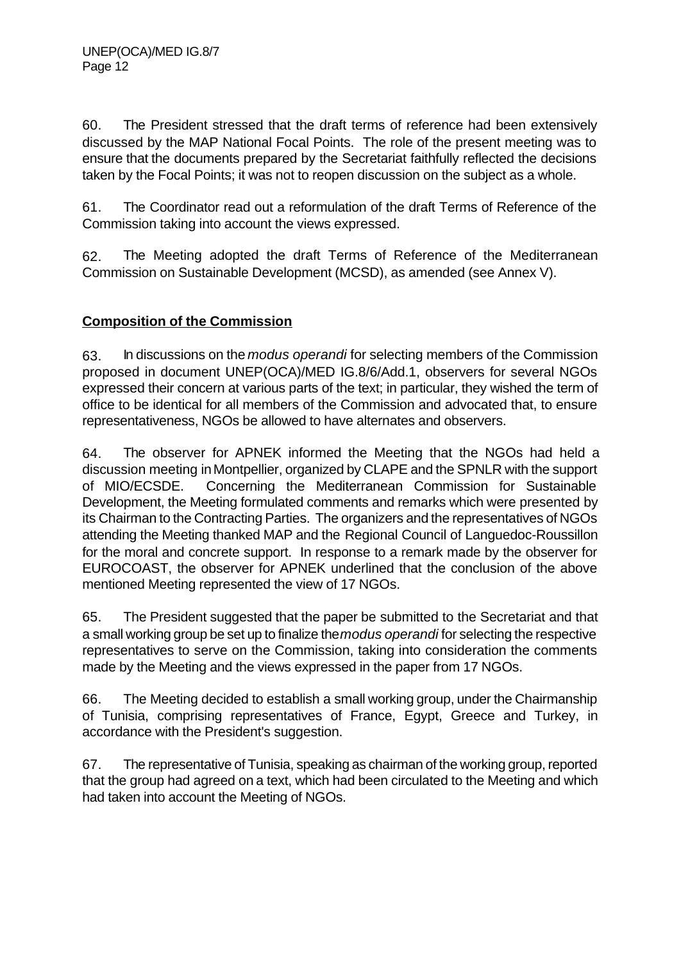60. The President stressed that the draft terms of reference had been extensively discussed by the MAP National Focal Points. The role of the present meeting was to ensure that the documents prepared by the Secretariat faithfully reflected the decisions taken by the Focal Points; it was not to reopen discussion on the subject as a whole.

61. The Coordinator read out a reformulation of the draft Terms of Reference of the Commission taking into account the views expressed.

62. The Meeting adopted the draft Terms of Reference of the Mediterranean Commission on Sustainable Development (MCSD), as amended (see Annex V).

# **Composition of the Commission**

63. In discussions on the *modus operandi* for selecting members of the Commission proposed in document UNEP(OCA)/MED IG.8/6/Add.1, observers for several NGOs expressed their concern at various parts of the text; in particular, they wished the term of office to be identical for all members of the Commission and advocated that, to ensure representativeness, NGOs be allowed to have alternates and observers.

64. The observer for APNEK informed the Meeting that the NGOs had held a discussion meeting in Montpellier, organized by CLAPE and the SPNLR with the support of MIO/ECSDE. Concerning the Mediterranean Commission for Sustainable Development, the Meeting formulated comments and remarks which were presented by its Chairman to the Contracting Parties. The organizers and the representatives of NGOs attending the Meeting thanked MAP and the Regional Council of Languedoc-Roussillon for the moral and concrete support. In response to a remark made by the observer for EUROCOAST, the observer for APNEK underlined that the conclusion of the above mentioned Meeting represented the view of 17 NGOs.

65. The President suggested that the paper be submitted to the Secretariat and that a small working group be set up to finalize the *modus operandi* for selecting the respective representatives to serve on the Commission, taking into consideration the comments made by the Meeting and the views expressed in the paper from 17 NGOs.

66. The Meeting decided to establish a small working group, under the Chairmanship of Tunisia, comprising representatives of France, Egypt, Greece and Turkey, in accordance with the President's suggestion.

67. The representative of Tunisia, speaking as chairman of the working group, reported that the group had agreed on a text, which had been circulated to the Meeting and which had taken into account the Meeting of NGOs.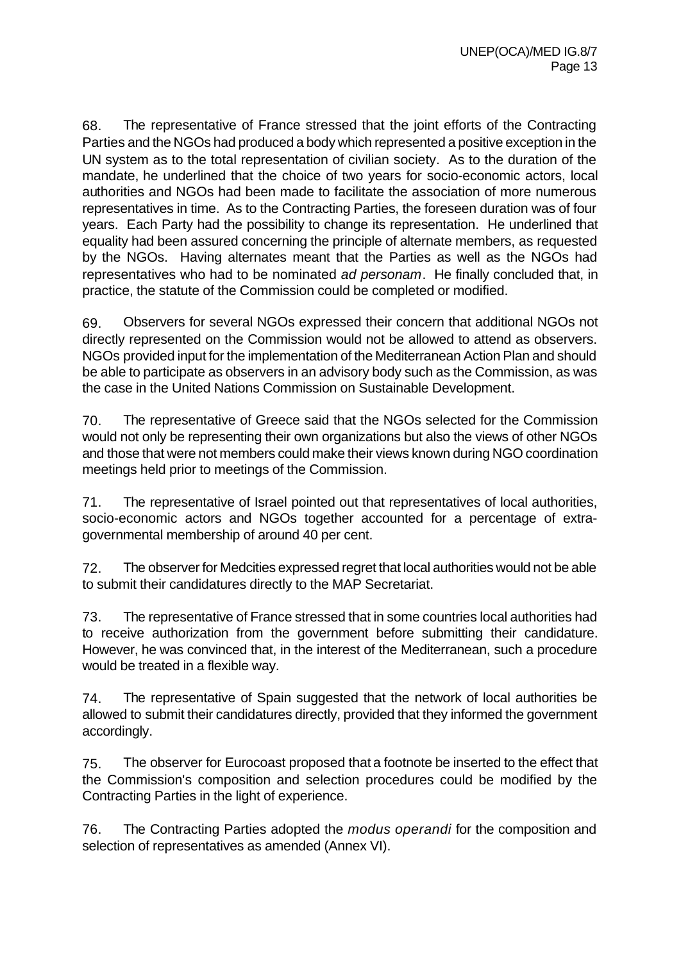68. The representative of France stressed that the joint efforts of the Contracting Parties and the NGOs had produced a body which represented a positive exception in the UN system as to the total representation of civilian society. As to the duration of the mandate, he underlined that the choice of two years for socio-economic actors, local authorities and NGOs had been made to facilitate the association of more numerous representatives in time. As to the Contracting Parties, the foreseen duration was of four years. Each Party had the possibility to change its representation. He underlined that equality had been assured concerning the principle of alternate members, as requested by the NGOs. Having alternates meant that the Parties as well as the NGOs had representatives who had to be nominated *ad personam*. He finally concluded that, in practice, the statute of the Commission could be completed or modified.

69. Observers for several NGOs expressed their concern that additional NGOs not directly represented on the Commission would not be allowed to attend as observers. NGOs provided input for the implementation of the Mediterranean Action Plan and should be able to participate as observers in an advisory body such as the Commission, as was the case in the United Nations Commission on Sustainable Development.

70. The representative of Greece said that the NGOs selected for the Commission would not only be representing their own organizations but also the views of other NGOs and those that were not members could make their views known during NGO coordination meetings held prior to meetings of the Commission.

71. The representative of Israel pointed out that representatives of local authorities, socio-economic actors and NGOs together accounted for a percentage of extragovernmental membership of around 40 per cent.

72. The observer for Medcities expressed regret that local authorities would not be able to submit their candidatures directly to the MAP Secretariat.

73. The representative of France stressed that in some countries local authorities had to receive authorization from the government before submitting their candidature. However, he was convinced that, in the interest of the Mediterranean, such a procedure would be treated in a flexible way.

74. The representative of Spain suggested that the network of local authorities be allowed to submit their candidatures directly, provided that they informed the government accordingly.

75. The observer for Eurocoast proposed that a footnote be inserted to the effect that the Commission's composition and selection procedures could be modified by the Contracting Parties in the light of experience.

76. The Contracting Parties adopted the *modus operandi* for the composition and selection of representatives as amended (Annex VI).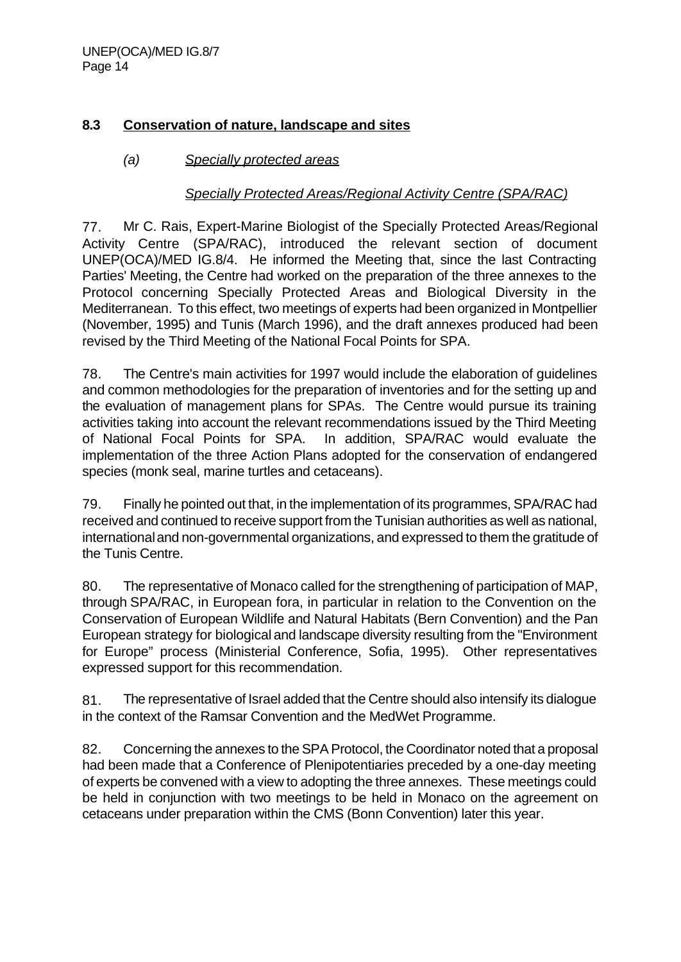# **8.3 Conservation of nature, landscape and sites**

# *(a) Specially protected areas*

# *Specially Protected Areas/Regional Activity Centre (SPA/RAC)*

77. Mr C. Rais, Expert-Marine Biologist of the Specially Protected Areas/Regional Activity Centre (SPA/RAC), introduced the relevant section of document UNEP(OCA)/MED IG.8/4. He informed the Meeting that, since the last Contracting Parties' Meeting, the Centre had worked on the preparation of the three annexes to the Protocol concerning Specially Protected Areas and Biological Diversity in the Mediterranean. To this effect, two meetings of experts had been organized in Montpellier (November, 1995) and Tunis (March 1996), and the draft annexes produced had been revised by the Third Meeting of the National Focal Points for SPA.

78. The Centre's main activities for 1997 would include the elaboration of guidelines and common methodologies for the preparation of inventories and for the setting up and the evaluation of management plans for SPAs. The Centre would pursue its training activities taking into account the relevant recommendations issued by the Third Meeting of National Focal Points for SPA. In addition, SPA/RAC would evaluate the implementation of the three Action Plans adopted for the conservation of endangered species (monk seal, marine turtles and cetaceans).

79. Finally he pointed out that, in the implementation of its programmes, SPA/RAC had received and continued to receive support from the Tunisian authorities as well as national, international and non-governmental organizations, and expressed to them the gratitude of the Tunis Centre.

80. The representative of Monaco called for the strengthening of participation of MAP, through SPA/RAC, in European fora, in particular in relation to the Convention on the Conservation of European Wildlife and Natural Habitats (Bern Convention) and the Pan European strategy for biological and landscape diversity resulting from the "Environment for Europe" process (Ministerial Conference, Sofia, 1995). Other representatives expressed support for this recommendation.

81. The representative of Israel added that the Centre should also intensify its dialogue in the context of the Ramsar Convention and the MedWet Programme.

82. Concerning the annexes to the SPA Protocol, the Coordinator noted that a proposal had been made that a Conference of Plenipotentiaries preceded by a one-day meeting of experts be convened with a view to adopting the three annexes. These meetings could be held in conjunction with two meetings to be held in Monaco on the agreement on cetaceans under preparation within the CMS (Bonn Convention) later this year.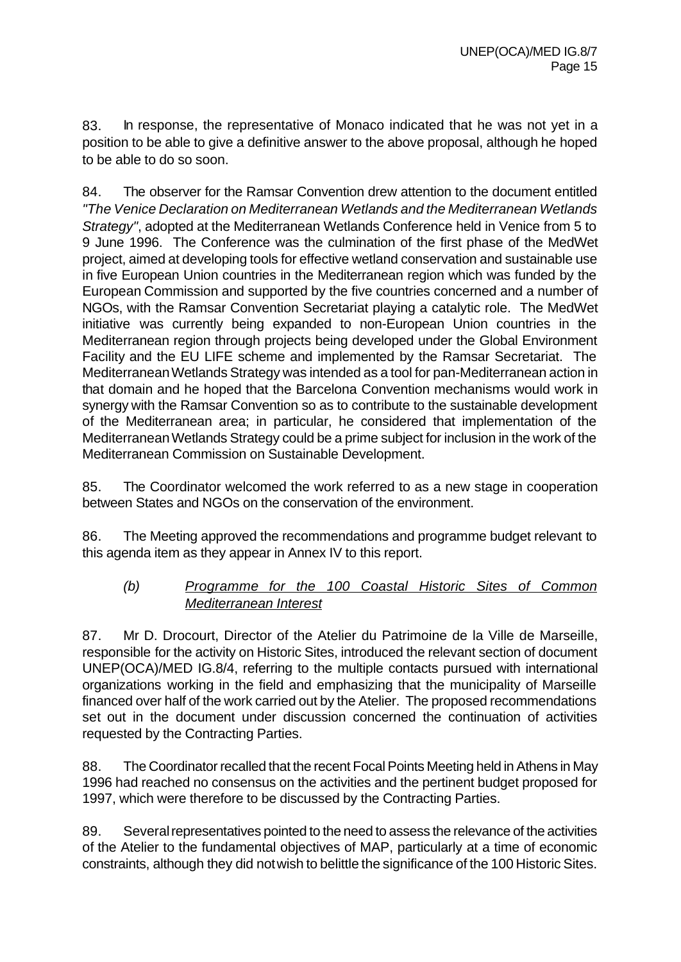83. In response, the representative of Monaco indicated that he was not yet in a position to be able to give a definitive answer to the above proposal, although he hoped to be able to do so soon.

84. The observer for the Ramsar Convention drew attention to the document entitled *"The Venice Declaration on Mediterranean Wetlands and the Mediterranean Wetlands Strategy"*, adopted at the Mediterranean Wetlands Conference held in Venice from 5 to 9 June 1996. The Conference was the culmination of the first phase of the MedWet project, aimed at developing tools for effective wetland conservation and sustainable use in five European Union countries in the Mediterranean region which was funded by the European Commission and supported by the five countries concerned and a number of NGOs, with the Ramsar Convention Secretariat playing a catalytic role. The MedWet initiative was currently being expanded to non-European Union countries in the Mediterranean region through projects being developed under the Global Environment Facility and the EU LIFE scheme and implemented by the Ramsar Secretariat. The Mediterranean Wetlands Strategy was intended as a tool for pan-Mediterranean action in that domain and he hoped that the Barcelona Convention mechanisms would work in synergy with the Ramsar Convention so as to contribute to the sustainable development of the Mediterranean area; in particular, he considered that implementation of the Mediterranean Wetlands Strategy could be a prime subject for inclusion in the work of the Mediterranean Commission on Sustainable Development.

85. The Coordinator welcomed the work referred to as a new stage in cooperation between States and NGOs on the conservation of the environment.

86. The Meeting approved the recommendations and programme budget relevant to this agenda item as they appear in Annex IV to this report.

# *(b) Programme for the 100 Coastal Historic Sites of Common Mediterranean Interest*

87. Mr D. Drocourt, Director of the Atelier du Patrimoine de la Ville de Marseille, responsible for the activity on Historic Sites, introduced the relevant section of document UNEP(OCA)/MED IG.8/4, referring to the multiple contacts pursued with international organizations working in the field and emphasizing that the municipality of Marseille financed over half of the work carried out by the Atelier. The proposed recommendations set out in the document under discussion concerned the continuation of activities requested by the Contracting Parties.

88. The Coordinator recalled that the recent Focal Points Meeting held in Athens in May 1996 had reached no consensus on the activities and the pertinent budget proposed for 1997, which were therefore to be discussed by the Contracting Parties.

89. Several representatives pointed to the need to assess the relevance of the activities of the Atelier to the fundamental objectives of MAP, particularly at a time of economic constraints, although they did not wish to belittle the significance of the 100 Historic Sites.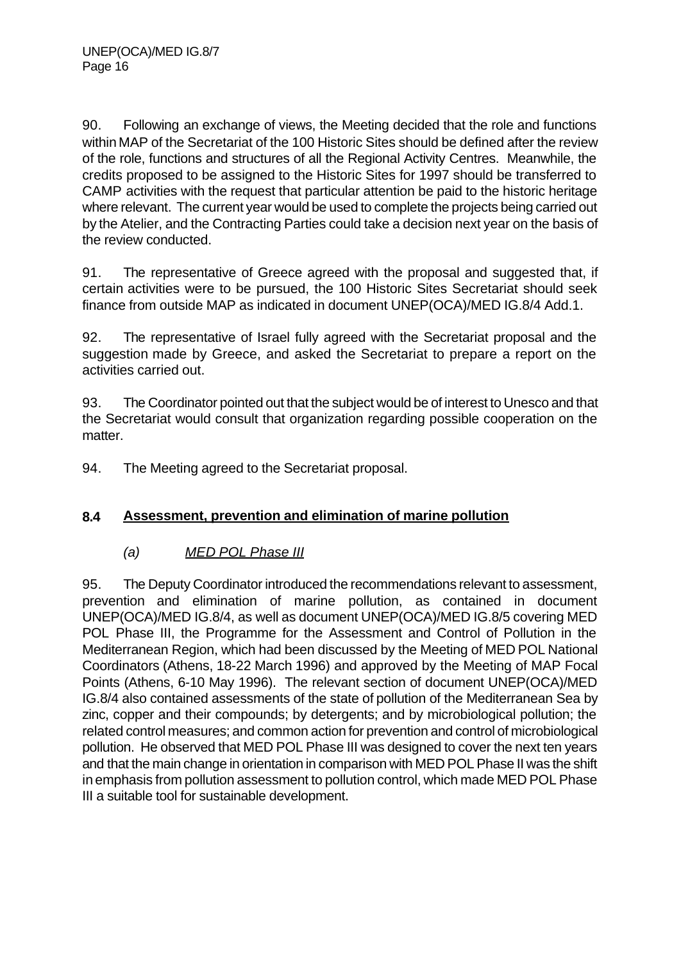90. Following an exchange of views, the Meeting decided that the role and functions within MAP of the Secretariat of the 100 Historic Sites should be defined after the review of the role, functions and structures of all the Regional Activity Centres. Meanwhile, the credits proposed to be assigned to the Historic Sites for 1997 should be transferred to CAMP activities with the request that particular attention be paid to the historic heritage where relevant. The current year would be used to complete the projects being carried out by the Atelier, and the Contracting Parties could take a decision next year on the basis of the review conducted.

91. The representative of Greece agreed with the proposal and suggested that, if certain activities were to be pursued, the 100 Historic Sites Secretariat should seek finance from outside MAP as indicated in document UNEP(OCA)/MED IG.8/4 Add.1.

92. The representative of Israel fully agreed with the Secretariat proposal and the suggestion made by Greece, and asked the Secretariat to prepare a report on the activities carried out.

93. The Coordinator pointed out that the subject would be of interest to Unesco and that the Secretariat would consult that organization regarding possible cooperation on the matter.

94. The Meeting agreed to the Secretariat proposal.

# **8.4 Assessment, prevention and elimination of marine pollution**

# *(a) MED POL Phase III*

95. The Deputy Coordinator introduced the recommendations relevant to assessment, prevention and elimination of marine pollution, as contained in document UNEP(OCA)/MED IG.8/4, as well as document UNEP(OCA)/MED IG.8/5 covering MED POL Phase III, the Programme for the Assessment and Control of Pollution in the Mediterranean Region, which had been discussed by the Meeting of MED POL National Coordinators (Athens, 18-22 March 1996) and approved by the Meeting of MAP Focal Points (Athens, 6-10 May 1996). The relevant section of document UNEP(OCA)/MED IG.8/4 also contained assessments of the state of pollution of the Mediterranean Sea by zinc, copper and their compounds; by detergents; and by microbiological pollution; the related control measures; and common action for prevention and control of microbiological pollution. He observed that MED POL Phase III was designed to cover the next ten years and that the main change in orientation in comparison with MED POL Phase II was the shift in emphasis from pollution assessment to pollution control, which made MED POL Phase III a suitable tool for sustainable development.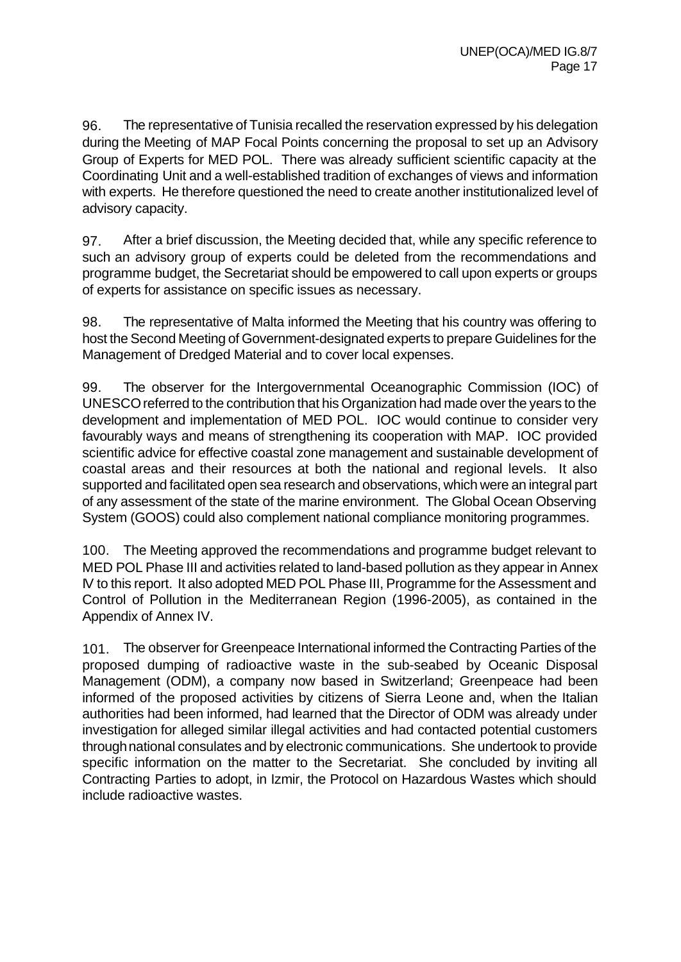96. The representative of Tunisia recalled the reservation expressed by his delegation during the Meeting of MAP Focal Points concerning the proposal to set up an Advisory Group of Experts for MED POL. There was already sufficient scientific capacity at the Coordinating Unit and a well-established tradition of exchanges of views and information with experts. He therefore questioned the need to create another institutionalized level of advisory capacity.

97. After a brief discussion, the Meeting decided that, while any specific reference to such an advisory group of experts could be deleted from the recommendations and programme budget, the Secretariat should be empowered to call upon experts or groups of experts for assistance on specific issues as necessary.

98. The representative of Malta informed the Meeting that his country was offering to host the Second Meeting of Government-designated experts to prepare Guidelines for the Management of Dredged Material and to cover local expenses.

99. The observer for the Intergovernmental Oceanographic Commission (IOC) of UNESCO referred to the contribution that his Organization had made over the years to the development and implementation of MED POL. IOC would continue to consider very favourably ways and means of strengthening its cooperation with MAP. IOC provided scientific advice for effective coastal zone management and sustainable development of coastal areas and their resources at both the national and regional levels. It also supported and facilitated open sea research and observations, which were an integral part of any assessment of the state of the marine environment. The Global Ocean Observing System (GOOS) could also complement national compliance monitoring programmes.

100. The Meeting approved the recommendations and programme budget relevant to MED POL Phase III and activities related to land-based pollution as they appear in Annex IV to this report. It also adopted MED POL Phase III, Programme for the Assessment and Control of Pollution in the Mediterranean Region (1996-2005), as contained in the Appendix of Annex IV.

101. The observer for Greenpeace International informed the Contracting Parties of the proposed dumping of radioactive waste in the sub-seabed by Oceanic Disposal Management (ODM), a company now based in Switzerland; Greenpeace had been informed of the proposed activities by citizens of Sierra Leone and, when the Italian authorities had been informed, had learned that the Director of ODM was already under investigation for alleged similar illegal activities and had contacted potential customers through national consulates and by electronic communications. She undertook to provide specific information on the matter to the Secretariat. She concluded by inviting all Contracting Parties to adopt, in Izmir, the Protocol on Hazardous Wastes which should include radioactive wastes.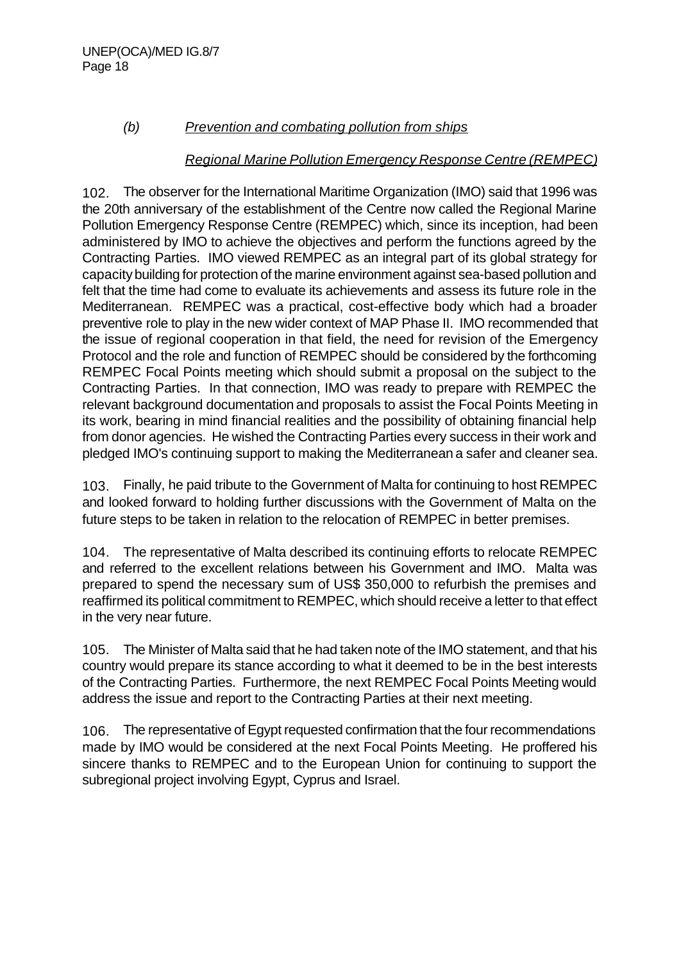# *(b) Prevention and combating pollution from ships*

## *Regional Marine Pollution Emergency Response Centre (REMPEC)*

102. The observer for the International Maritime Organization (IMO) said that 1996 was the 20th anniversary of the establishment of the Centre now called the Regional Marine Pollution Emergency Response Centre (REMPEC) which, since its inception, had been administered by IMO to achieve the objectives and perform the functions agreed by the Contracting Parties. IMO viewed REMPEC as an integral part of its global strategy for capacity building for protection of the marine environment against sea-based pollution and felt that the time had come to evaluate its achievements and assess its future role in the Mediterranean. REMPEC was a practical, cost-effective body which had a broader preventive role to play in the new wider context of MAP Phase II. IMO recommended that the issue of regional cooperation in that field, the need for revision of the Emergency Protocol and the role and function of REMPEC should be considered by the forthcoming REMPEC Focal Points meeting which should submit a proposal on the subject to the Contracting Parties. In that connection, IMO was ready to prepare with REMPEC the relevant background documentation and proposals to assist the Focal Points Meeting in its work, bearing in mind financial realities and the possibility of obtaining financial help from donor agencies. He wished the Contracting Parties every success in their work and pledged IMO's continuing support to making the Mediterranean a safer and cleaner sea.

103. Finally, he paid tribute to the Government of Malta for continuing to host REMPEC and looked forward to holding further discussions with the Government of Malta on the future steps to be taken in relation to the relocation of REMPEC in better premises.

104. The representative of Malta described its continuing efforts to relocate REMPEC and referred to the excellent relations between his Government and IMO. Malta was prepared to spend the necessary sum of US\$ 350,000 to refurbish the premises and reaffirmed its political commitment to REMPEC, which should receive a letter to that effect in the very near future.

105. The Minister of Malta said that he had taken note of the IMO statement, and that his country would prepare its stance according to what it deemed to be in the best interests of the Contracting Parties. Furthermore, the next REMPEC Focal Points Meeting would address the issue and report to the Contracting Parties at their next meeting.

106. The representative of Egypt requested confirmation that the four recommendations made by IMO would be considered at the next Focal Points Meeting. He proffered his sincere thanks to REMPEC and to the European Union for continuing to support the subregional project involving Egypt, Cyprus and Israel.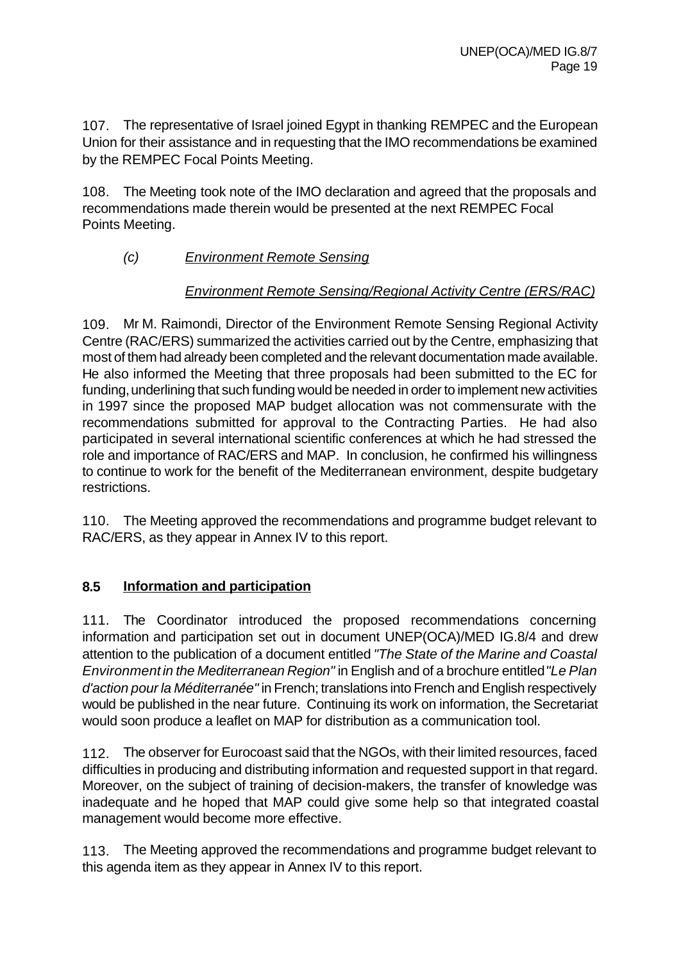107. The representative of Israel joined Egypt in thanking REMPEC and the European Union for their assistance and in requesting that the IMO recommendations be examined by the REMPEC Focal Points Meeting.

108. The Meeting took note of the IMO declaration and agreed that the proposals and recommendations made therein would be presented at the next REMPEC Focal Points Meeting.

# *(c) Environment Remote Sensing*

# *Environment Remote Sensing/Regional Activity Centre (ERS/RAC)*

109. Mr M. Raimondi, Director of the Environment Remote Sensing Regional Activity Centre (RAC/ERS) summarized the activities carried out by the Centre, emphasizing that most of them had already been completed and the relevant documentation made available. He also informed the Meeting that three proposals had been submitted to the EC for funding, underlining that such funding would be needed in order to implement new activities in 1997 since the proposed MAP budget allocation was not commensurate with the recommendations submitted for approval to the Contracting Parties. He had also participated in several international scientific conferences at which he had stressed the role and importance of RAC/ERS and MAP. In conclusion, he confirmed his willingness to continue to work for the benefit of the Mediterranean environment, despite budgetary restrictions.

110. The Meeting approved the recommendations and programme budget relevant to RAC/ERS, as they appear in Annex IV to this report.

# **8.5 Information and participation**

111. The Coordinator introduced the proposed recommendations concerning information and participation set out in document UNEP(OCA)/MED IG.8/4 and drew attention to the publication of a document entitled *"The State of the Marine and Coastal Environment in the Mediterranean Region"* in English and of a brochure entitled *"Le Plan d'action pour la Méditerranée"* in French; translations into French and English respectively would be published in the near future. Continuing its work on information, the Secretariat would soon produce a leaflet on MAP for distribution as a communication tool.

112. The observer for Eurocoast said that the NGOs, with their limited resources, faced difficulties in producing and distributing information and requested support in that regard. Moreover, on the subject of training of decision-makers, the transfer of knowledge was inadequate and he hoped that MAP could give some help so that integrated coastal management would become more effective.

113. The Meeting approved the recommendations and programme budget relevant to this agenda item as they appear in Annex IV to this report.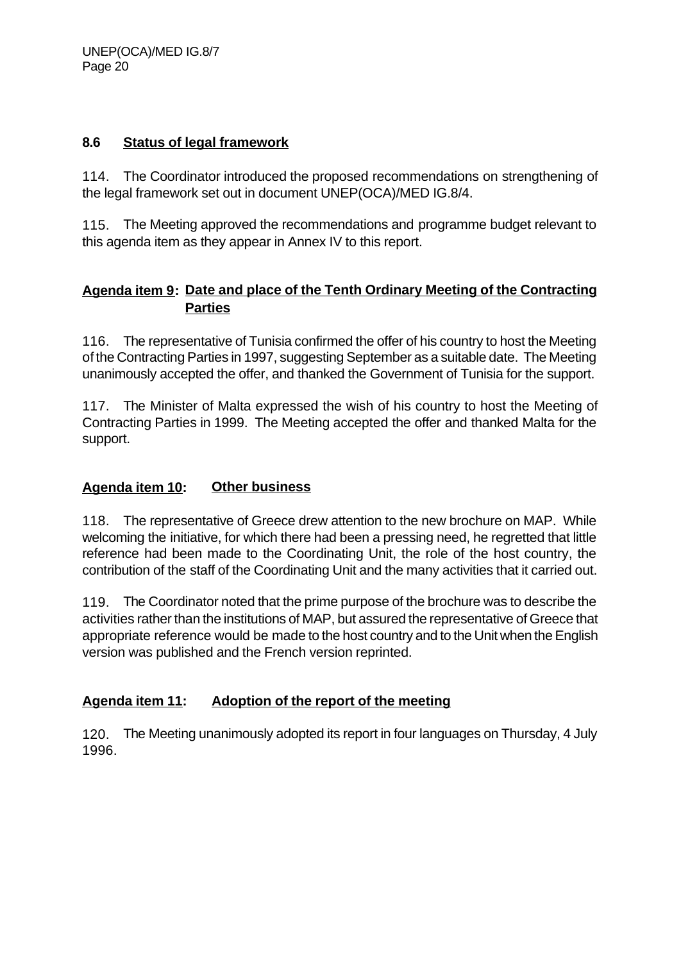# **8.6 Status of legal framework**

114. The Coordinator introduced the proposed recommendations on strengthening of the legal framework set out in document UNEP(OCA)/MED IG.8/4.

115. The Meeting approved the recommendations and programme budget relevant to this agenda item as they appear in Annex IV to this report.

# **Agenda item 9: Date and place of the Tenth Ordinary Meeting of the Contracting Parties**

116. The representative of Tunisia confirmed the offer of his country to host the Meeting of the Contracting Parties in 1997, suggesting September as a suitable date. The Meeting unanimously accepted the offer, and thanked the Government of Tunisia for the support.

117. The Minister of Malta expressed the wish of his country to host the Meeting of Contracting Parties in 1999. The Meeting accepted the offer and thanked Malta for the support.

# **Agenda item 10: Other business**

118. The representative of Greece drew attention to the new brochure on MAP. While welcoming the initiative, for which there had been a pressing need, he regretted that little reference had been made to the Coordinating Unit, the role of the host country, the contribution of the staff of the Coordinating Unit and the many activities that it carried out.

119. The Coordinator noted that the prime purpose of the brochure was to describe the activities rather than the institutions of MAP, but assured the representative of Greece that appropriate reference would be made to the host country and to the Unit when the English version was published and the French version reprinted.

# **Agenda item 11: Adoption of the report of the meeting**

120. The Meeting unanimously adopted its report in four languages on Thursday, 4 July 1996.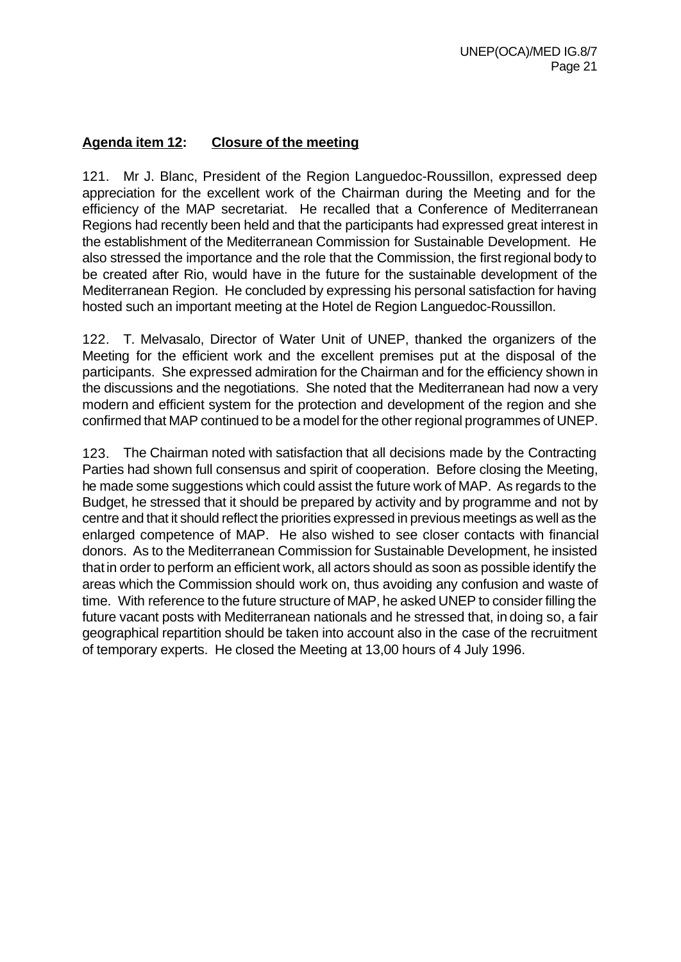## **Agenda item 12: Closure of the meeting**

121. Mr J. Blanc, President of the Region Languedoc-Roussillon, expressed deep appreciation for the excellent work of the Chairman during the Meeting and for the efficiency of the MAP secretariat. He recalled that a Conference of Mediterranean Regions had recently been held and that the participants had expressed great interest in the establishment of the Mediterranean Commission for Sustainable Development. He also stressed the importance and the role that the Commission, the first regional body to be created after Rio, would have in the future for the sustainable development of the Mediterranean Region. He concluded by expressing his personal satisfaction for having hosted such an important meeting at the Hotel de Region Languedoc-Roussillon.

122. T. Melvasalo, Director of Water Unit of UNEP, thanked the organizers of the Meeting for the efficient work and the excellent premises put at the disposal of the participants. She expressed admiration for the Chairman and for the efficiency shown in the discussions and the negotiations. She noted that the Mediterranean had now a very modern and efficient system for the protection and development of the region and she confirmed that MAP continued to be a model for the other regional programmes of UNEP.

123. The Chairman noted with satisfaction that all decisions made by the Contracting Parties had shown full consensus and spirit of cooperation. Before closing the Meeting, he made some suggestions which could assist the future work of MAP. As regards to the Budget, he stressed that it should be prepared by activity and by programme and not by centre and that it should reflect the priorities expressed in previous meetings as well as the enlarged competence of MAP. He also wished to see closer contacts with financial donors. As to the Mediterranean Commission for Sustainable Development, he insisted that in order to perform an efficient work, all actors should as soon as possible identify the areas which the Commission should work on, thus avoiding any confusion and waste of time. With reference to the future structure of MAP, he asked UNEP to consider filling the future vacant posts with Mediterranean nationals and he stressed that, in doing so, a fair geographical repartition should be taken into account also in the case of the recruitment of temporary experts. He closed the Meeting at 13,00 hours of 4 July 1996.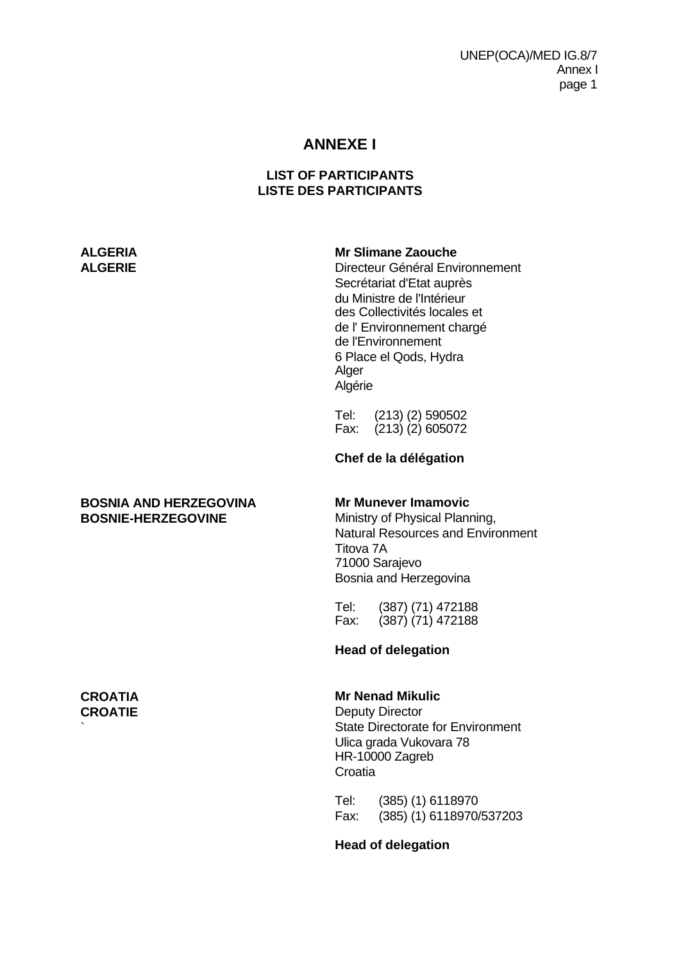UNEP(OCA)/MED IG.8/7 Annex I page 1

### **ANNEXE I**

## **LIST OF PARTICIPANTS LISTE DES PARTICIPANTS**

#### **ALGERIA Mr Slimane Zaouche**

**ALGERIE** Directeur Général Environnement Secrétariat d'Etat auprès du Ministre de l'Intérieur des Collectivités locales et de l' Environnement chargé de l'Environnement 6 Place el Qods, Hydra Alger Algérie

> Tel: (213) (2) 590502 Fax: (213) (2) 605072

#### **Chef de la délégation**

#### **BOSNIA AND HERZEGOVINA Mr Munever Imamovic BOSNIE-HERZEGOVINE** Ministry of Physical Planning,

Natural Resources and Environment Titova 7A 71000 Sarajevo Bosnia and Herzegovina

Tel: (387) (71) 472188<br>Fax: (387) (71) 472188  $(387)$  $(71)$  472188

#### **Head of delegation**

#### **CROATIA Mr Nenad Mikulic**

**CROATIE** Deputy Director State Directorate for Environment Ulica grada Vukovara 78 HR-10000 Zagreb **Croatia** 

> Tel: (385) (1) 6118970 Fax: (385) (1) 6118970/537203

#### **Head of delegation**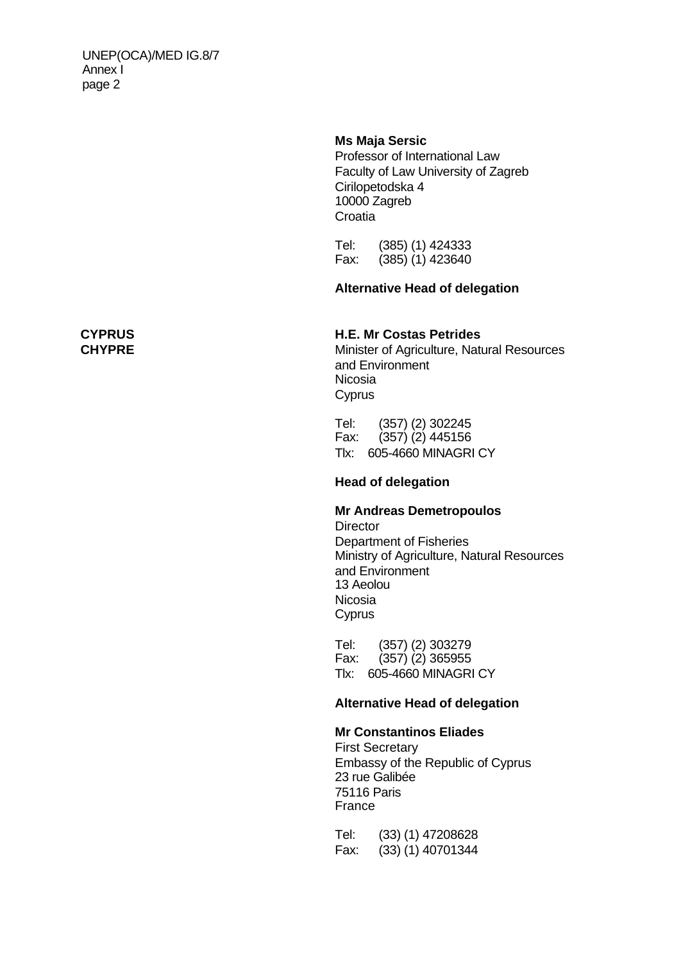UNEP(OCA)/MED IG.8/7 Annex I page 2

#### **Ms Maja Sersic**

Professor of International Law Faculty of Law University of Zagreb Cirilopetodska 4 10000 Zagreb **Croatia** 

Tel: (385) (1) 424333 Fax: (385) (1) 423640

#### **Alternative Head of delegation**

#### **CYPRUS H.E. Mr Costas Petrides**

**CHYPRE** Minister of Agriculture, Natural Resources and Environment Nicosia **Cyprus** 

> Tel: (357) (2) 302245 Fax:  $(357)(2)$  445156 Tlx: 605-4660 MINAGRI CY

#### **Head of delegation**

### **Mr Andreas Demetropoulos**

**Director** Department of Fisheries Ministry of Agriculture, Natural Resources and Environment 13 Aeolou Nicosia **Cyprus** 

Tel: (357) (2) 303279 Fax: (357) (2) 365955 Tlx: 605-4660 MINAGRI CY

#### **Alternative Head of delegation**

#### **Mr Constantinos Eliades**

First Secretary Embassy of the Republic of Cyprus 23 rue Galibée 75116 Paris France

Tel: (33) (1) 47208628 Fax: (33) (1) 40701344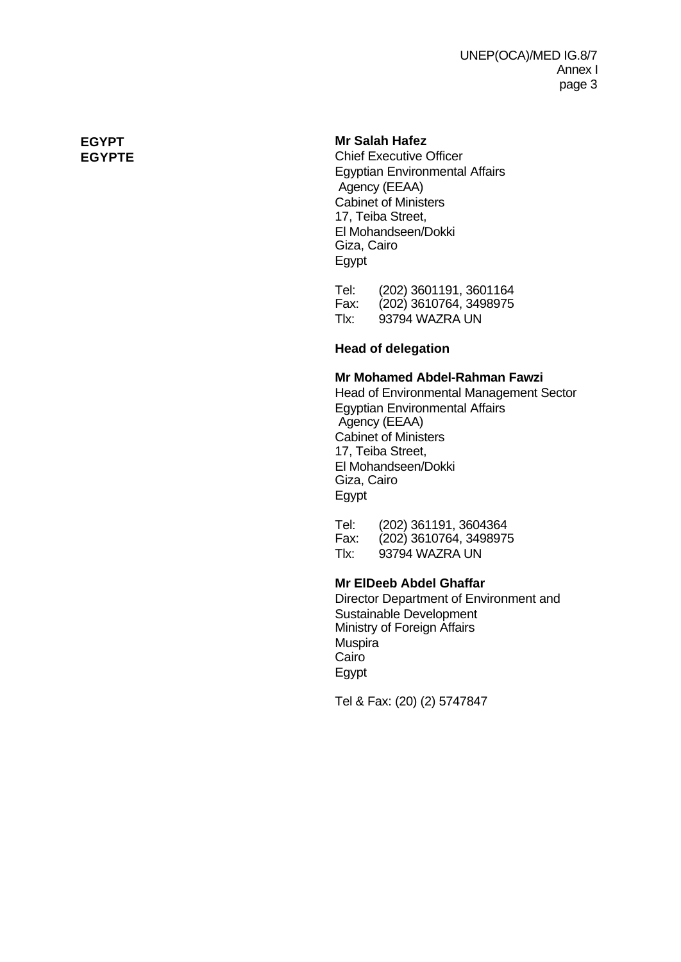### **EGYPT Mr Salah Hafez**

**EGYPTE** Chief Executive Officer Egyptian Environmental Affairs Agency (EEAA) Cabinet of Ministers 17, Teiba Street, El Mohandseen/Dokki Giza, Cairo Egypt

> Tel: (202) 3601191, 3601164 Fax: (202) 3610764, 3498975 Tlx: 93794 WAZRA UN

### **Head of delegation**

#### **Mr Mohamed Abdel-Rahman Fawzi**

Head of Environmental Management Sector Egyptian Environmental Affairs Agency (EEAA) Cabinet of Ministers 17, Teiba Street, El Mohandseen/Dokki Giza, Cairo Egypt

Tel: (202) 361191, 3604364 Fax: (202) 3610764, 3498975 Tlx: 93794 WAZRA UN

#### **Mr ElDeeb Abdel Ghaffar**

Director Department of Environment and Sustainable Development Ministry of Foreign Affairs **Muspira** Cairo Egypt

Tel & Fax: (20) (2) 5747847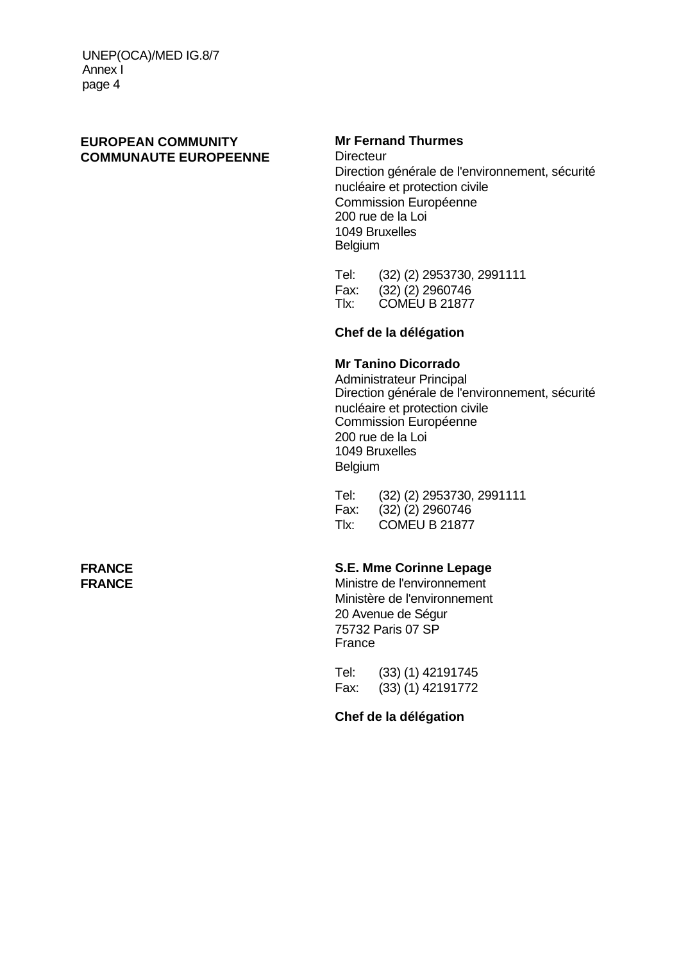#### **EUROPEAN COMMUNITY Mr Fernand Thurmes COMMUNAUTE EUROPEENNE** Directeur

Direction générale de l'environnement, sécurité nucléaire et protection civile Commission Européenne 200 rue de la Loi 1049 Bruxelles **Belgium** 

Tel: (32) (2) 2953730, 2991111 Fax: (32) (2) 2960746 Tlx: COMEU B 21877

### **Chef de la délégation**

### **Mr Tanino Dicorrado**

Administrateur Principal Direction générale de l'environnement, sécurité nucléaire et protection civile Commission Européenne 200 rue de la Loi 1049 Bruxelles Belgium

Tel: (32) (2) 2953730, 2991111<br>Fax: (32) (2) 2960746  $(32)$  $(2)$  2960746 Tlx: COMEU B 21877

# **FRANCE S.E. Mme Corinne Lepage**

**FRANCE** Ministre de l'environnement Ministère de l'environnement 20 Avenue de Ségur 75732 Paris 07 SP France

> Tel: (33) (1) 42191745 Fax: (33) (1) 42191772

**Chef de la délégation**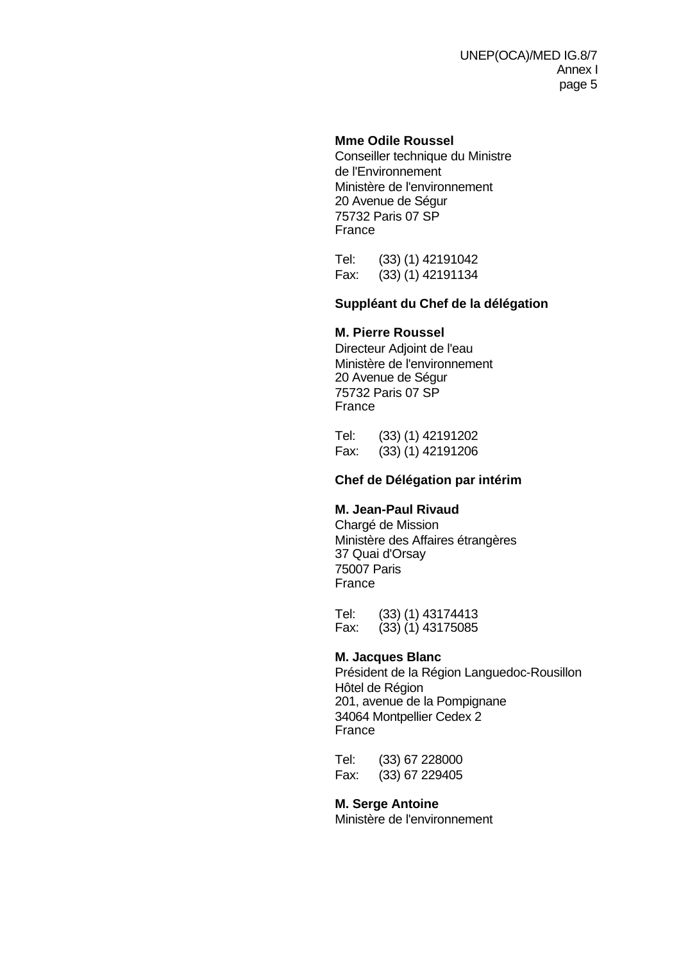#### **Mme Odile Roussel**

Conseiller technique du Ministre de l'Environnement Ministère de l'environnement 20 Avenue de Ségur 75732 Paris 07 SP France

Tel: (33) (1) 42191042 Fax: (33) (1) 42191134

#### **Suppléant du Chef de la délégation**

#### **M. Pierre Roussel**

Directeur Adjoint de l'eau Ministère de l'environnement 20 Avenue de Ségur 75732 Paris 07 SP France

Tel: (33) (1) 42191202 Fax: (33) (1) 42191206

#### **Chef de Délégation par intérim**

#### **M. Jean-Paul Rivaud**

Chargé de Mission Ministère des Affaires étrangères 37 Quai d'Orsay 75007 Paris France

Tel: (33) (1) 43174413 Fax:  $(33)(1)$  43175085

#### **M. Jacques Blanc**

Président de la Région Languedoc-Rousillon Hôtel de Région 201, avenue de la Pompignane 34064 Montpellier Cedex 2 France

Tel: (33) 67 228000 Fax: (33) 67 229405

#### **M. Serge Antoine**

Ministère de l'environnement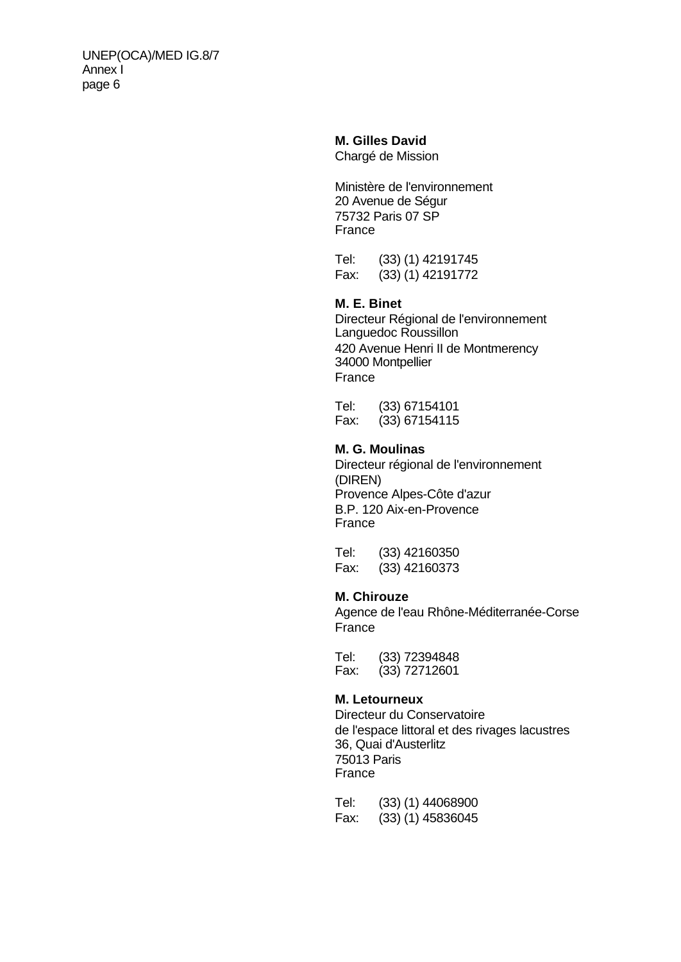UNEP(OCA)/MED IG.8/7 Annex I page 6

#### **M. Gilles David**

Chargé de Mission

Ministère de l'environnement 20 Avenue de Ségur 75732 Paris 07 SP France

Tel: (33) (1) 42191745 Fax: (33) (1) 42191772

#### **M. E. Binet**

Directeur Régional de l'environnement Languedoc Roussillon 420 Avenue Henri II de Montmerency 34000 Montpellier France

Tel: (33) 67154101 Fax: (33) 67154115

#### **M. G. Moulinas**

Directeur régional de l'environnement (DIREN) Provence Alpes-Côte d'azur B.P. 120 Aix-en-Provence France

Tel: (33) 42160350 Fax: (33) 42160373

#### **M. Chirouze**

Agence de l'eau Rhône-Méditerranée-Corse France

Tel: (33) 72394848 Fax: (33) 72712601

#### **M. Letourneux**

Directeur du Conservatoire de l'espace littoral et des rivages lacustres 36, Quai d'Austerlitz 75013 Paris France

Tel: (33) (1) 44068900 Fax: (33) (1) 45836045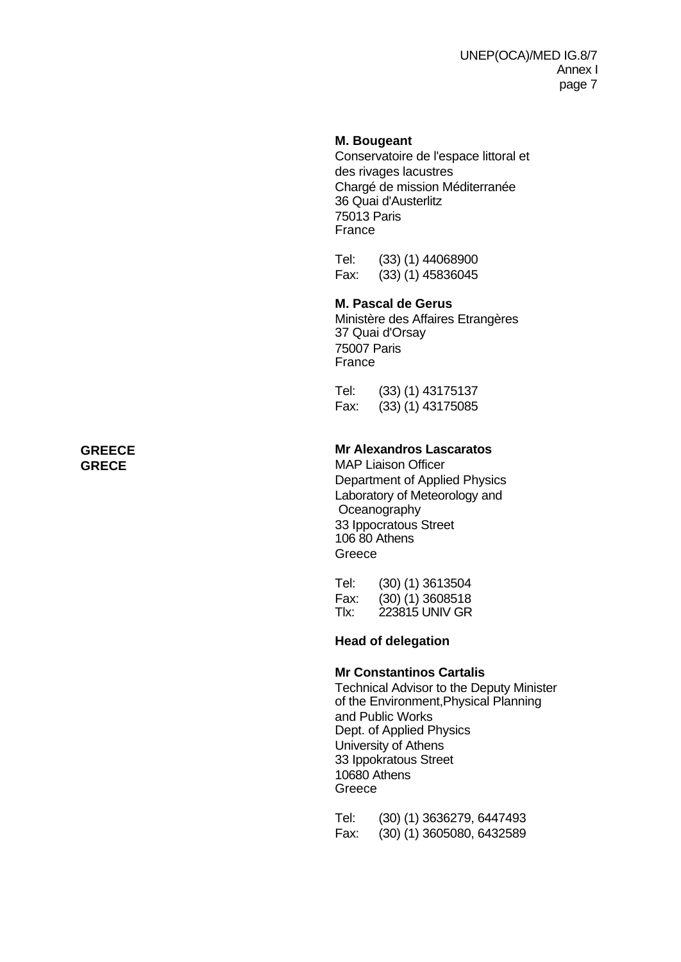#### **M. Bougeant**

Conservatoire de l'espace littoral et des rivages lacustres Chargé de mission Méditerranée 36 Quai d'Austerlitz 75013 Paris France

Tel: (33) (1) 44068900 Fax: (33) (1) 45836045

#### **M. Pascal de Gerus**

Ministère des Affaires Etrangères 37 Quai d'Orsay 75007 Paris France

Tel: (33) (1) 43175137 Fax: (33) (1) 43175085

#### **GREECE Mr Alexandros Lascaratos**

**GRECE** MAP Liaison Officer Department of Applied Physics Laboratory of Meteorology and **Oceanography** 33 Ippocratous Street 106 80 Athens Greece

> Tel: (30) (1) 3613504 Fax: (30) (1) 3608518 Tlx: 223815 UNIV GR

#### **Head of delegation**

#### **Mr Constantinos Cartalis**

Technical Advisor to the Deputy Minister of the Environment,Physical Planning and Public Works Dept. of Applied Physics University of Athens 33 Ippokratous Street 10680 Athens Greece

| Tel: | $(30)$ (1) 3636279, 6447493   |
|------|-------------------------------|
| Fax: | $(30)$ $(1)$ 3605080, 6432589 |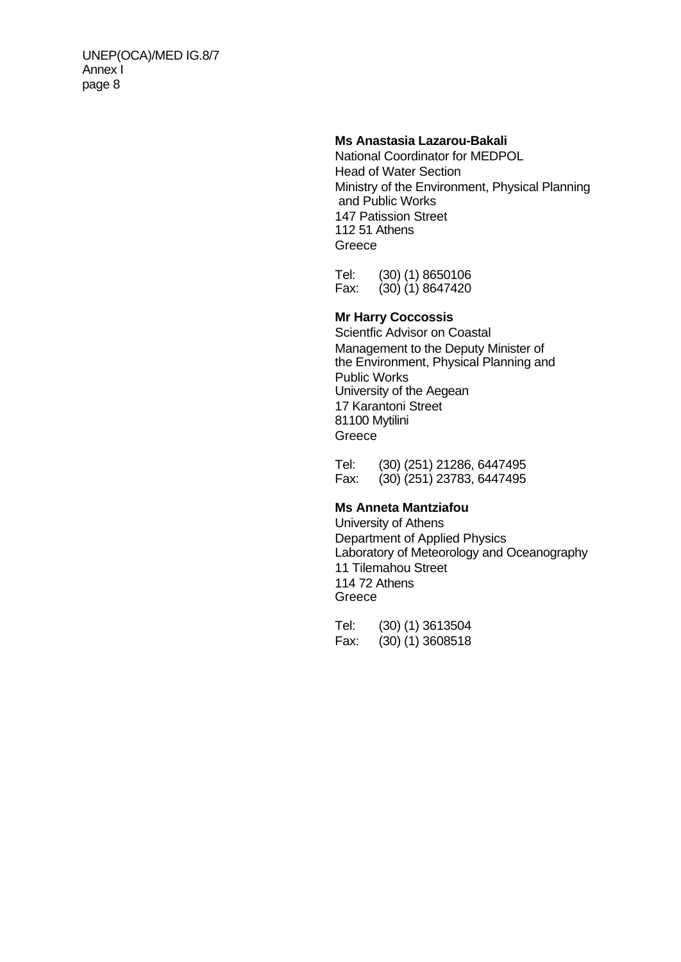UNEP(OCA)/MED IG.8/7 Annex I page 8

#### **Ms Anastasia Lazarou-Bakali**

National Coordinator for MEDPOL Head of Water Section Ministry of the Environment, Physical Planning and Public Works 147 Patission Street 112 51 Athens Greece

Tel: (30) (1) 8650106 Fax: (30) (1) 8647420

#### **Mr Harry Coccossis**

Scientfic Advisor on Coastal Management to the Deputy Minister of the Environment, Physical Planning and Public Works University of the Aegean 17 Karantoni Street 81100 Mytilini Greece

| Tel: | $(30)$ $(251)$ 21286, 6447495 |
|------|-------------------------------|
| Fax: | $(30)$ $(251)$ 23783, 6447495 |

#### **Ms Anneta Mantziafou**

University of Athens Department of Applied Physics Laboratory of Meteorology and Oceanography 11 Tilemahou Street 114 72 Athens **Greece** 

Tel: (30) (1) 3613504 Fax: (30) (1) 3608518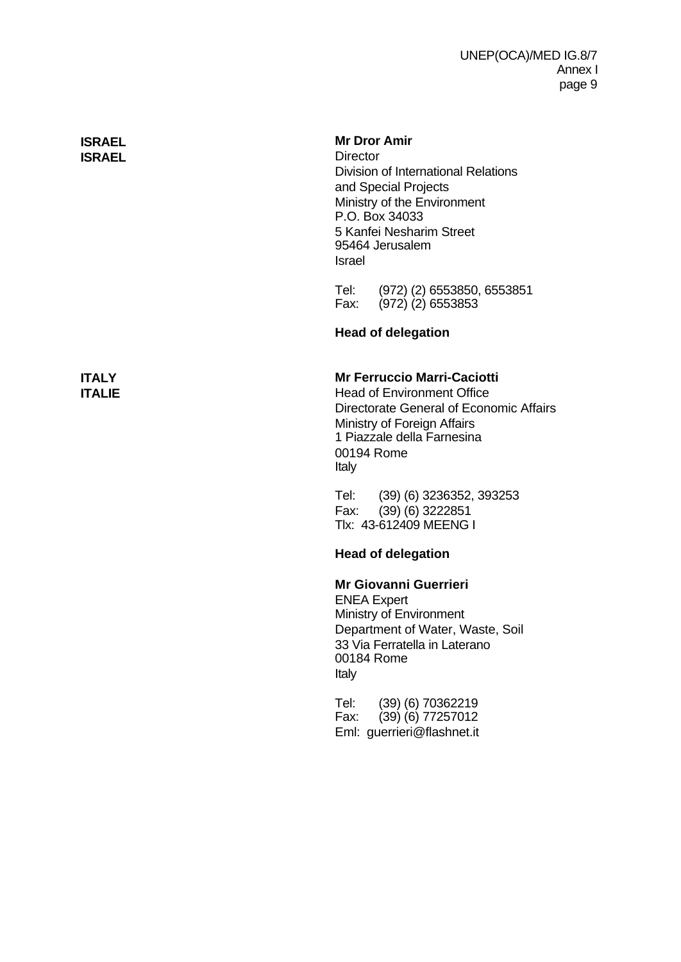| <b>ISRAEL</b><br><b>ISRAEL</b> | <b>Mr Dror Amir</b><br>Director<br>Division of International Relations<br>and Special Projects<br>Ministry of the Environment<br>P.O. Box 34033<br>5 Kanfei Nesharim Street<br>95464 Jerusalem<br><b>Israel</b> |
|--------------------------------|-----------------------------------------------------------------------------------------------------------------------------------------------------------------------------------------------------------------|
|                                | Tel:<br>(972) (2) 6553850, 6553851<br>$(972)$ $(2)$ 6553853<br>Fax:                                                                                                                                             |
|                                | <b>Head of delegation</b>                                                                                                                                                                                       |
| <b>ITALY</b><br><b>ITALIE</b>  | <b>Mr Ferruccio Marri-Caciotti</b><br><b>Head of Environment Office</b><br>Directorate General of Economic Affairs<br>Ministry of Foreign Affairs<br>1 Piazzale della Farnesina<br>00194 Rome<br>Italy          |
|                                | Tel: (39) (6) 3236352, 393253<br>Fax: (39) (6) 3222851<br>Tlx: 43-612409 MEENG I                                                                                                                                |
|                                | <b>Head of delegation</b>                                                                                                                                                                                       |
|                                | <b>Mr Giovanni Guerrieri</b><br><b>ENEA Expert</b><br>Ministry of Environment<br>Department of Water, Waste, Soil<br>33 Via Ferratella in Laterano<br>00184 Rome<br>Italy                                       |
|                                | Tel:<br>(39) (6) 70362219<br>Fax:<br>$(39)$ $(6)$ 77257012<br>Eml: guerrieri@flashnet.it                                                                                                                        |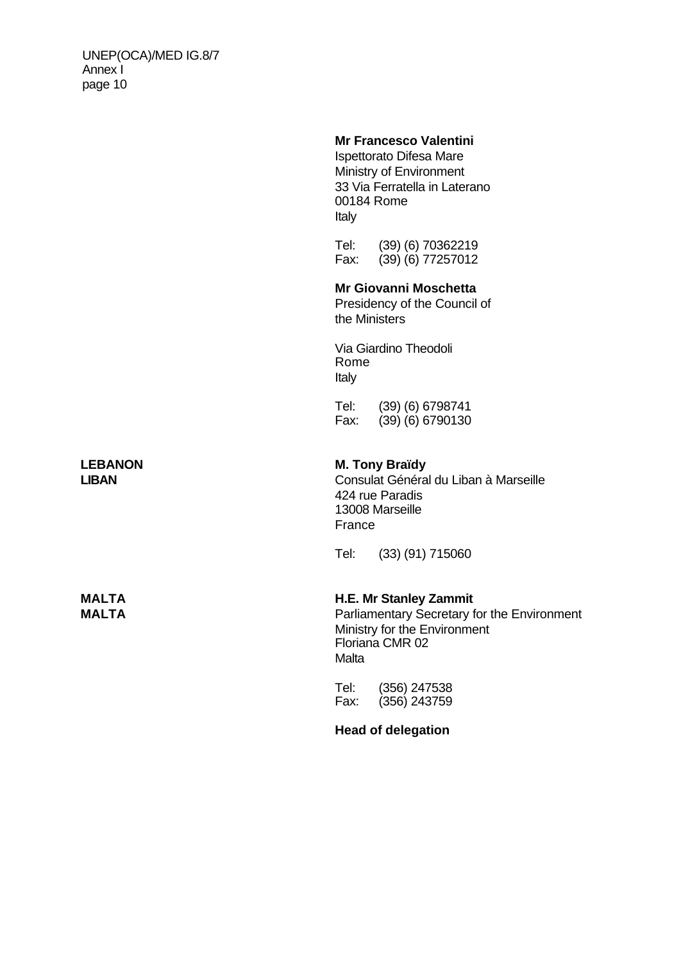UNEP(OCA)/MED IG.8/7 Annex I page 10

#### **Mr Francesco Valentini**

Ispettorato Difesa Mare Ministry of Environment 33 Via Ferratella in Laterano 00184 Rome Italy

Tel: (39) (6) 70362219<br>Fax: (39) (6) 77257012  $(39)(6)$  77257012

#### **Mr Giovanni Moschetta**

Presidency of the Council of the Ministers

Via Giardino Theodoli Rome Italy

Tel: (39) (6) 6798741 Fax: (39) (6) 6790130

#### **LEBANON M. Tony Braïdy**

**LIBAN** Consulat Général du Liban à Marseille 424 rue Paradis 13008 Marseille France

Tel: (33) (91) 715060

#### **MALTA H.E. Mr Stanley Zammit**

**MALTA** Parliamentary Secretary for the Environment Ministry for the Environment Floriana CMR 02 Malta

> Tel: (356) 247538 Fax: (356) 243759

**Head of delegation**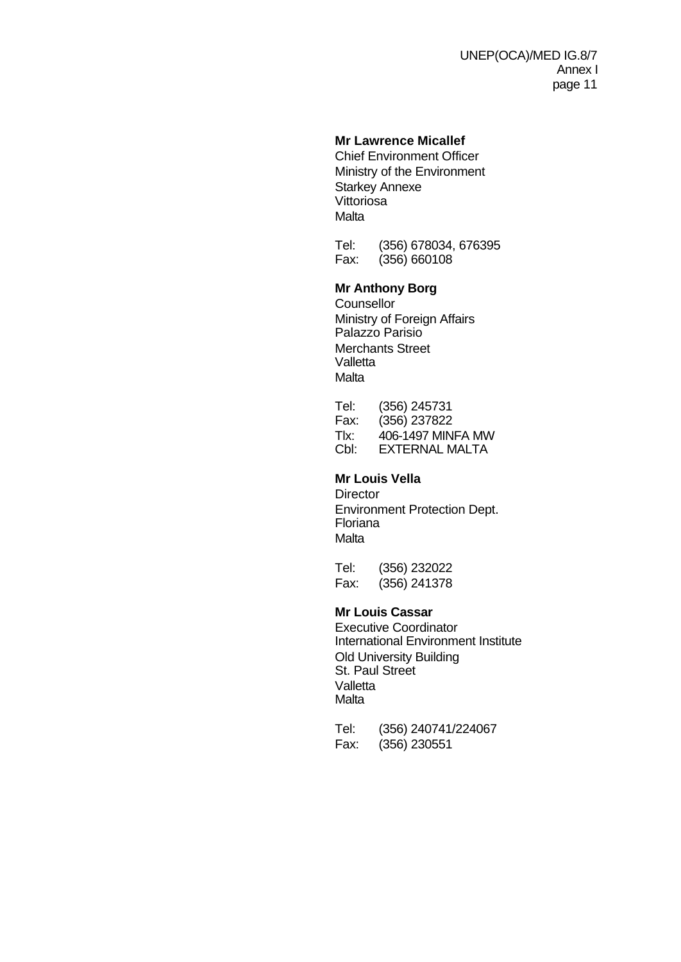#### **Mr Lawrence Micallef**

Chief Environment Officer Ministry of the Environment Starkey Annexe Vittoriosa **Malta** 

Tel: (356) 678034, 676395<br>Fax: (356) 660108  $(356)$  660108

#### **Mr Anthony Borg**

**Counsellor** Ministry of Foreign Affairs Palazzo Parisio Merchants Street Valletta **Malta** 

Tel: (356) 245731 Fax: (356) 237822 Tlx: 406-1497 MINFA MW Cbl: EXTERNAL MALTA

#### **Mr Louis Vella**

**Director** Environment Protection Dept. Floriana **Malta** 

Tel: (356) 232022 Fax: (356) 241378

#### **Mr Louis Cassar**

Executive Coordinator International Environment Institute Old University Building St. Paul Street Valletta **Malta** 

Tel: (356) 240741/224067 Fax: (356) 230551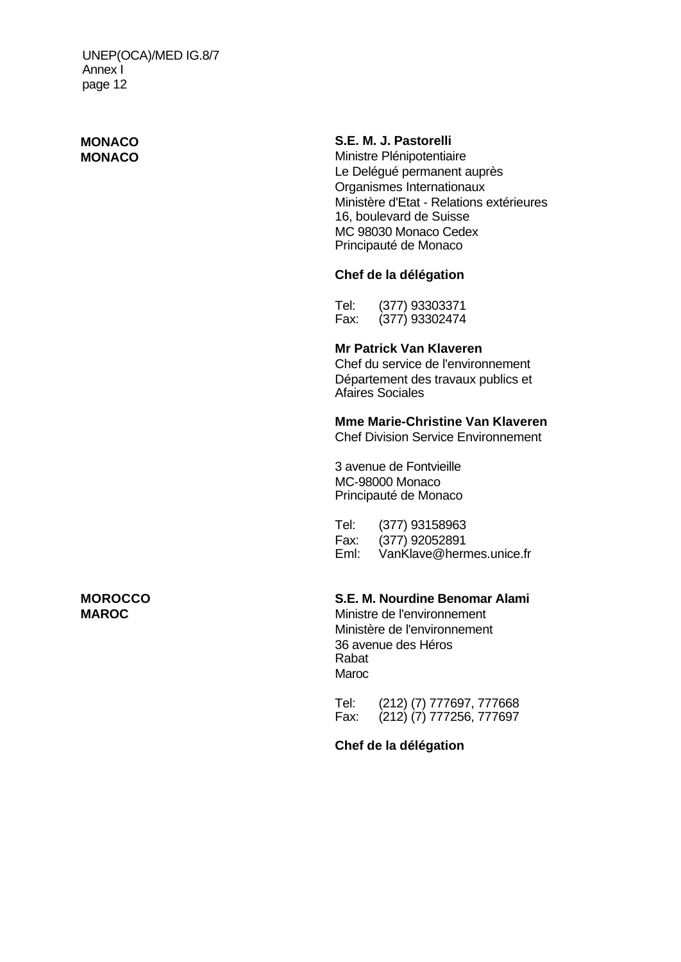UNEP(OCA)/MED IG.8/7 Annex I page 12

### **MONACO S.E. M. J. Pastorelli**

**MONACO** Ministre Plénipotentiaire Le Delégué permanent auprès Organismes Internationaux Ministère d'Etat - Relations extérieures 16, boulevard de Suisse MC 98030 Monaco Cedex Principauté de Monaco

### **Chef de la délégation**

Tel: (377) 93303371<br>Fax: (377) 93302474 Fax: (377) 93302474

#### **Mr Patrick Van Klaveren**

Chef du service de l'environnement Département des travaux publics et Afaires Sociales

# **Mme Marie-Christine Van Klaveren**

Chef Division Service Environnement

3 avenue de Fontvieille MC-98000 Monaco Principauté de Monaco

Tel: (377) 93158963 Fax: (377) 92052891 Eml: VanKlave@hermes.unice.fr

# **MOROCCO S.E. M. Nourdine Benomar Alami**

**MAROC** Ministre de l'environnement Ministère de l'environnement 36 avenue des Héros Rabat Maroc

| Tel: | (212) (7) 777697, 777668 |
|------|--------------------------|
| Fax: | (212) (7) 777256, 777697 |

### **Chef de la délégation**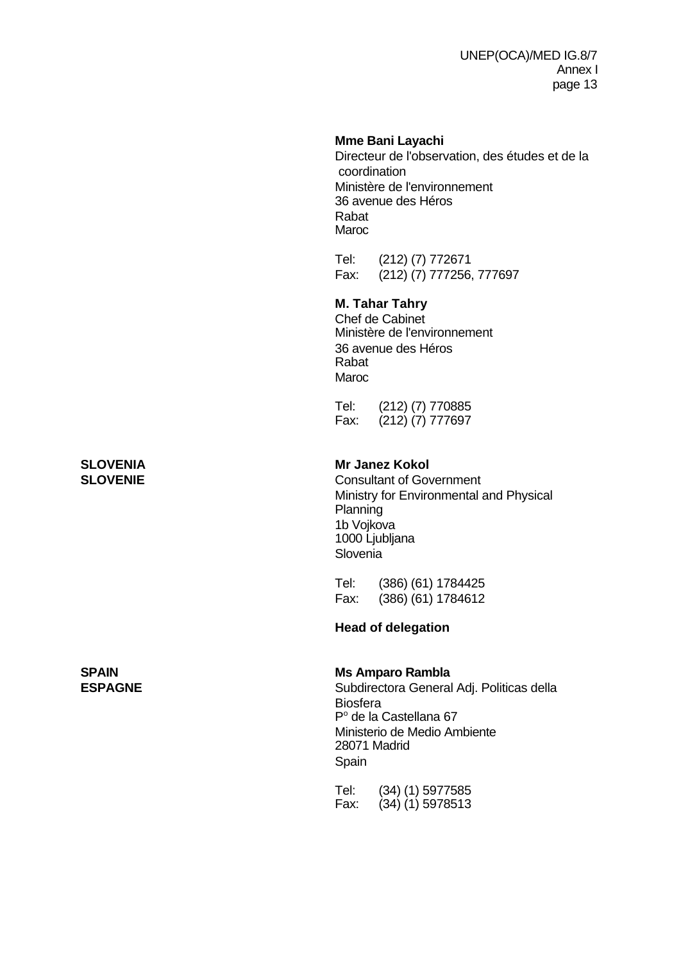#### **Mme Bani Layachi**

Directeur de l'observation, des études et de la coordination Ministère de l'environnement 36 avenue des Héros Rabat Maroc

Tel: (212) (7) 772671 Fax: (212) (7) 777256, 777697

#### **M. Tahar Tahry**

Chef de Cabinet Ministère de l'environnement 36 avenue des Héros Rabat Maroc

Tel: (212) (7) 770885 Fax: (212) (7) 777697

### **SLOVENIA Mr Janez Kokol**

**SLOVENIE** Consultant of Government Ministry for Environmental and Physical **Planning** 1b Vojkova 1000 Ljubljana Slovenia

> Tel: (386) (61) 1784425 Fax: (386) (61) 1784612

### **Head of delegation**

#### **SPAIN Ms Amparo Rambla**

**ESPAGNE** Subdirectora General Adj. Politicas della Biosfera Pº de la Castellana 67 Ministerio de Medio Ambiente 28071 Madrid Spain

> Tel: (34) (1) 5977585 Fax: (34) (1) 5978513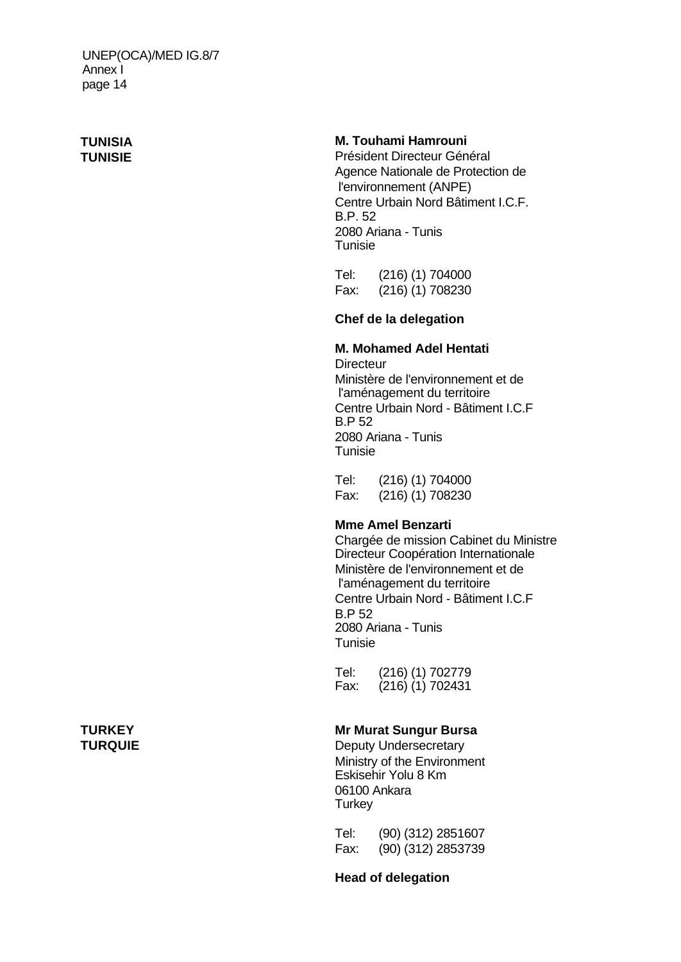#### **TUNISIA M. Touhami Hamrouni**

**TUNISIE** Président Directeur Général Agence Nationale de Protection de l'environnement (ANPE) Centre Urbain Nord Bâtiment I.C.F. B.P. 52 2080 Ariana - Tunis Tunisie

> Tel: (216) (1) 704000 Fax: (216) (1) 708230

### **Chef de la delegation**

### **M. Mohamed Adel Hentati**

**Directeur** Ministère de l'environnement et de l'aménagement du territoire Centre Urbain Nord - Bâtiment I.C.F B.P 52 2080 Ariana - Tunis Tunisie

Tel: (216) (1) 704000 Fax: (216) (1) 708230

### **Mme Amel Benzarti**

Chargée de mission Cabinet du Ministre Directeur Coopération Internationale Ministère de l'environnement et de l'aménagement du territoire Centre Urbain Nord - Bâtiment I.C.F B.P 52 2080 Ariana - Tunis Tunisie

Tel: (216) (1) 702779 Fax: (216) (1) 702431

### **TURKEY Mr Murat Sungur Bursa**

**TURQUIE** Deputy Undersecretary Ministry of the Environment Eskisehir Yolu 8 Km 06100 Ankara **Turkey** 

> Tel: (90) (312) 2851607 Fax: (90) (312) 2853739

### **Head of delegation**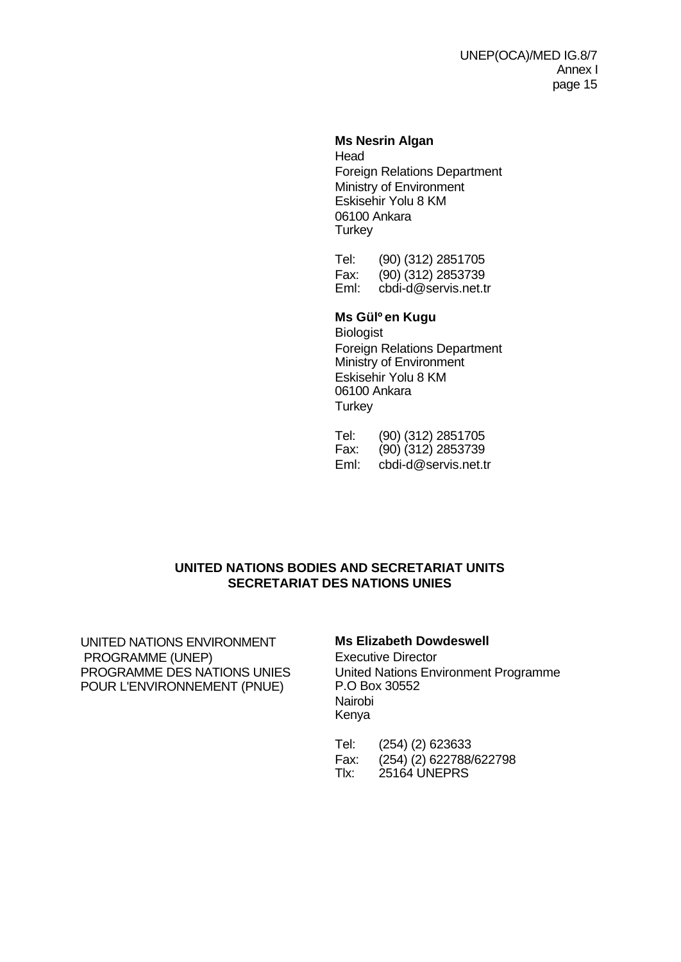#### **Ms Nesrin Algan**

Head Foreign Relations Department Ministry of Environment Eskisehir Yolu 8 KM 06100 Ankara **Turkey** 

Tel: (90) (312) 2851705 Fax: (90) (312) 2853739 Eml: cbdi-d@servis.net.tr

#### **Ms Gülº en Kugu**

**Biologist** Foreign Relations Department Ministry of Environment Eskisehir Yolu 8 KM 06100 Ankara **Turkey** 

Tel: (90) (312) 2851705 Fax: (90) (312) 2853739 Eml: cbdi-d@servis.net.tr

#### **UNITED NATIONS BODIES AND SECRETARIAT UNITS SECRETARIAT DES NATIONS UNIES**

UNITED NATIONS ENVIRONMENT **Ms Elizabeth Dowdeswell** PROGRAMME (UNEP) Executive Director POUR L'ENVIRONNEMENT (PNUE)

PROGRAMME DES NATIONS UNIES<br>
POUR L'ENVIRONNEMENT (PNUF) PO Box 30552 Nairobi Kenya

| Tel:    | $(254)$ $(2)$ 623633    |
|---------|-------------------------|
| Fax:    | (254) (2) 622788/622798 |
| $T$ $x$ | <b>25164 UNEPRS</b>     |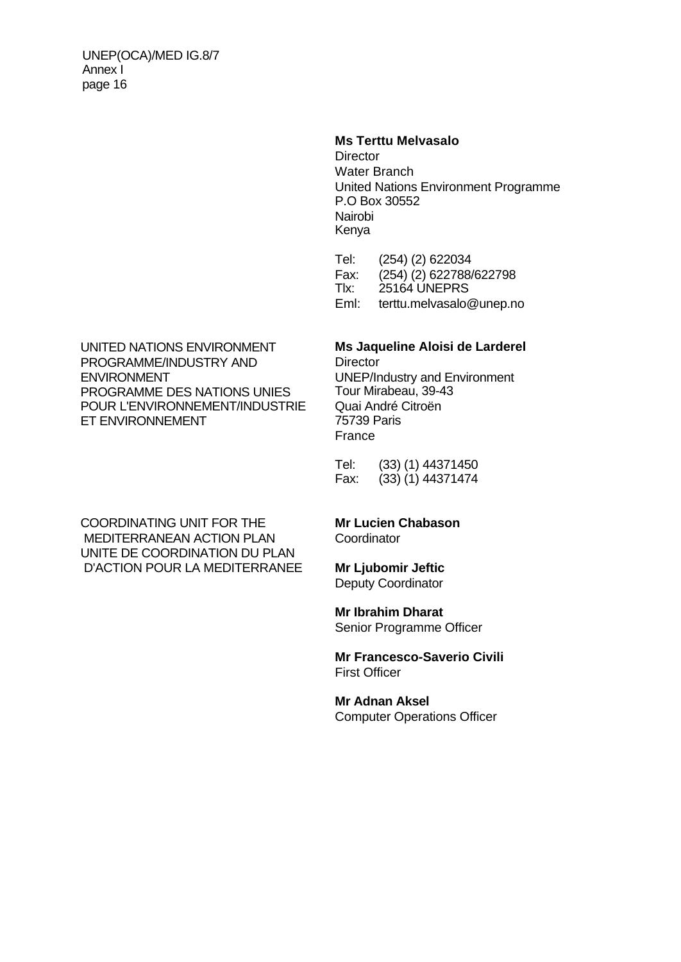#### **Ms Terttu Melvasalo**

**Director** Water Branch United Nations Environment Programme P.O Box 30552 Nairobi Kenya

Tel: (254) (2) 622034 Fax: (254) (2) 622788/622798 Tlx: 25164 UNEPRS Eml: terttu.melvasalo@unep.no

UNITED NATIONS ENVIRONMENT **Ms Jaqueline Aloisi de Larderel** PROGRAMME/INDUSTRY AND Director ENVIRONMENT UNEP/Industry and Environment PROGRAMME DES NATIONS UNIES Tour Mirabeau, 39-43 POUR L'ENVIRONNEMENT/INDUSTRIE Quai André Citroën ET ENVIRONNEMENT 75739 Paris

COORDINATING UNIT FOR THE **Mr Lucien Chabason** MEDITERRANEAN ACTION PLAN Coordinator UNITE DE COORDINATION DU PLAN D'ACTION POUR LA MEDITERRANEE **Mr Ljubomir Jeftic**

# France

Tel: (33) (1) 44371450 Fax: (33) (1) 44371474

Deputy Coordinator

### **Mr Ibrahim Dharat**

Senior Programme Officer

**Mr Francesco-Saverio Civili** First Officer

### **Mr Adnan Aksel** Computer Operations Officer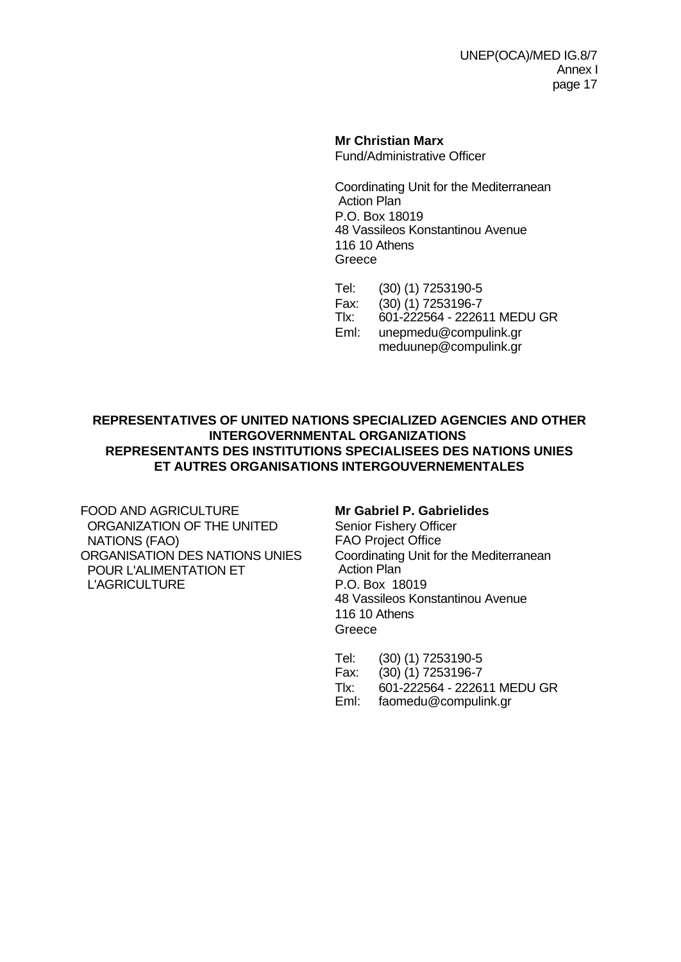### **Mr Christian Marx**

Fund/Administrative Officer

Coordinating Unit for the Mediterranean Action Plan P.O. Box 18019 48 Vassileos Konstantinou Avenue 116 10 Athens **Greece** 

Tel: (30) (1) 7253190-5

- Fax: (30) (1) 7253196-7
- Tlx: 601-222564 222611 MEDU GR
- Eml: unepmedu@compulink.gr meduunep@compulink.gr

### **REPRESENTATIVES OF UNITED NATIONS SPECIALIZED AGENCIES AND OTHER INTERGOVERNMENTAL ORGANIZATIONS REPRESENTANTS DES INSTITUTIONS SPECIALISEES DES NATIONS UNIES ET AUTRES ORGANISATIONS INTERGOUVERNEMENTALES**

FOOD AND AGRICULTURE **Mr Gabriel P. Gabrielides** ORGANIZATION OF THE UNITED Senior Fishery Officer NATIONS (FAO) FAO Project Office ORGANISATION DES NATIONS UNIES Coordinating Unit for the Mediterranean<br>POUR L'ALIMENTATION ET Action Plan POUR L'ALIMENTATION ET L'AGRICULTURE P.O. Box 18019

48 Vassileos Konstantinou Avenue 116 10 Athens Greece

Tel: (30) (1) 7253190-5<br>Fax: (30) (1) 7253196-7  $(30)$  $(1)$  7253196-7 Tlx: 601-222564 - 222611 MEDU GR Eml: faomedu@compulink.gr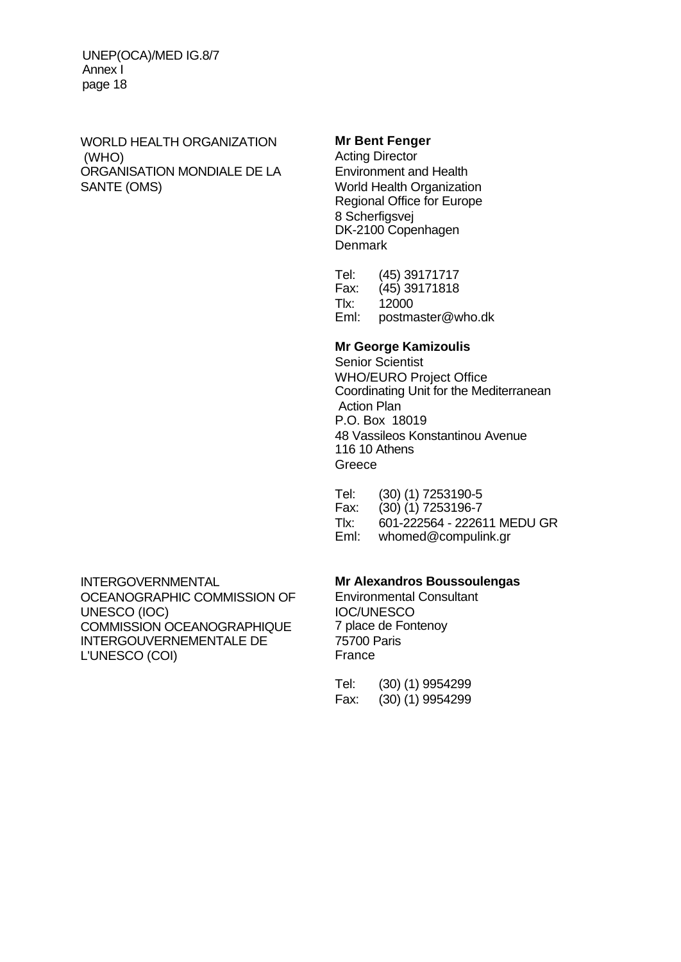WORLD HEALTH ORGANIZATION **Mr Bent Fenger** (WHO) 2008 Acting Director ORGANISATION MONDIALE DE LA Environment and Health SANTE (OMS) World Health Organization

Regional Office for Europe 8 Scherfigsvej DK-2100 Copenhagen Denmark

Tel: (45) 39171717 Fax: (45) 39171818 Tlx: 12000 Eml: postmaster@who.dk

### **Mr George Kamizoulis**

Senior Scientist WHO/EURO Project Office Coordinating Unit for the Mediterranean Action Plan P.O. Box 18019 48 Vassileos Konstantinou Avenue 116 10 Athens Greece

Tel: (30) (1) 7253190-5 Fax: (30) (1) 7253196-7 Tlx: 601-222564 - 222611 MEDU GR Eml: whomed@compulink.gr

INTERGOVERNMENTAL **Mr Alexandros Boussoulengas** OCEANOGRAPHIC COMMISSION OF Environmental Consultant UNESCO (IOC) IOC/UNESCO COMMISSION OCEANOGRAPHIQUE 7 place de Fontenoy INTERGOUVERNEMENTALE DE 75700 Paris L'UNESCO (COI) France

Tel: (30) (1) 9954299 Fax: (30) (1) 9954299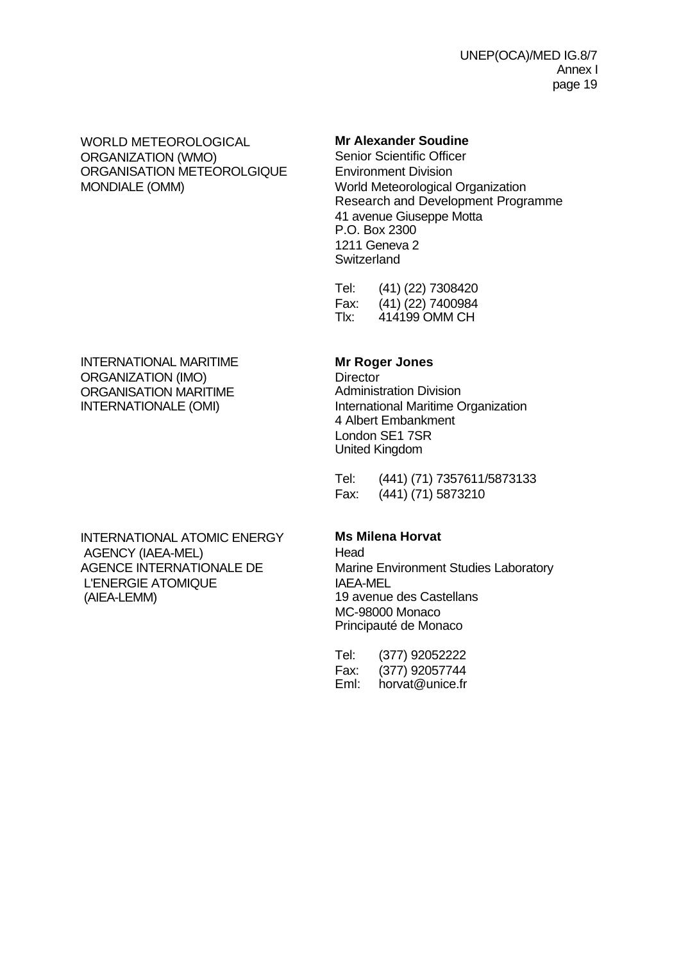WORLD METEOROLOGICAL **Mr Alexander Soudine** ORGANIZATION (WMO) Senior Scientific Officer ORGANISATION METEOROLGIQUE Environment Division MONDIALE (OMM) World Meteorological Organization

Research and Development Programme 41 avenue Giuseppe Motta P.O. Box 2300 1211 Geneva 2 **Switzerland** 

| Tel: | (41) (22) 7308420 |
|------|-------------------|
| Fax: | (41) (22) 7400984 |
| TIX: | 414199 OMM CH     |

### INTERNATIONAL MARITIME **Mr Roger Jones** ORGANIZATION (IMO) Director ORGANISATION MARITIME **Administration Division**

### INTERNATIONAL ATOMIC ENERGY **Ms Milena Horvat** AGENCY (IAEA-MEL) Head L'ENERGIE ATOMIQUE **ILLET EN EUROPE EN L'ENERGIE ATOMIQUE** (AIEA-LEMM) 19 avenue des Castellans

INTERNATIONALE (OMI) International Maritime Organization 4 Albert Embankment London SE1 7SR United Kingdom

| Tel: | (441) (71) 7357611/5873133 |
|------|----------------------------|
| Fax: | $(441)$ $(71)$ 5873210     |

AGENCE INTERNATIONALE DE Marine Environment Studies Laboratory MC-98000 Monaco Principauté de Monaco

| Tel: | (377) 92052222  |
|------|-----------------|
| Fax: | (377) 92057744  |
| Eml: | horvat@unice.fr |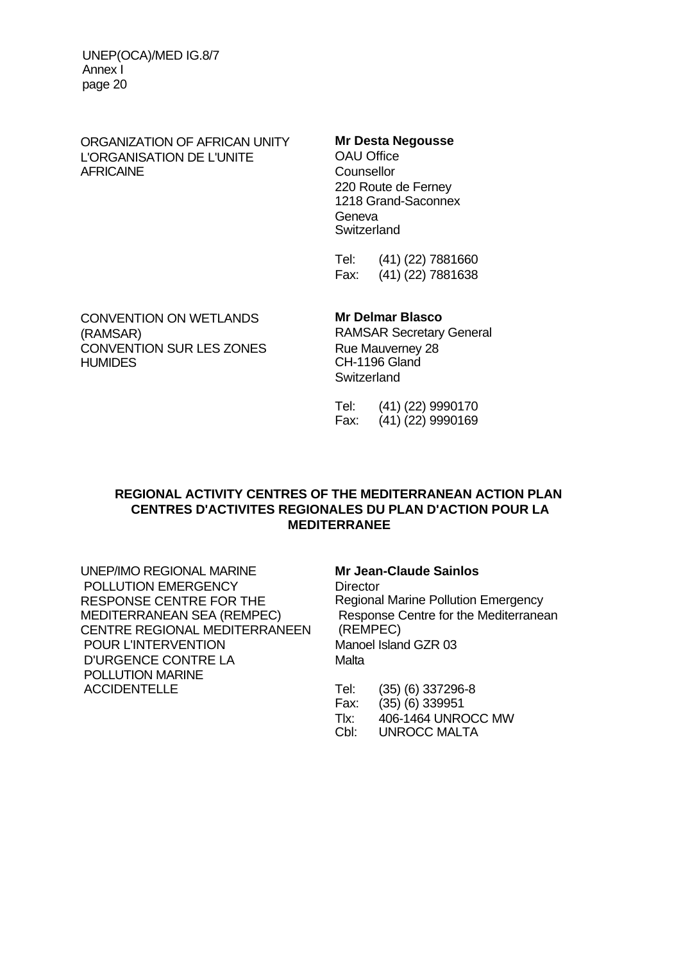ORGANIZATION OF AFRICAN UNITY **Mr Desta Negousse** L'ORGANISATION DE L'UNITE OAU Office AFRICAINE Counsellor

220 Route de Ferney 1218 Grand-Saconnex Geneva **Switzerland** 

Tel: (41) (22) 7881660 Fax: (41) (22) 7881638

CONVENTION ON WETLANDS **Mr Delmar Blasco** (RAMSAR) RAMSAR Secretary General CONVENTION SUR LES ZONES Rue Mauverney 28 HUMIDES CH-1196 Gland

**Switzerland** 

Tel: (41) (22) 9990170 Fax: (41) (22) 9990169

### **REGIONAL ACTIVITY CENTRES OF THE MEDITERRANEAN ACTION PLAN CENTRES D'ACTIVITES REGIONALES DU PLAN D'ACTION POUR LA MEDITERRANEE**

UNEP/IMO REGIONAL MARINE **Mr Jean-Claude Sainlos** POLLUTION EMERGENCY Director RESPONSE CENTRE FOR THE Regional Marine Pollution Emergency MEDITERRANEAN SEA (REMPEC) Response Centre for the Mediterranean CENTRE REGIONAL MEDITERRANEEN (REMPEC) POUR L'INTERVENTION Manoel Island GZR 03 D'URGENCE CONTRE LA Malta POLLUTION MARINE ACCIDENTELLE Tel: (35) (6) 337296-8

Fax: (35) (6) 339951 Tlx: 406-1464 UNROCC MW Cbl: UNROCC MALTA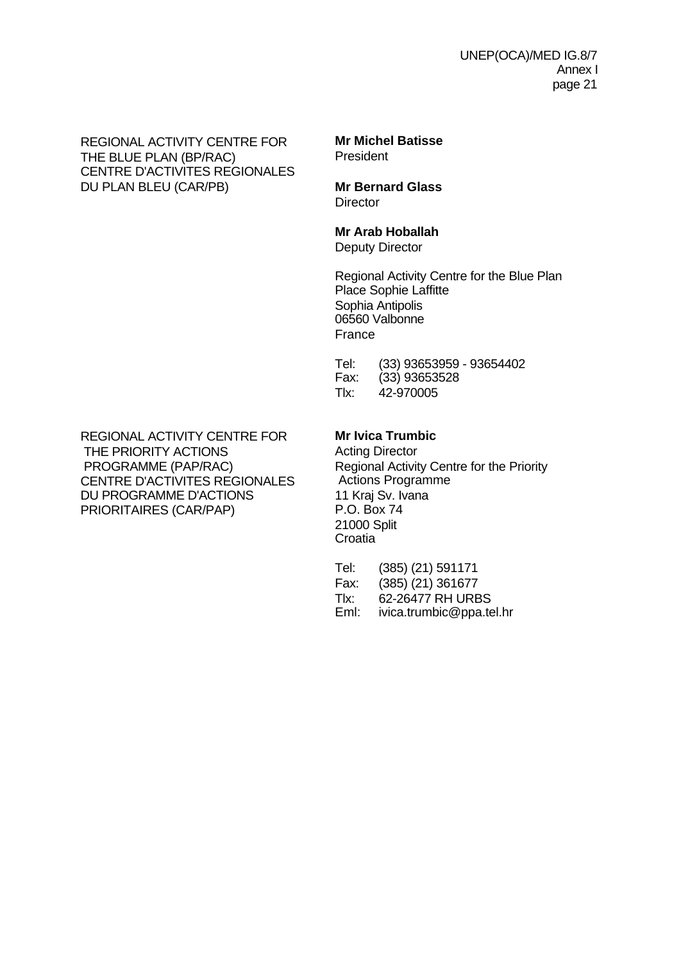REGIONAL ACTIVITY CENTRE FOR **Mr Michel Batisse** THE BLUE PLAN (BP/RAC) President CENTRE D'ACTIVITES REGIONALES DU PLAN BLEU (CAR/PB) **Mr Bernard Glass**

**Director** 

**Mr Arab Hoballah**

Deputy Director

Regional Activity Centre for the Blue Plan Place Sophie Laffitte Sophia Antipolis 06560 Valbonne France

Tel: (33) 93653959 - 93654402 Fax: (33) 93653528 Tlx: 42-970005

REGIONAL ACTIVITY CENTRE FOR **Mr Ivica Trumbic** THE PRIORITY ACTIONS **Acting Director** PROGRAMME (PAP/RAC) Regional Activity Centre for the Priority CENTRE D'ACTIVITES REGIONALES Actions Programme DU PROGRAMME D'ACTIONS 11 Kraj Sv. Ivana PRIORITAIRES (CAR/PAP) P.O. Box 74

21000 Split Croatia

Tel: (385) (21) 591171 Fax: (385) (21) 361677 Tlx: 62-26477 RH URBS Eml: ivica.trumbic@ppa.tel.hr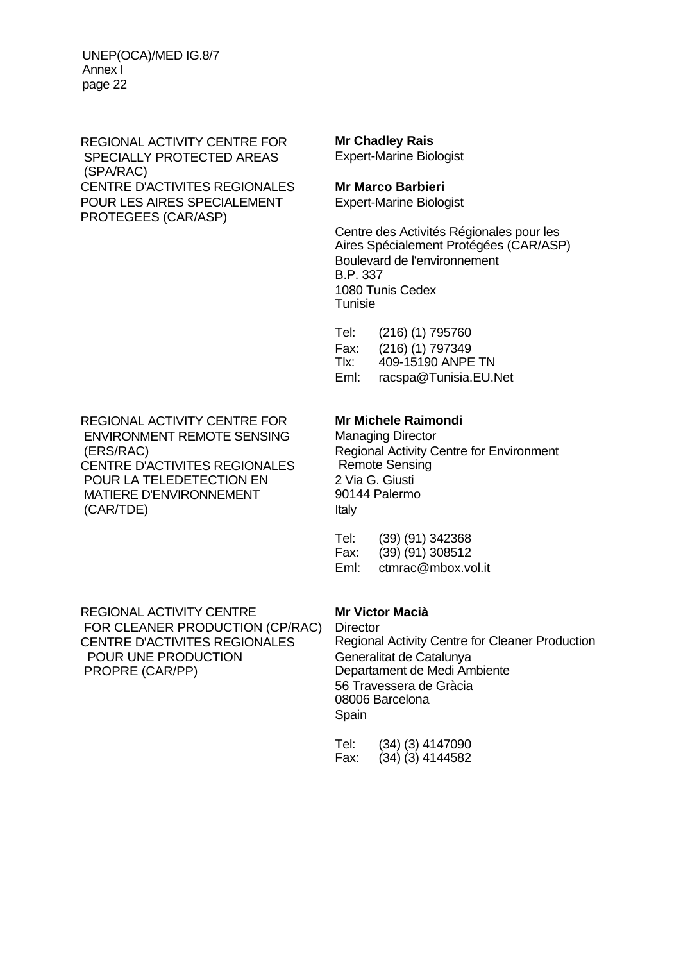REGIONAL ACTIVITY CENTRE FOR **Mr Chadley Rais** SPECIALLY PROTECTED AREAS Expert-Marine Biologist (SPA/RAC) CENTRE D'ACTIVITES REGIONALES **Mr Marco Barbieri** POUR LES AIRES SPECIALEMENT Expert-Marine Biologist PROTEGEES (CAR/ASP)

Centre des Activités Régionales pour les Aires Spécialement Protégées (CAR/ASP) Boulevard de l'environnement B.P. 337 1080 Tunis Cedex Tunisie

Tel: (216) (1) 795760 Fax: (216) (1) 797349 Tlx: 409-15190 ANPE TN Eml: racspa@Tunisia.EU.Net

REGIONAL ACTIVITY CENTRE FOR **Mr Michele Raimondi** ENVIRONMENT REMOTE SENSING Managing Director CENTRE D'ACTIVITES REGIONALES Remote Sensing POUR LA TELEDETECTION EN 2 Via G. Giusti MATIERE D'ENVIRONNEMENT 90144 Palermo (CAR/TDE) Italy

(ERS/RAC) Regional Activity Centre for Environment

Tel: (39) (91) 342368 Fax: (39) (91) 308512 Eml: ctmrac@mbox.vol.it

REGIONAL ACTIVITY CENTRE **Mr Victor Macià** FOR CLEANER PRODUCTION (CP/RAC) Director POUR UNE PRODUCTION Generalitat de Catalunya PROPRE (CAR/PP) Departament de Medi Ambiente

CENTRE D'ACTIVITES REGIONALES Regional Activity Centre for Cleaner Production 56 Travessera de Gràcia 08006 Barcelona **Spain** 

| Tel: | $(34)$ $(3)$ 4147090 |
|------|----------------------|
| Fax: | $(34)$ $(3)$ 4144582 |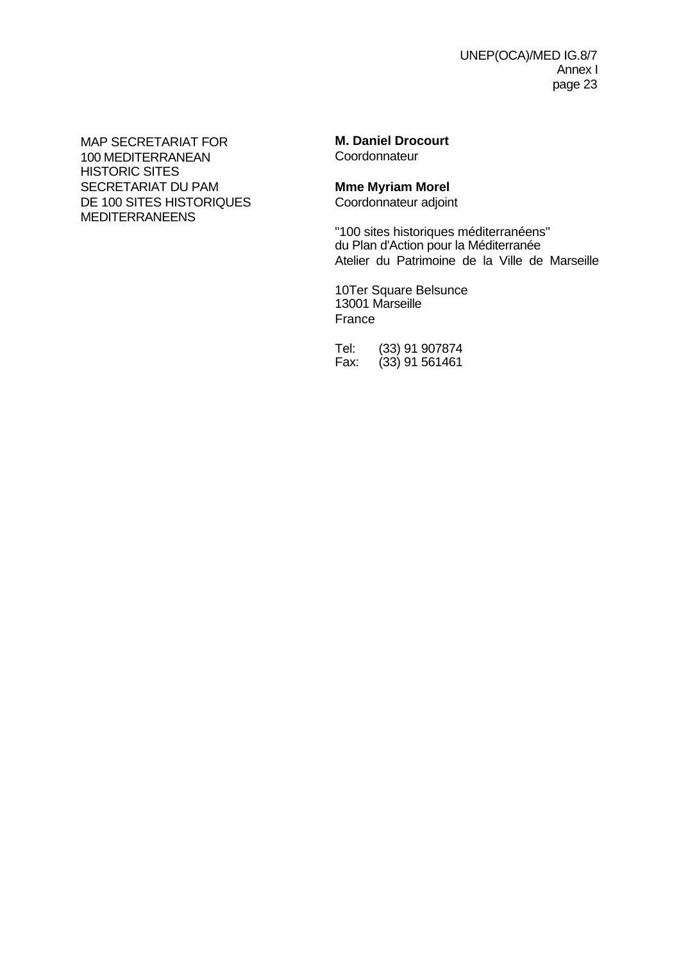MAP SECRETARIAT FOR **M. Daniel Drocourt** 100 MEDITERRANEAN Coordonnateur HISTORIC SITES SECRETARIAT DU PAM **MME Myriam Morel** DE 100 SITES HISTORIQUES Coordonnateur adjoint MEDITERRANEENS

"100 sites historiques méditerranéens" du Plan d'Action pour la Méditerranée Atelier du Patrimoine de la Ville de Marseille

10Ter Square Belsunce 13001 Marseille France

Tel: (33) 91 907874<br>Fax: (33) 91 561461  $(33)$  91 561461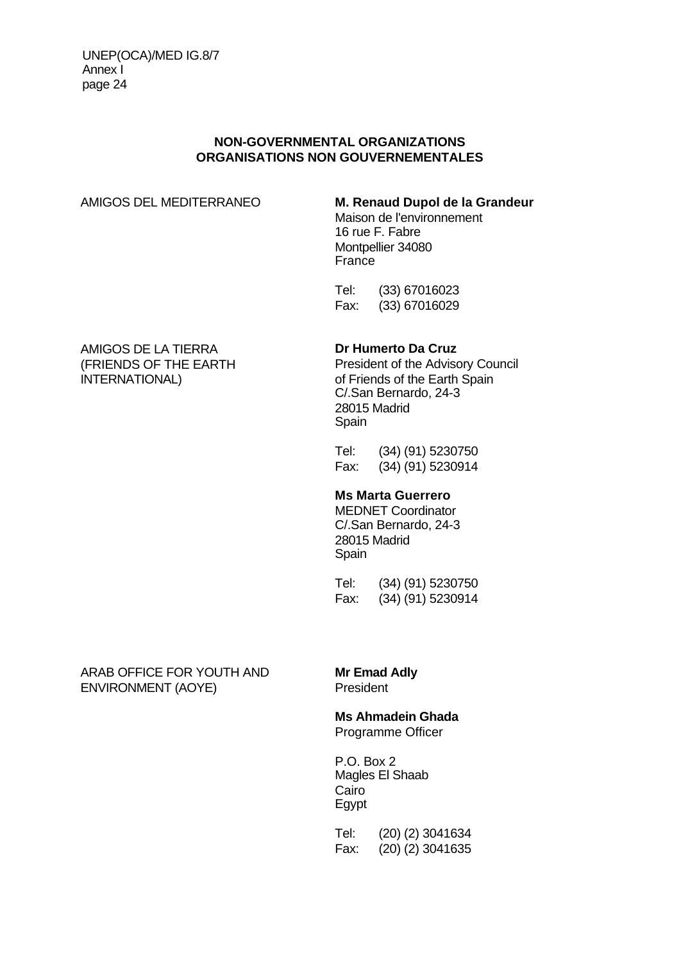### **NON-GOVERNMENTAL ORGANIZATIONS ORGANISATIONS NON GOUVERNEMENTALES**

### AMIGOS DEL MEDITERRANEO **M. Renaud Dupol de la Grandeur** Maison de l'environnement

16 rue F. Fabre Montpellier 34080 **France** 

Tel: (33) 67016023 Fax: (33) 67016029

## AMIGOS DE LA TIERRA **Dr Humerto Da Cruz**

(FRIENDS OF THE EARTH President of the Advisory Council INTERNATIONAL) of Friends of the Earth Spain C/.San Bernardo, 24-3 28015 Madrid Spain

> Tel: (34) (91) 5230750 Fax: (34) (91) 5230914

### **Ms Marta Guerrero**

MEDNET Coordinator C/.San Bernardo, 24-3 28015 Madrid Spain

Tel: (34) (91) 5230750 Fax: (34) (91) 5230914

### ARAB OFFICE FOR YOUTH AND **Mr Emad Adly** ENVIRONMENT (AOYE) President

**Ms Ahmadein Ghada** Programme Officer

P.O. Box 2 Magles El Shaab Cairo

Egypt

Tel: (20) (2) 3041634 Fax: (20) (2) 3041635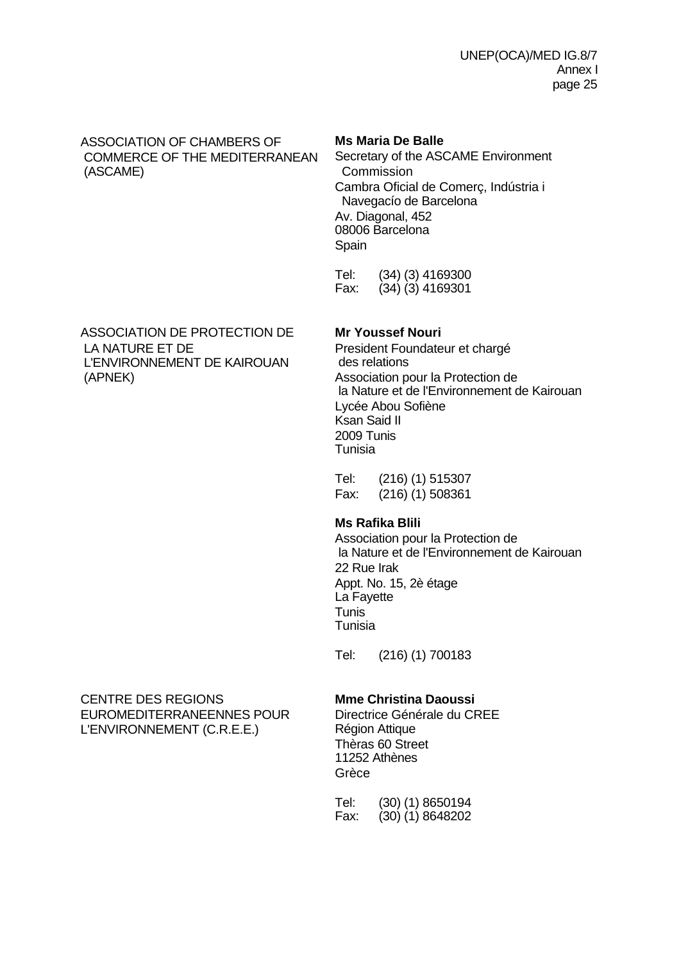ASSOCIATION OF CHAMBERS OF **Ms Maria De Balle** COMMERCE OF THE MEDITERRANEAN Secretary of the ASCAME Environment (ASCAME) Commission

Cambra Oficial de Comerç, Indústria i Navegacío de Barcelona Av. Diagonal, 452 08006 Barcelona **Spain** 

Tel: (34) (3) 4169300 Fax: (34) (3) 4169301

### ASSOCIATION DE PROTECTION DE **Mr Youssef Nouri** LA NATURE ET DE President Foundateur et chargé L'ENVIRONNEMENT DE KAIROUAN des relations

 (APNEK) Association pour la Protection de la Nature et de l'Environnement de Kairouan Lycée Abou Sofiène Ksan Said II 2009 Tunis Tunisia

> Tel: (216) (1) 515307 Fax: (216) (1) 508361

#### **Ms Rafika Blili**

Association pour la Protection de la Nature et de l'Environnement de Kairouan 22 Rue Irak Appt. No. 15, 2è étage La Fayette **Tunis** Tunisia

Tel: (216) (1) 700183

### CENTRE DES REGIONS **Mme Christina Daoussi** EUROMEDITERRANEENNES POUR Directrice Générale du CREE L'ENVIRONNEMENT (C.R.E.E.) Région Attique

Thèras 60 Street 11252 Athènes Grèce

Tel: (30) (1) 8650194 Fax: (30) (1) 8648202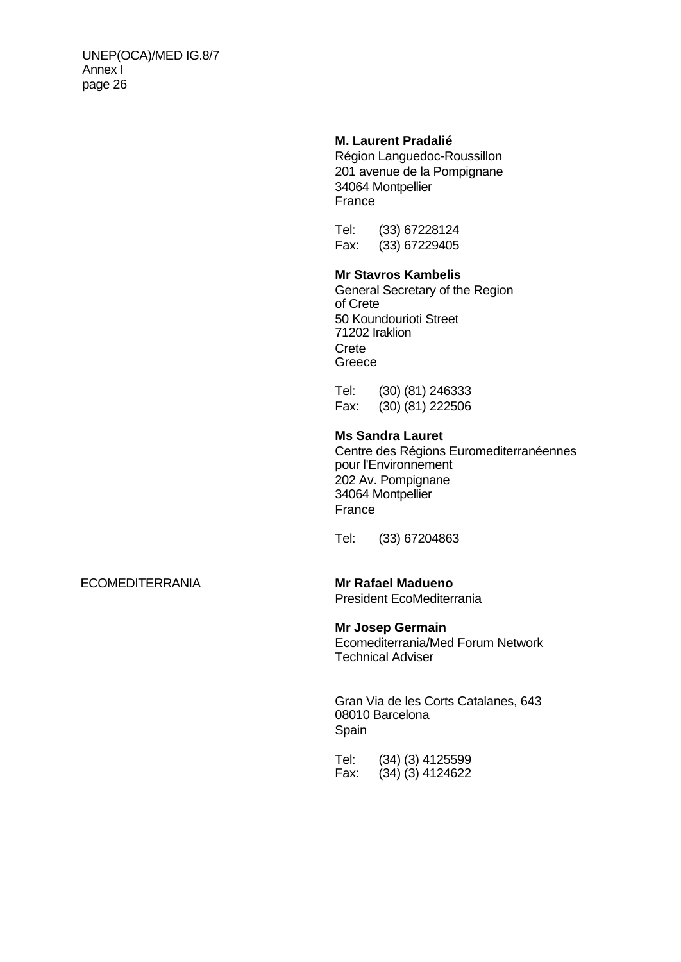#### **M. Laurent Pradalié**

Région Languedoc-Roussillon 201 avenue de la Pompignane 34064 Montpellier France

Tel: (33) 67228124 Fax: (33) 67229405

#### **Mr Stavros Kambelis**

General Secretary of the Region of Crete 50 Koundourioti Street 71202 Iraklion Crete Greece

Tel: (30) (81) 246333 Fax: (30) (81) 222506

#### **Ms Sandra Lauret**

Centre des Régions Euromediterranéennes pour l'Environnement 202 Av. Pompignane 34064 Montpellier France

Tel: (33) 67204863

President EcoMediterrania

#### **Mr Josep Germain**

Ecomediterrania/Med Forum Network Technical Adviser

Gran Via de les Corts Catalanes, 643 08010 Barcelona Spain

Tel: (34) (3) 4125599 Fax:  $(34)(3)$  4124622

### ECOMEDITERRANIA **Mr Rafael Madueno**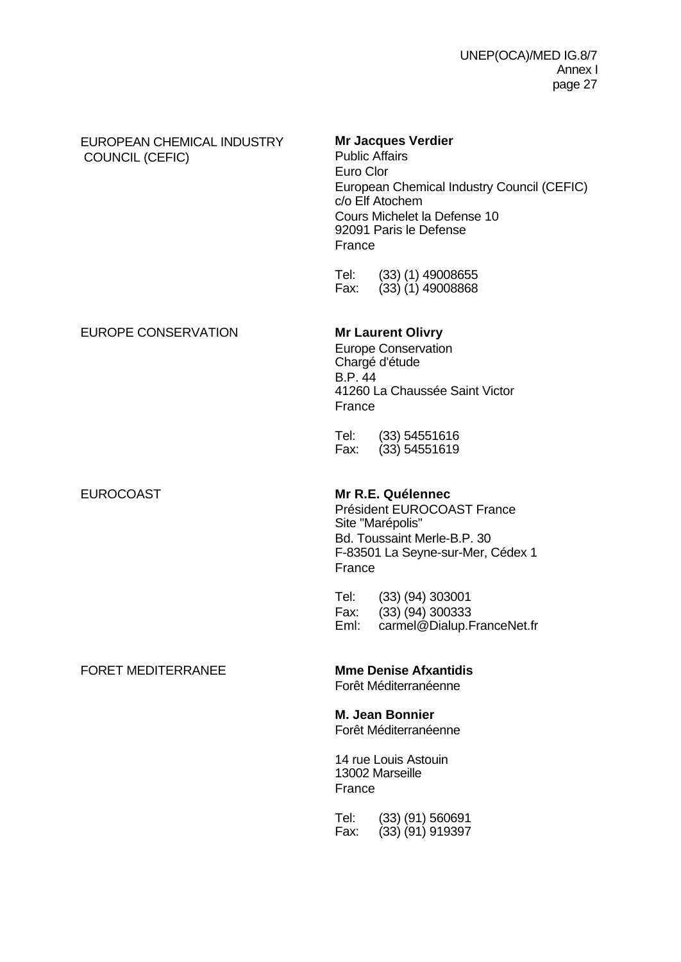| EUROPEAN CHEMICAL INDUSTRY<br><b>COUNCIL (CEFIC)</b> | <b>Mr Jacques Verdier</b><br><b>Public Affairs</b><br>Euro Clor<br>European Chemical Industry Council (CEFIC)<br>c/o Elf Atochem<br>Cours Michelet la Defense 10<br>92091 Paris le Defense<br>France |
|------------------------------------------------------|------------------------------------------------------------------------------------------------------------------------------------------------------------------------------------------------------|
|                                                      | Tel: (33) (1) 49008655<br>$(33)$ (1) 49008868<br>Fax:                                                                                                                                                |
| EUROPE CONSERVATION                                  | <b>Mr Laurent Olivry</b><br><b>Europe Conservation</b><br>Chargé d'étude<br><b>B.P.44</b><br>41260 La Chaussée Saint Victor<br>France<br>Tel:<br>(33) 54551616                                       |
|                                                      | (33) 54551619<br>Fax:                                                                                                                                                                                |
| <b>EUROCOAST</b>                                     | Mr R.E. Quélennec<br>Président EUROCOAST France<br>Site "Marépolis"<br>Bd. Toussaint Merle-B.P. 30<br>F-83501 La Seyne-sur-Mer, Cédex 1<br>France                                                    |
|                                                      | Tel:<br>$(33)$ $(94)$ 303001<br>$(33)$ $(94)$ 300333<br>Fax:<br>Eml:<br>carmel@Dialup.FranceNet.fr                                                                                                   |
| <b>FORET MEDITERRANEE</b>                            | <b>Mme Denise Afxantidis</b><br>Forêt Méditerranéenne                                                                                                                                                |
|                                                      | <b>M. Jean Bonnier</b><br>Forêt Méditerranéenne                                                                                                                                                      |
|                                                      | 14 rue Louis Astouin<br>13002 Marseille<br>France                                                                                                                                                    |
|                                                      | Tel:<br>$(33)$ $(91)$ 560691<br>(33) (91) 919397<br>Fax:                                                                                                                                             |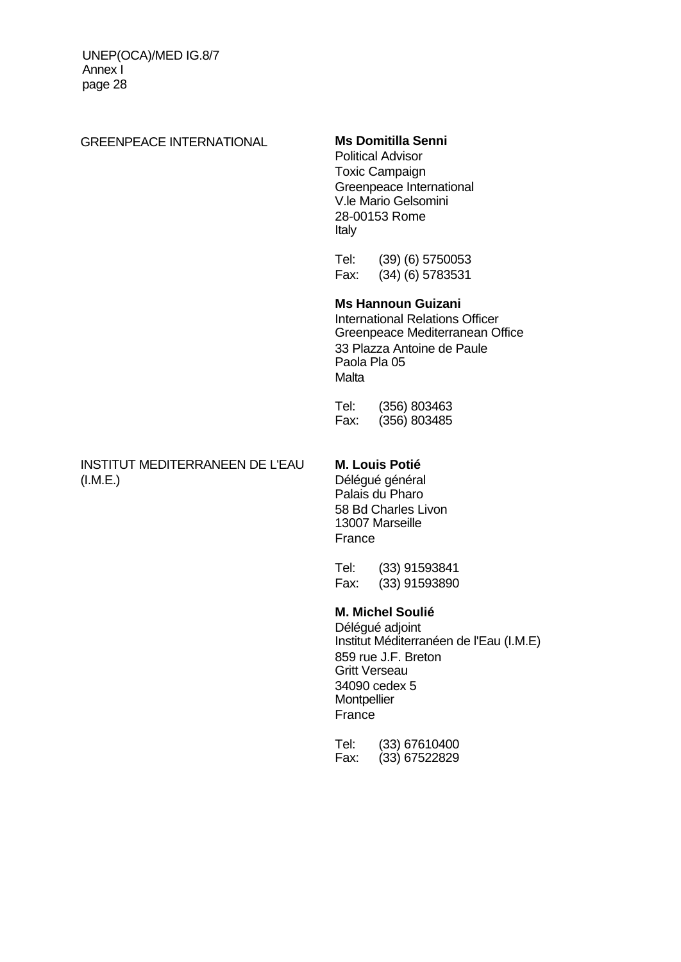GREENPEACE INTERNATIONAL **Ms Domitilla Senni** Political Advisor Toxic Campaign Greenpeace International V.le Mario Gelsomini 28-00153 Rome Italy Tel: (39) (6) 5750053 Fax: (34) (6) 5783531 **Ms Hannoun Guizani** International Relations Officer Greenpeace Mediterranean Office 33 Plazza Antoine de Paule Paola Pla 05 **Malta** Tel: (356) 803463 Fax: (356) 803485 INSTITUT MEDITERRANEEN DE L'EAU **M. Louis Potié** (I.M.E.) Délégué général Palais du Pharo 58 Bd Charles Livon 13007 Marseille France Tel: (33) 91593841 Fax: (33) 91593890

#### **M. Michel Soulié**

Délégué adjoint Institut Méditerranéen de l'Eau (I.M.E) 859 rue J.F. Breton Gritt Verseau 34090 cedex 5 **Montpellier** France

| Tel: | $(33)$ 67610400 |
|------|-----------------|
| Fax: | (33) 67522829   |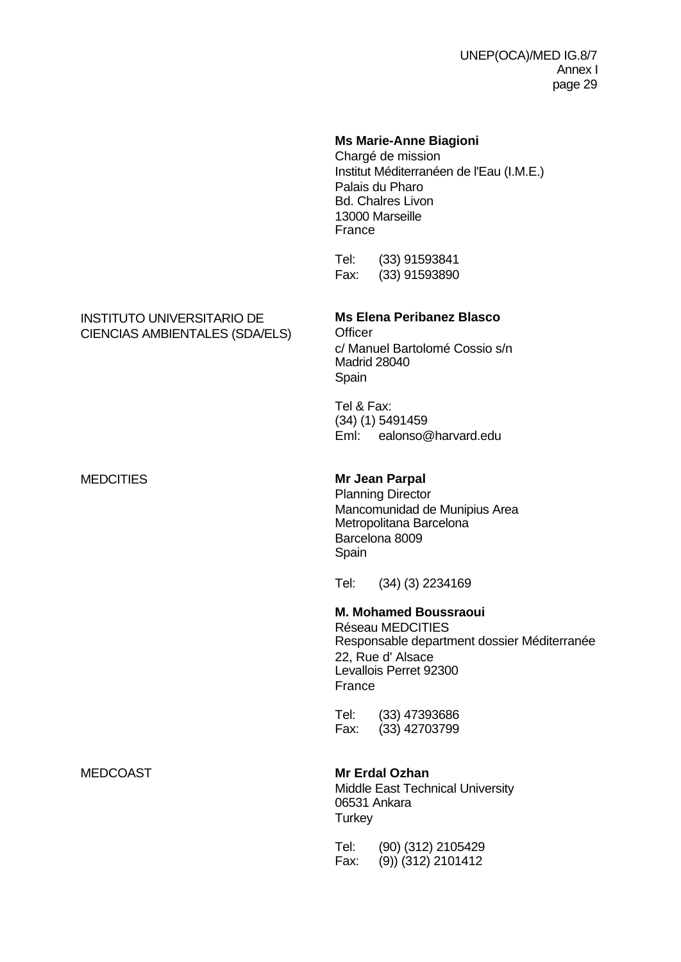### **Ms Marie-Anne Biagioni**

Chargé de mission Institut Méditerranéen de l'Eau (I.M.E.) Palais du Pharo Bd. Chalres Livon 13000 Marseille France

Tel: (33) 91593841 Fax: (33) 91593890

### INSTITUTO UNIVERSITARIO DE **Ms Elena Peribanez Blasco** CIENCIAS AMBIENTALES (SDA/ELS) Officer

c/ Manuel Bartolomé Cossio s/n Madrid 28040 Spain

Tel & Fax: (34) (1) 5491459 Eml: ealonso@harvard.edu

### MEDCITIES **Mr Jean Parpal**

Planning Director Mancomunidad de Munipius Area Metropolitana Barcelona Barcelona 8009 Spain

Tel: (34) (3) 2234169

### **M. Mohamed Boussraoui**

Réseau MEDCITIES Responsable department dossier Méditerranée 22, Rue d' Alsace Levallois Perret 92300 France

Tel: (33) 47393686 Fax: (33) 42703799

### MEDCOAST **Mr Erdal Ozhan**

Middle East Technical University 06531 Ankara **Turkey** 

Tel: (90) (312) 2105429 Fax: (9)) (312) 2101412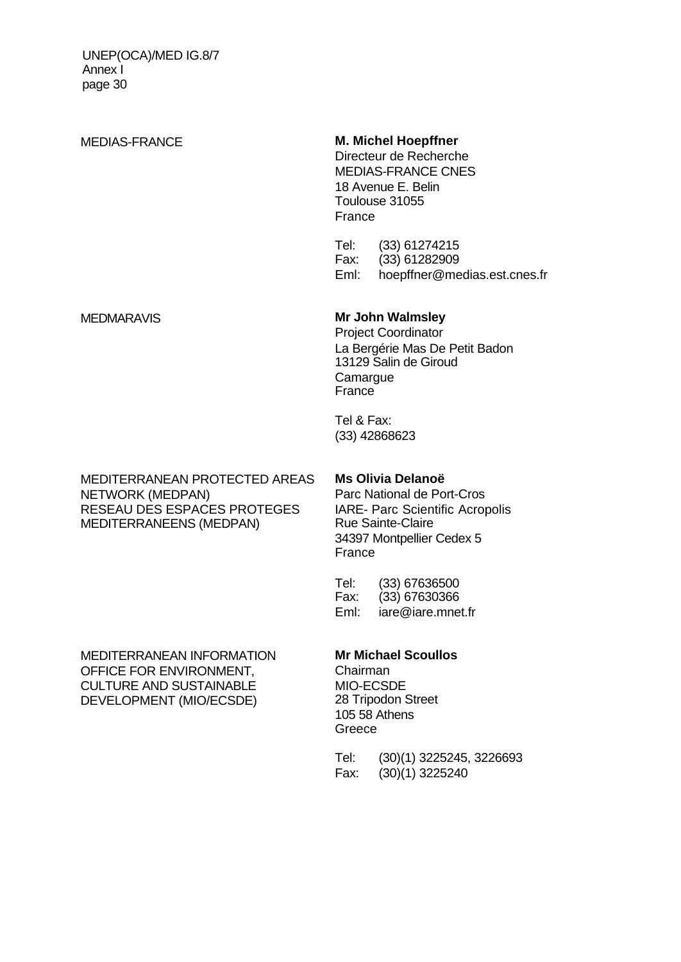MEDIAS-FRANCE **M. Michel Hoepffner** Directeur de Recherche MEDIAS-FRANCE CNES 18 Avenue E. Belin Toulouse 31055 France Tel: (33) 61274215<br>Fax: (33) 61282909  $(33)$  61282909 Eml: hoepffner@medias.est.cnes.fr MEDMARAVIS **Mr John Walmsley** Project Coordinator La Bergérie Mas De Petit Badon 13129 Salin de Giroud **Camargue France** Tel & Fax: (33) 42868623 MEDITERRANEAN PROTECTED AREAS **Ms Olivia Delanoë** NETWORK (MEDPAN) Parc National de Port-Cros RESEAU DES ESPACES PROTEGES IARE- Parc Scientific Acropolis MEDITERRANEENS (MEDPAN) Rue Sainte-Claire

34397 Montpellier Cedex 5 France

Tel: (33) 67636500 Fax: (33) 67630366 Eml: iare@iare.mnet.fr

### MEDITERRANEAN INFORMATION **Mr Michael Scoullos** OFFICE FOR ENVIRONMENT, Chairman CULTURE AND SUSTAINABLE MIO-ECSDE DEVELOPMENT (MIO/ECSDE) 28 Tripodon Street

105 58 Athens **Greece** 

| Tel: | $(30)(1)$ 3225245, 3226693 |
|------|----------------------------|
| Fax: | $(30)(1)$ 3225240          |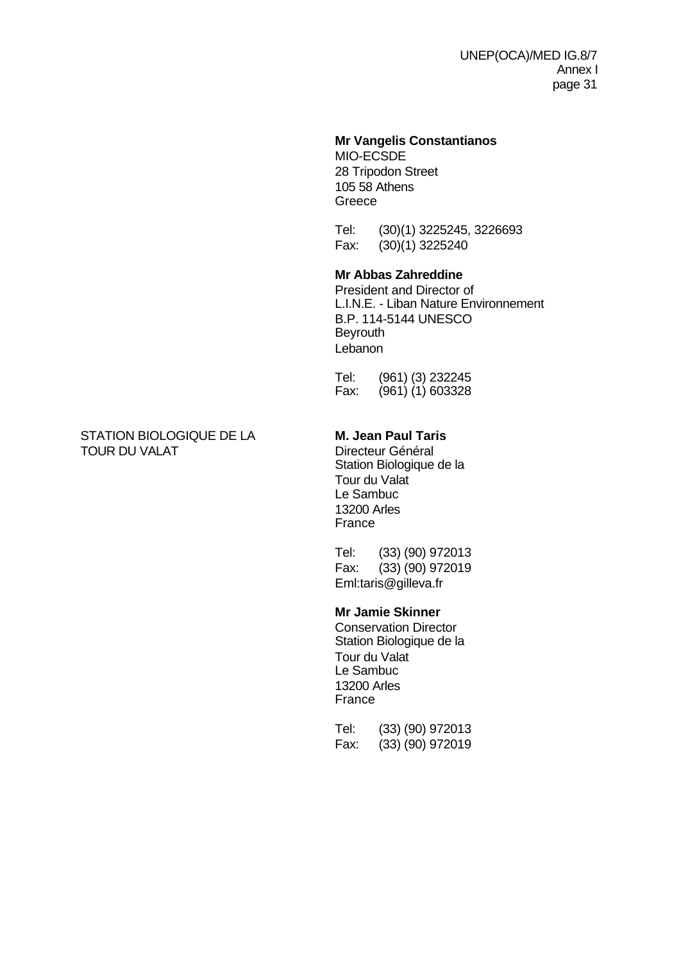#### **Mr Vangelis Constantianos**

MIO-ECSDE 28 Tripodon Street 105 58 Athens **Greece** 

Tel: (30)(1) 3225245, 3226693 Fax: (30)(1) 3225240

#### **Mr Abbas Zahreddine**

President and Director of L.I.N.E. - Liban Nature Environnement B.P. 114-5144 UNESCO Beyrouth Lebanon

Tel: (961) (3) 232245 Fax: (961) (1) 603328

### STATION BIOLOGIQUE DE LA **M. Jean Paul Taris** TOUR DU VALAT DIRECTEUR DIRECTEUR DIRECTEUR DIRECTEUR DIRECTEUR DIRECTEUR DIRECTEUR DIRECTEUR DIRECTEUR DIRECTEUR

Station Biologique de la Tour du Valat Le Sambuc 13200 Arles France

Tel: (33) (90) 972013 Fax: (33) (90) 972019 Eml:taris@gilleva.fr

### **Mr Jamie Skinner**

Conservation Director Station Biologique de la Tour du Valat Le Sambuc 13200 Arles France

| Tel: | $(33)$ $(90)$ 972013 |
|------|----------------------|
| Fax: | $(33)$ $(90)$ 972019 |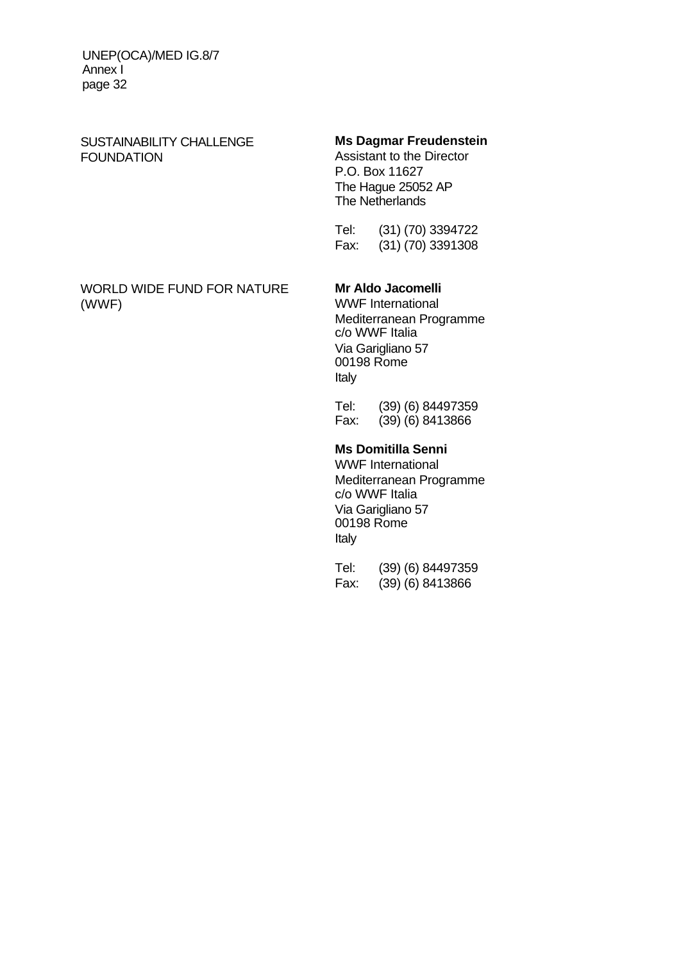### FOUNDATION Assistant to the Director

#### SUSTAINABILITY CHALLENGE **Ms Dagmar Freudenstein**

P.O. Box 11627 The Hague 25052 AP The Netherlands

Tel: (31) (70) 3394722 Fax: (31) (70) 3391308

### WORLD WIDE FUND FOR NATURE **Mr Aldo Jacomelli** (WWF) WWF International

Mediterranean Programme c/o WWF Italia Via Garigliano 57 00198 Rome Italy

Tel: (39) (6) 84497359 Fax: (39) (6) 8413866

### **Ms Domitilla Senni**

WWF International Mediterranean Programme c/o WWF Italia Via Garigliano 57 00198 Rome Italy

Tel: (39) (6) 84497359 Fax: (39) (6) 8413866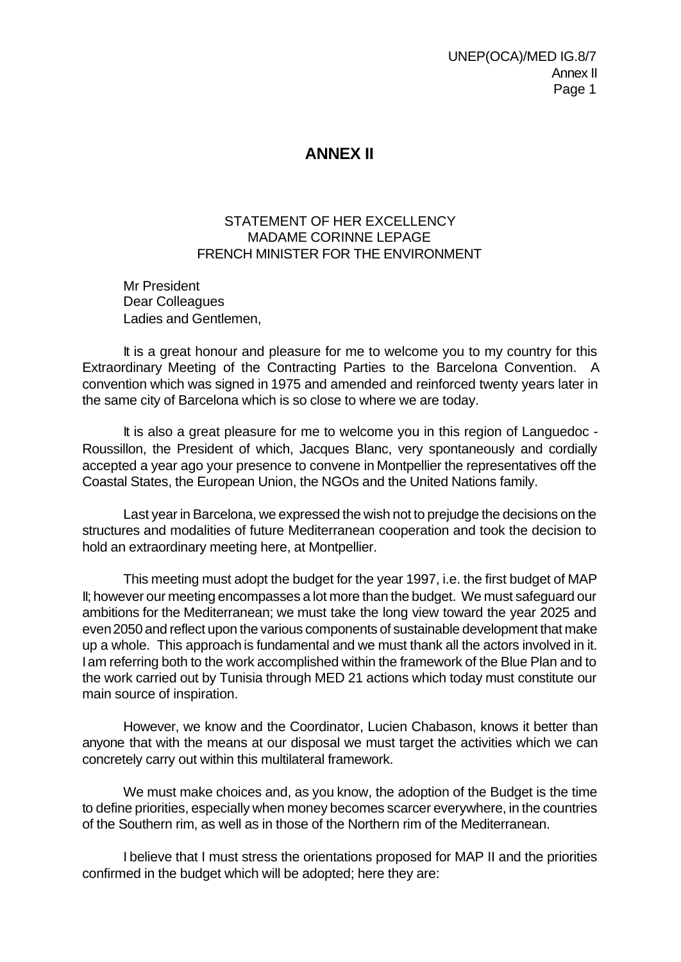### **ANNEX II**

### STATEMENT OF HER EXCELLENCY MADAME CORINNE LEPAGE FRENCH MINISTER FOR THE ENVIRONMENT

Mr President Dear Colleagues Ladies and Gentlemen,

It is a great honour and pleasure for me to welcome you to my country for this Extraordinary Meeting of the Contracting Parties to the Barcelona Convention. A convention which was signed in 1975 and amended and reinforced twenty years later in the same city of Barcelona which is so close to where we are today.

It is also a great pleasure for me to welcome you in this region of Languedoc - Roussillon, the President of which, Jacques Blanc, very spontaneously and cordially accepted a year ago your presence to convene in Montpellier the representatives off the Coastal States, the European Union, the NGOs and the United Nations family.

Last year in Barcelona, we expressed the wish not to prejudge the decisions on the structures and modalities of future Mediterranean cooperation and took the decision to hold an extraordinary meeting here, at Montpellier.

This meeting must adopt the budget for the year 1997, i.e. the first budget of MAP II; however our meeting encompasses a lot more than the budget. We must safeguard our ambitions for the Mediterranean; we must take the long view toward the year 2025 and even 2050 and reflect upon the various components of sustainable development that make up a whole. This approach is fundamental and we must thank all the actors involved in it. I am referring both to the work accomplished within the framework of the Blue Plan and to the work carried out by Tunisia through MED 21 actions which today must constitute our main source of inspiration.

However, we know and the Coordinator, Lucien Chabason, knows it better than anyone that with the means at our disposal we must target the activities which we can concretely carry out within this multilateral framework.

We must make choices and, as you know, the adoption of the Budget is the time to define priorities, especially when money becomes scarcer everywhere, in the countries of the Southern rim, as well as in those of the Northern rim of the Mediterranean.

I believe that I must stress the orientations proposed for MAP II and the priorities confirmed in the budget which will be adopted; here they are: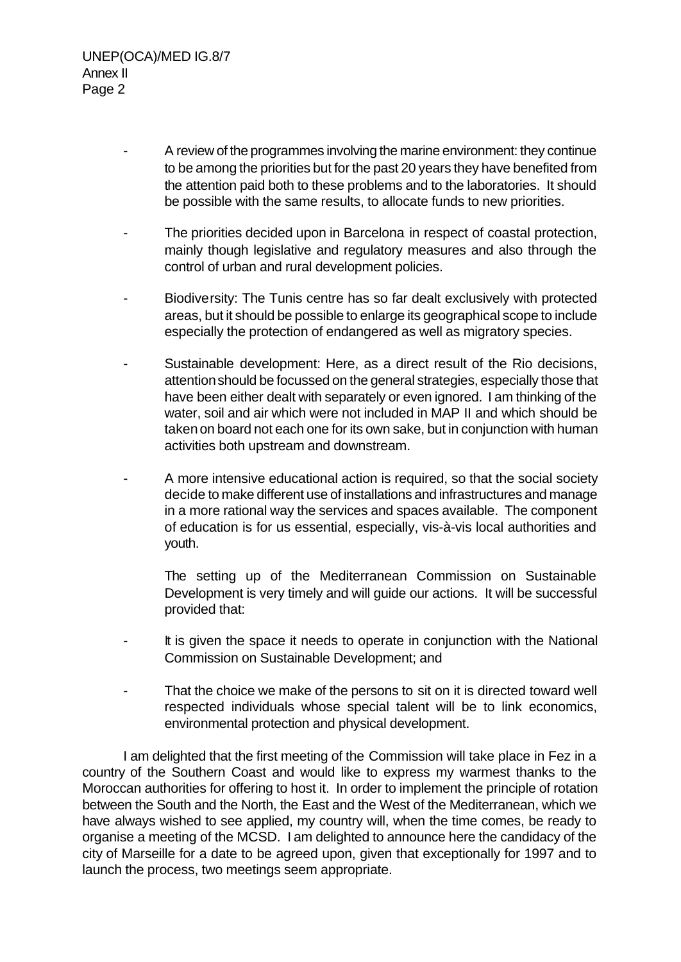- A review of the programmes involving the marine environment: they continue to be among the priorities but for the past 20 years they have benefited from the attention paid both to these problems and to the laboratories. It should be possible with the same results, to allocate funds to new priorities.
- The priorities decided upon in Barcelona in respect of coastal protection, mainly though legislative and regulatory measures and also through the control of urban and rural development policies.
- Biodiversity: The Tunis centre has so far dealt exclusively with protected areas, but it should be possible to enlarge its geographical scope to include especially the protection of endangered as well as migratory species.
- Sustainable development: Here, as a direct result of the Rio decisions, attention should be focussed on the general strategies, especially those that have been either dealt with separately or even ignored. I am thinking of the water, soil and air which were not included in MAP II and which should be taken on board not each one for its own sake, but in conjunction with human activities both upstream and downstream.
- A more intensive educational action is required, so that the social society decide to make different use of installations and infrastructures and manage in a more rational way the services and spaces available. The component of education is for us essential, especially, vis-à-vis local authorities and youth.

The setting up of the Mediterranean Commission on Sustainable Development is very timely and will guide our actions. It will be successful provided that:

- It is given the space it needs to operate in conjunction with the National Commission on Sustainable Development; and
- That the choice we make of the persons to sit on it is directed toward well respected individuals whose special talent will be to link economics, environmental protection and physical development.

I am delighted that the first meeting of the Commission will take place in Fez in a country of the Southern Coast and would like to express my warmest thanks to the Moroccan authorities for offering to host it. In order to implement the principle of rotation between the South and the North, the East and the West of the Mediterranean, which we have always wished to see applied, my country will, when the time comes, be ready to organise a meeting of the MCSD. I am delighted to announce here the candidacy of the city of Marseille for a date to be agreed upon, given that exceptionally for 1997 and to launch the process, two meetings seem appropriate.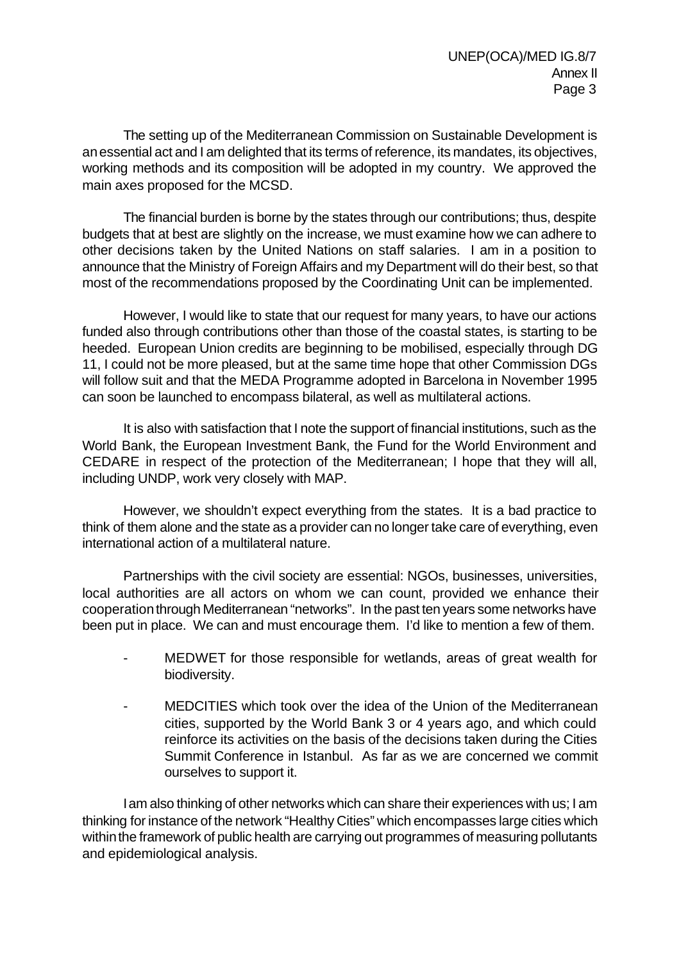The setting up of the Mediterranean Commission on Sustainable Development is an essential act and I am delighted that its terms of reference, its mandates, its objectives, working methods and its composition will be adopted in my country. We approved the main axes proposed for the MCSD.

The financial burden is borne by the states through our contributions; thus, despite budgets that at best are slightly on the increase, we must examine how we can adhere to other decisions taken by the United Nations on staff salaries. I am in a position to announce that the Ministry of Foreign Affairs and my Department will do their best, so that most of the recommendations proposed by the Coordinating Unit can be implemented.

However, I would like to state that our request for many years, to have our actions funded also through contributions other than those of the coastal states, is starting to be heeded. European Union credits are beginning to be mobilised, especially through DG 11, I could not be more pleased, but at the same time hope that other Commission DGs will follow suit and that the MEDA Programme adopted in Barcelona in November 1995 can soon be launched to encompass bilateral, as well as multilateral actions.

It is also with satisfaction that I note the support of financial institutions, such as the World Bank, the European Investment Bank, the Fund for the World Environment and CEDARE in respect of the protection of the Mediterranean; I hope that they will all, including UNDP, work very closely with MAP.

However, we shouldn't expect everything from the states. It is a bad practice to think of them alone and the state as a provider can no longer take care of everything, even international action of a multilateral nature.

Partnerships with the civil society are essential: NGOs, businesses, universities, local authorities are all actors on whom we can count, provided we enhance their cooperation through Mediterranean "networks". In the past ten years some networks have been put in place. We can and must encourage them. I'd like to mention a few of them.

- MEDWET for those responsible for wetlands, areas of great wealth for biodiversity.
- MEDCITIES which took over the idea of the Union of the Mediterranean cities, supported by the World Bank 3 or 4 years ago, and which could reinforce its activities on the basis of the decisions taken during the Cities Summit Conference in Istanbul. As far as we are concerned we commit ourselves to support it.

I am also thinking of other networks which can share their experiences with us; I am thinking for instance of the network "Healthy Cities" which encompasses large cities which within the framework of public health are carrying out programmes of measuring pollutants and epidemiological analysis.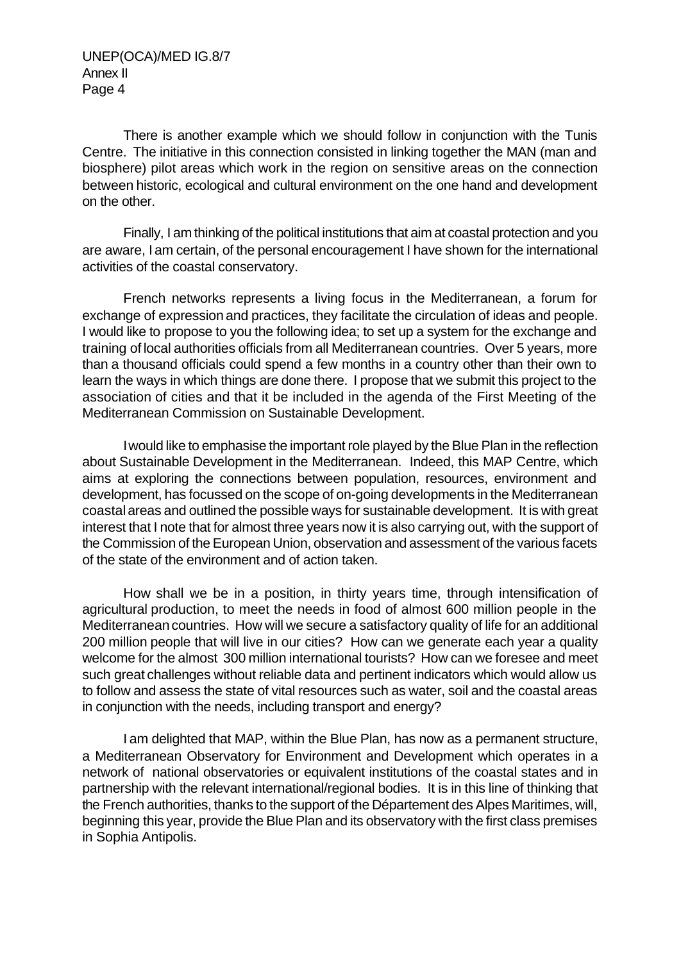There is another example which we should follow in conjunction with the Tunis Centre. The initiative in this connection consisted in linking together the MAN (man and biosphere) pilot areas which work in the region on sensitive areas on the connection between historic, ecological and cultural environment on the one hand and development on the other.

Finally, I am thinking of the political institutions that aim at coastal protection and you are aware, I am certain, of the personal encouragement I have shown for the international activities of the coastal conservatory.

French networks represents a living focus in the Mediterranean, a forum for exchange of expression and practices, they facilitate the circulation of ideas and people. I would like to propose to you the following idea; to set up a system for the exchange and training of local authorities officials from all Mediterranean countries. Over 5 years, more than a thousand officials could spend a few months in a country other than their own to learn the ways in which things are done there. I propose that we submit this project to the association of cities and that it be included in the agenda of the First Meeting of the Mediterranean Commission on Sustainable Development.

I would like to emphasise the important role played by the Blue Plan in the reflection about Sustainable Development in the Mediterranean. Indeed, this MAP Centre, which aims at exploring the connections between population, resources, environment and development, has focussed on the scope of on-going developments in the Mediterranean coastal areas and outlined the possible ways for sustainable development. It is with great interest that I note that for almost three years now it is also carrying out, with the support of the Commission of the European Union, observation and assessment of the various facets of the state of the environment and of action taken.

How shall we be in a position, in thirty years time, through intensification of agricultural production, to meet the needs in food of almost 600 million people in the Mediterranean countries. How will we secure a satisfactory quality of life for an additional 200 million people that will live in our cities? How can we generate each year a quality welcome for the almost 300 million international tourists? How can we foresee and meet such great challenges without reliable data and pertinent indicators which would allow us to follow and assess the state of vital resources such as water, soil and the coastal areas in conjunction with the needs, including transport and energy?

I am delighted that MAP, within the Blue Plan, has now as a permanent structure, a Mediterranean Observatory for Environment and Development which operates in a network of national observatories or equivalent institutions of the coastal states and in partnership with the relevant international/regional bodies. It is in this line of thinking that the French authorities, thanks to the support of the Département des Alpes Maritimes, will, beginning this year, provide the Blue Plan and its observatory with the first class premises in Sophia Antipolis.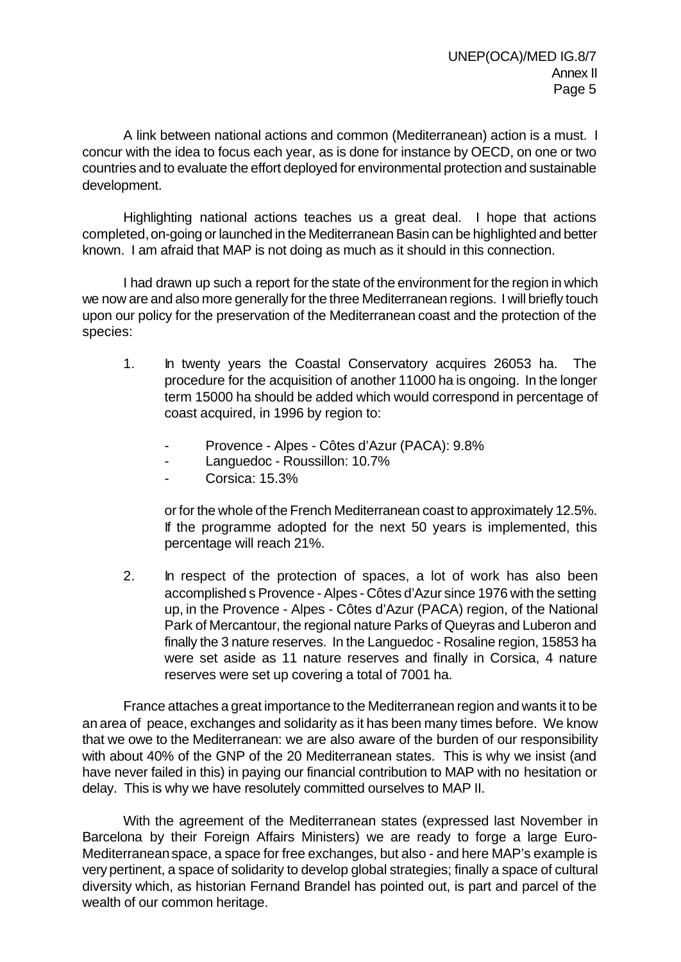A link between national actions and common (Mediterranean) action is a must. I concur with the idea to focus each year, as is done for instance by OECD, on one or two countries and to evaluate the effort deployed for environmental protection and sustainable development.

Highlighting national actions teaches us a great deal. I hope that actions completed, on-going or launched in the Mediterranean Basin can be highlighted and better known. I am afraid that MAP is not doing as much as it should in this connection.

I had drawn up such a report for the state of the environment for the region in which we now are and also more generally for the three Mediterranean regions. I will briefly touch upon our policy for the preservation of the Mediterranean coast and the protection of the species:

- 1. In twenty years the Coastal Conservatory acquires 26053 ha. The procedure for the acquisition of another 11000 ha is ongoing. In the longer term 15000 ha should be added which would correspond in percentage of coast acquired, in 1996 by region to:
	- Provence Alpes Côtes d'Azur (PACA): 9.8%
	- Languedoc Roussillon: 10.7%
	- Corsica: 15.3%

or for the whole of the French Mediterranean coast to approximately 12.5%. If the programme adopted for the next 50 years is implemented, this percentage will reach 21%.

2. In respect of the protection of spaces, a lot of work has also been accomplished s Provence - Alpes - Côtes d'Azur since 1976 with the setting up, in the Provence - Alpes - Côtes d'Azur (PACA) region, of the National Park of Mercantour, the regional nature Parks of Queyras and Luberon and finally the 3 nature reserves. In the Languedoc - Rosaline region, 15853 ha were set aside as 11 nature reserves and finally in Corsica, 4 nature reserves were set up covering a total of 7001 ha.

France attaches a great importance to the Mediterranean region and wants it to be an area of peace, exchanges and solidarity as it has been many times before. We know that we owe to the Mediterranean: we are also aware of the burden of our responsibility with about 40% of the GNP of the 20 Mediterranean states. This is why we insist (and have never failed in this) in paying our financial contribution to MAP with no hesitation or delay. This is why we have resolutely committed ourselves to MAP II.

With the agreement of the Mediterranean states (expressed last November in Barcelona by their Foreign Affairs Ministers) we are ready to forge a large Euro-Mediterranean space, a space for free exchanges, but also - and here MAP's example is very pertinent, a space of solidarity to develop global strategies; finally a space of cultural diversity which, as historian Fernand Brandel has pointed out, is part and parcel of the wealth of our common heritage.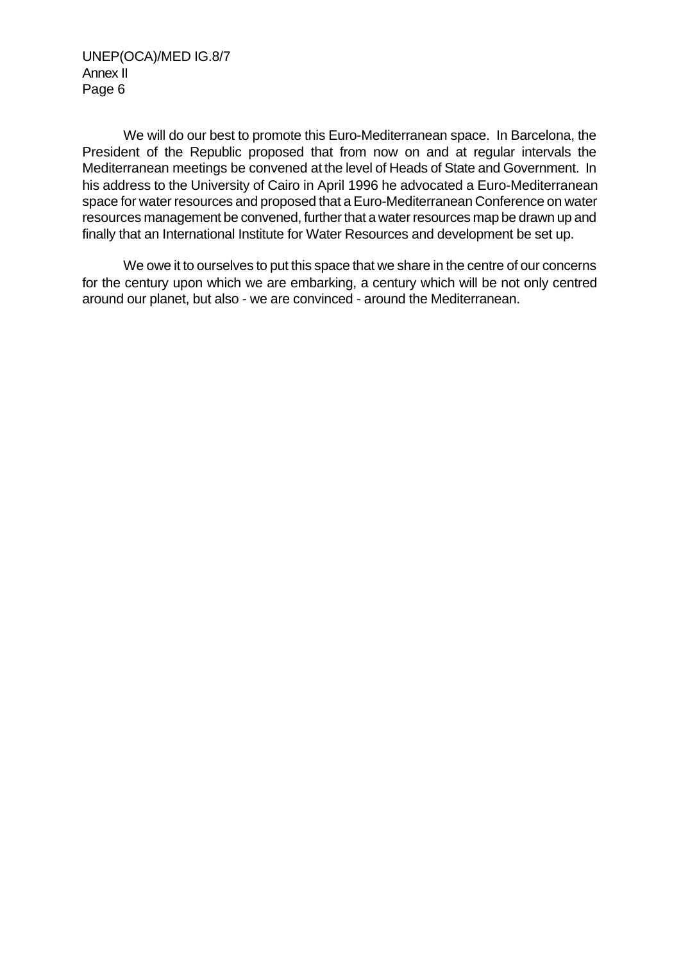We will do our best to promote this Euro-Mediterranean space. In Barcelona, the President of the Republic proposed that from now on and at regular intervals the Mediterranean meetings be convened at the level of Heads of State and Government. In his address to the University of Cairo in April 1996 he advocated a Euro-Mediterranean space for water resources and proposed that a Euro-Mediterranean Conference on water resources management be convened, further that a water resources map be drawn up and finally that an International Institute for Water Resources and development be set up.

We owe it to ourselves to put this space that we share in the centre of our concerns for the century upon which we are embarking, a century which will be not only centred around our planet, but also - we are convinced - around the Mediterranean.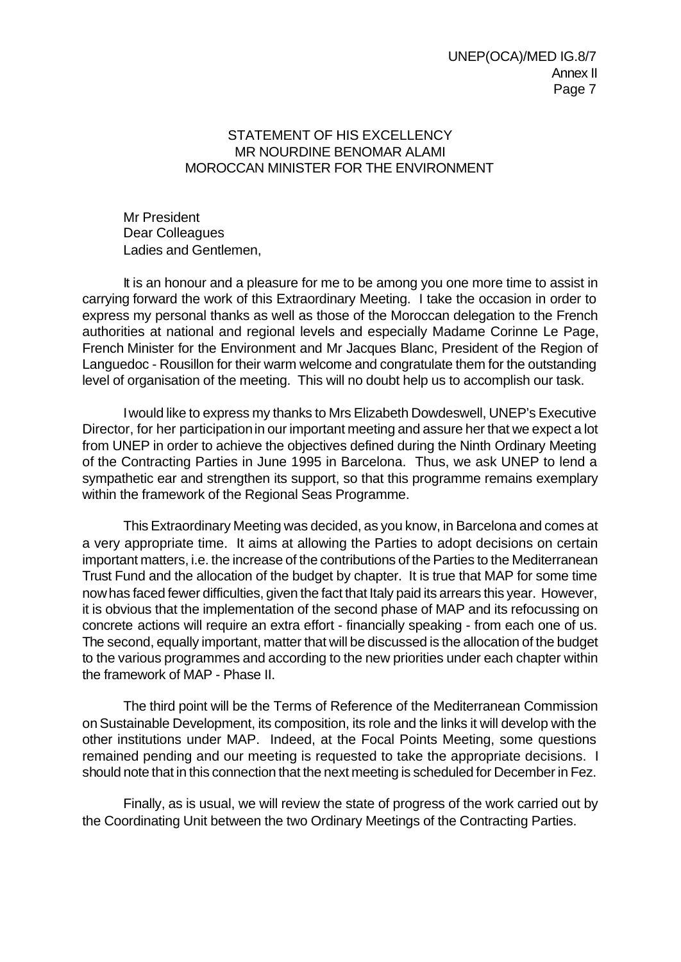### STATEMENT OF HIS EXCELLENCY MR NOURDINE BENOMAR ALAMI MOROCCAN MINISTER FOR THE ENVIRONMENT

Mr President Dear Colleagues Ladies and Gentlemen,

It is an honour and a pleasure for me to be among you one more time to assist in carrying forward the work of this Extraordinary Meeting. I take the occasion in order to express my personal thanks as well as those of the Moroccan delegation to the French authorities at national and regional levels and especially Madame Corinne Le Page, French Minister for the Environment and Mr Jacques Blanc, President of the Region of Languedoc - Rousillon for their warm welcome and congratulate them for the outstanding level of organisation of the meeting. This will no doubt help us to accomplish our task.

I would like to express my thanks to Mrs Elizabeth Dowdeswell, UNEP's Executive Director, for her participation in our important meeting and assure her that we expect a lot from UNEP in order to achieve the objectives defined during the Ninth Ordinary Meeting of the Contracting Parties in June 1995 in Barcelona. Thus, we ask UNEP to lend a sympathetic ear and strengthen its support, so that this programme remains exemplary within the framework of the Regional Seas Programme.

This Extraordinary Meeting was decided, as you know, in Barcelona and comes at a very appropriate time. It aims at allowing the Parties to adopt decisions on certain important matters, i.e. the increase of the contributions of the Parties to the Mediterranean Trust Fund and the allocation of the budget by chapter. It is true that MAP for some time now has faced fewer difficulties, given the fact that Italy paid its arrears this year. However, it is obvious that the implementation of the second phase of MAP and its refocussing on concrete actions will require an extra effort - financially speaking - from each one of us. The second, equally important, matter that will be discussed is the allocation of the budget to the various programmes and according to the new priorities under each chapter within the framework of MAP - Phase II.

The third point will be the Terms of Reference of the Mediterranean Commission on Sustainable Development, its composition, its role and the links it will develop with the other institutions under MAP. Indeed, at the Focal Points Meeting, some questions remained pending and our meeting is requested to take the appropriate decisions. I should note that in this connection that the next meeting is scheduled for December in Fez.

Finally, as is usual, we will review the state of progress of the work carried out by the Coordinating Unit between the two Ordinary Meetings of the Contracting Parties.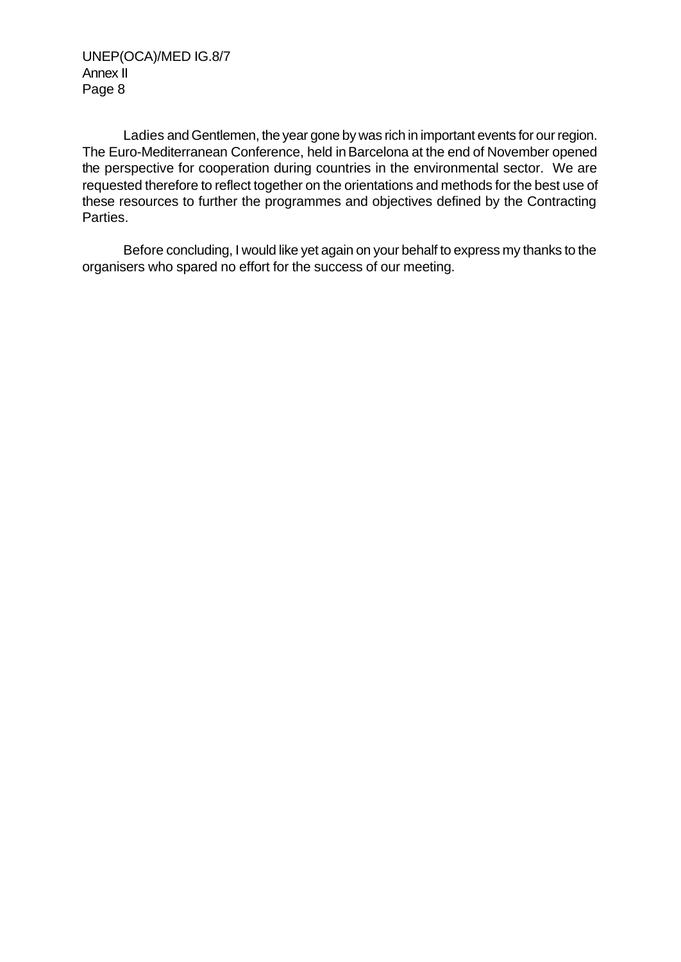Ladies and Gentlemen, the year gone by was rich in important events for our region. The Euro-Mediterranean Conference, held in Barcelona at the end of November opened the perspective for cooperation during countries in the environmental sector. We are requested therefore to reflect together on the orientations and methods for the best use of these resources to further the programmes and objectives defined by the Contracting Parties.

Before concluding, I would like yet again on your behalf to express my thanks to the organisers who spared no effort for the success of our meeting.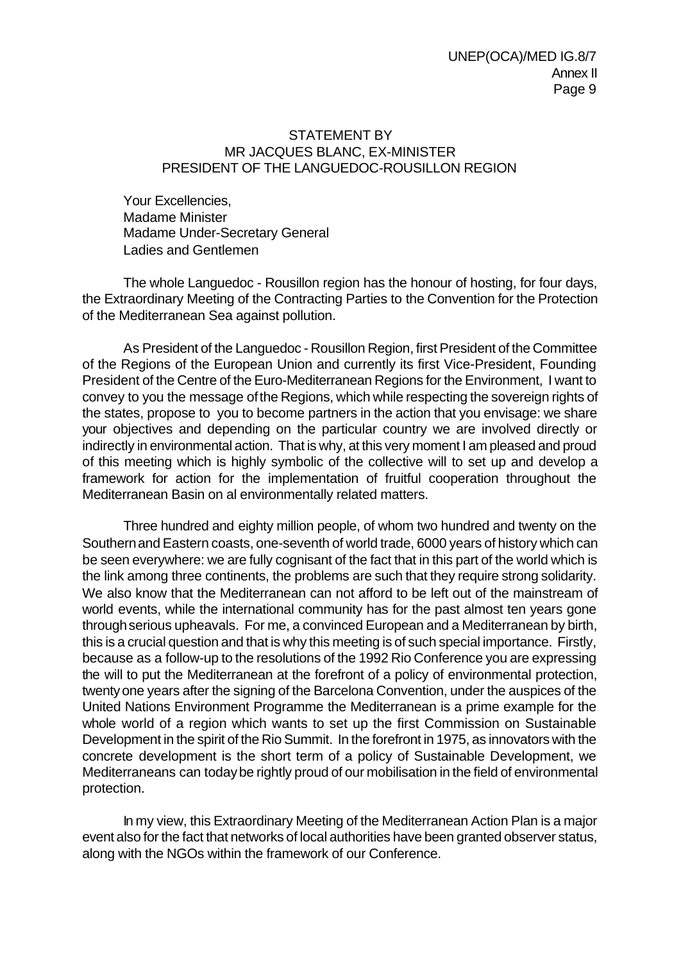### STATEMENT BY MR JACQUES BLANC, EX-MINISTER PRESIDENT OF THE LANGUEDOC-ROUSILLON REGION

Your Excellencies, Madame Minister Madame Under-Secretary General Ladies and Gentlemen

The whole Languedoc - Rousillon region has the honour of hosting, for four days, the Extraordinary Meeting of the Contracting Parties to the Convention for the Protection of the Mediterranean Sea against pollution.

As President of the Languedoc - Rousillon Region, first President of the Committee of the Regions of the European Union and currently its first Vice-President, Founding President of the Centre of the Euro-Mediterranean Regions for the Environment, I want to convey to you the message of the Regions, which while respecting the sovereign rights of the states, propose to you to become partners in the action that you envisage: we share your objectives and depending on the particular country we are involved directly or indirectly in environmental action. That is why, at this very moment I am pleased and proud of this meeting which is highly symbolic of the collective will to set up and develop a framework for action for the implementation of fruitful cooperation throughout the Mediterranean Basin on al environmentally related matters.

Three hundred and eighty million people, of whom two hundred and twenty on the Southern and Eastern coasts, one-seventh of world trade, 6000 years of history which can be seen everywhere: we are fully cognisant of the fact that in this part of the world which is the link among three continents, the problems are such that they require strong solidarity. We also know that the Mediterranean can not afford to be left out of the mainstream of world events, while the international community has for the past almost ten years gone through serious upheavals. For me, a convinced European and a Mediterranean by birth, this is a crucial question and that is why this meeting is of such special importance. Firstly, because as a follow-up to the resolutions of the 1992 Rio Conference you are expressing the will to put the Mediterranean at the forefront of a policy of environmental protection, twenty one years after the signing of the Barcelona Convention, under the auspices of the United Nations Environment Programme the Mediterranean is a prime example for the whole world of a region which wants to set up the first Commission on Sustainable Development in the spirit of the Rio Summit. In the forefront in 1975, as innovators with the concrete development is the short term of a policy of Sustainable Development, we Mediterraneans can today be rightly proud of our mobilisation in the field of environmental protection.

In my view, this Extraordinary Meeting of the Mediterranean Action Plan is a major event also for the fact that networks of local authorities have been granted observer status, along with the NGOs within the framework of our Conference.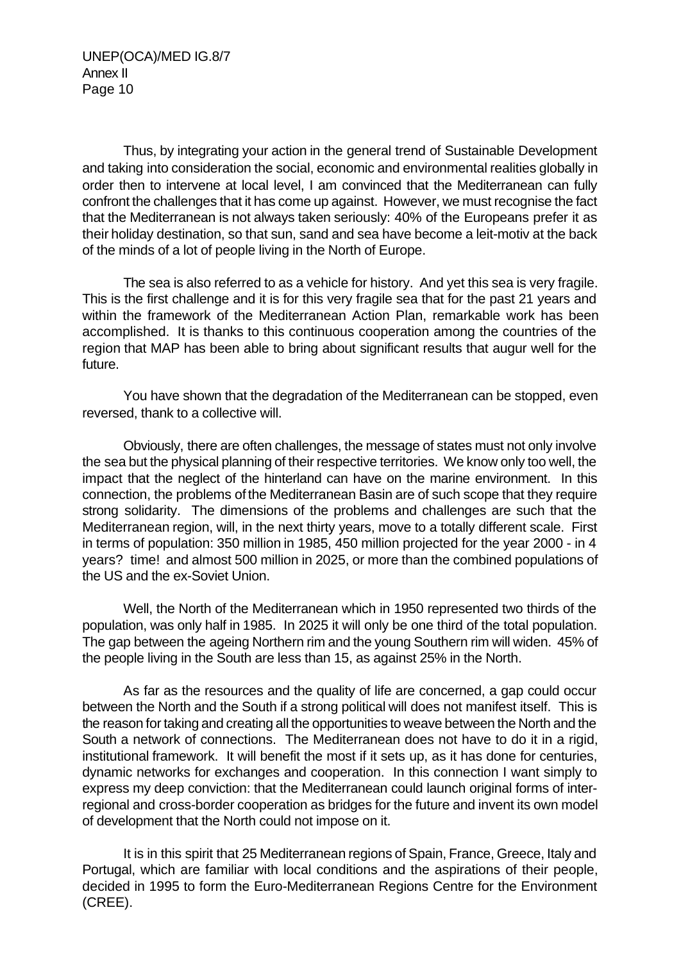Thus, by integrating your action in the general trend of Sustainable Development and taking into consideration the social, economic and environmental realities globally in order then to intervene at local level, I am convinced that the Mediterranean can fully confront the challenges that it has come up against. However, we must recognise the fact that the Mediterranean is not always taken seriously: 40% of the Europeans prefer it as their holiday destination, so that sun, sand and sea have become a leit-motiv at the back of the minds of a lot of people living in the North of Europe.

The sea is also referred to as a vehicle for history. And yet this sea is very fragile. This is the first challenge and it is for this very fragile sea that for the past 21 years and within the framework of the Mediterranean Action Plan, remarkable work has been accomplished. It is thanks to this continuous cooperation among the countries of the region that MAP has been able to bring about significant results that augur well for the future.

You have shown that the degradation of the Mediterranean can be stopped, even reversed, thank to a collective will.

Obviously, there are often challenges, the message of states must not only involve the sea but the physical planning of their respective territories. We know only too well, the impact that the neglect of the hinterland can have on the marine environment. In this connection, the problems of the Mediterranean Basin are of such scope that they require strong solidarity. The dimensions of the problems and challenges are such that the Mediterranean region, will, in the next thirty years, move to a totally different scale. First in terms of population: 350 million in 1985, 450 million projected for the year 2000 - in 4 years? time! and almost 500 million in 2025, or more than the combined populations of the US and the ex-Soviet Union.

Well, the North of the Mediterranean which in 1950 represented two thirds of the population, was only half in 1985. In 2025 it will only be one third of the total population. The gap between the ageing Northern rim and the young Southern rim will widen. 45% of the people living in the South are less than 15, as against 25% in the North.

As far as the resources and the quality of life are concerned, a gap could occur between the North and the South if a strong political will does not manifest itself. This is the reason for taking and creating all the opportunities to weave between the North and the South a network of connections. The Mediterranean does not have to do it in a rigid, institutional framework. It will benefit the most if it sets up, as it has done for centuries, dynamic networks for exchanges and cooperation. In this connection I want simply to express my deep conviction: that the Mediterranean could launch original forms of interregional and cross-border cooperation as bridges for the future and invent its own model of development that the North could not impose on it.

It is in this spirit that 25 Mediterranean regions of Spain, France, Greece, Italy and Portugal, which are familiar with local conditions and the aspirations of their people, decided in 1995 to form the Euro-Mediterranean Regions Centre for the Environment (CREE).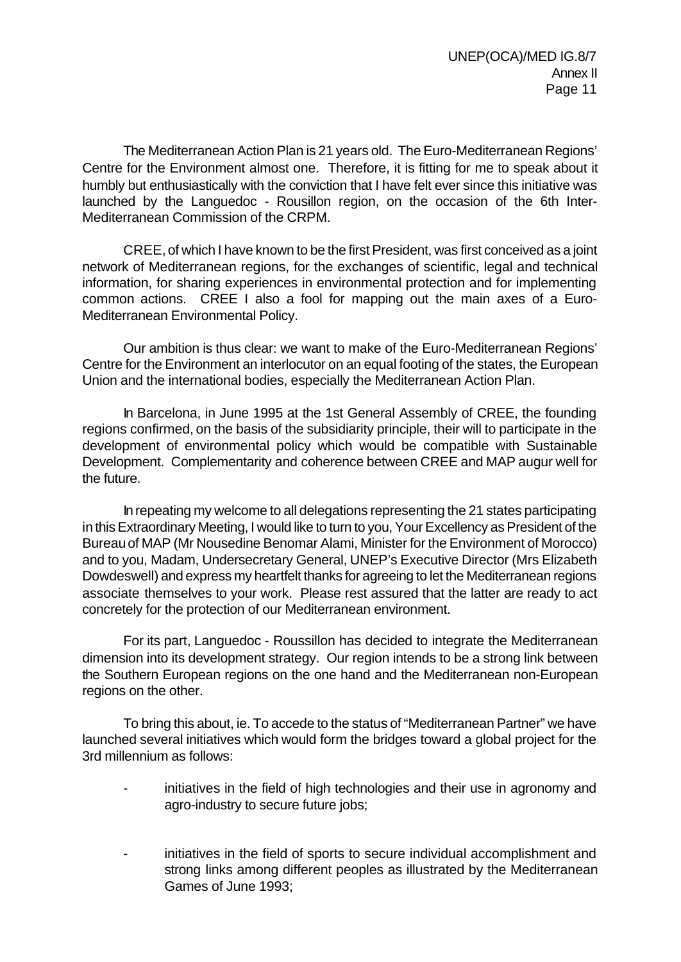The Mediterranean Action Plan is 21 years old. The Euro-Mediterranean Regions' Centre for the Environment almost one. Therefore, it is fitting for me to speak about it humbly but enthusiastically with the conviction that I have felt ever since this initiative was launched by the Languedoc - Rousillon region, on the occasion of the 6th Inter-Mediterranean Commission of the CRPM.

CREE, of which I have known to be the first President, was first conceived as a joint network of Mediterranean regions, for the exchanges of scientific, legal and technical information, for sharing experiences in environmental protection and for implementing common actions. CREE I also a fool for mapping out the main axes of a Euro-Mediterranean Environmental Policy.

Our ambition is thus clear: we want to make of the Euro-Mediterranean Regions' Centre for the Environment an interlocutor on an equal footing of the states, the European Union and the international bodies, especially the Mediterranean Action Plan.

In Barcelona, in June 1995 at the 1st General Assembly of CREE, the founding regions confirmed, on the basis of the subsidiarity principle, their will to participate in the development of environmental policy which would be compatible with Sustainable Development. Complementarity and coherence between CREE and MAP augur well for the future.

In repeating my welcome to all delegations representing the 21 states participating in this Extraordinary Meeting, I would like to turn to you, Your Excellency as President of the Bureau of MAP (Mr Nousedine Benomar Alami, Minister for the Environment of Morocco) and to you, Madam, Undersecretary General, UNEP's Executive Director (Mrs Elizabeth Dowdeswell) and express my heartfelt thanks for agreeing to let the Mediterranean regions associate themselves to your work. Please rest assured that the latter are ready to act concretely for the protection of our Mediterranean environment.

For its part, Languedoc - Roussillon has decided to integrate the Mediterranean dimension into its development strategy. Our region intends to be a strong link between the Southern European regions on the one hand and the Mediterranean non-European regions on the other.

To bring this about, ie. To accede to the status of "Mediterranean Partner" we have launched several initiatives which would form the bridges toward a global project for the 3rd millennium as follows:

- initiatives in the field of high technologies and their use in agronomy and agro-industry to secure future jobs;
- initiatives in the field of sports to secure individual accomplishment and strong links among different peoples as illustrated by the Mediterranean Games of June 1993;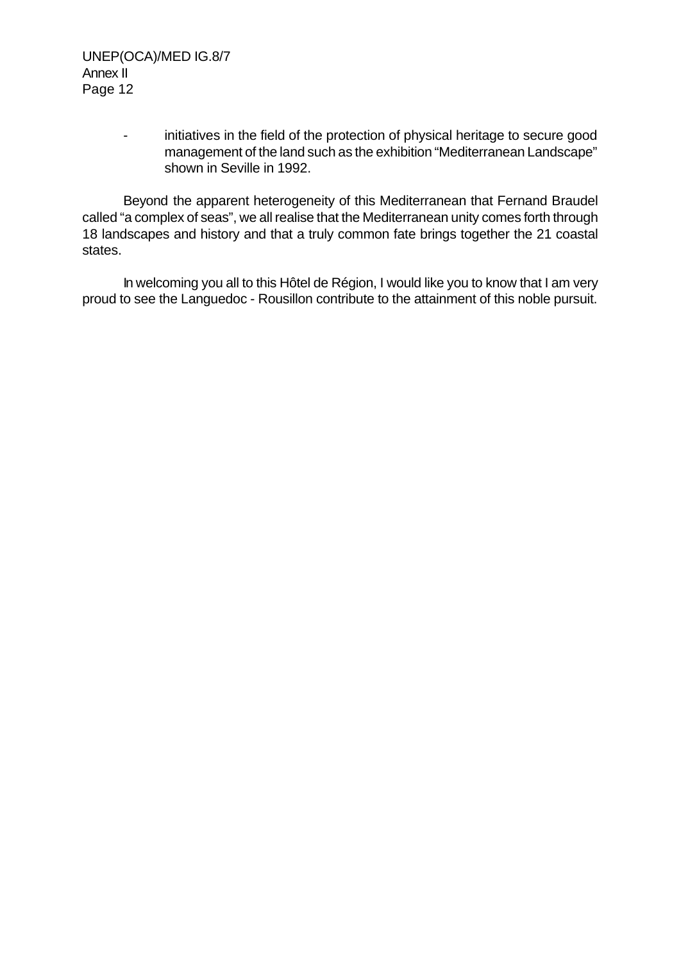- initiatives in the field of the protection of physical heritage to secure good management of the land such as the exhibition "Mediterranean Landscape" shown in Seville in 1992.

Beyond the apparent heterogeneity of this Mediterranean that Fernand Braudel called "a complex of seas", we all realise that the Mediterranean unity comes forth through 18 landscapes and history and that a truly common fate brings together the 21 coastal states.

In welcoming you all to this Hôtel de Région, I would like you to know that I am very proud to see the Languedoc - Rousillon contribute to the attainment of this noble pursuit.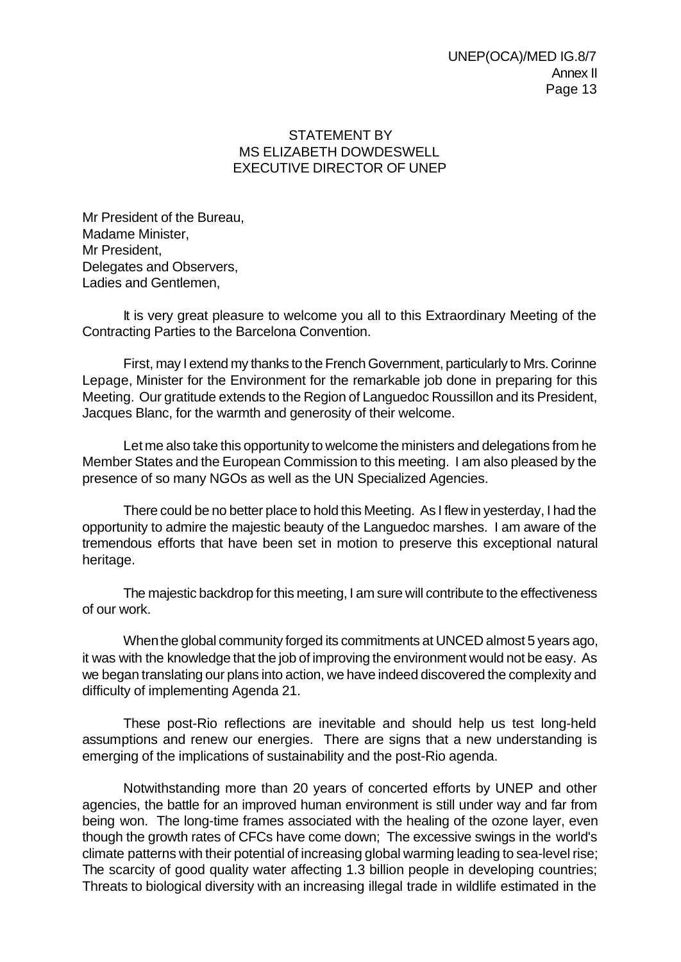### STATEMENT BY MS ELIZABETH DOWDESWELL EXECUTIVE DIRECTOR OF UNEP

Mr President of the Bureau, Madame Minister, Mr President, Delegates and Observers, Ladies and Gentlemen,

It is very great pleasure to welcome you all to this Extraordinary Meeting of the Contracting Parties to the Barcelona Convention.

First, may I extend my thanks to the French Government, particularly to Mrs. Corinne Lepage, Minister for the Environment for the remarkable job done in preparing for this Meeting. Our gratitude extends to the Region of Languedoc Roussillon and its President, Jacques Blanc, for the warmth and generosity of their welcome.

Let me also take this opportunity to welcome the ministers and delegations from he Member States and the European Commission to this meeting. I am also pleased by the presence of so many NGOs as well as the UN Specialized Agencies.

There could be no better place to hold this Meeting. As I flew in yesterday, I had the opportunity to admire the majestic beauty of the Languedoc marshes. I am aware of the tremendous efforts that have been set in motion to preserve this exceptional natural heritage.

The majestic backdrop for this meeting, I am sure will contribute to the effectiveness of our work.

When the global community forged its commitments at UNCED almost 5 years ago, it was with the knowledge that the job of improving the environment would not be easy. As we began translating our plans into action, we have indeed discovered the complexity and difficulty of implementing Agenda 21.

These post-Rio reflections are inevitable and should help us test long-held assumptions and renew our energies. There are signs that a new understanding is emerging of the implications of sustainability and the post-Rio agenda.

Notwithstanding more than 20 years of concerted efforts by UNEP and other agencies, the battle for an improved human environment is still under way and far from being won. The long-time frames associated with the healing of the ozone layer, even though the growth rates of CFCs have come down; The excessive swings in the world's climate patterns with their potential of increasing global warming leading to sea-level rise; The scarcity of good quality water affecting 1.3 billion people in developing countries; Threats to biological diversity with an increasing illegal trade in wildlife estimated in the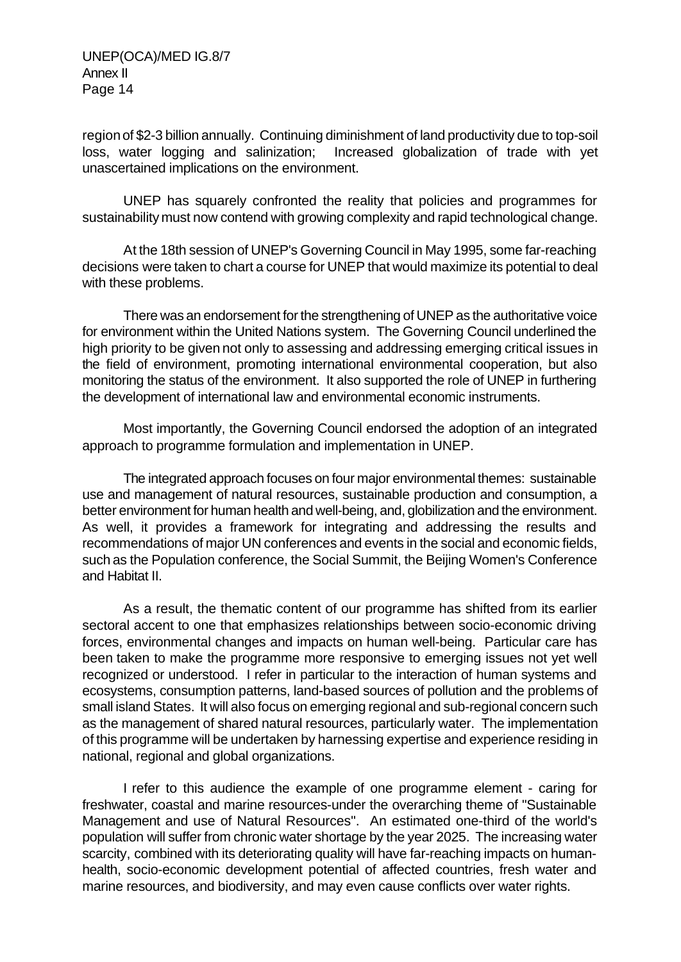region of \$2-3 billion annually. Continuing diminishment of land productivity due to top-soil loss, water logging and salinization; Increased globalization of trade with yet unascertained implications on the environment.

UNEP has squarely confronted the reality that policies and programmes for sustainability must now contend with growing complexity and rapid technological change.

At the 18th session of UNEP's Governing Council in May 1995, some far-reaching decisions were taken to chart a course for UNEP that would maximize its potential to deal with these problems.

There was an endorsement for the strengthening of UNEP as the authoritative voice for environment within the United Nations system. The Governing Council underlined the high priority to be given not only to assessing and addressing emerging critical issues in the field of environment, promoting international environmental cooperation, but also monitoring the status of the environment. It also supported the role of UNEP in furthering the development of international law and environmental economic instruments.

Most importantly, the Governing Council endorsed the adoption of an integrated approach to programme formulation and implementation in UNEP.

The integrated approach focuses on four major environmental themes: sustainable use and management of natural resources, sustainable production and consumption, a better environment for human health and well-being, and, globilization and the environment. As well, it provides a framework for integrating and addressing the results and recommendations of major UN conferences and events in the social and economic fields, such as the Population conference, the Social Summit, the Beijing Women's Conference and Habitat II.

As a result, the thematic content of our programme has shifted from its earlier sectoral accent to one that emphasizes relationships between socio-economic driving forces, environmental changes and impacts on human well-being. Particular care has been taken to make the programme more responsive to emerging issues not yet well recognized or understood. I refer in particular to the interaction of human systems and ecosystems, consumption patterns, land-based sources of pollution and the problems of small island States. It will also focus on emerging regional and sub-regional concern such as the management of shared natural resources, particularly water. The implementation of this programme will be undertaken by harnessing expertise and experience residing in national, regional and global organizations.

I refer to this audience the example of one programme element - caring for freshwater, coastal and marine resources-under the overarching theme of "Sustainable Management and use of Natural Resources". An estimated one-third of the world's population will suffer from chronic water shortage by the year 2025. The increasing water scarcity, combined with its deteriorating quality will have far-reaching impacts on humanhealth, socio-economic development potential of affected countries, fresh water and marine resources, and biodiversity, and may even cause conflicts over water rights.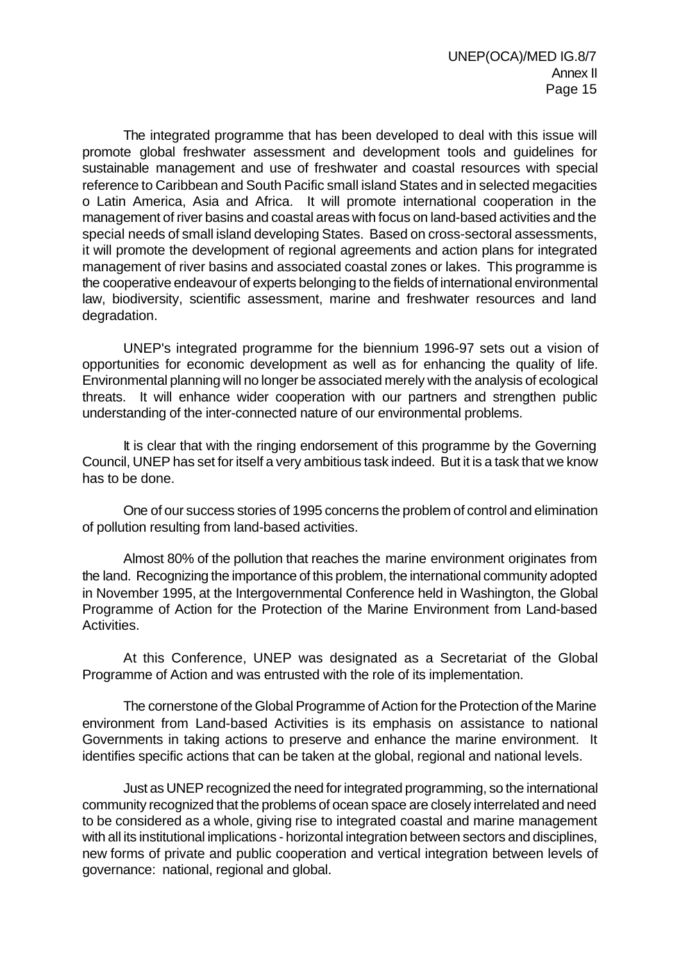The integrated programme that has been developed to deal with this issue will promote global freshwater assessment and development tools and guidelines for sustainable management and use of freshwater and coastal resources with special reference to Caribbean and South Pacific small island States and in selected megacities o Latin America, Asia and Africa. It will promote international cooperation in the management of river basins and coastal areas with focus on land-based activities and the special needs of small island developing States. Based on cross-sectoral assessments, it will promote the development of regional agreements and action plans for integrated management of river basins and associated coastal zones or lakes. This programme is the cooperative endeavour of experts belonging to the fields of international environmental law, biodiversity, scientific assessment, marine and freshwater resources and land degradation.

UNEP's integrated programme for the biennium 1996-97 sets out a vision of opportunities for economic development as well as for enhancing the quality of life. Environmental planning will no longer be associated merely with the analysis of ecological threats. It will enhance wider cooperation with our partners and strengthen public understanding of the inter-connected nature of our environmental problems.

It is clear that with the ringing endorsement of this programme by the Governing Council, UNEP has set for itself a very ambitious task indeed. But it is a task that we know has to be done.

One of our success stories of 1995 concerns the problem of control and elimination of pollution resulting from land-based activities.

Almost 80% of the pollution that reaches the marine environment originates from the land. Recognizing the importance of this problem, the international community adopted in November 1995, at the Intergovernmental Conference held in Washington, the Global Programme of Action for the Protection of the Marine Environment from Land-based Activities.

At this Conference, UNEP was designated as a Secretariat of the Global Programme of Action and was entrusted with the role of its implementation.

The cornerstone of the Global Programme of Action for the Protection of the Marine environment from Land-based Activities is its emphasis on assistance to national Governments in taking actions to preserve and enhance the marine environment. It identifies specific actions that can be taken at the global, regional and national levels.

Just as UNEP recognized the need for integrated programming, so the international community recognized that the problems of ocean space are closely interrelated and need to be considered as a whole, giving rise to integrated coastal and marine management with all its institutional implications - horizontal integration between sectors and disciplines, new forms of private and public cooperation and vertical integration between levels of governance: national, regional and global.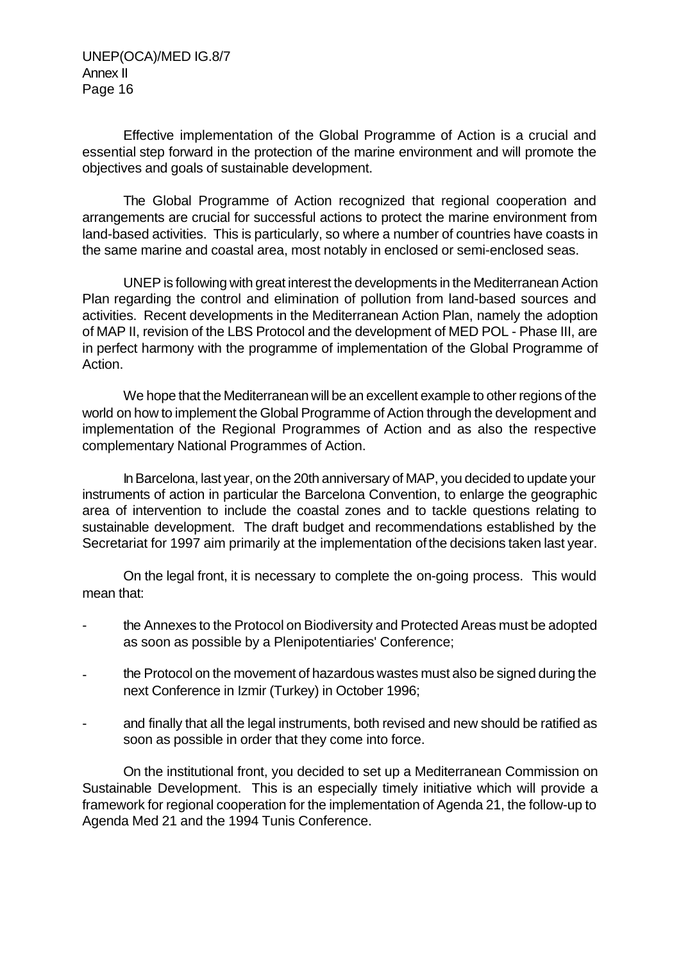Effective implementation of the Global Programme of Action is a crucial and essential step forward in the protection of the marine environment and will promote the objectives and goals of sustainable development.

The Global Programme of Action recognized that regional cooperation and arrangements are crucial for successful actions to protect the marine environment from land-based activities. This is particularly, so where a number of countries have coasts in the same marine and coastal area, most notably in enclosed or semi-enclosed seas.

UNEP is following with great interest the developments in the Mediterranean Action Plan regarding the control and elimination of pollution from land-based sources and activities. Recent developments in the Mediterranean Action Plan, namely the adoption of MAP II, revision of the LBS Protocol and the development of MED POL - Phase III, are in perfect harmony with the programme of implementation of the Global Programme of Action.

We hope that the Mediterranean will be an excellent example to other regions of the world on how to implement the Global Programme of Action through the development and implementation of the Regional Programmes of Action and as also the respective complementary National Programmes of Action.

In Barcelona, last year, on the 20th anniversary of MAP, you decided to update your instruments of action in particular the Barcelona Convention, to enlarge the geographic area of intervention to include the coastal zones and to tackle questions relating to sustainable development. The draft budget and recommendations established by the Secretariat for 1997 aim primarily at the implementation of the decisions taken last year.

On the legal front, it is necessary to complete the on-going process. This would mean that:

- the Annexes to the Protocol on Biodiversity and Protected Areas must be adopted as soon as possible by a Plenipotentiaries' Conference;
- the Protocol on the movement of hazardous wastes must also be signed during the next Conference in Izmir (Turkey) in October 1996;
- and finally that all the legal instruments, both revised and new should be ratified as soon as possible in order that they come into force.

On the institutional front, you decided to set up a Mediterranean Commission on Sustainable Development. This is an especially timely initiative which will provide a framework for regional cooperation for the implementation of Agenda 21, the follow-up to Agenda Med 21 and the 1994 Tunis Conference.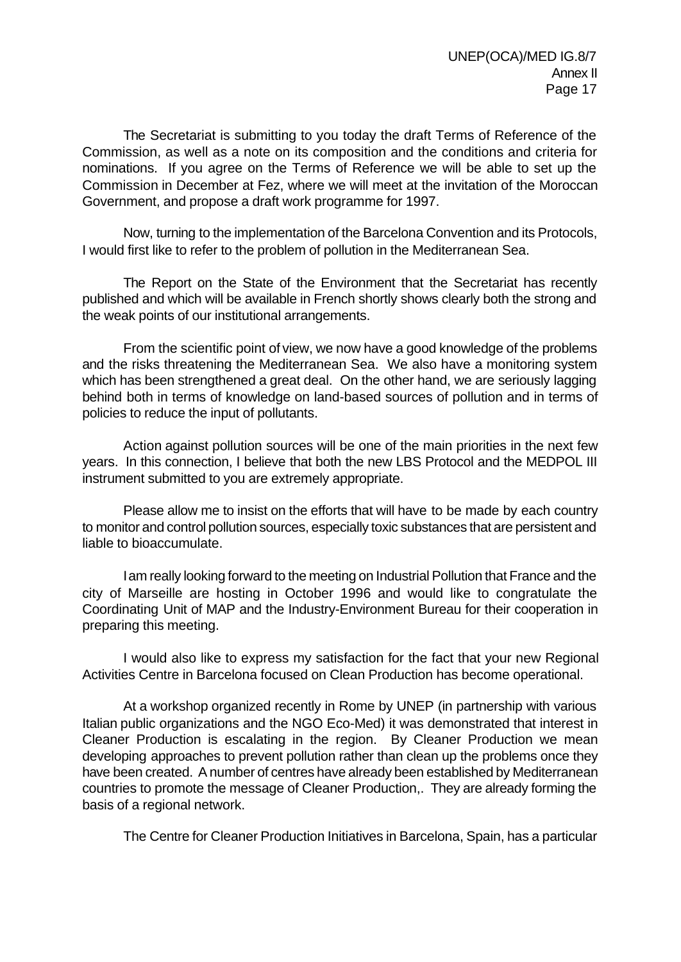The Secretariat is submitting to you today the draft Terms of Reference of the Commission, as well as a note on its composition and the conditions and criteria for nominations. If you agree on the Terms of Reference we will be able to set up the Commission in December at Fez, where we will meet at the invitation of the Moroccan Government, and propose a draft work programme for 1997.

Now, turning to the implementation of the Barcelona Convention and its Protocols, I would first like to refer to the problem of pollution in the Mediterranean Sea.

The Report on the State of the Environment that the Secretariat has recently published and which will be available in French shortly shows clearly both the strong and the weak points of our institutional arrangements.

From the scientific point of view, we now have a good knowledge of the problems and the risks threatening the Mediterranean Sea. We also have a monitoring system which has been strengthened a great deal. On the other hand, we are seriously lagging behind both in terms of knowledge on land-based sources of pollution and in terms of policies to reduce the input of pollutants.

Action against pollution sources will be one of the main priorities in the next few years. In this connection, I believe that both the new LBS Protocol and the MEDPOL III instrument submitted to you are extremely appropriate.

Please allow me to insist on the efforts that will have to be made by each country to monitor and control pollution sources, especially toxic substances that are persistent and liable to bioaccumulate.

I am really looking forward to the meeting on Industrial Pollution that France and the city of Marseille are hosting in October 1996 and would like to congratulate the Coordinating Unit of MAP and the Industry-Environment Bureau for their cooperation in preparing this meeting.

I would also like to express my satisfaction for the fact that your new Regional Activities Centre in Barcelona focused on Clean Production has become operational.

At a workshop organized recently in Rome by UNEP (in partnership with various Italian public organizations and the NGO Eco-Med) it was demonstrated that interest in Cleaner Production is escalating in the region. By Cleaner Production we mean developing approaches to prevent pollution rather than clean up the problems once they have been created. A number of centres have already been established by Mediterranean countries to promote the message of Cleaner Production,. They are already forming the basis of a regional network.

The Centre for Cleaner Production Initiatives in Barcelona, Spain, has a particular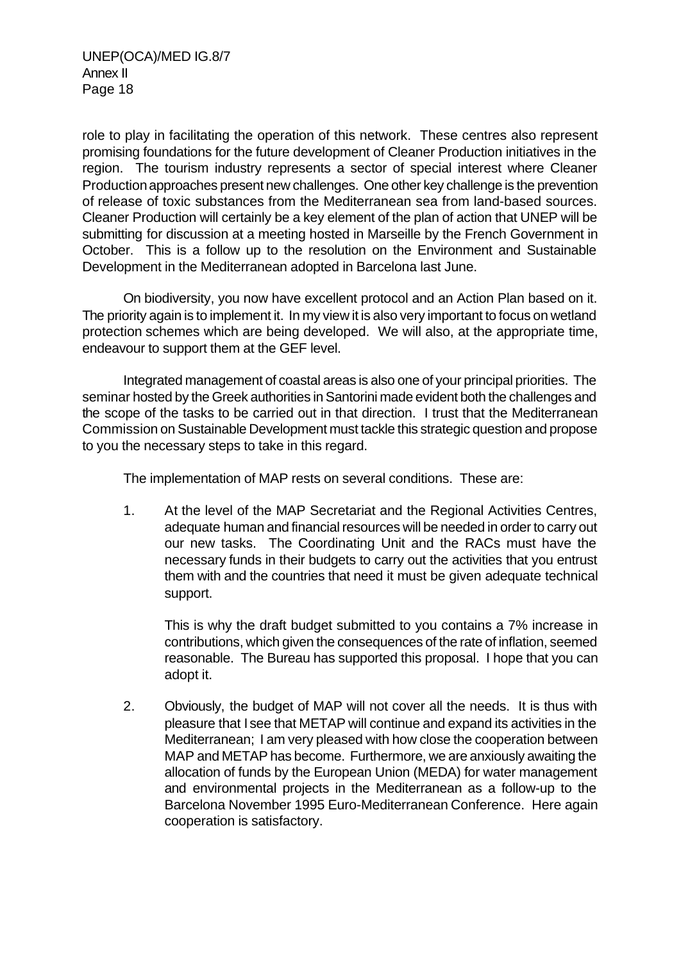role to play in facilitating the operation of this network. These centres also represent promising foundations for the future development of Cleaner Production initiatives in the region. The tourism industry represents a sector of special interest where Cleaner Production approaches present new challenges. One other key challenge is the prevention of release of toxic substances from the Mediterranean sea from land-based sources. Cleaner Production will certainly be a key element of the plan of action that UNEP will be submitting for discussion at a meeting hosted in Marseille by the French Government in October. This is a follow up to the resolution on the Environment and Sustainable Development in the Mediterranean adopted in Barcelona last June.

On biodiversity, you now have excellent protocol and an Action Plan based on it. The priority again is to implement it. In my view it is also very important to focus on wetland protection schemes which are being developed. We will also, at the appropriate time, endeavour to support them at the GEF level.

Integrated management of coastal areas is also one of your principal priorities. The seminar hosted by the Greek authorities in Santorini made evident both the challenges and the scope of the tasks to be carried out in that direction. I trust that the Mediterranean Commission on Sustainable Development must tackle this strategic question and propose to you the necessary steps to take in this regard.

The implementation of MAP rests on several conditions. These are:

1. At the level of the MAP Secretariat and the Regional Activities Centres, adequate human and financial resources will be needed in order to carry out our new tasks. The Coordinating Unit and the RACs must have the necessary funds in their budgets to carry out the activities that you entrust them with and the countries that need it must be given adequate technical support.

This is why the draft budget submitted to you contains a 7% increase in contributions, which given the consequences of the rate of inflation, seemed reasonable. The Bureau has supported this proposal. I hope that you can adopt it.

2. Obviously, the budget of MAP will not cover all the needs. It is thus with pleasure that I see that METAP will continue and expand its activities in the Mediterranean; I am very pleased with how close the cooperation between MAP and METAP has become. Furthermore, we are anxiously awaiting the allocation of funds by the European Union (MEDA) for water management and environmental projects in the Mediterranean as a follow-up to the Barcelona November 1995 Euro-Mediterranean Conference. Here again cooperation is satisfactory.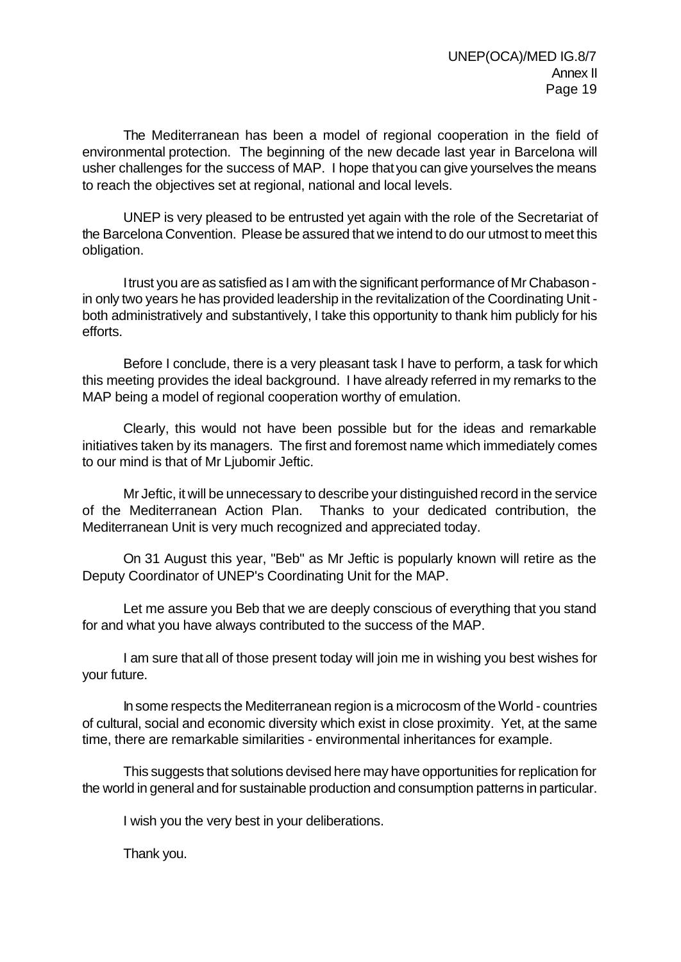The Mediterranean has been a model of regional cooperation in the field of environmental protection. The beginning of the new decade last year in Barcelona will usher challenges for the success of MAP. I hope that you can give yourselves the means to reach the objectives set at regional, national and local levels.

UNEP is very pleased to be entrusted yet again with the role of the Secretariat of the Barcelona Convention. Please be assured that we intend to do our utmost to meet this obligation.

I trust you are as satisfied as I am with the significant performance of Mr Chabason in only two years he has provided leadership in the revitalization of the Coordinating Unit both administratively and substantively, I take this opportunity to thank him publicly for his efforts.

Before I conclude, there is a very pleasant task I have to perform, a task for which this meeting provides the ideal background. I have already referred in my remarks to the MAP being a model of regional cooperation worthy of emulation.

Clearly, this would not have been possible but for the ideas and remarkable initiatives taken by its managers. The first and foremost name which immediately comes to our mind is that of Mr Ljubomir Jeftic.

Mr Jeftic, it will be unnecessary to describe your distinguished record in the service of the Mediterranean Action Plan. Thanks to your dedicated contribution, the Mediterranean Unit is very much recognized and appreciated today.

On 31 August this year, "Beb" as Mr Jeftic is popularly known will retire as the Deputy Coordinator of UNEP's Coordinating Unit for the MAP.

Let me assure you Beb that we are deeply conscious of everything that you stand for and what you have always contributed to the success of the MAP.

I am sure that all of those present today will join me in wishing you best wishes for your future.

In some respects the Mediterranean region is a microcosm of the World - countries of cultural, social and economic diversity which exist in close proximity. Yet, at the same time, there are remarkable similarities - environmental inheritances for example.

This suggests that solutions devised here may have opportunities for replication for the world in general and for sustainable production and consumption patterns in particular.

I wish you the very best in your deliberations.

Thank you.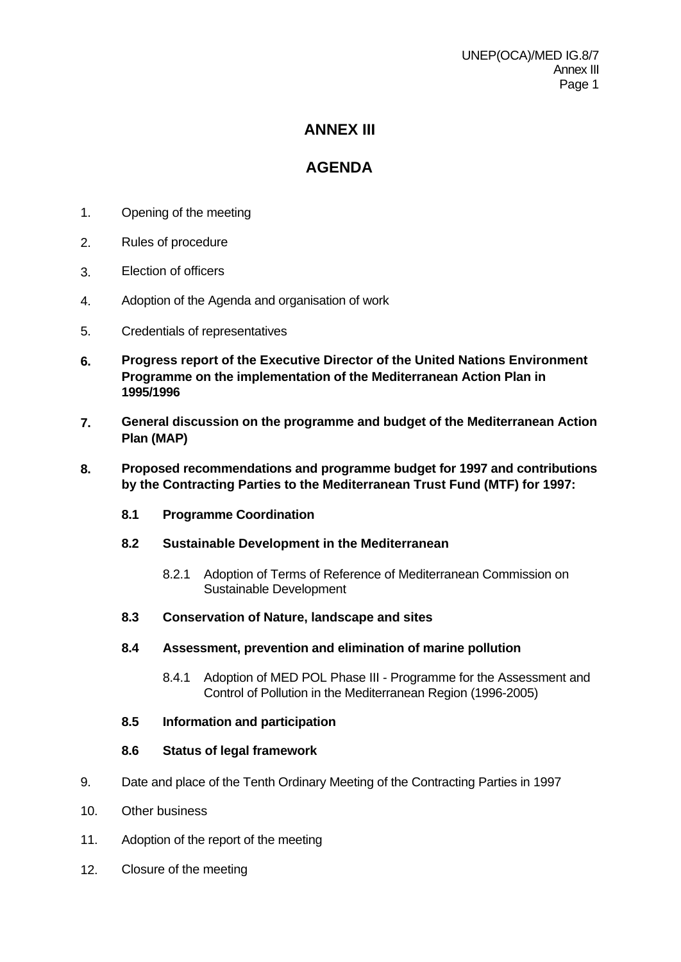# **ANNEX III**

# **AGENDA**

- 1. Opening of the meeting
- 2. Rules of procedure
- 3. Election of officers
- 4. Adoption of the Agenda and organisation of work
- 5. Credentials of representatives
- **6. Progress report of the Executive Director of the United Nations Environment Programme on the implementation of the Mediterranean Action Plan in 1995/1996**
- **7. General discussion on the programme and budget of the Mediterranean Action Plan (MAP)**
- **8. Proposed recommendations and programme budget for 1997 and contributions by the Contracting Parties to the Mediterranean Trust Fund (MTF) for 1997:**
	- **8.1 Programme Coordination**
	- **8.2 Sustainable Development in the Mediterranean**
		- 8.2.1 Adoption of Terms of Reference of Mediterranean Commission on Sustainable Development
	- **8.3 Conservation of Nature, landscape and sites**
	- **8.4 Assessment, prevention and elimination of marine pollution**
		- 8.4.1 Adoption of MED POL Phase III Programme for the Assessment and Control of Pollution in the Mediterranean Region (1996-2005)
	- **8.5 Information and participation**

#### **8.6 Status of legal framework**

- 9. Date and place of the Tenth Ordinary Meeting of the Contracting Parties in 1997
- 10. Other business
- 11. Adoption of the report of the meeting
- 12. Closure of the meeting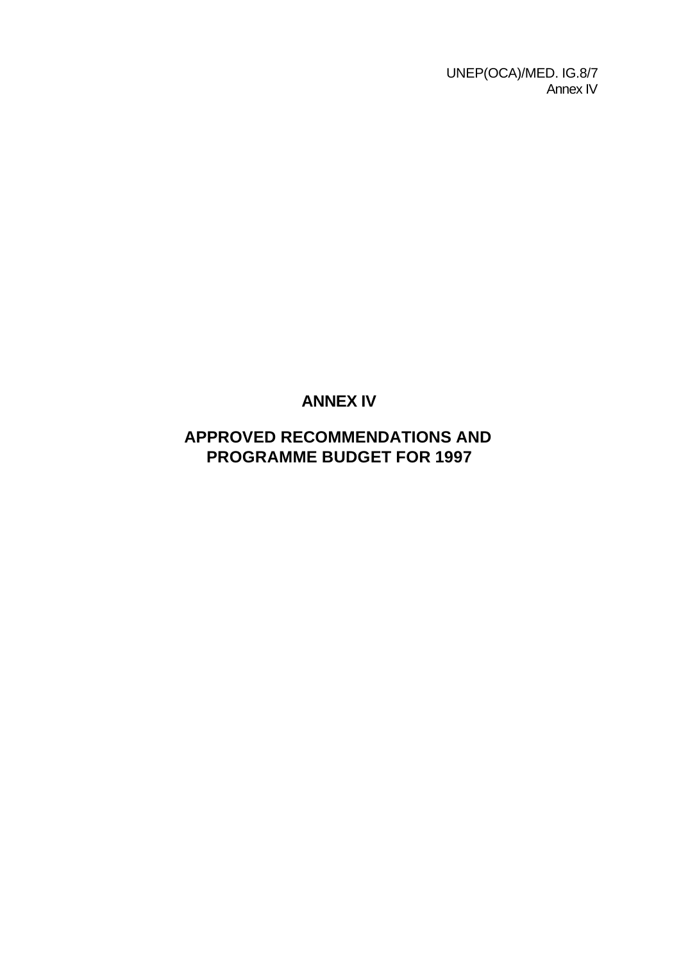# **ANNEX IV**

# **APPROVED RECOMMENDATIONS AND PROGRAMME BUDGET FOR 1997**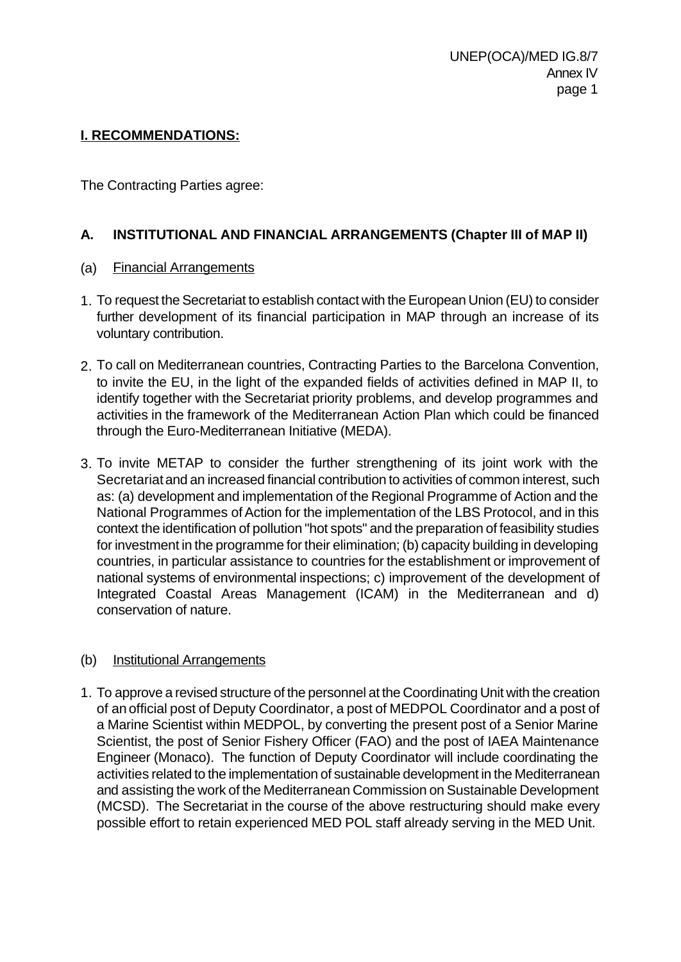## **I. RECOMMENDATIONS:**

The Contracting Parties agree:

# **A. INSTITUTIONAL AND FINANCIAL ARRANGEMENTS (Chapter III of MAP II)**

### (a) Financial Arrangements

- 1. To request the Secretariat to establish contact with the European Union (EU) to consider further development of its financial participation in MAP through an increase of its voluntary contribution.
- 2. To call on Mediterranean countries, Contracting Parties to the Barcelona Convention, to invite the EU, in the light of the expanded fields of activities defined in MAP II, to identify together with the Secretariat priority problems, and develop programmes and activities in the framework of the Mediterranean Action Plan which could be financed through the Euro-Mediterranean Initiative (MEDA).
- 3. To invite METAP to consider the further strengthening of its joint work with the Secretariat and an increased financial contribution to activities of common interest, such as: (a) development and implementation of the Regional Programme of Action and the National Programmes of Action for the implementation of the LBS Protocol, and in this context the identification of pollution "hot spots" and the preparation of feasibility studies for investment in the programme for their elimination; (b) capacity building in developing countries, in particular assistance to countries for the establishment or improvement of national systems of environmental inspections; c) improvement of the development of Integrated Coastal Areas Management (ICAM) in the Mediterranean and d) conservation of nature.

### (b) Institutional Arrangements

1. To approve a revised structure of the personnel at the Coordinating Unit with the creation of an official post of Deputy Coordinator, a post of MEDPOL Coordinator and a post of a Marine Scientist within MEDPOL, by converting the present post of a Senior Marine Scientist, the post of Senior Fishery Officer (FAO) and the post of IAEA Maintenance Engineer (Monaco). The function of Deputy Coordinator will include coordinating the activities related to the implementation of sustainable development in the Mediterranean and assisting the work of the Mediterranean Commission on Sustainable Development (MCSD). The Secretariat in the course of the above restructuring should make every possible effort to retain experienced MED POL staff already serving in the MED Unit.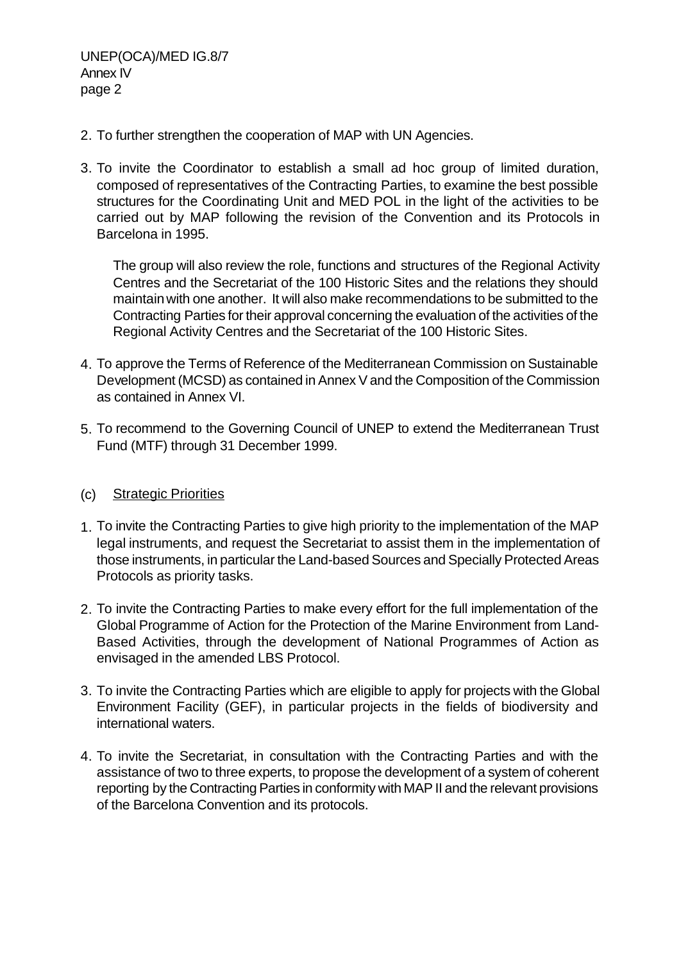- 2. To further strengthen the cooperation of MAP with UN Agencies.
- 3. To invite the Coordinator to establish a small ad hoc group of limited duration, composed of representatives of the Contracting Parties, to examine the best possible structures for the Coordinating Unit and MED POL in the light of the activities to be carried out by MAP following the revision of the Convention and its Protocols in Barcelona in 1995.

The group will also review the role, functions and structures of the Regional Activity Centres and the Secretariat of the 100 Historic Sites and the relations they should maintain with one another. It will also make recommendations to be submitted to the Contracting Parties for their approval concerning the evaluation of the activities of the Regional Activity Centres and the Secretariat of the 100 Historic Sites.

- 4. To approve the Terms of Reference of the Mediterranean Commission on Sustainable Development (MCSD) as contained in Annex V and the Composition of the Commission as contained in Annex VI.
- 5. To recommend to the Governing Council of UNEP to extend the Mediterranean Trust Fund (MTF) through 31 December 1999.
- (c) Strategic Priorities
- 1. To invite the Contracting Parties to give high priority to the implementation of the MAP legal instruments, and request the Secretariat to assist them in the implementation of those instruments, in particular the Land-based Sources and Specially Protected Areas Protocols as priority tasks.
- 2. To invite the Contracting Parties to make every effort for the full implementation of the Global Programme of Action for the Protection of the Marine Environment from Land-Based Activities, through the development of National Programmes of Action as envisaged in the amended LBS Protocol.
- 3. To invite the Contracting Parties which are eligible to apply for projects with the Global Environment Facility (GEF), in particular projects in the fields of biodiversity and international waters.
- 4. To invite the Secretariat, in consultation with the Contracting Parties and with the assistance of two to three experts, to propose the development of a system of coherent reporting by the Contracting Parties in conformity with MAP II and the relevant provisions of the Barcelona Convention and its protocols.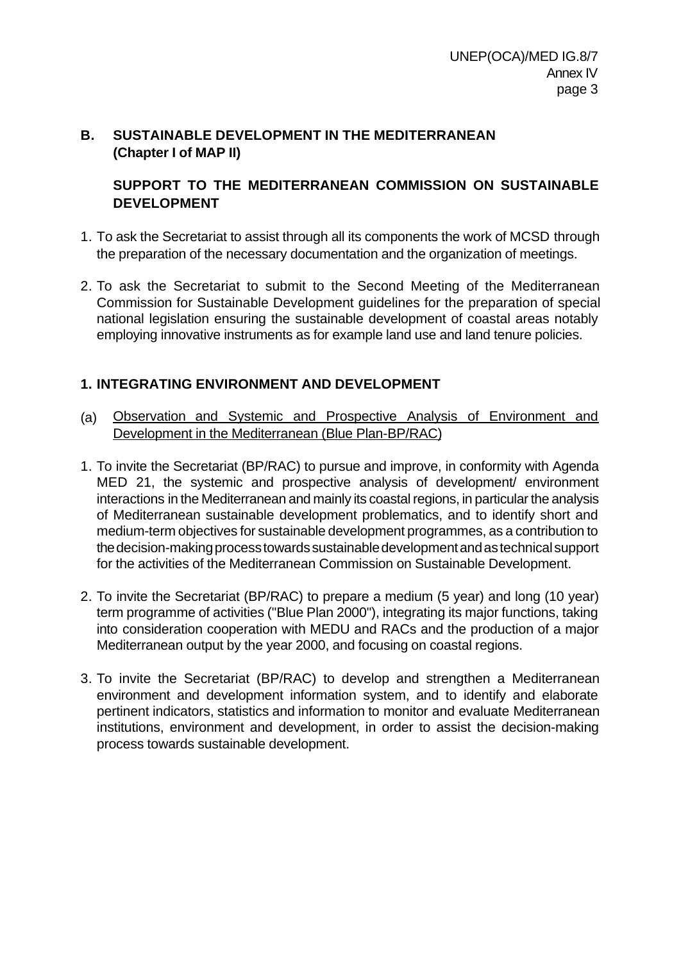# **B. SUSTAINABLE DEVELOPMENT IN THE MEDITERRANEAN (Chapter I of MAP II)**

# **SUPPORT TO THE MEDITERRANEAN COMMISSION ON SUSTAINABLE DEVELOPMENT**

- 1. To ask the Secretariat to assist through all its components the work of MCSD through the preparation of the necessary documentation and the organization of meetings.
- 2. To ask the Secretariat to submit to the Second Meeting of the Mediterranean Commission for Sustainable Development guidelines for the preparation of special national legislation ensuring the sustainable development of coastal areas notably employing innovative instruments as for example land use and land tenure policies.

# **1. INTEGRATING ENVIRONMENT AND DEVELOPMENT**

- (a) Observation and Systemic and Prospective Analysis of Environment and Development in the Mediterranean (Blue Plan-BP/RAC)
- 1. To invite the Secretariat (BP/RAC) to pursue and improve, in conformity with Agenda MED 21, the systemic and prospective analysis of development/ environment interactions in the Mediterranean and mainly its coastal regions, in particular the analysis of Mediterranean sustainable development problematics, and to identify short and medium-term objectives for sustainable development programmes, as a contribution to the decision-making process towards sustainable development and as technical support for the activities of the Mediterranean Commission on Sustainable Development.
- 2. To invite the Secretariat (BP/RAC) to prepare a medium (5 year) and long (10 year) term programme of activities ("Blue Plan 2000"), integrating its major functions, taking into consideration cooperation with MEDU and RACs and the production of a major Mediterranean output by the year 2000, and focusing on coastal regions.
- 3. To invite the Secretariat (BP/RAC) to develop and strengthen a Mediterranean environment and development information system, and to identify and elaborate pertinent indicators, statistics and information to monitor and evaluate Mediterranean institutions, environment and development, in order to assist the decision-making process towards sustainable development.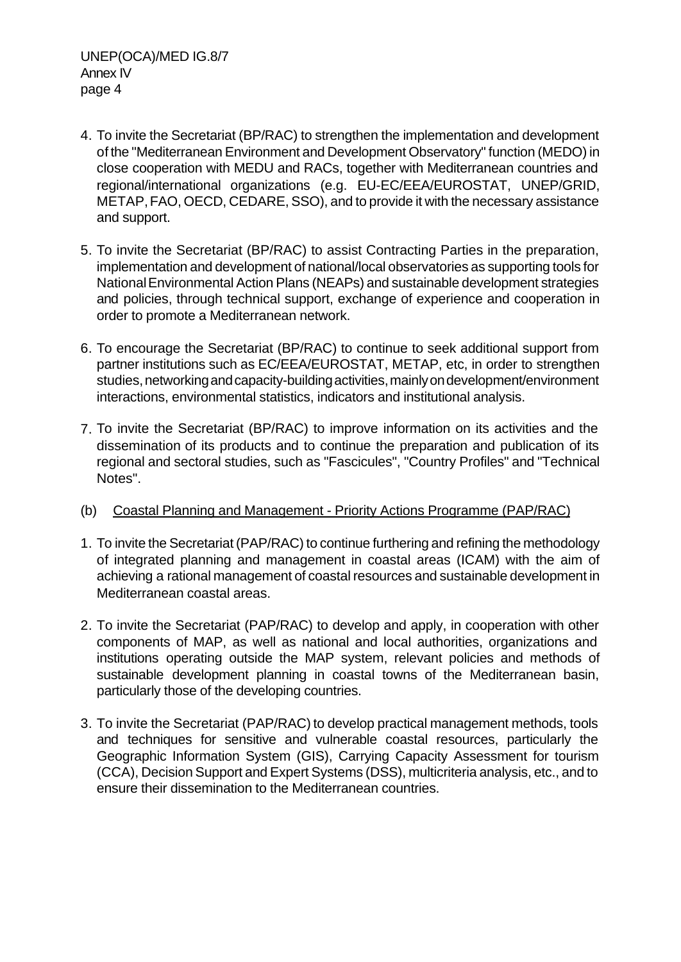- 4. To invite the Secretariat (BP/RAC) to strengthen the implementation and development of the "Mediterranean Environment and Development Observatory" function (MEDO) in close cooperation with MEDU and RACs, together with Mediterranean countries and regional/international organizations (e.g. EU-EC/EEA/EUROSTAT, UNEP/GRID, METAP, FAO, OECD, CEDARE, SSO), and to provide it with the necessary assistance and support.
- 5. To invite the Secretariat (BP/RAC) to assist Contracting Parties in the preparation, implementation and development of national/local observatories as supporting tools for National Environmental Action Plans (NEAPs) and sustainable development strategies and policies, through technical support, exchange of experience and cooperation in order to promote a Mediterranean network.
- 6. To encourage the Secretariat (BP/RAC) to continue to seek additional support from partner institutions such as EC/EEA/EUROSTAT, METAP, etc, in order to strengthen studies, networking and capacity-building activities, mainly on development/environment interactions, environmental statistics, indicators and institutional analysis.
- 7. To invite the Secretariat (BP/RAC) to improve information on its activities and the dissemination of its products and to continue the preparation and publication of its regional and sectoral studies, such as "Fascicules", "Country Profiles" and "Technical Notes".
- (b) Coastal Planning and Management Priority Actions Programme (PAP/RAC)
- 1. To invite the Secretariat (PAP/RAC) to continue furthering and refining the methodology of integrated planning and management in coastal areas (ICAM) with the aim of achieving a rational management of coastal resources and sustainable development in Mediterranean coastal areas.
- 2. To invite the Secretariat (PAP/RAC) to develop and apply, in cooperation with other components of MAP, as well as national and local authorities, organizations and institutions operating outside the MAP system, relevant policies and methods of sustainable development planning in coastal towns of the Mediterranean basin, particularly those of the developing countries.
- 3. To invite the Secretariat (PAP/RAC) to develop practical management methods, tools and techniques for sensitive and vulnerable coastal resources, particularly the Geographic Information System (GIS), Carrying Capacity Assessment for tourism (CCA), Decision Support and Expert Systems (DSS), multicriteria analysis, etc., and to ensure their dissemination to the Mediterranean countries.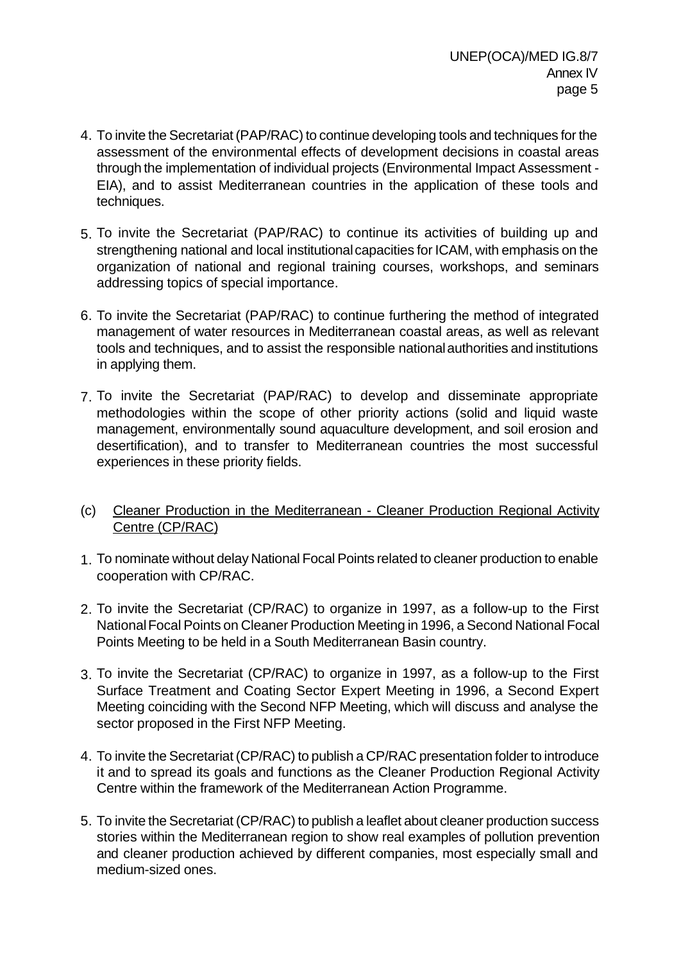- 4. To invite the Secretariat (PAP/RAC) to continue developing tools and techniques for the assessment of the environmental effects of development decisions in coastal areas through the implementation of individual projects (Environmental Impact Assessment - EIA), and to assist Mediterranean countries in the application of these tools and techniques.
- 5. To invite the Secretariat (PAP/RAC) to continue its activities of building up and strengthening national and local institutional capacities for ICAM, with emphasis on the organization of national and regional training courses, workshops, and seminars addressing topics of special importance.
- 6. To invite the Secretariat (PAP/RAC) to continue furthering the method of integrated management of water resources in Mediterranean coastal areas, as well as relevant tools and techniques, and to assist the responsible national authorities and institutions in applying them.
- 7. To invite the Secretariat (PAP/RAC) to develop and disseminate appropriate methodologies within the scope of other priority actions (solid and liquid waste management, environmentally sound aquaculture development, and soil erosion and desertification), and to transfer to Mediterranean countries the most successful experiences in these priority fields.
- (c) Cleaner Production in the Mediterranean Cleaner Production Regional Activity Centre (CP/RAC)
- 1. To nominate without delay National Focal Points related to cleaner production to enable cooperation with CP/RAC.
- 2. To invite the Secretariat (CP/RAC) to organize in 1997, as a follow-up to the First National Focal Points on Cleaner Production Meeting in 1996, a Second National Focal Points Meeting to be held in a South Mediterranean Basin country.
- 3. To invite the Secretariat (CP/RAC) to organize in 1997, as a follow-up to the First Surface Treatment and Coating Sector Expert Meeting in 1996, a Second Expert Meeting coinciding with the Second NFP Meeting, which will discuss and analyse the sector proposed in the First NFP Meeting.
- 4. To invite the Secretariat (CP/RAC) to publish a CP/RAC presentation folder to introduce it and to spread its goals and functions as the Cleaner Production Regional Activity Centre within the framework of the Mediterranean Action Programme.
- 5. To invite the Secretariat (CP/RAC) to publish a leaflet about cleaner production success stories within the Mediterranean region to show real examples of pollution prevention and cleaner production achieved by different companies, most especially small and medium-sized ones.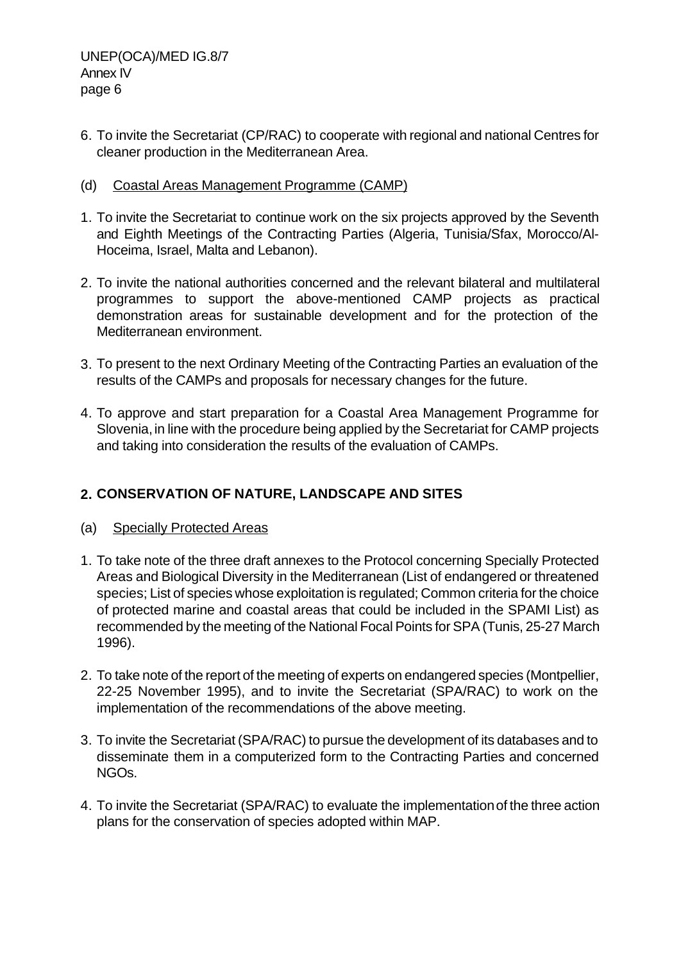- 6. To invite the Secretariat (CP/RAC) to cooperate with regional and national Centres for cleaner production in the Mediterranean Area.
- (d) Coastal Areas Management Programme (CAMP)
- 1. To invite the Secretariat to continue work on the six projects approved by the Seventh and Eighth Meetings of the Contracting Parties (Algeria, Tunisia/Sfax, Morocco/Al-Hoceima, Israel, Malta and Lebanon).
- 2. To invite the national authorities concerned and the relevant bilateral and multilateral programmes to support the above-mentioned CAMP projects as practical demonstration areas for sustainable development and for the protection of the Mediterranean environment.
- 3. To present to the next Ordinary Meeting of the Contracting Parties an evaluation of the results of the CAMPs and proposals for necessary changes for the future.
- 4. To approve and start preparation for a Coastal Area Management Programme for Slovenia, in line with the procedure being applied by the Secretariat for CAMP projects and taking into consideration the results of the evaluation of CAMPs.

# **2. CONSERVATION OF NATURE, LANDSCAPE AND SITES**

### (a) Specially Protected Areas

- 1. To take note of the three draft annexes to the Protocol concerning Specially Protected Areas and Biological Diversity in the Mediterranean (List of endangered or threatened species; List of species whose exploitation is regulated; Common criteria for the choice of protected marine and coastal areas that could be included in the SPAMI List) as recommended by the meeting of the National Focal Points for SPA (Tunis, 25-27 March 1996).
- 2. To take note of the report of the meeting of experts on endangered species (Montpellier, 22-25 November 1995), and to invite the Secretariat (SPA/RAC) to work on the implementation of the recommendations of the above meeting.
- 3. To invite the Secretariat (SPA/RAC) to pursue the development of its databases and to disseminate them in a computerized form to the Contracting Parties and concerned NGOs.
- 4. To invite the Secretariat (SPA/RAC) to evaluate the implementation of the three action plans for the conservation of species adopted within MAP.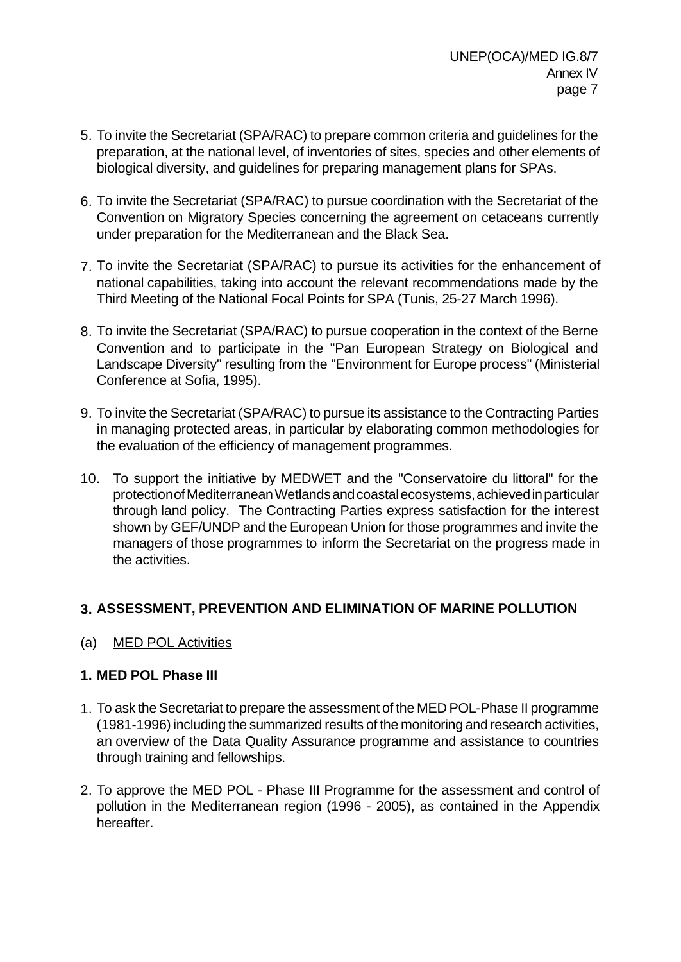- 5. To invite the Secretariat (SPA/RAC) to prepare common criteria and guidelines for the preparation, at the national level, of inventories of sites, species and other elements of biological diversity, and guidelines for preparing management plans for SPAs.
- 6. To invite the Secretariat (SPA/RAC) to pursue coordination with the Secretariat of the Convention on Migratory Species concerning the agreement on cetaceans currently under preparation for the Mediterranean and the Black Sea.
- 7. To invite the Secretariat (SPA/RAC) to pursue its activities for the enhancement of national capabilities, taking into account the relevant recommendations made by the Third Meeting of the National Focal Points for SPA (Tunis, 25-27 March 1996).
- 8. To invite the Secretariat (SPA/RAC) to pursue cooperation in the context of the Berne Convention and to participate in the "Pan European Strategy on Biological and Landscape Diversity" resulting from the "Environment for Europe process" (Ministerial Conference at Sofia, 1995).
- 9. To invite the Secretariat (SPA/RAC) to pursue its assistance to the Contracting Parties in managing protected areas, in particular by elaborating common methodologies for the evaluation of the efficiency of management programmes.
- 10. To support the initiative by MEDWET and the "Conservatoire du littoral" for the protection of Mediterranean Wetlands and coastal ecosystems, achieved in particular through land policy. The Contracting Parties express satisfaction for the interest shown by GEF/UNDP and the European Union for those programmes and invite the managers of those programmes to inform the Secretariat on the progress made in the activities.

# **3. ASSESSMENT, PREVENTION AND ELIMINATION OF MARINE POLLUTION**

(a) MED POL Activities

# **1. MED POL Phase III**

- 1. To ask the Secretariat to prepare the assessment of the MED POL-Phase II programme (1981-1996) including the summarized results of the monitoring and research activities, an overview of the Data Quality Assurance programme and assistance to countries through training and fellowships.
- 2. To approve the MED POL Phase III Programme for the assessment and control of pollution in the Mediterranean region (1996 - 2005), as contained in the Appendix hereafter.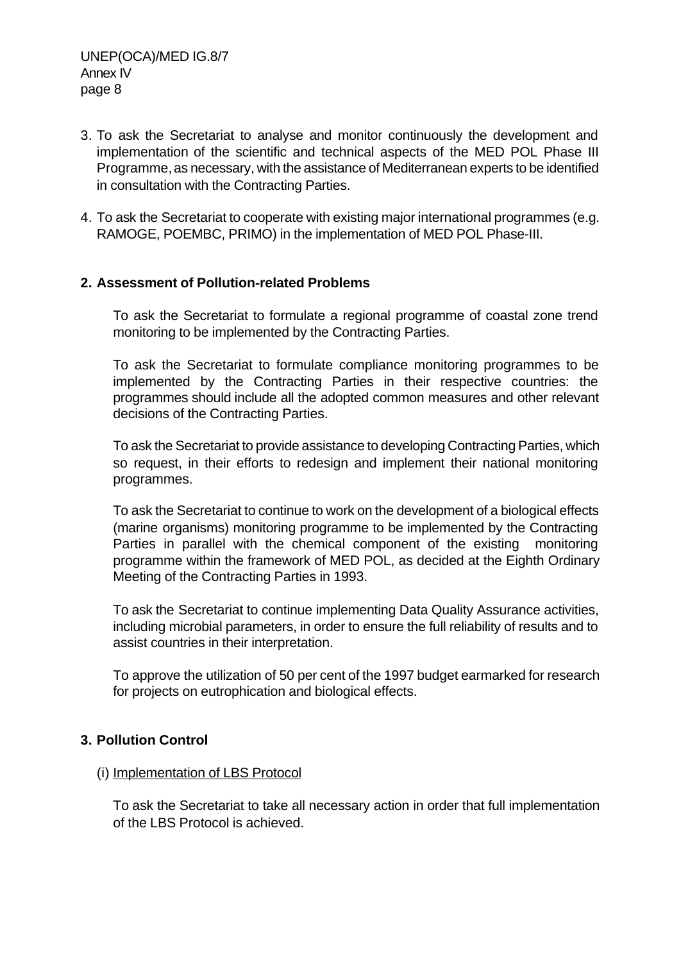- 3. To ask the Secretariat to analyse and monitor continuously the development and implementation of the scientific and technical aspects of the MED POL Phase III Programme, as necessary, with the assistance of Mediterranean experts to be identified in consultation with the Contracting Parties.
- 4. To ask the Secretariat to cooperate with existing major international programmes (e.g. RAMOGE, POEMBC, PRIMO) in the implementation of MED POL Phase-III.

### **2. Assessment of Pollution-related Problems**

To ask the Secretariat to formulate a regional programme of coastal zone trend monitoring to be implemented by the Contracting Parties.

To ask the Secretariat to formulate compliance monitoring programmes to be implemented by the Contracting Parties in their respective countries: the programmes should include all the adopted common measures and other relevant decisions of the Contracting Parties.

To ask the Secretariat to provide assistance to developing Contracting Parties, which so request, in their efforts to redesign and implement their national monitoring programmes.

To ask the Secretariat to continue to work on the development of a biological effects (marine organisms) monitoring programme to be implemented by the Contracting Parties in parallel with the chemical component of the existing monitoring programme within the framework of MED POL, as decided at the Eighth Ordinary Meeting of the Contracting Parties in 1993.

To ask the Secretariat to continue implementing Data Quality Assurance activities, including microbial parameters, in order to ensure the full reliability of results and to assist countries in their interpretation.

To approve the utilization of 50 per cent of the 1997 budget earmarked for research for projects on eutrophication and biological effects.

### **3. Pollution Control**

#### (i) Implementation of LBS Protocol

To ask the Secretariat to take all necessary action in order that full implementation of the LBS Protocol is achieved.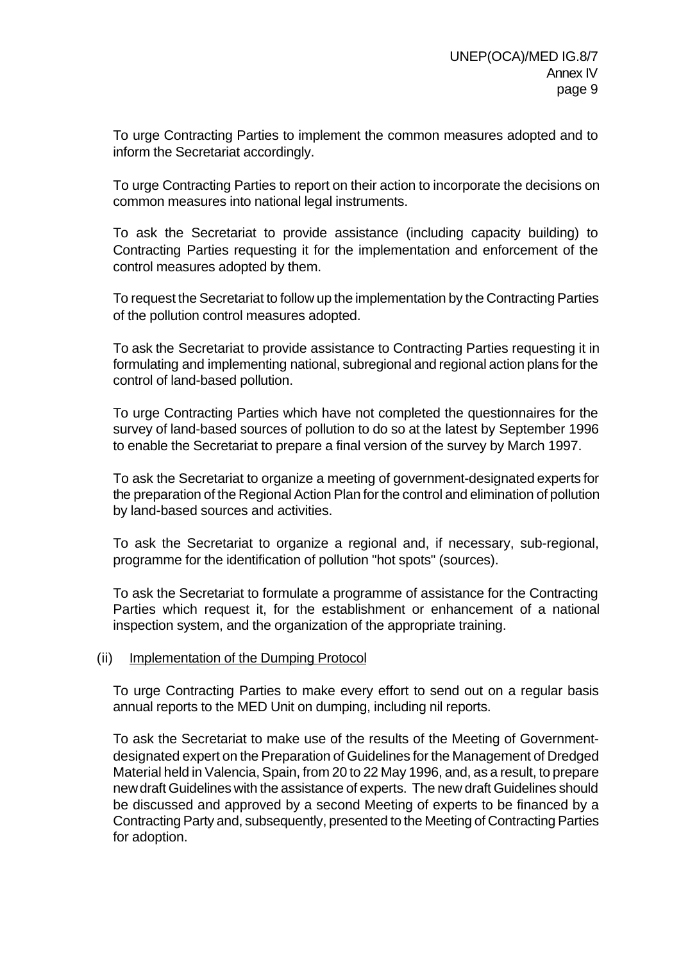To urge Contracting Parties to implement the common measures adopted and to inform the Secretariat accordingly.

To urge Contracting Parties to report on their action to incorporate the decisions on common measures into national legal instruments.

To ask the Secretariat to provide assistance (including capacity building) to Contracting Parties requesting it for the implementation and enforcement of the control measures adopted by them.

To request the Secretariat to follow up the implementation by the Contracting Parties of the pollution control measures adopted.

To ask the Secretariat to provide assistance to Contracting Parties requesting it in formulating and implementing national, subregional and regional action plans for the control of land-based pollution.

To urge Contracting Parties which have not completed the questionnaires for the survey of land-based sources of pollution to do so at the latest by September 1996 to enable the Secretariat to prepare a final version of the survey by March 1997.

To ask the Secretariat to organize a meeting of government-designated experts for the preparation of the Regional Action Plan for the control and elimination of pollution by land-based sources and activities.

To ask the Secretariat to organize a regional and, if necessary, sub-regional, programme for the identification of pollution "hot spots" (sources).

To ask the Secretariat to formulate a programme of assistance for the Contracting Parties which request it, for the establishment or enhancement of a national inspection system, and the organization of the appropriate training.

### (ii) Implementation of the Dumping Protocol

To urge Contracting Parties to make every effort to send out on a regular basis annual reports to the MED Unit on dumping, including nil reports.

To ask the Secretariat to make use of the results of the Meeting of Governmentdesignated expert on the Preparation of Guidelines for the Management of Dredged Material held in Valencia, Spain, from 20 to 22 May 1996, and, as a result, to prepare new draft Guidelines with the assistance of experts. The new draft Guidelines should be discussed and approved by a second Meeting of experts to be financed by a Contracting Party and, subsequently, presented to the Meeting of Contracting Parties for adoption.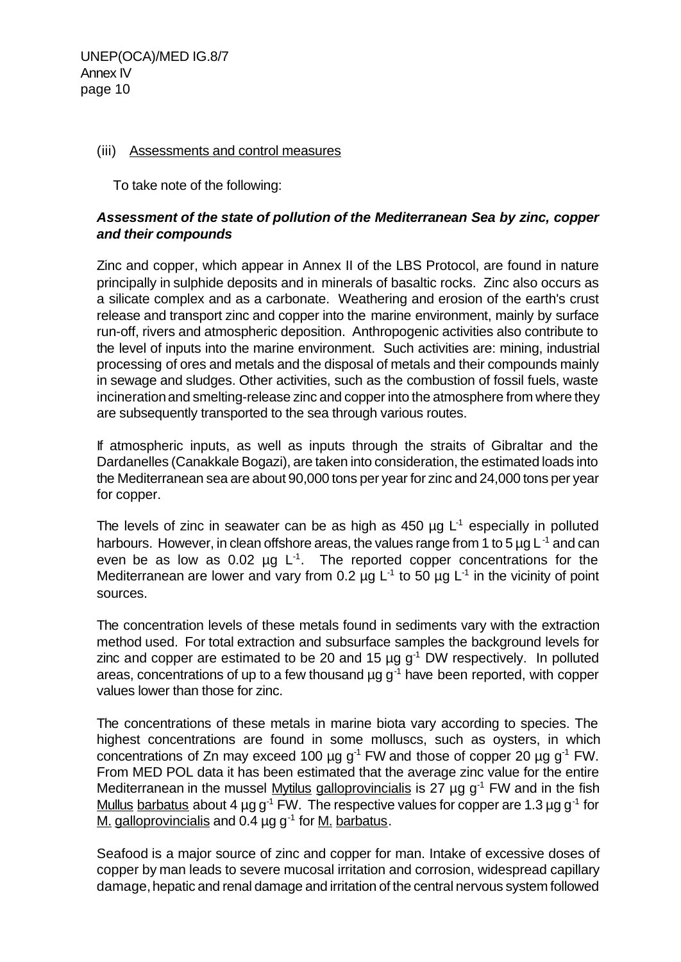#### (iii) Assessments and control measures

To take note of the following:

## *Assessment of the state of pollution of the Mediterranean Sea by zinc, copper and their compounds*

Zinc and copper, which appear in Annex II of the LBS Protocol, are found in nature principally in sulphide deposits and in minerals of basaltic rocks. Zinc also occurs as a silicate complex and as a carbonate. Weathering and erosion of the earth's crust release and transport zinc and copper into the marine environment, mainly by surface run-off, rivers and atmospheric deposition. Anthropogenic activities also contribute to the level of inputs into the marine environment. Such activities are: mining, industrial processing of ores and metals and the disposal of metals and their compounds mainly in sewage and sludges. Other activities, such as the combustion of fossil fuels, waste incineration and smelting-release zinc and copper into the atmosphere from where they are subsequently transported to the sea through various routes.

If atmospheric inputs, as well as inputs through the straits of Gibraltar and the Dardanelles (Canakkale Bogazi), are taken into consideration, the estimated loads into the Mediterranean sea are about 90,000 tons per year for zinc and 24,000 tons per year for copper.

The levels of zinc in seawater can be as high as  $450 \mu g L<sup>-1</sup>$  especially in polluted harbours. However, in clean offshore areas, the values range from 1 to 5  $\mu$ g L<sup>-1</sup> and can even be as low as 0.02  $\mu$ g L<sup>-1</sup>. The reported copper concentrations for the Mediterranean are lower and vary from 0.2  $\mu$ g L<sup>-1</sup> to 50  $\mu$ g L<sup>-1</sup> in the vicinity of point sources.

The concentration levels of these metals found in sediments vary with the extraction method used. For total extraction and subsurface samples the background levels for zinc and copper are estimated to be 20 and 15  $\mu$ g g<sup>-1</sup> DW respectively. In polluted areas, concentrations of up to a few thousand  $\mu$ g g<sup>-1</sup> have been reported, with copper values lower than those for zinc.

The concentrations of these metals in marine biota vary according to species. The highest concentrations are found in some molluscs, such as oysters, in which concentrations of Zn may exceed 100  $\mu$ g g<sup>-1</sup> FW and those of copper 20  $\mu$ g g<sup>-1</sup> FW. From MED POL data it has been estimated that the average zinc value for the entire Mediterranean in the mussel Mytilus galloprovincialis is 27  $\mu$ g g<sup>-1</sup> FW and in the fish Mullus barbatus about 4  $\mu$ g g<sup>-1</sup> FW. The respective values for copper are 1.3  $\mu$ g g<sup>-1</sup> for M. galloprovincialis and 0.4  $\mu$ g g<sup>-1</sup> for M. barbatus.

Seafood is a major source of zinc and copper for man. Intake of excessive doses of copper by man leads to severe mucosal irritation and corrosion, widespread capillary damage, hepatic and renal damage and irritation of the central nervous system followed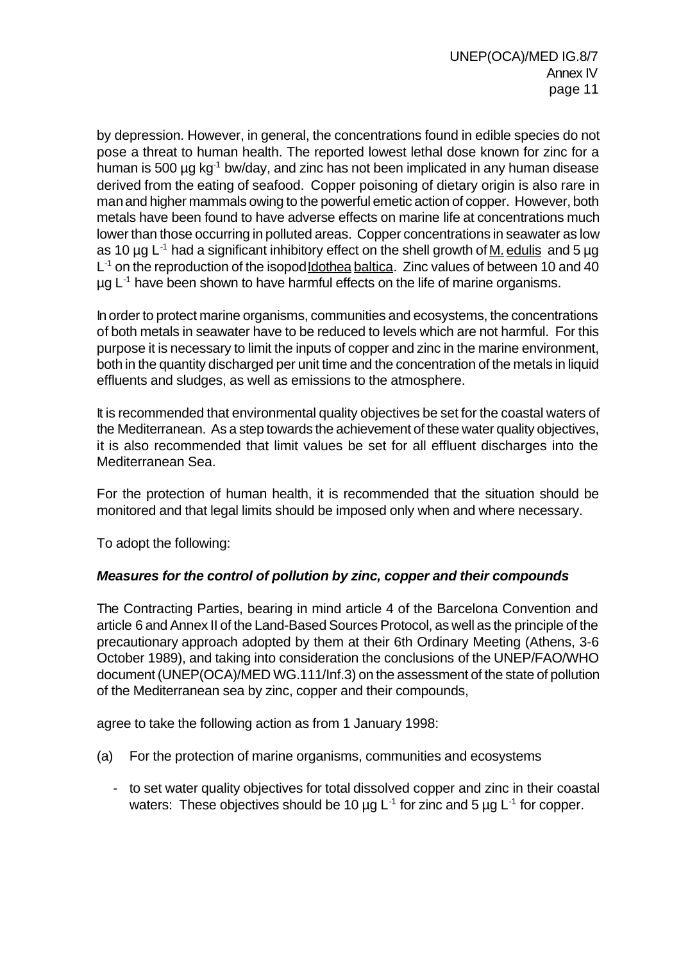by depression. However, in general, the concentrations found in edible species do not pose a threat to human health. The reported lowest lethal dose known for zinc for a human is 500 µg kg<sup>-1</sup> bw/day, and zinc has not been implicated in any human disease derived from the eating of seafood. Copper poisoning of dietary origin is also rare in man and higher mammals owing to the powerful emetic action of copper. However, both metals have been found to have adverse effects on marine life at concentrations much lower than those occurring in polluted areas. Copper concentrations in seawater as low as 10  $\mu$ g L<sup>-1</sup> had a significant inhibitory effect on the shell growth of <u>M. edulis</u> and 5  $\mu$ g L<sup>-1</sup> on the reproduction of the isopod Idothea baltica. Zinc values of between 10 and 40  $\mu$ g L<sup>-1</sup> have been shown to have harmful effects on the life of marine organisms.

In order to protect marine organisms, communities and ecosystems, the concentrations of both metals in seawater have to be reduced to levels which are not harmful. For this purpose it is necessary to limit the inputs of copper and zinc in the marine environment, both in the quantity discharged per unit time and the concentration of the metals in liquid effluents and sludges, as well as emissions to the atmosphere.

It is recommended that environmental quality objectives be set for the coastal waters of the Mediterranean. As a step towards the achievement of these water quality objectives, it is also recommended that limit values be set for all effluent discharges into the Mediterranean Sea.

For the protection of human health, it is recommended that the situation should be monitored and that legal limits should be imposed only when and where necessary.

To adopt the following:

# *Measures for the control of pollution by zinc, copper and their compounds*

The Contracting Parties, bearing in mind article 4 of the Barcelona Convention and article 6 and Annex II of the Land-Based Sources Protocol, as well as the principle of the precautionary approach adopted by them at their 6th Ordinary Meeting (Athens, 3-6 October 1989), and taking into consideration the conclusions of the UNEP/FAO/WHO document (UNEP(OCA)/MED WG.111/Inf.3) on the assessment of the state of pollution of the Mediterranean sea by zinc, copper and their compounds,

agree to take the following action as from 1 January 1998:

- (a) For the protection of marine organisms, communities and ecosystems
	- to set water quality objectives for total dissolved copper and zinc in their coastal waters: These objectives should be 10  $\mu$ g L<sup>-1</sup> for zinc and 5  $\mu$ g L<sup>-1</sup> for copper.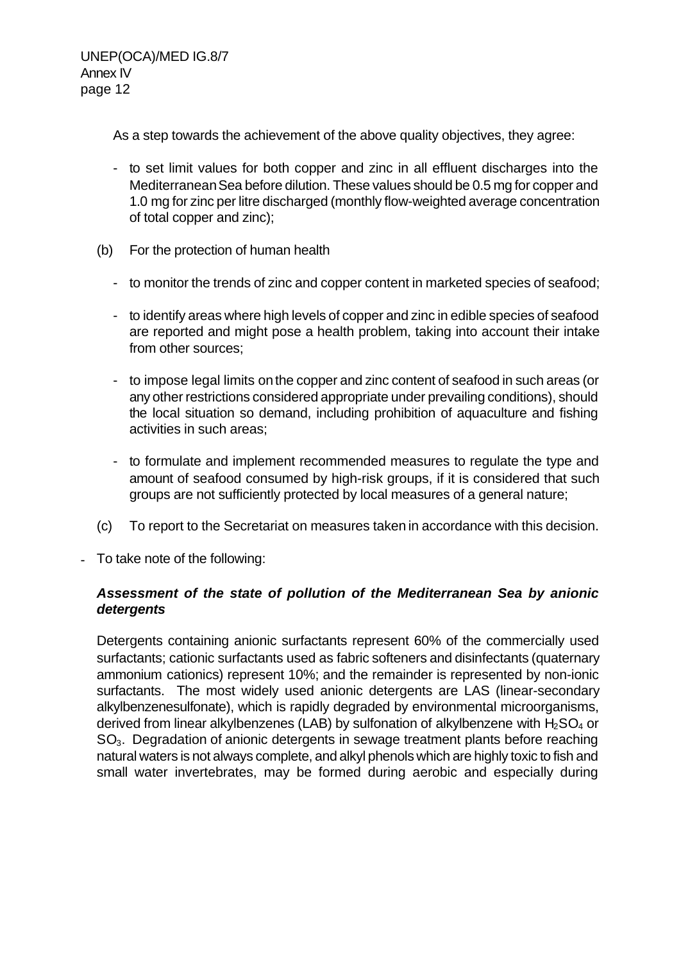As a step towards the achievement of the above quality objectives, they agree:

- to set limit values for both copper and zinc in all effluent discharges into the Mediterranean Sea before dilution. These values should be 0.5 mg for copper and 1.0 mg for zinc per litre discharged (monthly flow-weighted average concentration of total copper and zinc);
- (b) For the protection of human health
	- to monitor the trends of zinc and copper content in marketed species of seafood;
	- to identify areas where high levels of copper and zinc in edible species of seafood are reported and might pose a health problem, taking into account their intake from other sources;
	- to impose legal limits on the copper and zinc content of seafood in such areas (or any other restrictions considered appropriate under prevailing conditions), should the local situation so demand, including prohibition of aquaculture and fishing activities in such areas;
	- to formulate and implement recommended measures to regulate the type and amount of seafood consumed by high-risk groups, if it is considered that such groups are not sufficiently protected by local measures of a general nature;
- (c) To report to the Secretariat on measures taken in accordance with this decision.
- To take note of the following:

## *Assessment of the state of pollution of the Mediterranean Sea by anionic detergents*

Detergents containing anionic surfactants represent 60% of the commercially used surfactants; cationic surfactants used as fabric softeners and disinfectants (quaternary ammonium cationics) represent 10%; and the remainder is represented by non-ionic surfactants. The most widely used anionic detergents are LAS (linear-secondary alkylbenzenesulfonate), which is rapidly degraded by environmental microorganisms, derived from linear alkylbenzenes (LAB) by sulfonation of alkylbenzene with  $H_2SO_4$  or SO<sub>3</sub>. Degradation of anionic detergents in sewage treatment plants before reaching natural waters is not always complete, and alkyl phenols which are highly toxic to fish and small water invertebrates, may be formed during aerobic and especially during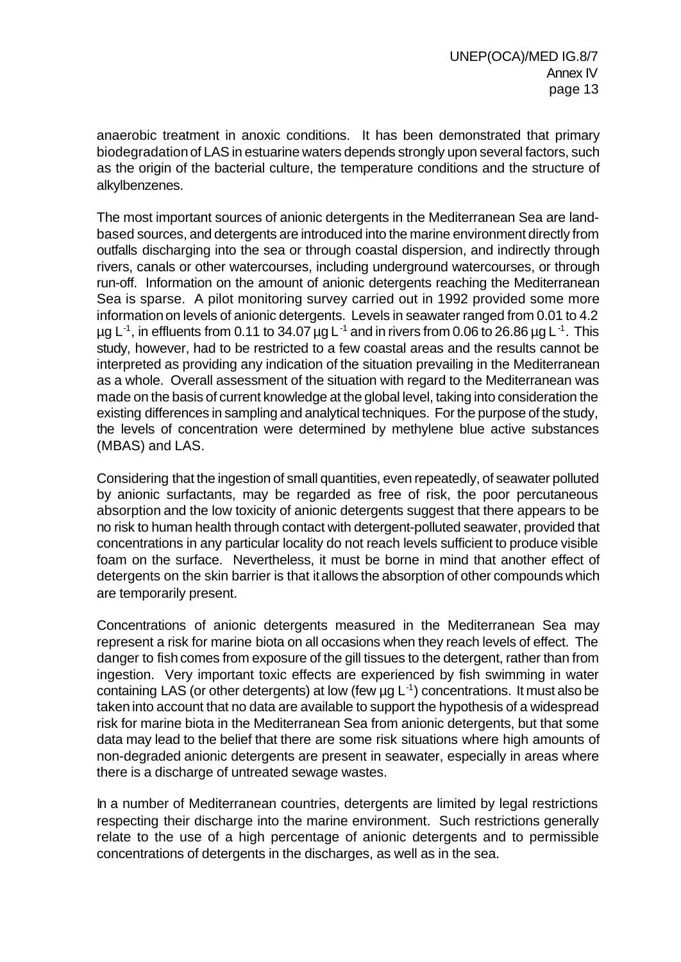anaerobic treatment in anoxic conditions. It has been demonstrated that primary biodegradation of LAS in estuarine waters depends strongly upon several factors, such as the origin of the bacterial culture, the temperature conditions and the structure of alkylbenzenes.

The most important sources of anionic detergents in the Mediterranean Sea are landbased sources, and detergents are introduced into the marine environment directly from outfalls discharging into the sea or through coastal dispersion, and indirectly through rivers, canals or other watercourses, including underground watercourses, or through run-off. Information on the amount of anionic detergents reaching the Mediterranean Sea is sparse. A pilot monitoring survey carried out in 1992 provided some more information on levels of anionic detergents. Levels in seawater ranged from 0.01 to 4.2  $\mu$ g L<sup>-1</sup>, in effluents from 0.11 to 34.07  $\mu$ g L<sup>-1</sup> and in rivers from 0.06 to 26.86  $\mu$ g L<sup>-1</sup>. This study, however, had to be restricted to a few coastal areas and the results cannot be interpreted as providing any indication of the situation prevailing in the Mediterranean as a whole. Overall assessment of the situation with regard to the Mediterranean was made on the basis of current knowledge at the global level, taking into consideration the existing differences in sampling and analytical techniques. For the purpose of the study, the levels of concentration were determined by methylene blue active substances (MBAS) and LAS.

Considering that the ingestion of small quantities, even repeatedly, of seawater polluted by anionic surfactants, may be regarded as free of risk, the poor percutaneous absorption and the low toxicity of anionic detergents suggest that there appears to be no risk to human health through contact with detergent-polluted seawater, provided that concentrations in any particular locality do not reach levels sufficient to produce visible foam on the surface. Nevertheless, it must be borne in mind that another effect of detergents on the skin barrier is that it allows the absorption of other compounds which are temporarily present.

Concentrations of anionic detergents measured in the Mediterranean Sea may represent a risk for marine biota on all occasions when they reach levels of effect. The danger to fish comes from exposure of the gill tissues to the detergent, rather than from ingestion. Very important toxic effects are experienced by fish swimming in water containing LAS (or other detergents) at low (few  $\mu$ g L<sup>-1</sup>) concentrations. It must also be taken into account that no data are available to support the hypothesis of a widespread risk for marine biota in the Mediterranean Sea from anionic detergents, but that some data may lead to the belief that there are some risk situations where high amounts of non-degraded anionic detergents are present in seawater, especially in areas where there is a discharge of untreated sewage wastes.

In a number of Mediterranean countries, detergents are limited by legal restrictions respecting their discharge into the marine environment. Such restrictions generally relate to the use of a high percentage of anionic detergents and to permissible concentrations of detergents in the discharges, as well as in the sea.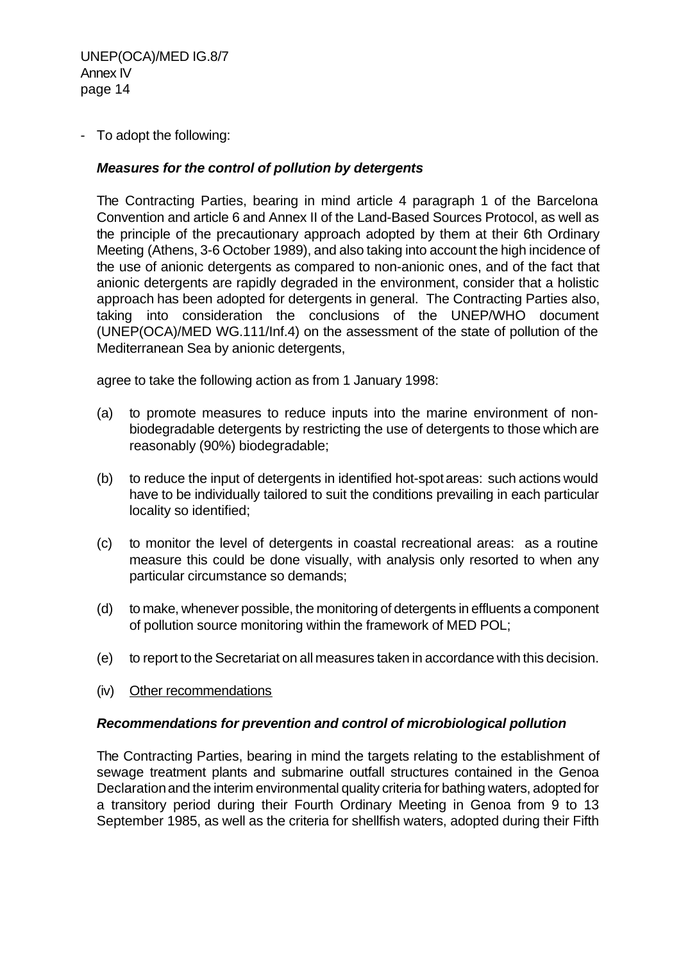- To adopt the following:

### *Measures for the control of pollution by detergents*

The Contracting Parties, bearing in mind article 4 paragraph 1 of the Barcelona Convention and article 6 and Annex II of the Land-Based Sources Protocol, as well as the principle of the precautionary approach adopted by them at their 6th Ordinary Meeting (Athens, 3-6 October 1989), and also taking into account the high incidence of the use of anionic detergents as compared to non-anionic ones, and of the fact that anionic detergents are rapidly degraded in the environment, consider that a holistic approach has been adopted for detergents in general. The Contracting Parties also, taking into consideration the conclusions of the UNEP/WHO document (UNEP(OCA)/MED WG.111/Inf.4) on the assessment of the state of pollution of the Mediterranean Sea by anionic detergents,

agree to take the following action as from 1 January 1998:

- (a) to promote measures to reduce inputs into the marine environment of nonbiodegradable detergents by restricting the use of detergents to those which are reasonably (90%) biodegradable;
- (b) to reduce the input of detergents in identified hot-spot areas: such actions would have to be individually tailored to suit the conditions prevailing in each particular locality so identified;
- (c) to monitor the level of detergents in coastal recreational areas: as a routine measure this could be done visually, with analysis only resorted to when any particular circumstance so demands;
- (d) to make, whenever possible, the monitoring of detergents in effluents a component of pollution source monitoring within the framework of MED POL;
- (e) to report to the Secretariat on all measures taken in accordance with this decision.
- (iv) Other recommendations

#### *Recommendations for prevention and control of microbiological pollution*

The Contracting Parties, bearing in mind the targets relating to the establishment of sewage treatment plants and submarine outfall structures contained in the Genoa Declaration and the interim environmental quality criteria for bathing waters, adopted for a transitory period during their Fourth Ordinary Meeting in Genoa from 9 to 13 September 1985, as well as the criteria for shellfish waters, adopted during their Fifth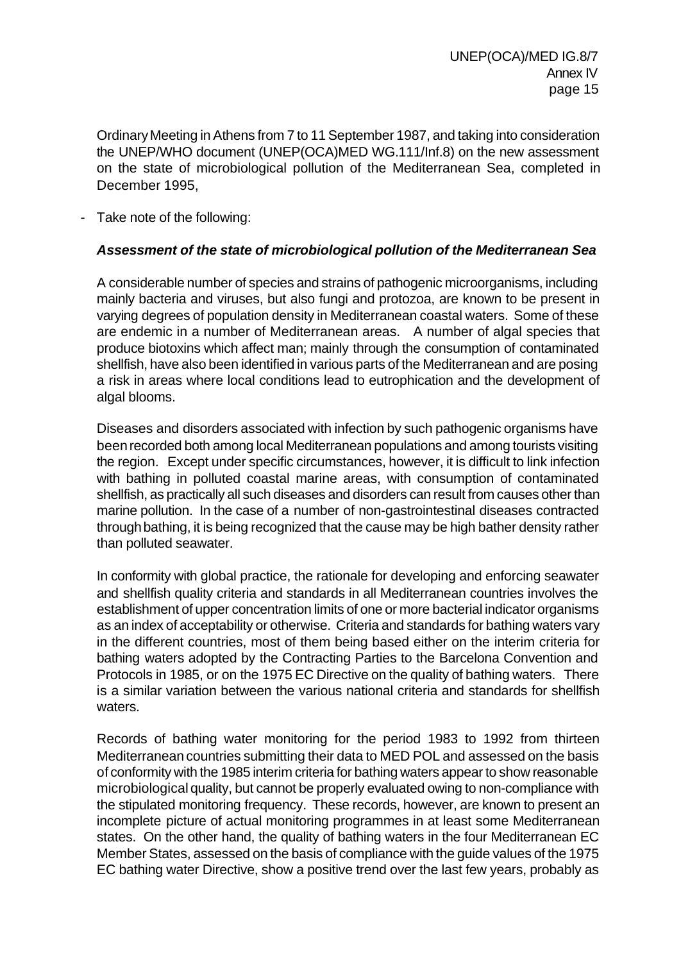Ordinary Meeting in Athens from 7 to 11 September 1987, and taking into consideration the UNEP/WHO document (UNEP(OCA)MED WG.111/Inf.8) on the new assessment on the state of microbiological pollution of the Mediterranean Sea, completed in December 1995,

- Take note of the following:

# *Assessment of the state of microbiological pollution of the Mediterranean Sea*

A considerable number of species and strains of pathogenic microorganisms, including mainly bacteria and viruses, but also fungi and protozoa, are known to be present in varying degrees of population density in Mediterranean coastal waters. Some of these are endemic in a number of Mediterranean areas. A number of algal species that produce biotoxins which affect man; mainly through the consumption of contaminated shellfish, have also been identified in various parts of the Mediterranean and are posing a risk in areas where local conditions lead to eutrophication and the development of algal blooms.

Diseases and disorders associated with infection by such pathogenic organisms have been recorded both among local Mediterranean populations and among tourists visiting the region. Except under specific circumstances, however, it is difficult to link infection with bathing in polluted coastal marine areas, with consumption of contaminated shellfish, as practically all such diseases and disorders can result from causes other than marine pollution. In the case of a number of non-gastrointestinal diseases contracted through bathing, it is being recognized that the cause may be high bather density rather than polluted seawater.

In conformity with global practice, the rationale for developing and enforcing seawater and shellfish quality criteria and standards in all Mediterranean countries involves the establishment of upper concentration limits of one or more bacterial indicator organisms as an index of acceptability or otherwise. Criteria and standards for bathing waters vary in the different countries, most of them being based either on the interim criteria for bathing waters adopted by the Contracting Parties to the Barcelona Convention and Protocols in 1985, or on the 1975 EC Directive on the quality of bathing waters. There is a similar variation between the various national criteria and standards for shellfish waters.

Records of bathing water monitoring for the period 1983 to 1992 from thirteen Mediterranean countries submitting their data to MED POL and assessed on the basis of conformity with the 1985 interim criteria for bathing waters appear to show reasonable microbiological quality, but cannot be properly evaluated owing to non-compliance with the stipulated monitoring frequency. These records, however, are known to present an incomplete picture of actual monitoring programmes in at least some Mediterranean states. On the other hand, the quality of bathing waters in the four Mediterranean EC Member States, assessed on the basis of compliance with the guide values of the 1975 EC bathing water Directive, show a positive trend over the last few years, probably as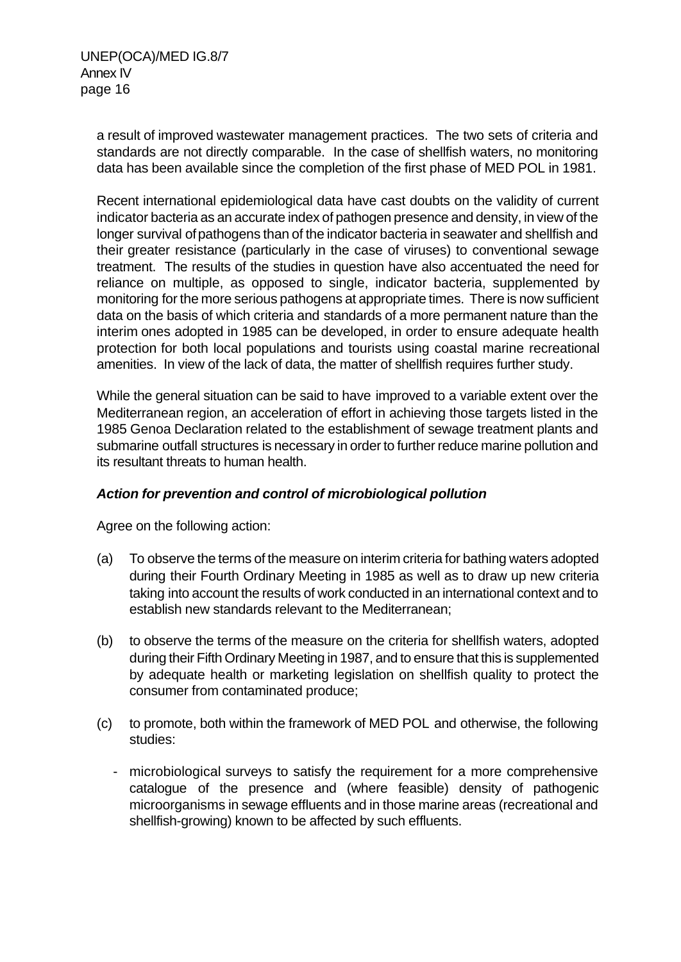a result of improved wastewater management practices. The two sets of criteria and standards are not directly comparable. In the case of shellfish waters, no monitoring data has been available since the completion of the first phase of MED POL in 1981.

Recent international epidemiological data have cast doubts on the validity of current indicator bacteria as an accurate index of pathogen presence and density, in view of the longer survival of pathogens than of the indicator bacteria in seawater and shellfish and their greater resistance (particularly in the case of viruses) to conventional sewage treatment. The results of the studies in question have also accentuated the need for reliance on multiple, as opposed to single, indicator bacteria, supplemented by monitoring for the more serious pathogens at appropriate times. There is now sufficient data on the basis of which criteria and standards of a more permanent nature than the interim ones adopted in 1985 can be developed, in order to ensure adequate health protection for both local populations and tourists using coastal marine recreational amenities. In view of the lack of data, the matter of shellfish requires further study.

While the general situation can be said to have improved to a variable extent over the Mediterranean region, an acceleration of effort in achieving those targets listed in the 1985 Genoa Declaration related to the establishment of sewage treatment plants and submarine outfall structures is necessary in order to further reduce marine pollution and its resultant threats to human health.

### *Action for prevention and control of microbiological pollution*

Agree on the following action:

- (a) To observe the terms of the measure on interim criteria for bathing waters adopted during their Fourth Ordinary Meeting in 1985 as well as to draw up new criteria taking into account the results of work conducted in an international context and to establish new standards relevant to the Mediterranean;
- (b) to observe the terms of the measure on the criteria for shellfish waters, adopted during their Fifth Ordinary Meeting in 1987, and to ensure that this is supplemented by adequate health or marketing legislation on shellfish quality to protect the consumer from contaminated produce;
- (c) to promote, both within the framework of MED POL and otherwise, the following studies:
	- microbiological surveys to satisfy the requirement for a more comprehensive catalogue of the presence and (where feasible) density of pathogenic microorganisms in sewage effluents and in those marine areas (recreational and shellfish-growing) known to be affected by such effluents.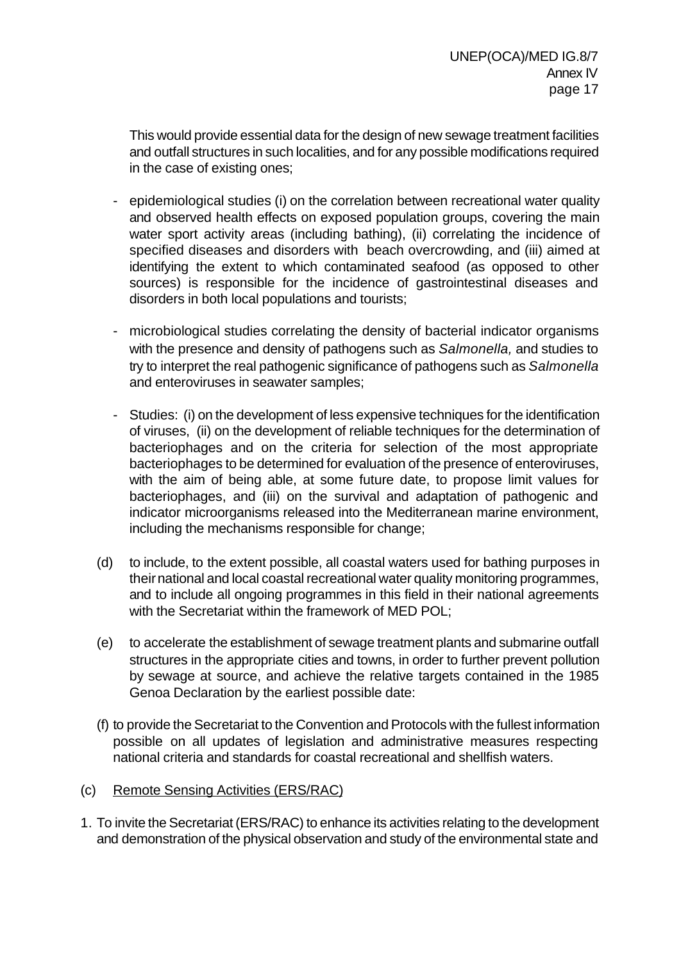This would provide essential data for the design of new sewage treatment facilities and outfall structures in such localities, and for any possible modifications required in the case of existing ones;

- epidemiological studies (i) on the correlation between recreational water quality and observed health effects on exposed population groups, covering the main water sport activity areas (including bathing), (ii) correlating the incidence of specified diseases and disorders with beach overcrowding, and (iii) aimed at identifying the extent to which contaminated seafood (as opposed to other sources) is responsible for the incidence of gastrointestinal diseases and disorders in both local populations and tourists;
- microbiological studies correlating the density of bacterial indicator organisms with the presence and density of pathogens such as *Salmonella,* and studies to try to interpret the real pathogenic significance of pathogens such as *Salmonella* and enteroviruses in seawater samples;
- Studies: (i) on the development of less expensive techniques for the identification of viruses, (ii) on the development of reliable techniques for the determination of bacteriophages and on the criteria for selection of the most appropriate bacteriophages to be determined for evaluation of the presence of enteroviruses, with the aim of being able, at some future date, to propose limit values for bacteriophages, and (iii) on the survival and adaptation of pathogenic and indicator microorganisms released into the Mediterranean marine environment, including the mechanisms responsible for change;
- (d) to include, to the extent possible, all coastal waters used for bathing purposes in their national and local coastal recreational water quality monitoring programmes, and to include all ongoing programmes in this field in their national agreements with the Secretariat within the framework of MED POL;
- (e) to accelerate the establishment of sewage treatment plants and submarine outfall structures in the appropriate cities and towns, in order to further prevent pollution by sewage at source, and achieve the relative targets contained in the 1985 Genoa Declaration by the earliest possible date:
- (f) to provide the Secretariat to the Convention and Protocols with the fullest information possible on all updates of legislation and administrative measures respecting national criteria and standards for coastal recreational and shellfish waters.

### (c) Remote Sensing Activities (ERS/RAC)

1. To invite the Secretariat (ERS/RAC) to enhance its activities relating to the development and demonstration of the physical observation and study of the environmental state and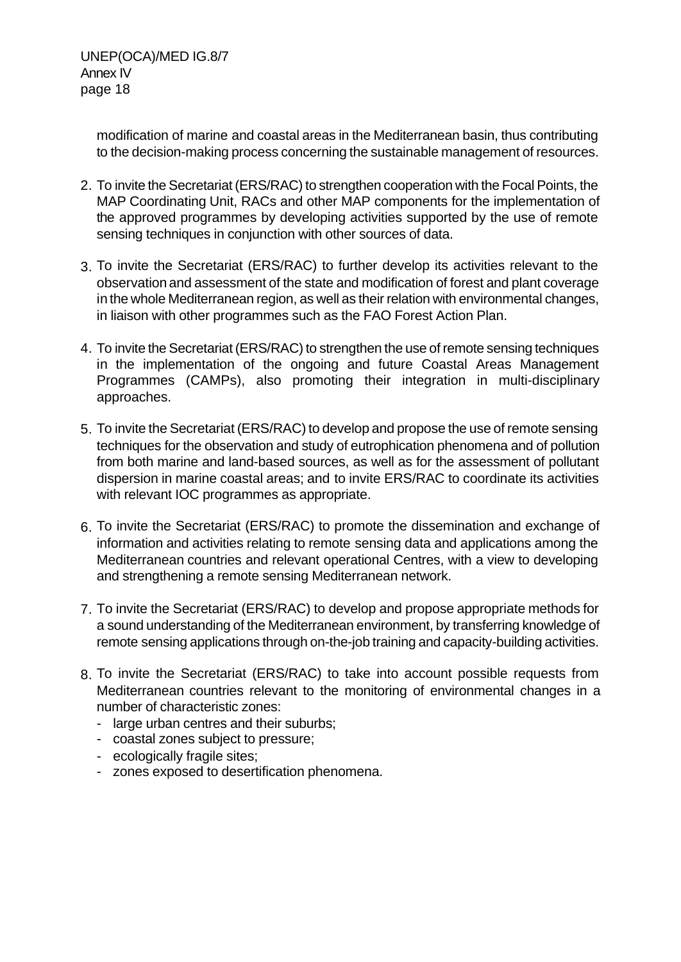modification of marine and coastal areas in the Mediterranean basin, thus contributing to the decision-making process concerning the sustainable management of resources.

- 2. To invite the Secretariat (ERS/RAC) to strengthen cooperation with the Focal Points, the MAP Coordinating Unit, RACs and other MAP components for the implementation of the approved programmes by developing activities supported by the use of remote sensing techniques in conjunction with other sources of data.
- 3. To invite the Secretariat (ERS/RAC) to further develop its activities relevant to the observation and assessment of the state and modification of forest and plant coverage in the whole Mediterranean region, as well as their relation with environmental changes, in liaison with other programmes such as the FAO Forest Action Plan.
- 4. To invite the Secretariat (ERS/RAC) to strengthen the use of remote sensing techniques in the implementation of the ongoing and future Coastal Areas Management Programmes (CAMPs), also promoting their integration in multi-disciplinary approaches.
- 5. To invite the Secretariat (ERS/RAC) to develop and propose the use of remote sensing techniques for the observation and study of eutrophication phenomena and of pollution from both marine and land-based sources, as well as for the assessment of pollutant dispersion in marine coastal areas; and to invite ERS/RAC to coordinate its activities with relevant IOC programmes as appropriate.
- 6. To invite the Secretariat (ERS/RAC) to promote the dissemination and exchange of information and activities relating to remote sensing data and applications among the Mediterranean countries and relevant operational Centres, with a view to developing and strengthening a remote sensing Mediterranean network.
- 7. To invite the Secretariat (ERS/RAC) to develop and propose appropriate methods for a sound understanding of the Mediterranean environment, by transferring knowledge of remote sensing applications through on-the-job training and capacity-building activities.
- 8. To invite the Secretariat (ERS/RAC) to take into account possible requests from Mediterranean countries relevant to the monitoring of environmental changes in a number of characteristic zones:
	- large urban centres and their suburbs;
	- coastal zones subject to pressure;
	- ecologically fragile sites;
	- zones exposed to desertification phenomena.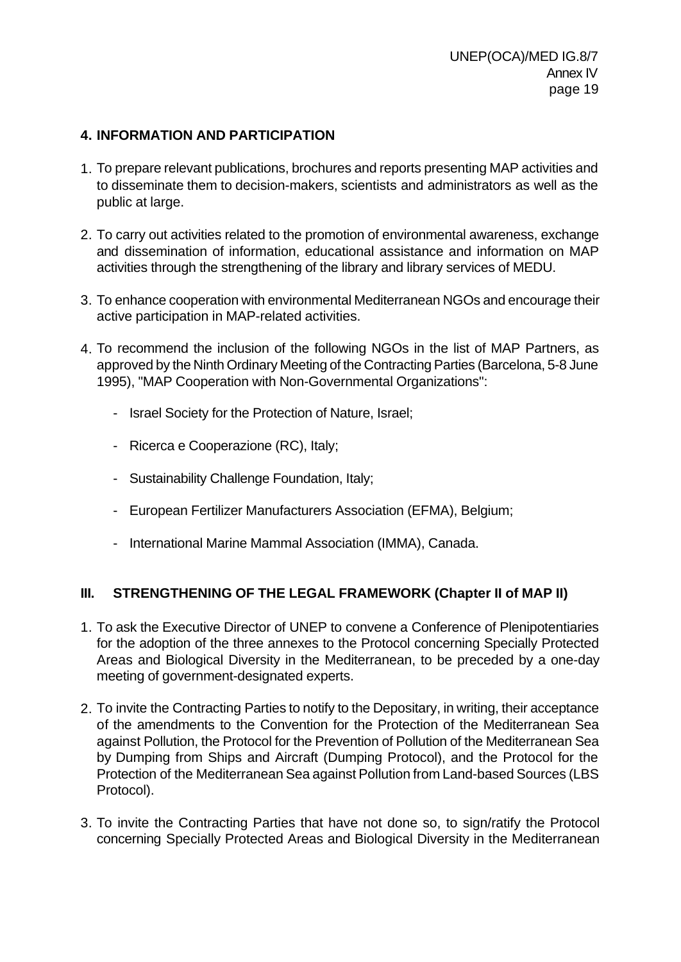# **4. INFORMATION AND PARTICIPATION**

- 1. To prepare relevant publications, brochures and reports presenting MAP activities and to disseminate them to decision-makers, scientists and administrators as well as the public at large.
- 2. To carry out activities related to the promotion of environmental awareness, exchange and dissemination of information, educational assistance and information on MAP activities through the strengthening of the library and library services of MEDU.
- 3. To enhance cooperation with environmental Mediterranean NGOs and encourage their active participation in MAP-related activities.
- 4. To recommend the inclusion of the following NGOs in the list of MAP Partners, as approved by the Ninth Ordinary Meeting of the Contracting Parties (Barcelona, 5-8 June 1995), "MAP Cooperation with Non-Governmental Organizations":
	- Israel Society for the Protection of Nature, Israel;
	- Ricerca e Cooperazione (RC), Italy;
	- Sustainability Challenge Foundation, Italy;
	- European Fertilizer Manufacturers Association (EFMA), Belgium;
	- International Marine Mammal Association (IMMA), Canada.

# **III. STRENGTHENING OF THE LEGAL FRAMEWORK (Chapter II of MAP II)**

- 1. To ask the Executive Director of UNEP to convene a Conference of Plenipotentiaries for the adoption of the three annexes to the Protocol concerning Specially Protected Areas and Biological Diversity in the Mediterranean, to be preceded by a one-day meeting of government-designated experts.
- 2. To invite the Contracting Parties to notify to the Depositary, in writing, their acceptance of the amendments to the Convention for the Protection of the Mediterranean Sea against Pollution, the Protocol for the Prevention of Pollution of the Mediterranean Sea by Dumping from Ships and Aircraft (Dumping Protocol), and the Protocol for the Protection of the Mediterranean Sea against Pollution from Land-based Sources (LBS Protocol).
- 3. To invite the Contracting Parties that have not done so, to sign/ratify the Protocol concerning Specially Protected Areas and Biological Diversity in the Mediterranean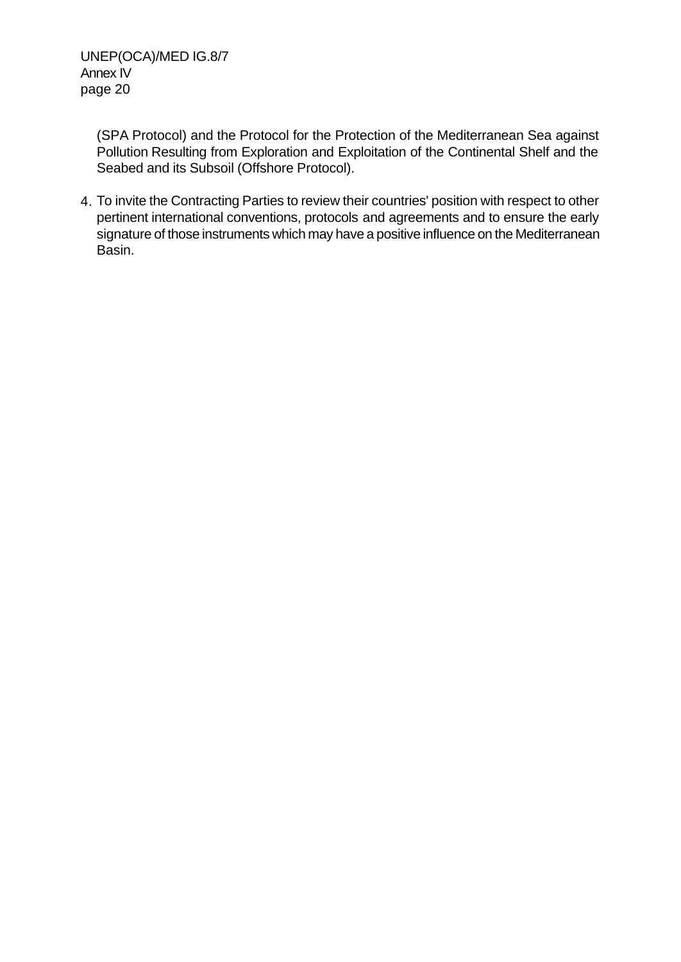(SPA Protocol) and the Protocol for the Protection of the Mediterranean Sea against Pollution Resulting from Exploration and Exploitation of the Continental Shelf and the Seabed and its Subsoil (Offshore Protocol).

4. To invite the Contracting Parties to review their countries' position with respect to other pertinent international conventions, protocols and agreements and to ensure the early signature of those instruments which may have a positive influence on the Mediterranean Basin.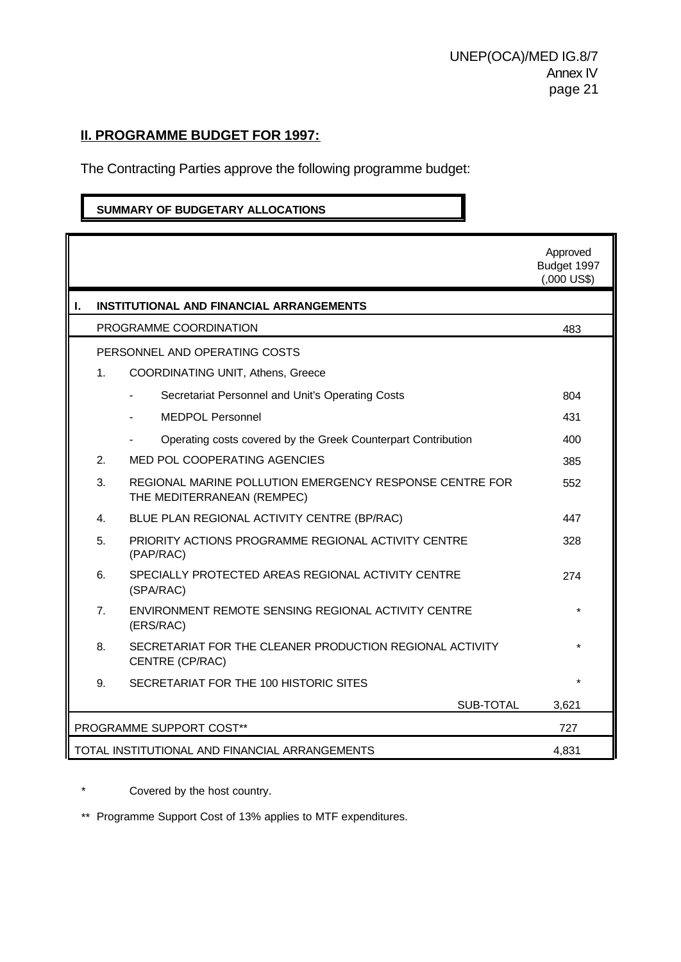# **II. PROGRAMME BUDGET FOR 1997:**

The Contracting Parties approve the following programme budget:

#### **SUMMARY OF BUDGETARY ALLOCATIONS**

|                |                                                                                       | Approved<br>Budget 1997<br>$(.000 \text{ US$})$ |
|----------------|---------------------------------------------------------------------------------------|-------------------------------------------------|
|                | <b>INSTITUTIONAL AND FINANCIAL ARRANGEMENTS</b>                                       |                                                 |
|                | PROGRAMME COORDINATION                                                                | 483                                             |
|                | PERSONNEL AND OPERATING COSTS                                                         |                                                 |
| 1.             | COORDINATING UNIT, Athens, Greece                                                     |                                                 |
|                | Secretariat Personnel and Unit's Operating Costs                                      | 804                                             |
|                | <b>MEDPOL Personnel</b>                                                               | 431                                             |
|                | Operating costs covered by the Greek Counterpart Contribution                         | 400                                             |
| 2 <sub>1</sub> | <b>MED POL COOPERATING AGENCIES</b>                                                   | 385                                             |
| 3.             | REGIONAL MARINE POLLUTION EMERGENCY RESPONSE CENTRE FOR<br>THE MEDITERRANEAN (REMPEC) | 552                                             |
| 4.             | BLUE PLAN REGIONAL ACTIVITY CENTRE (BP/RAC)                                           | 447                                             |
| 5.             | PRIORITY ACTIONS PROGRAMME REGIONAL ACTIVITY CENTRE<br>(PAP/RAC)                      | 328                                             |
| 6.             | SPECIALLY PROTECTED AREAS REGIONAL ACTIVITY CENTRE<br>(SPA/RAC)                       | 274                                             |
| $7_{\cdot}$    | ENVIRONMENT REMOTE SENSING REGIONAL ACTIVITY CENTRE<br>(ERS/RAC)                      |                                                 |
| 8.             | SECRETARIAT FOR THE CLEANER PRODUCTION REGIONAL ACTIVITY<br>CENTRE (CP/RAC)           |                                                 |
| 9.             | SECRETARIAT FOR THE 100 HISTORIC SITES                                                |                                                 |
|                | SUB-TOTAL                                                                             | 3,621                                           |
|                | PROGRAMME SUPPORT COST**                                                              | 727                                             |
|                | TOTAL INSTITUTIONAL AND FINANCIAL ARRANGEMENTS                                        | 4,831                                           |

Covered by the host country.

\*\* Programme Support Cost of 13% applies to MTF expenditures.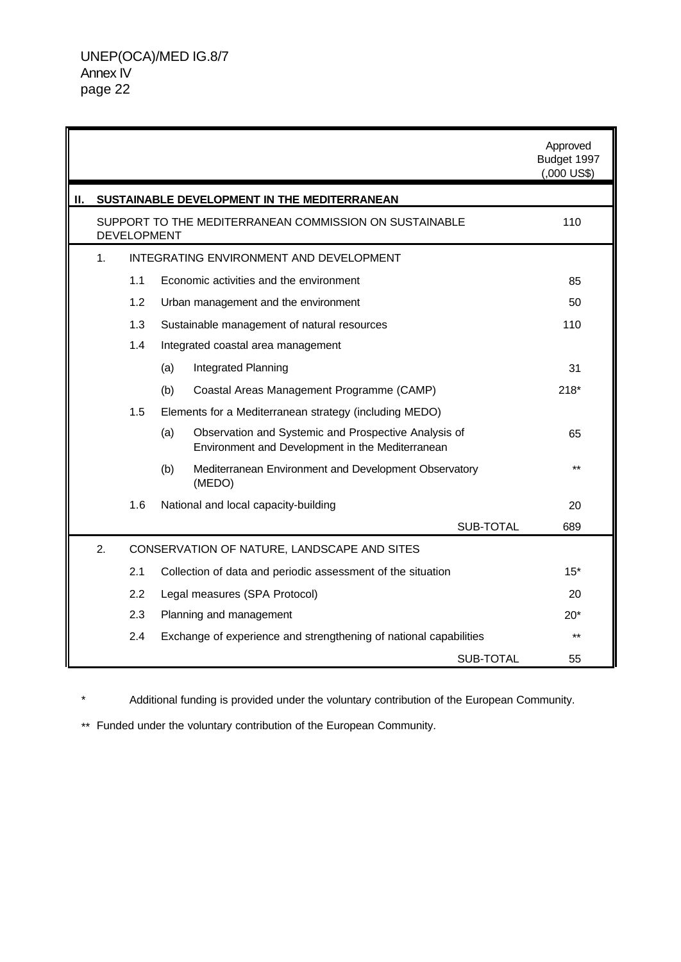|    |                |                    |     |                                                                                                          |           | Approved<br>Budget 1997<br>$(.000 \text{ US$})$ |
|----|----------------|--------------------|-----|----------------------------------------------------------------------------------------------------------|-----------|-------------------------------------------------|
| Н. |                |                    |     | SUSTAINABLE DEVELOPMENT IN THE MEDITERRANEAN                                                             |           |                                                 |
|    |                | <b>DEVELOPMENT</b> |     | SUPPORT TO THE MEDITERRANEAN COMMISSION ON SUSTAINABLE                                                   |           | 110                                             |
|    | 1 <sub>1</sub> |                    |     | INTEGRATING ENVIRONMENT AND DEVELOPMENT                                                                  |           |                                                 |
|    |                | 1.1                |     | Economic activities and the environment                                                                  |           | 85                                              |
|    |                | 1.2                |     | Urban management and the environment                                                                     |           | 50                                              |
|    |                | 1.3                |     | Sustainable management of natural resources                                                              |           | 110                                             |
|    |                | 1.4                |     | Integrated coastal area management                                                                       |           |                                                 |
|    |                |                    | (a) | Integrated Planning                                                                                      |           | 31                                              |
|    |                |                    | (b) | Coastal Areas Management Programme (CAMP)                                                                |           | $218*$                                          |
|    |                | 1.5                |     | Elements for a Mediterranean strategy (including MEDO)                                                   |           |                                                 |
|    |                |                    | (a) | Observation and Systemic and Prospective Analysis of<br>Environment and Development in the Mediterranean |           | 65                                              |
|    |                |                    | (b) | Mediterranean Environment and Development Observatory<br>(MEDO)                                          |           | $***$                                           |
|    |                | 1.6                |     | National and local capacity-building                                                                     |           | 20                                              |
|    |                |                    |     |                                                                                                          | SUB-TOTAL | 689                                             |
|    | 2.             |                    |     | CONSERVATION OF NATURE, LANDSCAPE AND SITES                                                              |           |                                                 |
|    |                | 2.1                |     | Collection of data and periodic assessment of the situation                                              |           | $15^*$                                          |
|    |                | 2.2                |     | Legal measures (SPA Protocol)                                                                            |           | 20                                              |
|    |                | 2.3                |     | Planning and management                                                                                  |           | $20^*$                                          |
|    |                | 2.4                |     | Exchange of experience and strengthening of national capabilities                                        |           | $**$                                            |
|    |                |                    |     |                                                                                                          | SUB-TOTAL | 55                                              |

Additional funding is provided under the voluntary contribution of the European Community.

\*\* Funded under the voluntary contribution of the European Community.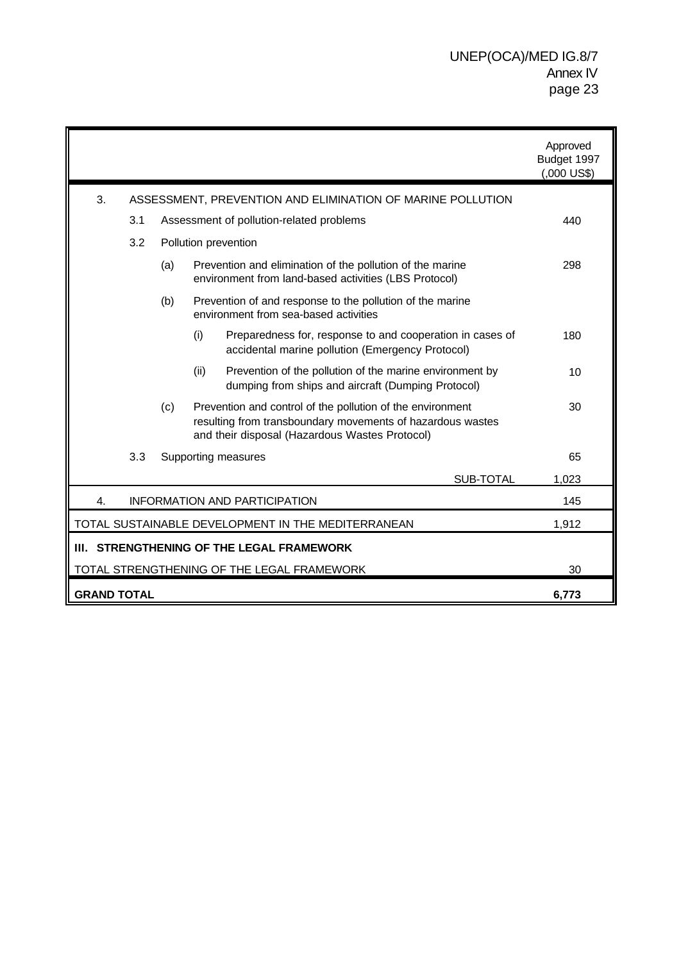|                                           |     |     |                                                                                                                                                                            | Approved<br>Budget 1997<br>$(.000 \text{ US$})$ |
|-------------------------------------------|-----|-----|----------------------------------------------------------------------------------------------------------------------------------------------------------------------------|-------------------------------------------------|
| 3.                                        |     |     | ASSESSMENT, PREVENTION AND ELIMINATION OF MARINE POLLUTION                                                                                                                 |                                                 |
|                                           | 3.1 |     | Assessment of pollution-related problems                                                                                                                                   | 440                                             |
|                                           | 3.2 |     | Pollution prevention                                                                                                                                                       |                                                 |
|                                           |     | (a) | Prevention and elimination of the pollution of the marine<br>environment from land-based activities (LBS Protocol)                                                         | 298                                             |
|                                           |     | (b) | Prevention of and response to the pollution of the marine<br>environment from sea-based activities                                                                         |                                                 |
|                                           |     |     | (i)<br>Preparedness for, response to and cooperation in cases of<br>accidental marine pollution (Emergency Protocol)                                                       | 180                                             |
|                                           |     |     | (ii)<br>Prevention of the pollution of the marine environment by<br>dumping from ships and aircraft (Dumping Protocol)                                                     | 10                                              |
|                                           |     | (c) | Prevention and control of the pollution of the environment<br>resulting from transboundary movements of hazardous wastes<br>and their disposal (Hazardous Wastes Protocol) | 30                                              |
|                                           | 3.3 |     | Supporting measures                                                                                                                                                        | 65                                              |
|                                           |     |     | <b>SUB-TOTAL</b>                                                                                                                                                           | 1,023                                           |
| 4.                                        |     |     | <b>INFORMATION AND PARTICIPATION</b>                                                                                                                                       | 145                                             |
|                                           |     |     | TOTAL SUSTAINABLE DEVELOPMENT IN THE MEDITERRANEAN                                                                                                                         | 1,912                                           |
| III. STRENGTHENING OF THE LEGAL FRAMEWORK |     |     |                                                                                                                                                                            |                                                 |
|                                           |     |     | TOTAL STRENGTHENING OF THE LEGAL FRAMEWORK                                                                                                                                 | 30                                              |
| <b>GRAND TOTAL</b><br>6,773               |     |     |                                                                                                                                                                            |                                                 |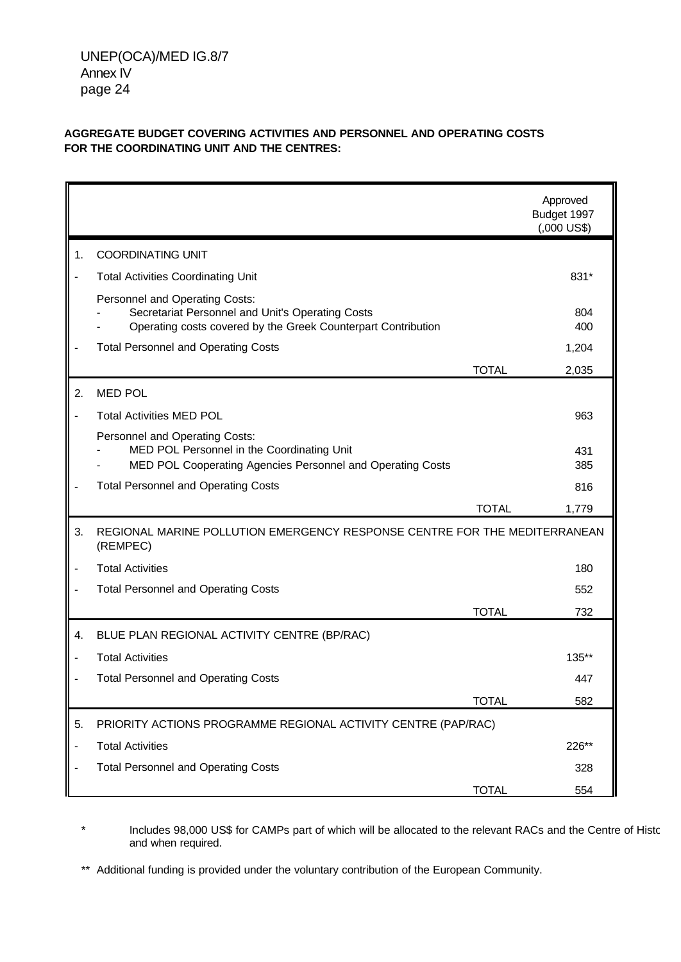#### **AGGREGATE BUDGET COVERING ACTIVITIES AND PERSONNEL AND OPERATING COSTS FOR THE COORDINATING UNIT AND THE CENTRES:**

|                              |                                                                                                                                                     |              | Approved<br>Budget 1997<br>$(.000 \text{ US$})$ |
|------------------------------|-----------------------------------------------------------------------------------------------------------------------------------------------------|--------------|-------------------------------------------------|
| 1.                           | <b>COORDINATING UNIT</b>                                                                                                                            |              |                                                 |
| $\overline{a}$               | <b>Total Activities Coordinating Unit</b>                                                                                                           |              | 831*                                            |
|                              | Personnel and Operating Costs:<br>Secretariat Personnel and Unit's Operating Costs<br>Operating costs covered by the Greek Counterpart Contribution |              | 804<br>400                                      |
|                              | <b>Total Personnel and Operating Costs</b>                                                                                                          |              | 1,204                                           |
|                              |                                                                                                                                                     | <b>TOTAL</b> | 2,035                                           |
| 2.                           | <b>MED POL</b>                                                                                                                                      |              |                                                 |
|                              | <b>Total Activities MED POL</b>                                                                                                                     |              | 963                                             |
|                              | Personnel and Operating Costs:<br>MED POL Personnel in the Coordinating Unit<br>MED POL Cooperating Agencies Personnel and Operating Costs          |              | 431<br>385                                      |
| $\blacksquare$               | <b>Total Personnel and Operating Costs</b>                                                                                                          |              | 816                                             |
|                              |                                                                                                                                                     | <b>TOTAL</b> | 1,779                                           |
| 3.                           | REGIONAL MARINE POLLUTION EMERGENCY RESPONSE CENTRE FOR THE MEDITERRANEAN<br>(REMPEC)                                                               |              |                                                 |
| $\overline{\phantom{a}}$     | <b>Total Activities</b>                                                                                                                             |              | 180                                             |
| $\overline{\phantom{a}}$     | <b>Total Personnel and Operating Costs</b>                                                                                                          |              | 552                                             |
|                              |                                                                                                                                                     | <b>TOTAL</b> | 732                                             |
| 4.                           | BLUE PLAN REGIONAL ACTIVITY CENTRE (BP/RAC)                                                                                                         |              |                                                 |
| $\overline{a}$               | <b>Total Activities</b>                                                                                                                             |              | $135**$                                         |
| $\overline{\phantom{a}}$     | <b>Total Personnel and Operating Costs</b>                                                                                                          |              | 447                                             |
|                              |                                                                                                                                                     | <b>TOTAL</b> | 582                                             |
| 5.                           | PRIORITY ACTIONS PROGRAMME REGIONAL ACTIVITY CENTRE (PAP/RAC)                                                                                       |              |                                                 |
| $\qquad \qquad \blacksquare$ | <b>Total Activities</b>                                                                                                                             |              | 226**                                           |
| $\blacksquare$               | <b>Total Personnel and Operating Costs</b>                                                                                                          |              | 328                                             |
|                              |                                                                                                                                                     | <b>TOTAL</b> | 554                                             |

Includes 98,000 US\$ for CAMPs part of which will be allocated to the relevant RACs and the Centre of Historic and when required.

\*\* Additional funding is provided under the voluntary contribution of the European Community.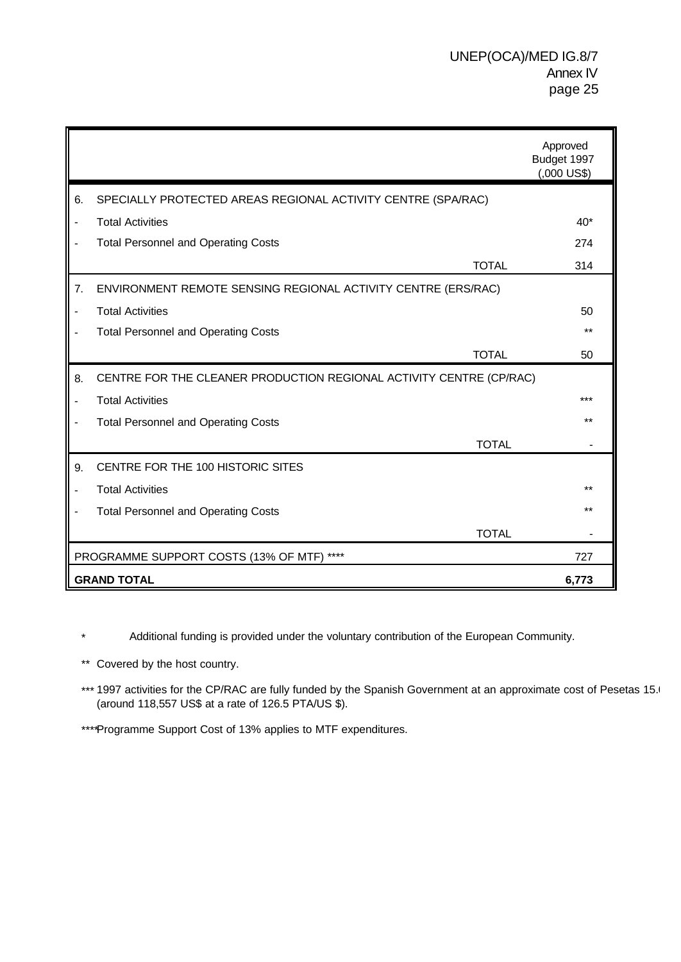|                              |                                                                     |              | Approved<br>Budget 1997<br>$(.000$ US\$) |
|------------------------------|---------------------------------------------------------------------|--------------|------------------------------------------|
| 6.                           | SPECIALLY PROTECTED AREAS REGIONAL ACTIVITY CENTRE (SPA/RAC)        |              |                                          |
| $\overline{\phantom{a}}$     | <b>Total Activities</b>                                             |              | $40*$                                    |
| $\overline{\phantom{a}}$     | <b>Total Personnel and Operating Costs</b>                          |              | 274                                      |
|                              |                                                                     | <b>TOTAL</b> | 314                                      |
| 7.                           | ENVIRONMENT REMOTE SENSING REGIONAL ACTIVITY CENTRE (ERS/RAC)       |              |                                          |
| $\qquad \qquad \blacksquare$ | <b>Total Activities</b>                                             |              | 50                                       |
| $\blacksquare$               | <b>Total Personnel and Operating Costs</b>                          |              | $***$                                    |
|                              |                                                                     | <b>TOTAL</b> | 50                                       |
| 8.                           | CENTRE FOR THE CLEANER PRODUCTION REGIONAL ACTIVITY CENTRE (CP/RAC) |              |                                          |
| $\overline{\phantom{a}}$     | <b>Total Activities</b>                                             |              | ***                                      |
| $\overline{\phantom{a}}$     | <b>Total Personnel and Operating Costs</b>                          |              | $***$                                    |
|                              |                                                                     | <b>TOTAL</b> |                                          |
| 9.                           | CENTRE FOR THE 100 HISTORIC SITES                                   |              |                                          |
| $\overline{\phantom{a}}$     | <b>Total Activities</b>                                             |              | $+ +$                                    |
| $\blacksquare$               | <b>Total Personnel and Operating Costs</b>                          |              | $***$                                    |
|                              |                                                                     | <b>TOTAL</b> |                                          |
|                              | ****<br>PROGRAMME SUPPORT COSTS (13% OF MTF)<br>727                 |              |                                          |
|                              | <b>GRAND TOTAL</b>                                                  |              | 6.773                                    |

\* Additional funding is provided under the voluntary contribution of the European Community.

\*\* Covered by the host country.

\*\*\* 1997 activities for the CP/RAC are fully funded by the Spanish Government at an approximate cost of Pesetas 15.0 (around 118,557 US\$ at a rate of 126.5 PTA/US \$).

\*\*\*\*Programme Support Cost of 13% applies to MTF expenditures.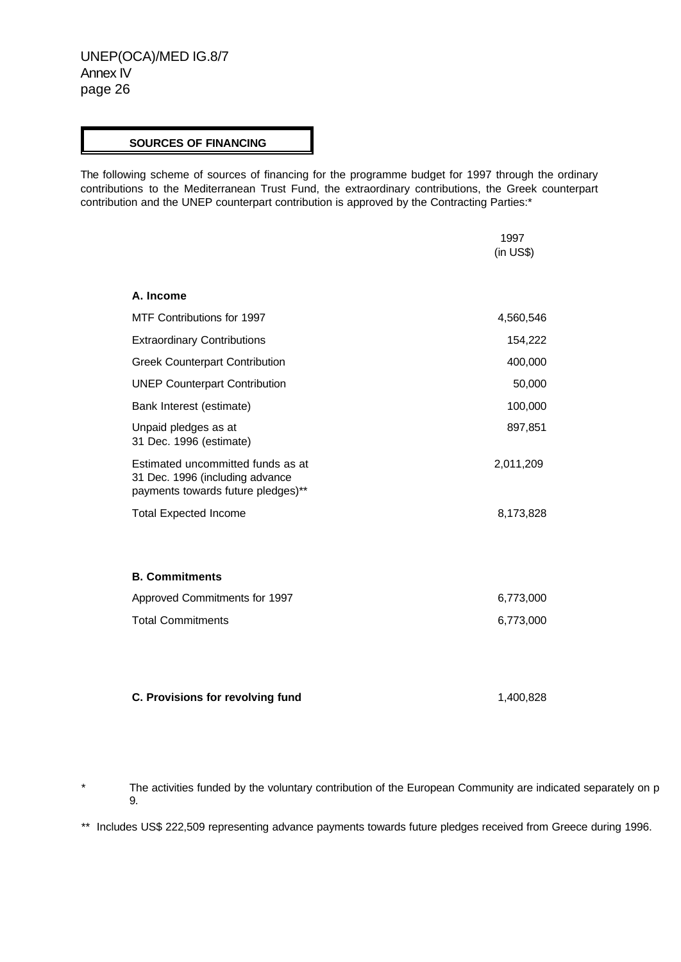#### **SOURCES OF FINANCING**

The following scheme of sources of financing for the programme budget for 1997 through the ordinary contributions to the Mediterranean Trust Fund, the extraordinary contributions, the Greek counterpart contribution and the UNEP counterpart contribution is approved by the Contracting Parties:\*

|                                                                                                            | 1997<br>(in <b>US</b> |
|------------------------------------------------------------------------------------------------------------|-----------------------|
| A. Income                                                                                                  |                       |
| MTF Contributions for 1997                                                                                 | 4,560,546             |
| <b>Extraordinary Contributions</b>                                                                         | 154,222               |
| <b>Greek Counterpart Contribution</b>                                                                      | 400,000               |
| <b>UNEP Counterpart Contribution</b>                                                                       | 50,000                |
| Bank Interest (estimate)                                                                                   | 100,000               |
| Unpaid pledges as at<br>31 Dec. 1996 (estimate)                                                            | 897,851               |
| Estimated uncommitted funds as at<br>31 Dec. 1996 (including advance<br>payments towards future pledges)** | 2,011,209             |
| <b>Total Expected Income</b>                                                                               | 8,173,828             |
| <b>B. Commitments</b>                                                                                      |                       |
| Approved Commitments for 1997                                                                              | 6,773,000             |
| <b>Total Commitments</b>                                                                                   | 6,773,000             |
|                                                                                                            |                       |

| C. Provisions for revolving fund | 1,400,828 |
|----------------------------------|-----------|
|----------------------------------|-----------|

\* The activities funded by the voluntary contribution of the European Community are indicated separately on pages 8 9.

\*\* Includes US\$ 222,509 representing advance payments towards future pledges received from Greece during 1996.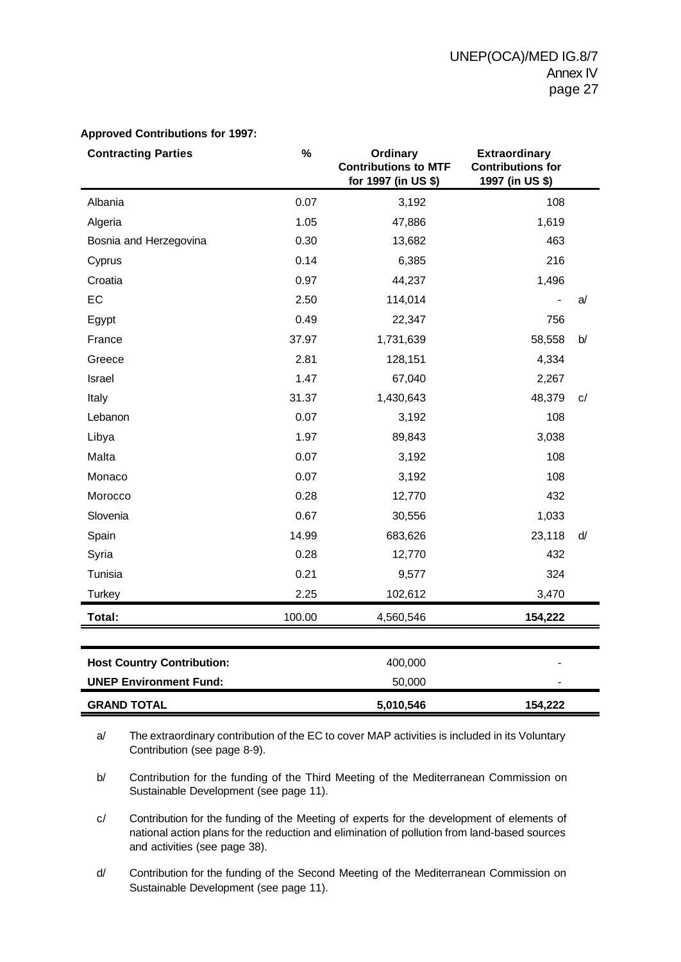| <b>Contracting Parties</b>        | $\%$   | Ordinary<br><b>Contributions to MTF</b><br>for 1997 (in US \$) | <b>Extraordinary</b><br><b>Contributions for</b><br>1997 (in US \$) |    |
|-----------------------------------|--------|----------------------------------------------------------------|---------------------------------------------------------------------|----|
| Albania                           | 0.07   | 3,192                                                          | 108                                                                 |    |
| Algeria                           | 1.05   | 47,886                                                         | 1,619                                                               |    |
| Bosnia and Herzegovina            | 0.30   | 13,682                                                         | 463                                                                 |    |
| Cyprus                            | 0.14   | 6,385                                                          | 216                                                                 |    |
| Croatia                           | 0.97   | 44,237                                                         | 1,496                                                               |    |
| EC                                | 2.50   | 114,014                                                        |                                                                     | a  |
| Egypt                             | 0.49   | 22,347                                                         | 756                                                                 |    |
| France                            | 37.97  | 1,731,639                                                      | 58,558                                                              | b/ |
| Greece                            | 2.81   | 128,151                                                        | 4,334                                                               |    |
| Israel                            | 1.47   | 67,040                                                         | 2,267                                                               |    |
| Italy                             | 31.37  | 1,430,643                                                      | 48,379                                                              | C/ |
| Lebanon                           | 0.07   | 3,192                                                          | 108                                                                 |    |
| Libya                             | 1.97   | 89,843                                                         | 3,038                                                               |    |
| Malta                             | 0.07   | 3,192                                                          | 108                                                                 |    |
| Monaco                            | 0.07   | 3,192                                                          | 108                                                                 |    |
| Morocco                           | 0.28   | 12,770                                                         | 432                                                                 |    |
| Slovenia                          | 0.67   | 30,556                                                         | 1,033                                                               |    |
| Spain                             | 14.99  | 683,626                                                        | 23,118                                                              | d/ |
| Syria                             | 0.28   | 12,770                                                         | 432                                                                 |    |
| Tunisia                           | 0.21   | 9,577                                                          | 324                                                                 |    |
| Turkey                            | 2.25   | 102,612                                                        | 3,470                                                               |    |
| Total:                            | 100.00 | 4,560,546                                                      | 154,222                                                             |    |
| <b>Host Country Contribution:</b> |        | 400,000                                                        |                                                                     |    |
| <b>UNEP Environment Fund:</b>     |        | 50,000                                                         |                                                                     |    |
| <b>GRAND TOTAL</b>                |        | 5,010,546                                                      | 154,222                                                             |    |

#### **Approved Contributions for 1997:**

a/ The extraordinary contribution of the EC to cover MAP activities is included in its Voluntary Contribution (see page 8-9).

b/ Contribution for the funding of the Third Meeting of the Mediterranean Commission on Sustainable Development (see page 11).

c/ Contribution for the funding of the Meeting of experts for the development of elements of national action plans for the reduction and elimination of pollution from land-based sources and activities (see page 38).

d/ Contribution for the funding of the Second Meeting of the Mediterranean Commission on Sustainable Development (see page 11).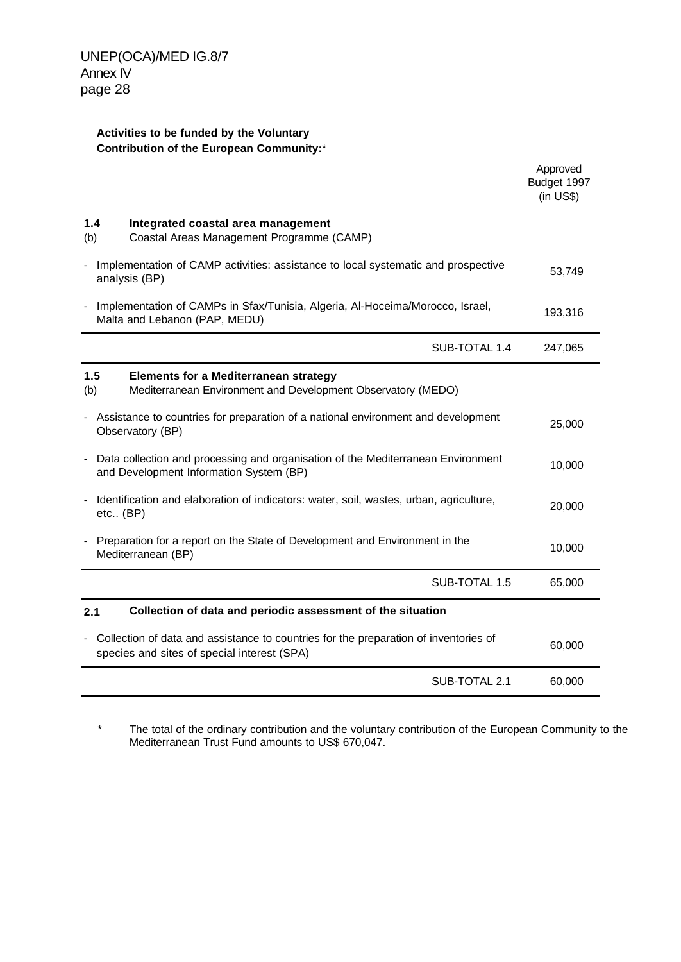#### **Activities to be funded by the Voluntary Contribution of the European Community:**\*

|                                                                                                                                                | Approved<br>Budget 1997<br>(in <b>US\$</b> ) |
|------------------------------------------------------------------------------------------------------------------------------------------------|----------------------------------------------|
| 1.4<br>Integrated coastal area management<br>Coastal Areas Management Programme (CAMP)<br>(b)                                                  |                                              |
| Implementation of CAMP activities: assistance to local systematic and prospective<br>analysis (BP)                                             | 53,749                                       |
| Implementation of CAMPs in Sfax/Tunisia, Algeria, Al-Hoceima/Morocco, Israel,<br>$\qquad \qquad \blacksquare$<br>Malta and Lebanon (PAP, MEDU) | 193,316                                      |
| SUB-TOTAL 1.4                                                                                                                                  | 247,065                                      |
| 1.5<br><b>Elements for a Mediterranean strategy</b><br>Mediterranean Environment and Development Observatory (MEDO)<br>(b)                     |                                              |
| Assistance to countries for preparation of a national environment and development<br>Observatory (BP)                                          | 25,000                                       |
| Data collection and processing and organisation of the Mediterranean Environment<br>and Development Information System (BP)                    | 10,000                                       |
| Identification and elaboration of indicators: water, soil, wastes, urban, agriculture,<br>etc., (BP)                                           | 20,000                                       |
| Preparation for a report on the State of Development and Environment in the<br>Mediterranean (BP)                                              | 10,000                                       |
| SUB-TOTAL 1.5                                                                                                                                  | 65,000                                       |
| Collection of data and periodic assessment of the situation<br>2.1                                                                             |                                              |
| Collection of data and assistance to countries for the preparation of inventories of<br>species and sites of special interest (SPA)            | 60,000                                       |
| SUB-TOTAL 2.1                                                                                                                                  | 60,000                                       |

 \* The total of the ordinary contribution and the voluntary contribution of the European Community to the Mediterranean Trust Fund amounts to US\$ 670,047.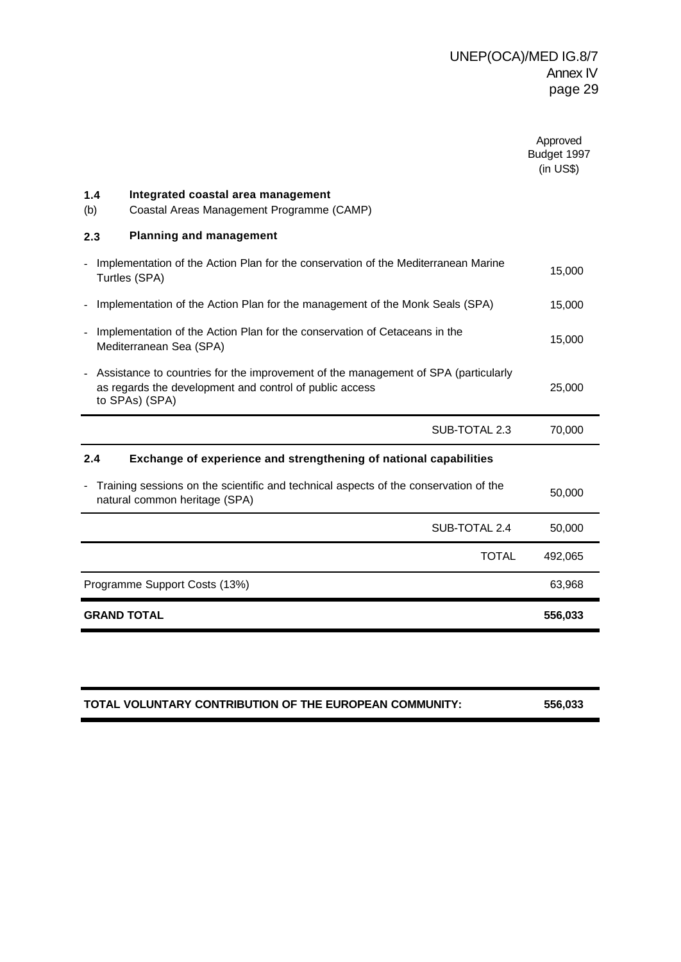|                                                                                                                                                                 | Approved<br>Budget 1997<br>(in <b>US\$</b> ) |
|-----------------------------------------------------------------------------------------------------------------------------------------------------------------|----------------------------------------------|
| Integrated coastal area management<br>1.4<br>Coastal Areas Management Programme (CAMP)<br>(b)                                                                   |                                              |
| <b>Planning and management</b><br>2.3                                                                                                                           |                                              |
| Implementation of the Action Plan for the conservation of the Mediterranean Marine<br>Turtles (SPA)                                                             | 15,000                                       |
| Implementation of the Action Plan for the management of the Monk Seals (SPA)                                                                                    | 15,000                                       |
| Implementation of the Action Plan for the conservation of Cetaceans in the<br>Mediterranean Sea (SPA)                                                           | 15,000                                       |
| Assistance to countries for the improvement of the management of SPA (particularly<br>as regards the development and control of public access<br>to SPAs) (SPA) | 25,000                                       |
| SUB-TOTAL 2.3                                                                                                                                                   | 70,000                                       |
| 2.4<br>Exchange of experience and strengthening of national capabilities                                                                                        |                                              |
| Training sessions on the scientific and technical aspects of the conservation of the<br>natural common heritage (SPA)                                           | 50,000                                       |
| SUB-TOTAL 2.4                                                                                                                                                   | 50,000                                       |
| <b>TOTAL</b>                                                                                                                                                    | 492,065                                      |
| Programme Support Costs (13%)                                                                                                                                   | 63,968                                       |
| <b>GRAND TOTAL</b>                                                                                                                                              | 556,033                                      |

| TOTAL VOLUNTARY CONTRIBUTION OF THE EUROPEAN COMMUNITY: | 556,033 |
|---------------------------------------------------------|---------|
|                                                         |         |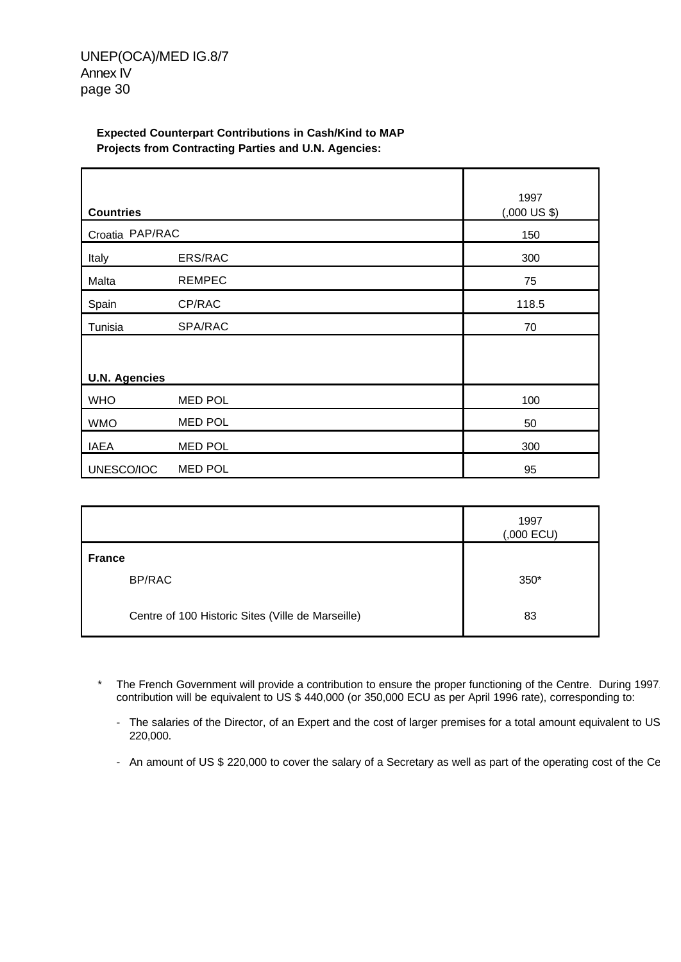#### **Expected Counterpart Contributions in Cash/Kind to MAP Projects from Contracting Parties and U.N. Agencies:**

| <b>Countries</b>     |                | 1997<br>$(.000 \text{ US } $)$ |
|----------------------|----------------|--------------------------------|
| Croatia PAP/RAC      |                | 150                            |
| Italy                | ERS/RAC        | 300                            |
| Malta                | <b>REMPEC</b>  | 75                             |
| Spain                | CP/RAC         | 118.5                          |
| Tunisia              | SPA/RAC        | 70                             |
|                      |                |                                |
| <b>U.N. Agencies</b> |                |                                |
| <b>WHO</b>           | <b>MED POL</b> | 100                            |
| <b>WMO</b>           | <b>MED POL</b> | 50                             |
| <b>IAEA</b>          | <b>MED POL</b> | 300                            |
| UNESCO/IOC           | <b>MED POL</b> | 95                             |

|                                                   | 1997<br>(,000 ECU) |
|---------------------------------------------------|--------------------|
| <b>France</b>                                     |                    |
| BP/RAC                                            | $350*$             |
| Centre of 100 Historic Sites (Ville de Marseille) | 83                 |

- \* The French Government will provide a contribution to ensure the proper functioning of the Centre. During 1997, contribution will be equivalent to US \$ 440,000 (or 350,000 ECU as per April 1996 rate), corresponding to:
	- The salaries of the Director, of an Expert and the cost of larger premises for a total amount equivalent to US 220,000.
	- An amount of US \$ 220,000 to cover the salary of a Secretary as well as part of the operating cost of the Ce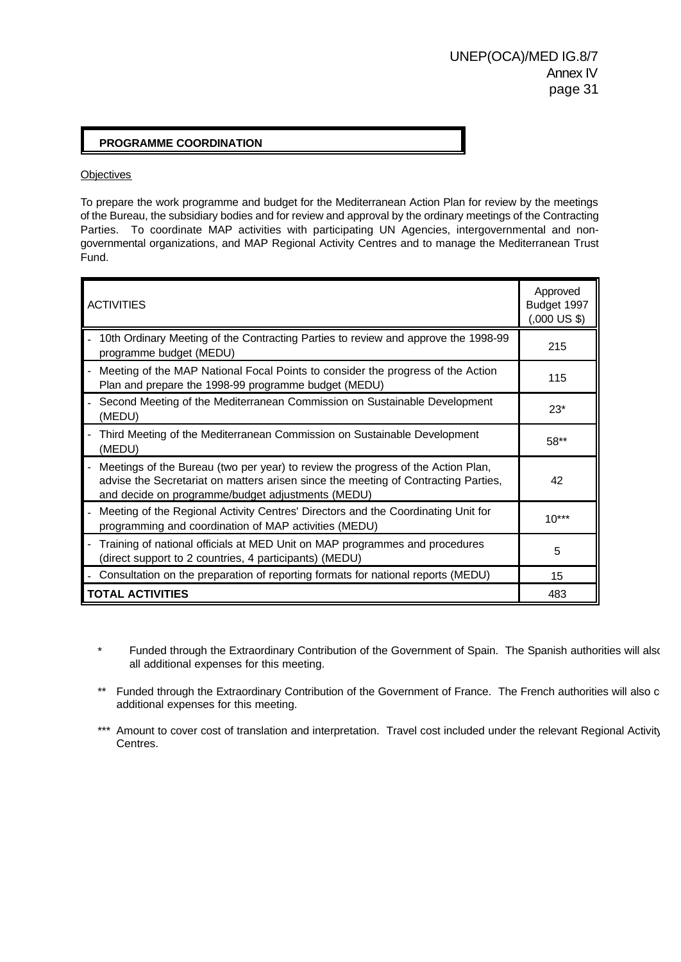#### **PROGRAMME COORDINATION**

#### **Objectives**

To prepare the work programme and budget for the Mediterranean Action Plan for review by the meetings of the Bureau, the subsidiary bodies and for review and approval by the ordinary meetings of the Contracting Parties. To coordinate MAP activities with participating UN Agencies, intergovernmental and nongovernmental organizations, and MAP Regional Activity Centres and to manage the Mediterranean Trust Fund.

| <b>ACTIVITIES</b>                                                                                                                                                                                                           | Approved<br>Budget 1997<br>$(.000 \text{ US } $)$ |
|-----------------------------------------------------------------------------------------------------------------------------------------------------------------------------------------------------------------------------|---------------------------------------------------|
| 10th Ordinary Meeting of the Contracting Parties to review and approve the 1998-99<br>programme budget (MEDU)                                                                                                               | 215                                               |
| Meeting of the MAP National Focal Points to consider the progress of the Action<br>Plan and prepare the 1998-99 programme budget (MEDU)                                                                                     | 115                                               |
| Second Meeting of the Mediterranean Commission on Sustainable Development<br>(MEDU)                                                                                                                                         | $23*$                                             |
| Third Meeting of the Mediterranean Commission on Sustainable Development<br>(MEDU)                                                                                                                                          | 58**                                              |
| Meetings of the Bureau (two per year) to review the progress of the Action Plan,<br>advise the Secretariat on matters arisen since the meeting of Contracting Parties,<br>and decide on programme/budget adjustments (MEDU) | 42                                                |
| Meeting of the Regional Activity Centres' Directors and the Coordinating Unit for<br>programming and coordination of MAP activities (MEDU)                                                                                  | $10***$                                           |
| Training of national officials at MED Unit on MAP programmes and procedures<br>(direct support to 2 countries, 4 participants) (MEDU)                                                                                       | 5                                                 |
| Consultation on the preparation of reporting formats for national reports (MEDU)                                                                                                                                            | 15                                                |
| <b>TOTAL ACTIVITIES</b>                                                                                                                                                                                                     | 483                                               |

\* Funded through the Extraordinary Contribution of the Government of Spain. The Spanish authorities will also all additional expenses for this meeting.

\*\* Funded through the Extraordinary Contribution of the Government of France. The French authorities will also c additional expenses for this meeting.

\*\*\* Amount to cover cost of translation and interpretation. Travel cost included under the relevant Regional Activity Centres.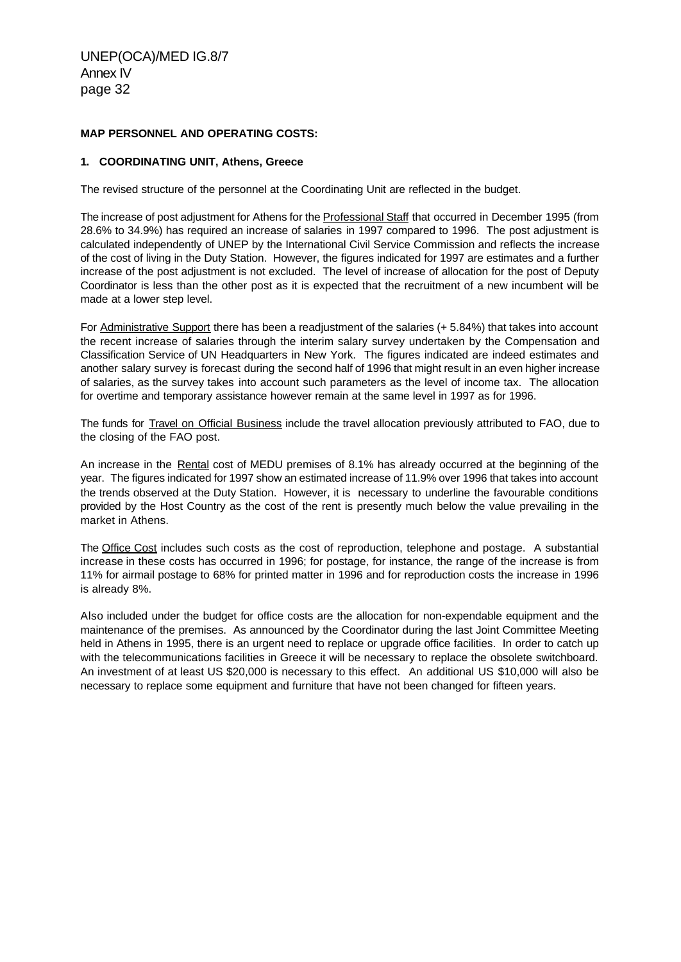#### **MAP PERSONNEL AND OPERATING COSTS:**

#### **1. COORDINATING UNIT, Athens, Greece**

The revised structure of the personnel at the Coordinating Unit are reflected in the budget.

The increase of post adjustment for Athens for the Professional Staff that occurred in December 1995 (from 28.6% to 34.9%) has required an increase of salaries in 1997 compared to 1996. The post adjustment is calculated independently of UNEP by the International Civil Service Commission and reflects the increase of the cost of living in the Duty Station. However, the figures indicated for 1997 are estimates and a further increase of the post adjustment is not excluded. The level of increase of allocation for the post of Deputy Coordinator is less than the other post as it is expected that the recruitment of a new incumbent will be made at a lower step level.

For Administrative Support there has been a readjustment of the salaries (+ 5.84%) that takes into account the recent increase of salaries through the interim salary survey undertaken by the Compensation and Classification Service of UN Headquarters in New York. The figures indicated are indeed estimates and another salary survey is forecast during the second half of 1996 that might result in an even higher increase of salaries, as the survey takes into account such parameters as the level of income tax. The allocation for overtime and temporary assistance however remain at the same level in 1997 as for 1996.

The funds for Travel on Official Business include the travel allocation previously attributed to FAO, due to the closing of the FAO post.

An increase in the Rental cost of MEDU premises of 8.1% has already occurred at the beginning of the year. The figures indicated for 1997 show an estimated increase of 11.9% over 1996 that takes into account the trends observed at the Duty Station. However, it is necessary to underline the favourable conditions provided by the Host Country as the cost of the rent is presently much below the value prevailing in the market in Athens.

The Office Cost includes such costs as the cost of reproduction, telephone and postage. A substantial increase in these costs has occurred in 1996; for postage, for instance, the range of the increase is from 11% for airmail postage to 68% for printed matter in 1996 and for reproduction costs the increase in 1996 is already 8%.

Also included under the budget for office costs are the allocation for non-expendable equipment and the maintenance of the premises. As announced by the Coordinator during the last Joint Committee Meeting held in Athens in 1995, there is an urgent need to replace or upgrade office facilities. In order to catch up with the telecommunications facilities in Greece it will be necessary to replace the obsolete switchboard. An investment of at least US \$20,000 is necessary to this effect. An additional US \$10,000 will also be necessary to replace some equipment and furniture that have not been changed for fifteen years.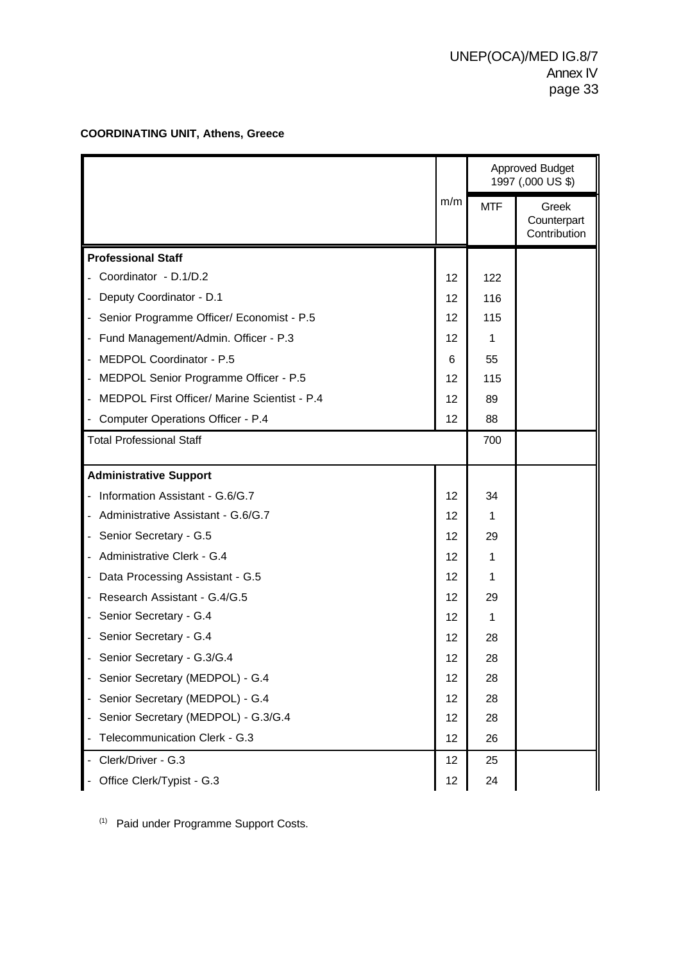# **COORDINATING UNIT, Athens, Greece**

|                                                     | m/m | <b>Approved Budget</b><br>1997 (,000 US \$) |                                      |
|-----------------------------------------------------|-----|---------------------------------------------|--------------------------------------|
|                                                     |     | <b>MTF</b>                                  | Greek<br>Counterpart<br>Contribution |
| <b>Professional Staff</b>                           |     |                                             |                                      |
| Coordinator - D.1/D.2                               | 12  | 122                                         |                                      |
| Deputy Coordinator - D.1                            | 12  | 116                                         |                                      |
| Senior Programme Officer/ Economist - P.5           | 12  | 115                                         |                                      |
| Fund Management/Admin. Officer - P.3                | 12  | 1                                           |                                      |
| MEDPOL Coordinator - P.5                            | 6   | 55                                          |                                      |
| MEDPOL Senior Programme Officer - P.5               | 12  | 115                                         |                                      |
| <b>MEDPOL First Officer/ Marine Scientist - P.4</b> | 12  | 89                                          |                                      |
| <b>Computer Operations Officer - P.4</b>            | 12  | 88                                          |                                      |
| <b>Total Professional Staff</b>                     |     | 700                                         |                                      |
| <b>Administrative Support</b>                       |     |                                             |                                      |
| Information Assistant - G.6/G.7                     | 12  | 34                                          |                                      |
| Administrative Assistant - G.6/G.7                  | 12  | 1                                           |                                      |
| Senior Secretary - G.5                              | 12  | 29                                          |                                      |
| Administrative Clerk - G.4                          | 12  | 1                                           |                                      |
| Data Processing Assistant - G.5                     | 12  | 1                                           |                                      |
| Research Assistant - G.4/G.5                        | 12  | 29                                          |                                      |
| Senior Secretary - G.4                              | 12  | 1                                           |                                      |
| Senior Secretary - G.4                              | 12  | 28                                          |                                      |
| Senior Secretary - G.3/G.4                          | 12  | 28                                          |                                      |
| Senior Secretary (MEDPOL) - G.4                     | 12  | 28                                          |                                      |
| Senior Secretary (MEDPOL) - G.4                     | 12  | 28                                          |                                      |
| Senior Secretary (MEDPOL) - G.3/G.4                 | 12  | 28                                          |                                      |
| Telecommunication Clerk - G.3                       | 12  | 26                                          |                                      |
| Clerk/Driver - G.3                                  | 12  | 25                                          |                                      |
| Office Clerk/Typist - G.3                           | 12  | 24                                          |                                      |

(1) Paid under Programme Support Costs.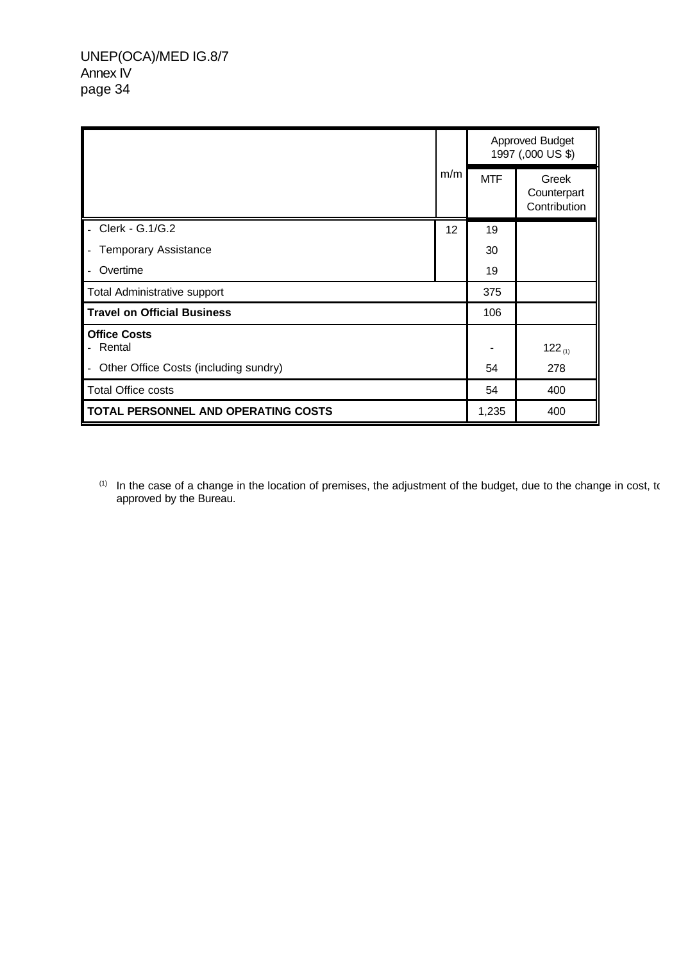|                                       | m/m | <b>Approved Budget</b><br>1997 (,000 US \$) |                                      |
|---------------------------------------|-----|---------------------------------------------|--------------------------------------|
|                                       |     | <b>MTF</b>                                  | Greek<br>Counterpart<br>Contribution |
| Clerk - G.1/G.2                       | 12  | 19                                          |                                      |
| <b>Temporary Assistance</b>           |     | 30                                          |                                      |
| Overtime                              |     | 19                                          |                                      |
| <b>Total Administrative support</b>   |     | 375                                         |                                      |
| <b>Travel on Official Business</b>    |     | 106                                         |                                      |
| <b>Office Costs</b><br>Rental         |     |                                             | 122 $_{(1)}$                         |
| Other Office Costs (including sundry) |     | 54                                          | 278                                  |
| <b>Total Office costs</b>             |     | 54                                          | 400                                  |
| TOTAL PERSONNEL AND OPERATING COSTS   |     | 1,235                                       | 400                                  |

 $(1)$  In the case of a change in the location of premises, the adjustment of the budget, due to the change in cost, to approved by the Bureau.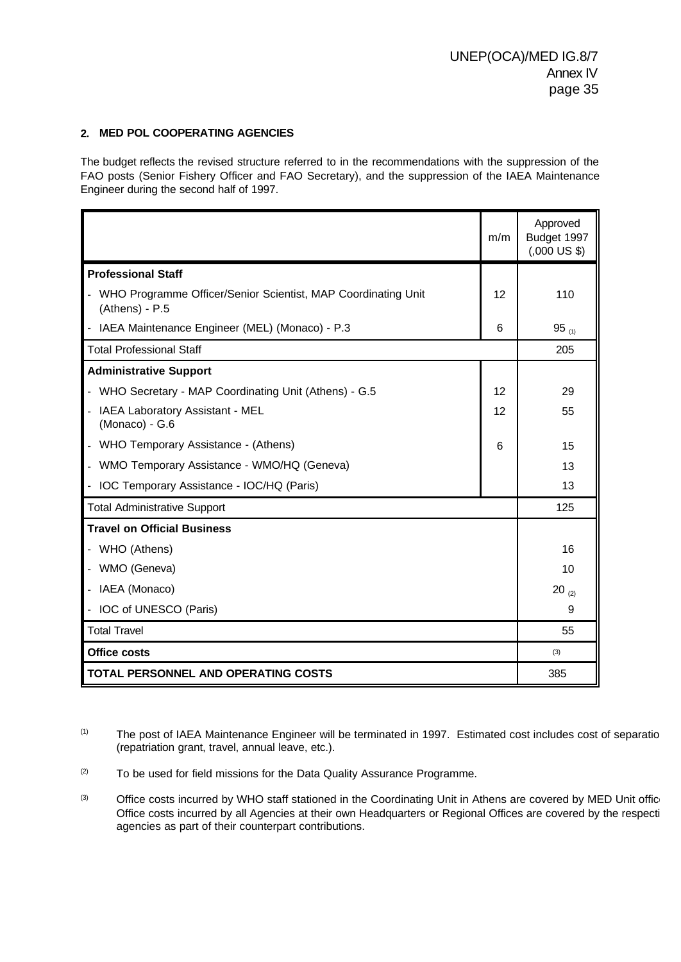## **2. MED POL COOPERATING AGENCIES**

The budget reflects the revised structure referred to in the recommendations with the suppression of the FAO posts (Senior Fishery Officer and FAO Secretary), and the suppression of the IAEA Maintenance Engineer during the second half of 1997.

|                                                                                 | m/m | Approved<br>Budget 1997<br>$(.000 \text{ US } $)$ |
|---------------------------------------------------------------------------------|-----|---------------------------------------------------|
| <b>Professional Staff</b>                                                       |     |                                                   |
| WHO Programme Officer/Senior Scientist, MAP Coordinating Unit<br>(Athens) - P.5 | 12  | 110                                               |
| IAEA Maintenance Engineer (MEL) (Monaco) - P.3                                  | 6   | $95_{(1)}$                                        |
| <b>Total Professional Staff</b>                                                 |     | 205                                               |
| <b>Administrative Support</b>                                                   |     |                                                   |
| WHO Secretary - MAP Coordinating Unit (Athens) - G.5                            | 12  | 29                                                |
| IAEA Laboratory Assistant - MEL<br>(Monaco) - G.6                               | 12  | 55                                                |
| WHO Temporary Assistance - (Athens)                                             | 6   | 15                                                |
| WMO Temporary Assistance - WMO/HQ (Geneva)                                      |     | 13                                                |
| IOC Temporary Assistance - IOC/HQ (Paris)                                       |     | 13                                                |
| <b>Total Administrative Support</b>                                             |     | 125                                               |
| <b>Travel on Official Business</b>                                              |     |                                                   |
| WHO (Athens)                                                                    |     | 16                                                |
| WMO (Geneva)                                                                    |     | 10                                                |
| IAEA (Monaco)                                                                   |     | 20 $_{(2)}$                                       |
| IOC of UNESCO (Paris)                                                           |     | 9                                                 |
| <b>Total Travel</b>                                                             |     | 55                                                |
| <b>Office costs</b>                                                             |     | (3)                                               |
| TOTAL PERSONNEL AND OPERATING COSTS                                             |     | 385                                               |

 $(1)$  The post of IAEA Maintenance Engineer will be terminated in 1997. Estimated cost includes cost of separatio (repatriation grant, travel, annual leave, etc.).

 $(2)$  To be used for field missions for the Data Quality Assurance Programme.

<sup>(3)</sup> Office costs incurred by WHO staff stationed in the Coordinating Unit in Athens are covered by MED Unit office Office costs incurred by all Agencies at their own Headquarters or Regional Offices are covered by the respecti agencies as part of their counterpart contributions.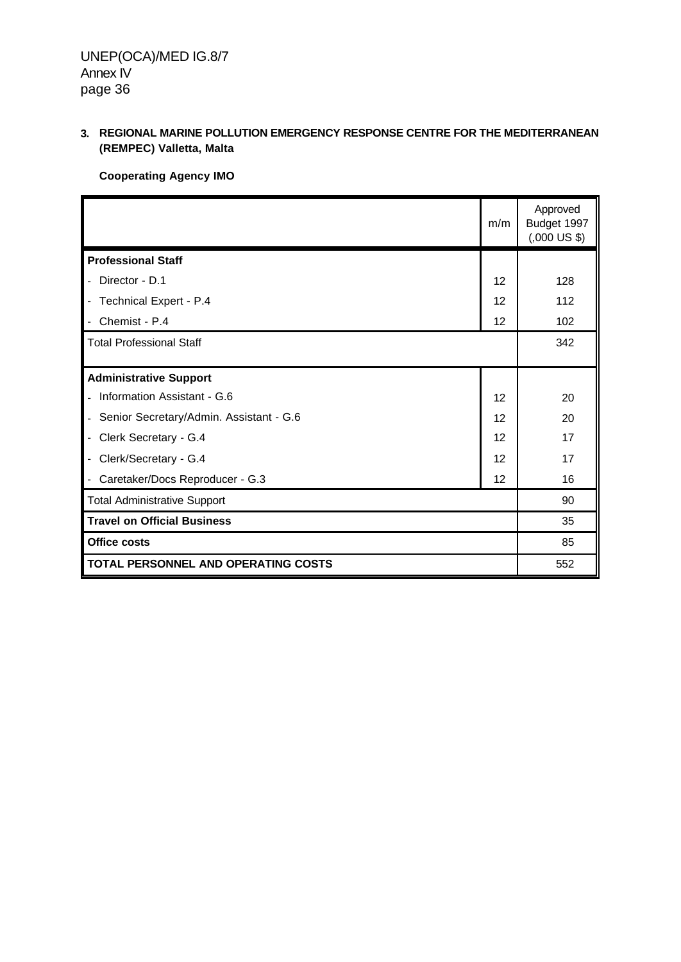## **3. REGIONAL MARINE POLLUTION EMERGENCY RESPONSE CENTRE FOR THE MEDITERRANEAN (REMPEC) Valletta, Malta**

## **Cooperating Agency IMO**

|                                                                     | m/m | Approved<br>Budget 1997<br>$(.000 \text{ US } $)$ |
|---------------------------------------------------------------------|-----|---------------------------------------------------|
| <b>Professional Staff</b>                                           |     |                                                   |
| Director - D.1<br>$\blacksquare$                                    | 12  | 128                                               |
| Technical Expert - P.4<br>$\overline{\phantom{a}}$                  | 12  | 112                                               |
| Chemist - P.4                                                       | 12  | 102                                               |
| <b>Total Professional Staff</b>                                     |     | 342                                               |
|                                                                     |     |                                                   |
| <b>Administrative Support</b>                                       |     |                                                   |
| Information Assistant - G.6                                         | 12  | 20                                                |
| Senior Secretary/Admin. Assistant - G.6<br>$\overline{\phantom{a}}$ | 12  | 20                                                |
| Clerk Secretary - G.4<br>$\blacksquare$                             | 12  | 17                                                |
| Clerk/Secretary - G.4<br>$\qquad \qquad \blacksquare$               | 12  | 17                                                |
| Caretaker/Docs Reproducer - G.3                                     | 12  | 16                                                |
| <b>Total Administrative Support</b>                                 |     | 90                                                |
| <b>Travel on Official Business</b>                                  |     | 35                                                |
| Office costs                                                        |     | 85                                                |
| <b>TOTAL PERSONNEL AND OPERATING COSTS</b>                          |     | 552                                               |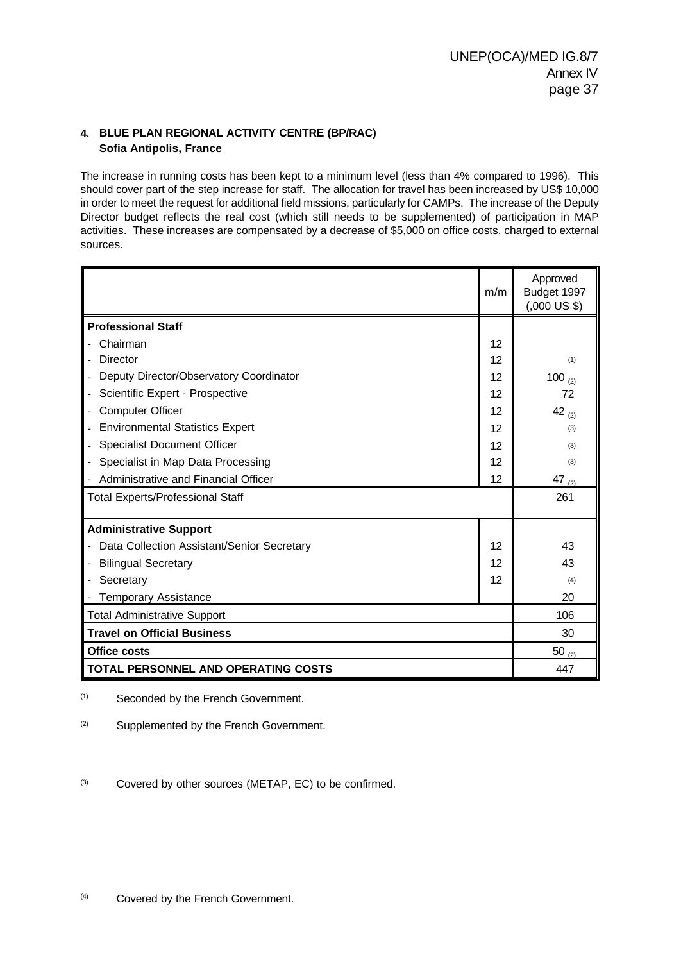## **4. BLUE PLAN REGIONAL ACTIVITY CENTRE (BP/RAC) Sofia Antipolis, France**

The increase in running costs has been kept to a minimum level (less than 4% compared to 1996). This should cover part of the step increase for staff. The allocation for travel has been increased by US\$ 10,000 in order to meet the request for additional field missions, particularly for CAMPs. The increase of the Deputy Director budget reflects the real cost (which still needs to be supplemented) of participation in MAP activities. These increases are compensated by a decrease of \$5,000 on office costs, charged to external sources.

|                                            | m/m | Approved<br>Budget 1997<br>$(.000 \text{ US } $)$ |
|--------------------------------------------|-----|---------------------------------------------------|
| <b>Professional Staff</b>                  |     |                                                   |
| Chairman                                   | 12  |                                                   |
| Director                                   | 12  | (1)                                               |
| Deputy Director/Observatory Coordinator    | 12  | 100 $_{(2)}$                                      |
| Scientific Expert - Prospective            | 12  | 72                                                |
| <b>Computer Officer</b>                    | 12  | 42 $_{(2)}$                                       |
| <b>Environmental Statistics Expert</b>     | 12  | (3)                                               |
| <b>Specialist Document Officer</b>         | 12  | (3)                                               |
| Specialist in Map Data Processing          | 12  | (3)                                               |
| Administrative and Financial Officer       | 12  | 47 $_{(2)}$                                       |
| <b>Total Experts/Professional Staff</b>    |     | 261                                               |
| <b>Administrative Support</b>              |     |                                                   |
| Data Collection Assistant/Senior Secretary | 12  | 43                                                |
| <b>Bilingual Secretary</b>                 | 12  | 43                                                |
| Secretary                                  | 12  | (4)                                               |
| <b>Temporary Assistance</b>                |     | 20                                                |
| <b>Total Administrative Support</b>        |     | 106                                               |
| <b>Travel on Official Business</b>         |     | 30                                                |
| <b>Office costs</b>                        |     | $50_{(2)}$                                        |
| TOTAL PERSONNEL AND OPERATING COSTS        |     | 447                                               |

(1) Seconded by the French Government.

(2) Supplemented by the French Government.

(3) Covered by other sources (METAP, EC) to be confirmed.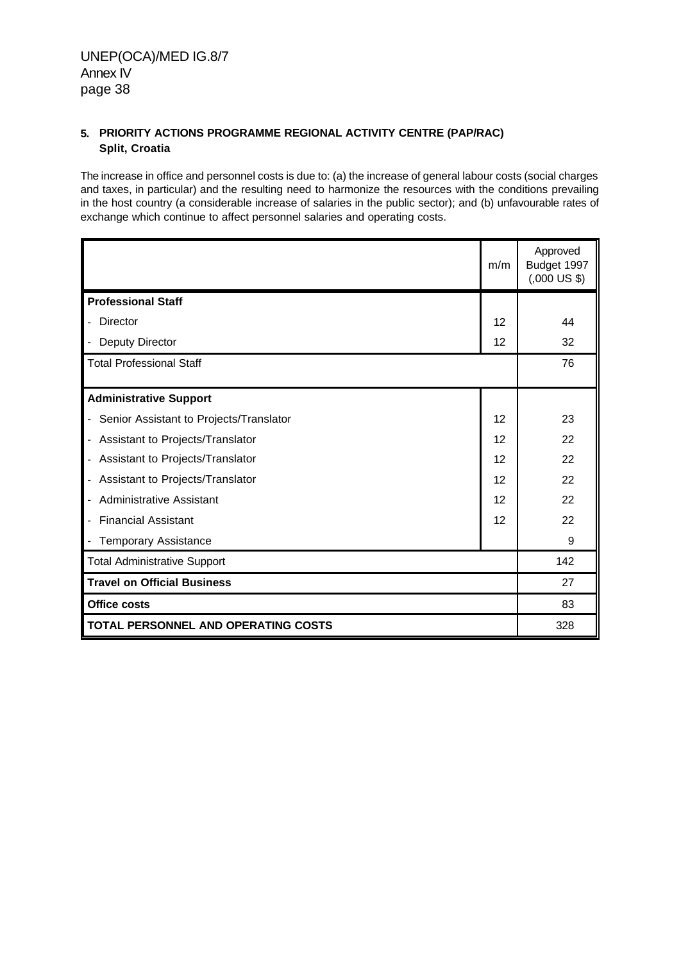## **5. PRIORITY ACTIONS PROGRAMME REGIONAL ACTIVITY CENTRE (PAP/RAC) Split, Croatia**

The increase in office and personnel costs is due to: (a) the increase of general labour costs (social charges and taxes, in particular) and the resulting need to harmonize the resources with the conditions prevailing in the host country (a considerable increase of salaries in the public sector); and (b) unfavourable rates of exchange which continue to affect personnel salaries and operating costs.

|                                            | m/m | Approved<br>Budget 1997<br>$(.000 \text{ US } $)$ |
|--------------------------------------------|-----|---------------------------------------------------|
| <b>Professional Staff</b>                  |     |                                                   |
| <b>Director</b>                            | 12  | 44                                                |
| <b>Deputy Director</b>                     | 12  | 32                                                |
| <b>Total Professional Staff</b>            |     | 76                                                |
|                                            |     |                                                   |
| <b>Administrative Support</b>              |     |                                                   |
| Senior Assistant to Projects/Translator    | 12  | 23                                                |
| Assistant to Projects/Translator           | 12  | 22                                                |
| Assistant to Projects/Translator           | 12  | 22                                                |
| Assistant to Projects/Translator           | 12  | 22                                                |
| Administrative Assistant                   | 12  | 22                                                |
| <b>Financial Assistant</b>                 | 12  | 22                                                |
| <b>Temporary Assistance</b>                |     | 9                                                 |
| <b>Total Administrative Support</b>        |     | 142                                               |
| <b>Travel on Official Business</b>         |     | 27                                                |
| <b>Office costs</b>                        |     | 83                                                |
| <b>TOTAL PERSONNEL AND OPERATING COSTS</b> |     | 328                                               |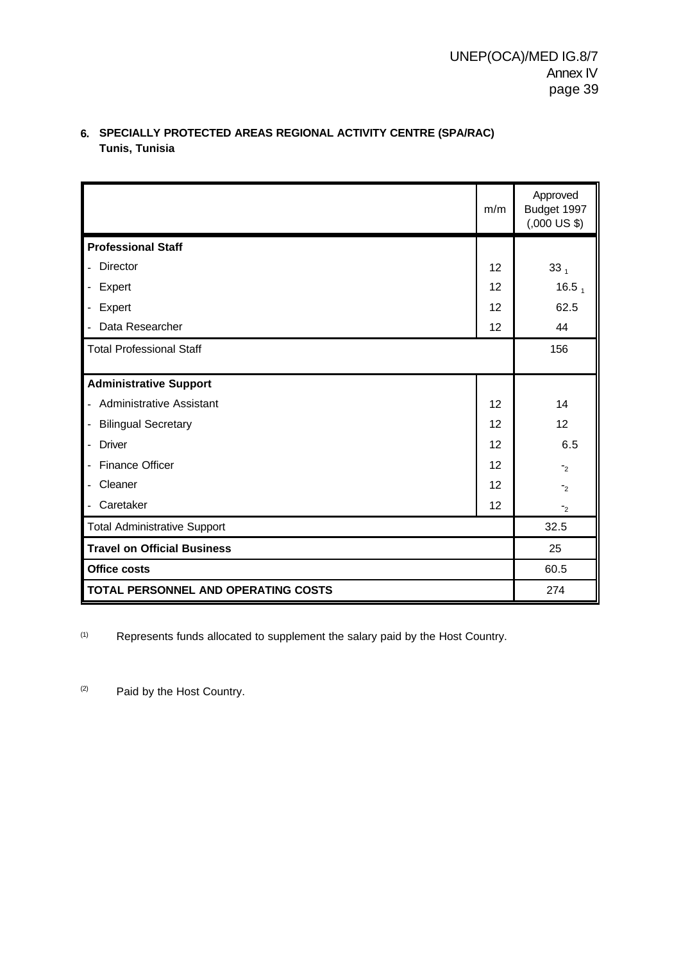## **6. SPECIALLY PROTECTED AREAS REGIONAL ACTIVITY CENTRE (SPA/RAC) Tunis, Tunisia**

|                                     | m/m | Approved<br>Budget 1997<br>$(.000 \text{ US } $)$ |
|-------------------------------------|-----|---------------------------------------------------|
| <b>Professional Staff</b>           |     |                                                   |
| Director                            | 12  | 33 <sub>1</sub>                                   |
| Expert                              | 12  | 16.5 $_1$                                         |
| Expert                              | 12  | 62.5                                              |
| Data Researcher                     | 12  | 44                                                |
| <b>Total Professional Staff</b>     |     | 156                                               |
| <b>Administrative Support</b>       |     |                                                   |
| <b>Administrative Assistant</b>     | 12  | 14                                                |
| <b>Bilingual Secretary</b>          | 12  | 12                                                |
| <b>Driver</b>                       | 12  | 6.5                                               |
| <b>Finance Officer</b>              | 12  | $-2$                                              |
| Cleaner                             | 12  | $-2$                                              |
| Caretaker                           | 12  | $-2$                                              |
| <b>Total Administrative Support</b> |     | 32.5                                              |
| <b>Travel on Official Business</b>  |     | 25                                                |
| <b>Office costs</b>                 |     | 60.5                                              |
| TOTAL PERSONNEL AND OPERATING COSTS |     | 274                                               |

(1) Represents funds allocated to supplement the salary paid by the Host Country.

(2) Paid by the Host Country.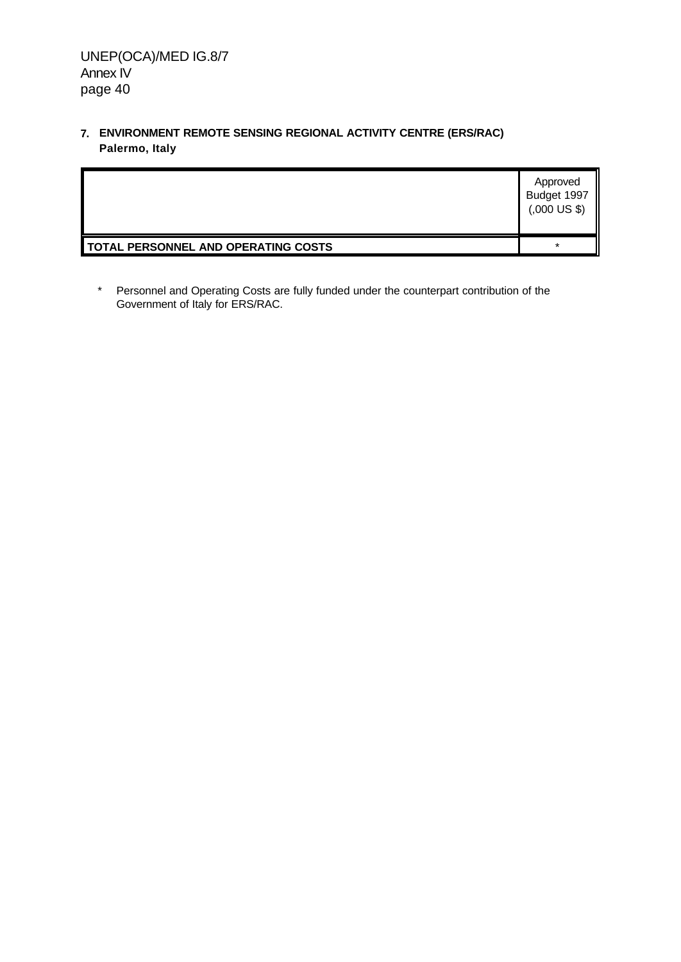**7. ENVIRONMENT REMOTE SENSING REGIONAL ACTIVITY CENTRE (ERS/RAC) Palermo, Italy**

|                                            | Approved<br>Budget 1997<br>$(.000 \text{ US } $)$ |
|--------------------------------------------|---------------------------------------------------|
| <b>TOTAL PERSONNEL AND OPERATING COSTS</b> | $\ast$                                            |

 \* Personnel and Operating Costs are fully funded under the counterpart contribution of the Government of Italy for ERS/RAC.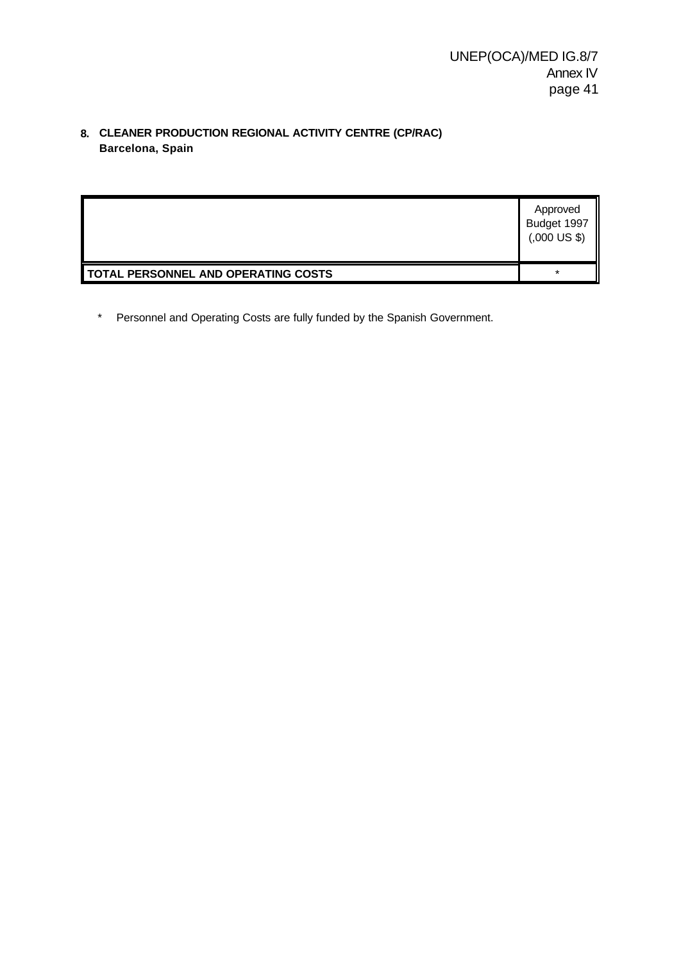## **8. CLEANER PRODUCTION REGIONAL ACTIVITY CENTRE (CP/RAC) Barcelona, Spain**

|                                     | Approved<br>Budget 1997<br>$(.000 \text{ US } $)$ |
|-------------------------------------|---------------------------------------------------|
| TOTAL PERSONNEL AND OPERATING COSTS | $\star$                                           |

\* Personnel and Operating Costs are fully funded by the Spanish Government.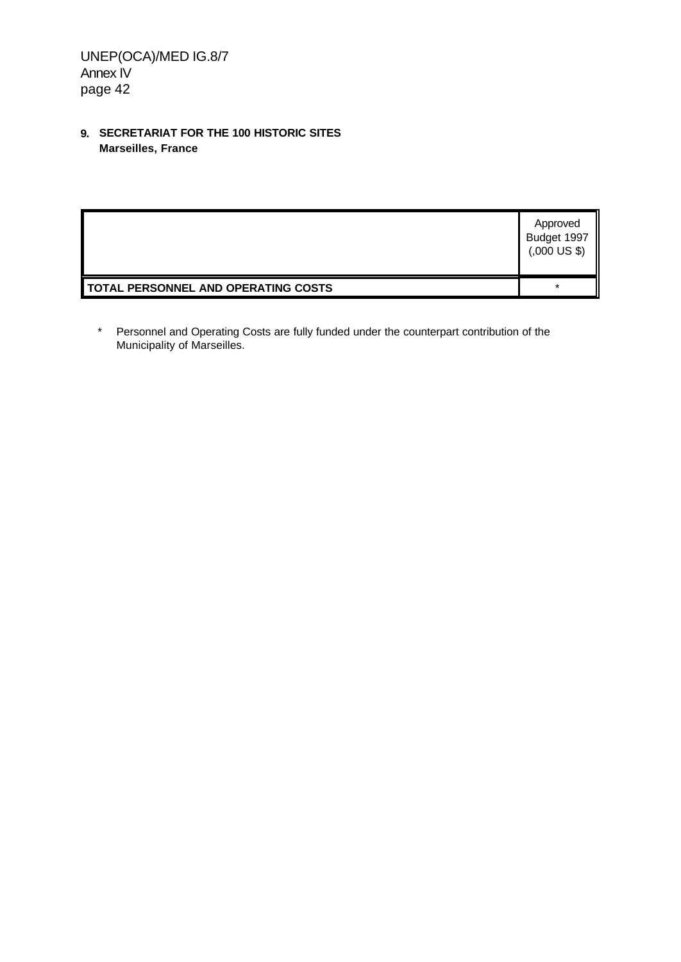**9. SECRETARIAT FOR THE 100 HISTORIC SITES Marseilles, France**

|                                     | Approved<br>Budget 1997<br>$(.000 \text{ US } $)$ |
|-------------------------------------|---------------------------------------------------|
| TOTAL PERSONNEL AND OPERATING COSTS | $\star$                                           |

 \* Personnel and Operating Costs are fully funded under the counterpart contribution of the Municipality of Marseilles.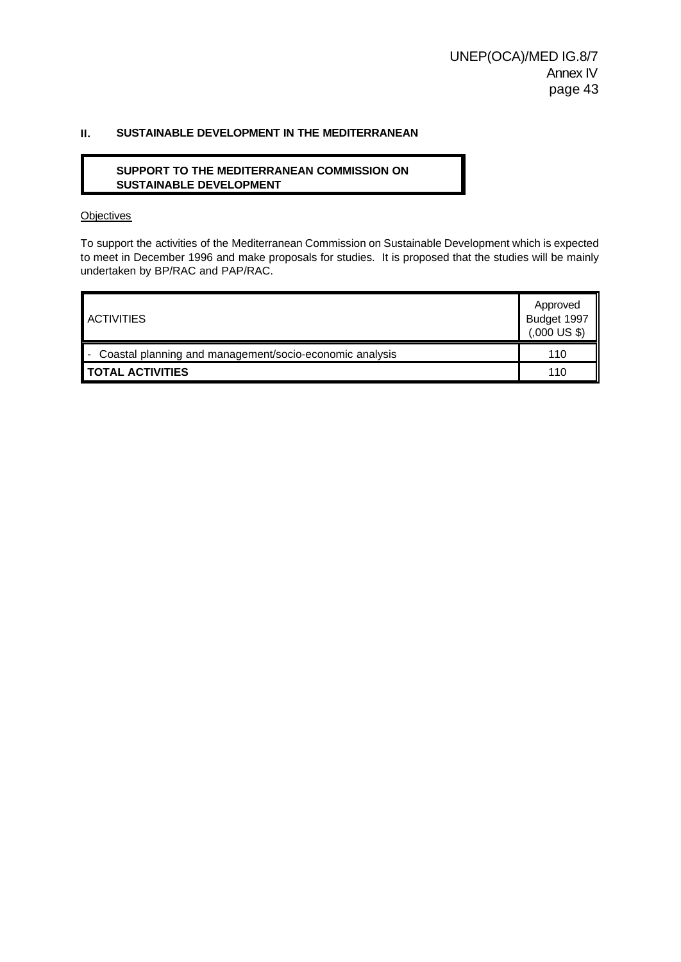## **II. SUSTAINABLE DEVELOPMENT IN THE MEDITERRANEAN**

## **SUPPORT TO THE MEDITERRANEAN COMMISSION ON SUSTAINABLE DEVELOPMENT**

#### **Objectives**

To support the activities of the Mediterranean Commission on Sustainable Development which is expected to meet in December 1996 and make proposals for studies. It is proposed that the studies will be mainly undertaken by BP/RAC and PAP/RAC.

| <b>ACTIVITIES</b>                                         | Approved<br>Budget 1997<br>$(.000 \text{ US } $)$ |
|-----------------------------------------------------------|---------------------------------------------------|
| - Coastal planning and management/socio-economic analysis | 110                                               |
| <b>TOTAL ACTIVITIES</b>                                   | 110                                               |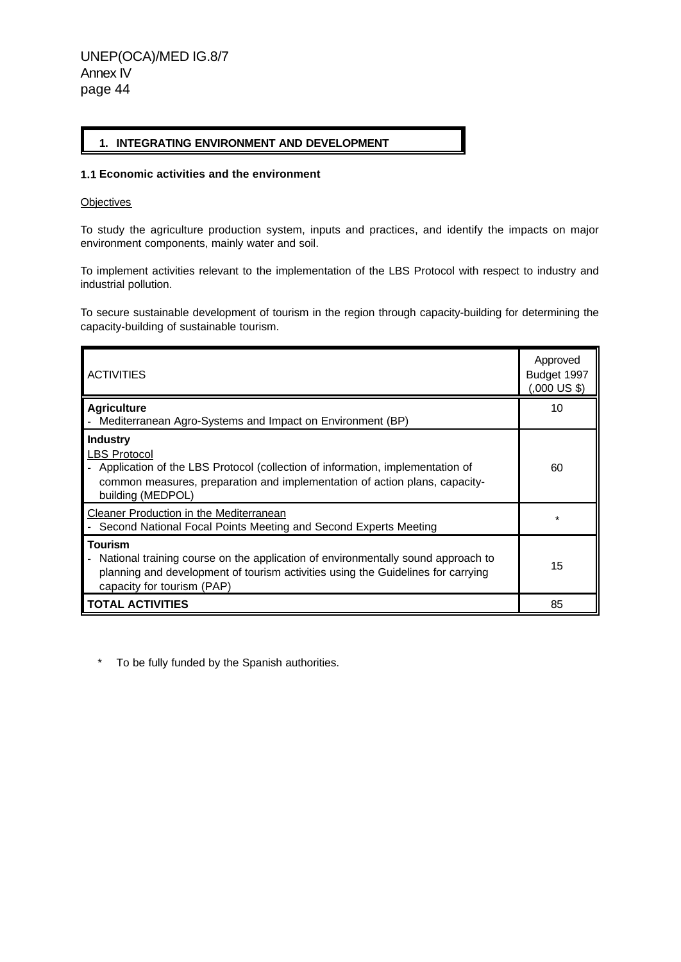## **1. INTEGRATING ENVIRONMENT AND DEVELOPMENT**

#### **1.1 Economic activities and the environment**

#### **Objectives**

To study the agriculture production system, inputs and practices, and identify the impacts on major environment components, mainly water and soil.

To implement activities relevant to the implementation of the LBS Protocol with respect to industry and industrial pollution.

To secure sustainable development of tourism in the region through capacity-building for determining the capacity-building of sustainable tourism.

| <b>ACTIVITIES</b>                                                                                                                                                                                                          | Approved<br>Budget 1997<br>$(.000 \text{ US } $)$ |
|----------------------------------------------------------------------------------------------------------------------------------------------------------------------------------------------------------------------------|---------------------------------------------------|
| <b>Agriculture</b><br>Mediterranean Agro-Systems and Impact on Environment (BP)                                                                                                                                            | 10                                                |
| <b>Industry</b><br><b>LBS Protocol</b><br>Application of the LBS Protocol (collection of information, implementation of<br>common measures, preparation and implementation of action plans, capacity-<br>building (MEDPOL) | 60                                                |
| <b>Cleaner Production in the Mediterranean</b><br>Second National Focal Points Meeting and Second Experts Meeting                                                                                                          | $\star$                                           |
| <b>Tourism</b><br>National training course on the application of environmentally sound approach to<br>planning and development of tourism activities using the Guidelines for carrying<br>capacity for tourism (PAP)       | 15                                                |
| I TOTAL ACTIVITIES                                                                                                                                                                                                         | 85                                                |

 <sup>\*</sup> To be fully funded by the Spanish authorities.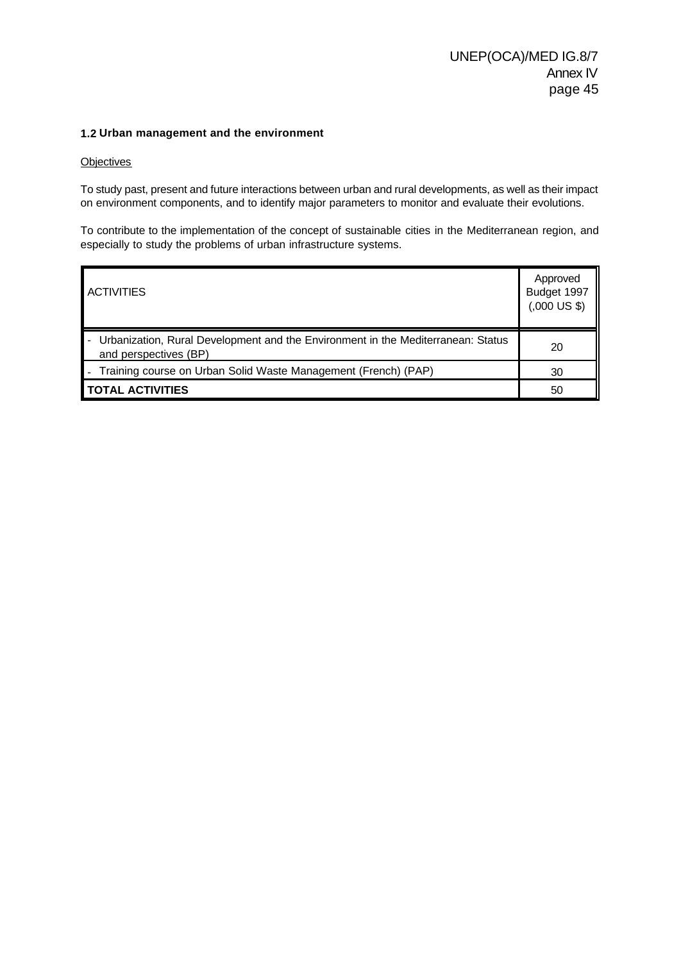#### **1.2 Urban management and the environment**

#### **Objectives**

To study past, present and future interactions between urban and rural developments, as well as their impact on environment components, and to identify major parameters to monitor and evaluate their evolutions.

To contribute to the implementation of the concept of sustainable cities in the Mediterranean region, and especially to study the problems of urban infrastructure systems.

| <b>ACTIVITIES</b>                                                                                         | Approved<br>Budget 1997<br>$(.000 \text{ US } $)$ |
|-----------------------------------------------------------------------------------------------------------|---------------------------------------------------|
| Urbanization, Rural Development and the Environment in the Mediterranean: Status<br>and perspectives (BP) | 20                                                |
| Training course on Urban Solid Waste Management (French) (PAP)                                            | 30                                                |
| <b>TOTAL ACTIVITIES</b>                                                                                   | 50                                                |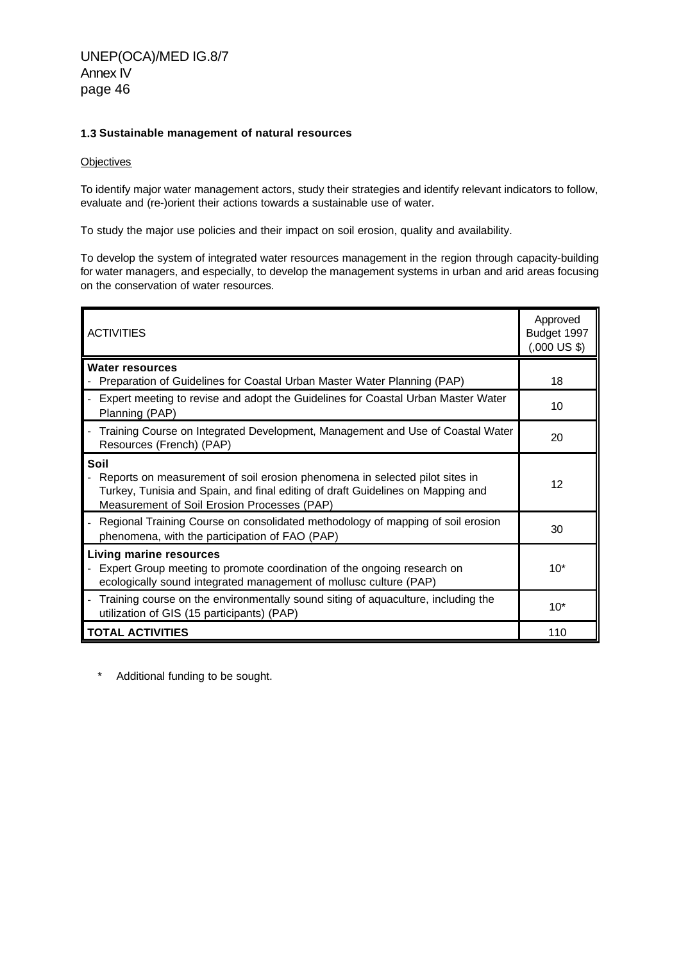#### **1.3 Sustainable management of natural resources**

#### **Objectives**

To identify major water management actors, study their strategies and identify relevant indicators to follow, evaluate and (re-)orient their actions towards a sustainable use of water.

To study the major use policies and their impact on soil erosion, quality and availability.

To develop the system of integrated water resources management in the region through capacity-building for water managers, and especially, to develop the management systems in urban and arid areas focusing on the conservation of water resources.

| <b>ACTIVITIES</b>                                                                                                                                                                                                     | Approved<br>Budget 1997<br>$(.000 \text{ US } $)$ |
|-----------------------------------------------------------------------------------------------------------------------------------------------------------------------------------------------------------------------|---------------------------------------------------|
| <b>Water resources</b><br>Preparation of Guidelines for Coastal Urban Master Water Planning (PAP)                                                                                                                     | 18                                                |
| Expert meeting to revise and adopt the Guidelines for Coastal Urban Master Water<br>Planning (PAP)                                                                                                                    | 10                                                |
| Training Course on Integrated Development, Management and Use of Coastal Water<br>Resources (French) (PAP)                                                                                                            | 20                                                |
| Soil<br>Reports on measurement of soil erosion phenomena in selected pilot sites in<br>Turkey, Tunisia and Spain, and final editing of draft Guidelines on Mapping and<br>Measurement of Soil Erosion Processes (PAP) | 12                                                |
| Regional Training Course on consolidated methodology of mapping of soil erosion<br>phenomena, with the participation of FAO (PAP)                                                                                     | 30                                                |
| <b>Living marine resources</b><br>Expert Group meeting to promote coordination of the ongoing research on<br>ecologically sound integrated management of mollusc culture (PAP)                                        | $10*$                                             |
| Training course on the environmentally sound siting of aquaculture, including the<br>utilization of GIS (15 participants) (PAP)                                                                                       | $10^*$                                            |
| <b>TOTAL ACTIVITIES</b>                                                                                                                                                                                               | 110                                               |

\* Additional funding to be sought.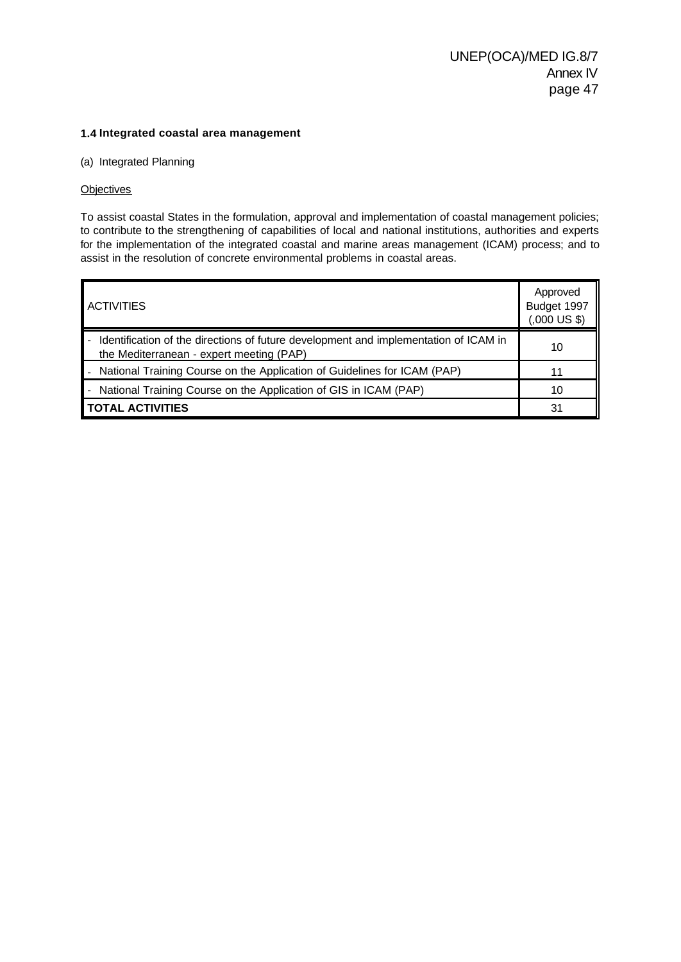#### **1.4 Integrated coastal area management**

### (a) Integrated Planning

#### **Objectives**

To assist coastal States in the formulation, approval and implementation of coastal management policies; to contribute to the strengthening of capabilities of local and national institutions, authorities and experts for the implementation of the integrated coastal and marine areas management (ICAM) process; and to assist in the resolution of concrete environmental problems in coastal areas.

| <b>ACTIVITIES</b>                                                                                                                | Approved<br>Budget 1997<br>$(.000 \text{ US } $)$ |
|----------------------------------------------------------------------------------------------------------------------------------|---------------------------------------------------|
| Identification of the directions of future development and implementation of ICAM in<br>the Mediterranean - expert meeting (PAP) | 10                                                |
| National Training Course on the Application of Guidelines for ICAM (PAP)                                                         |                                                   |
| National Training Course on the Application of GIS in ICAM (PAP)                                                                 | 10                                                |
| <b>TOTAL ACTIVITIES</b>                                                                                                          | 31                                                |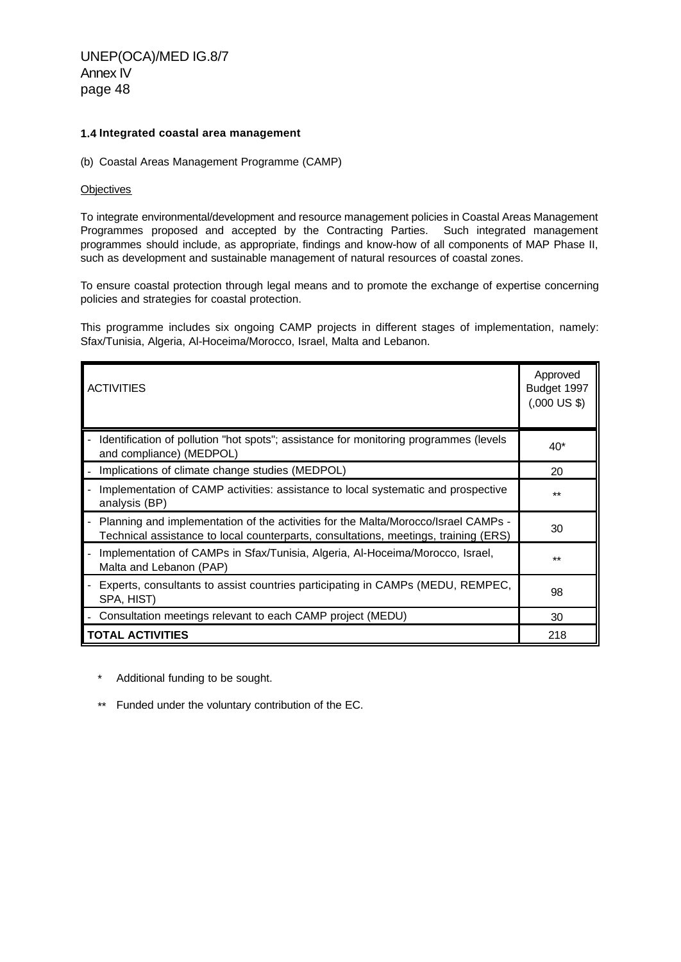#### **1.4 Integrated coastal area management**

(b) Coastal Areas Management Programme (CAMP)

#### **Objectives**

To integrate environmental/development and resource management policies in Coastal Areas Management Programmes proposed and accepted by the Contracting Parties. Such integrated management programmes should include, as appropriate, findings and know-how of all components of MAP Phase II, such as development and sustainable management of natural resources of coastal zones.

To ensure coastal protection through legal means and to promote the exchange of expertise concerning policies and strategies for coastal protection.

This programme includes six ongoing CAMP projects in different stages of implementation, namely: Sfax/Tunisia, Algeria, Al-Hoceima/Morocco, Israel, Malta and Lebanon.

| <b>ACTIVITIES</b>                                                                                                                                                         | Approved<br>Budget 1997<br>$(.000 \text{ US } $)$ |
|---------------------------------------------------------------------------------------------------------------------------------------------------------------------------|---------------------------------------------------|
| Identification of pollution "hot spots"; assistance for monitoring programmes (levels<br>and compliance) (MEDPOL)                                                         | $40^*$                                            |
| Implications of climate change studies (MEDPOL)                                                                                                                           | 20                                                |
| Implementation of CAMP activities: assistance to local systematic and prospective<br>analysis (BP)                                                                        | $***$                                             |
| Planning and implementation of the activities for the Malta/Morocco/Israel CAMPs -<br>Technical assistance to local counterparts, consultations, meetings, training (ERS) | 30                                                |
| Implementation of CAMPs in Sfax/Tunisia, Algeria, Al-Hoceima/Morocco, Israel,<br>Malta and Lebanon (PAP)                                                                  | $***$                                             |
| Experts, consultants to assist countries participating in CAMPs (MEDU, REMPEC,<br>SPA, HIST)                                                                              | 98                                                |
| Consultation meetings relevant to each CAMP project (MEDU)                                                                                                                | 30                                                |
| <b>TOTAL ACTIVITIES</b>                                                                                                                                                   | 218                                               |

- Additional funding to be sought.
- \*\* Funded under the voluntary contribution of the EC.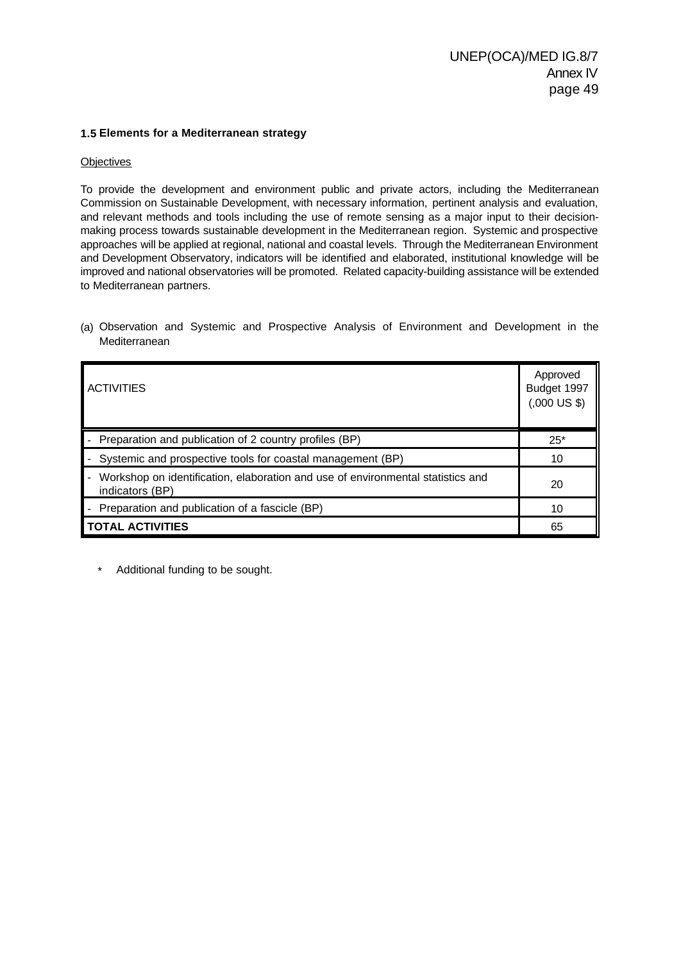#### **1.5 Elements for a Mediterranean strategy**

#### **Objectives**

To provide the development and environment public and private actors, including the Mediterranean Commission on Sustainable Development, with necessary information, pertinent analysis and evaluation, and relevant methods and tools including the use of remote sensing as a major input to their decisionmaking process towards sustainable development in the Mediterranean region. Systemic and prospective approaches will be applied at regional, national and coastal levels. Through the Mediterranean Environment and Development Observatory, indicators will be identified and elaborated, institutional knowledge will be improved and national observatories will be promoted. Related capacity-building assistance will be extended to Mediterranean partners.

(a) Observation and Systemic and Prospective Analysis of Environment and Development in the Mediterranean

| <b>ACTIVITIES</b>                                                                                  | Approved<br>Budget 1997<br>$(.000 \text{ US } $)$ |
|----------------------------------------------------------------------------------------------------|---------------------------------------------------|
| Preparation and publication of 2 country profiles (BP)                                             | $25*$                                             |
| Systemic and prospective tools for coastal management (BP)                                         | 10                                                |
| Workshop on identification, elaboration and use of environmental statistics and<br>indicators (BP) | 20                                                |
| Preparation and publication of a fascicle (BP)                                                     | 10                                                |
| <b>TOTAL ACTIVITIES</b>                                                                            | 65                                                |

\* Additional funding to be sought.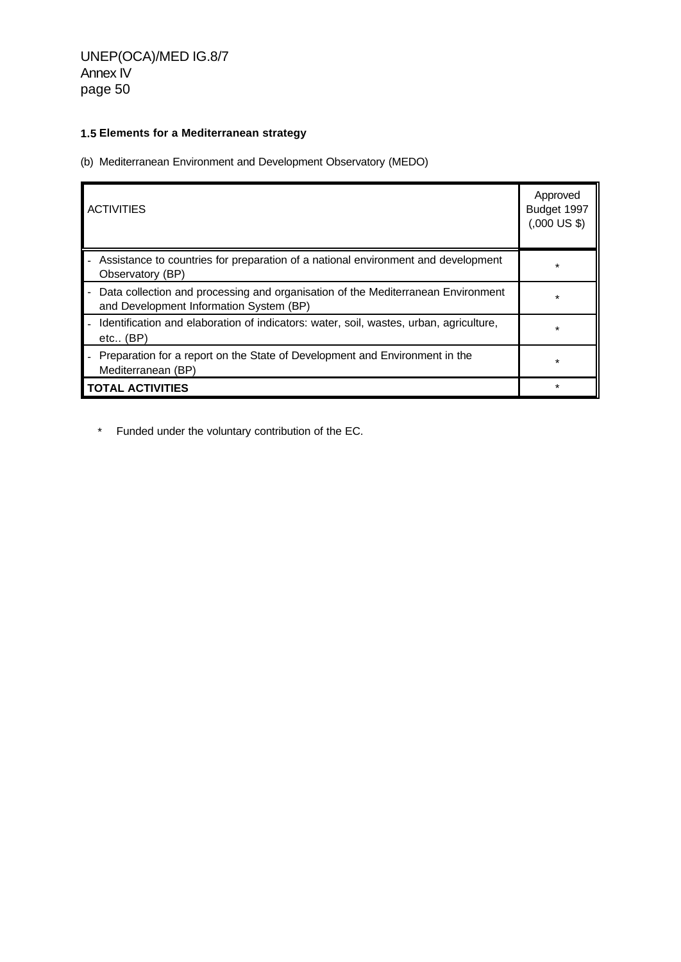## **1.5 Elements for a Mediterranean strategy**

(b) Mediterranean Environment and Development Observatory (MEDO)

| <b>ACTIVITIES</b>                                                                                                           | Approved<br>Budget 1997<br>$(.000 \text{ US } $)$ |
|-----------------------------------------------------------------------------------------------------------------------------|---------------------------------------------------|
| Assistance to countries for preparation of a national environment and development<br>Observatory (BP)                       |                                                   |
| Data collection and processing and organisation of the Mediterranean Environment<br>and Development Information System (BP) |                                                   |
| Identification and elaboration of indicators: water, soil, wastes, urban, agriculture,<br>etc., (BP)                        |                                                   |
| Preparation for a report on the State of Development and Environment in the<br>Mediterranean (BP)                           |                                                   |
| <b>TOTAL ACTIVITIES</b>                                                                                                     |                                                   |

\* Funded under the voluntary contribution of the EC.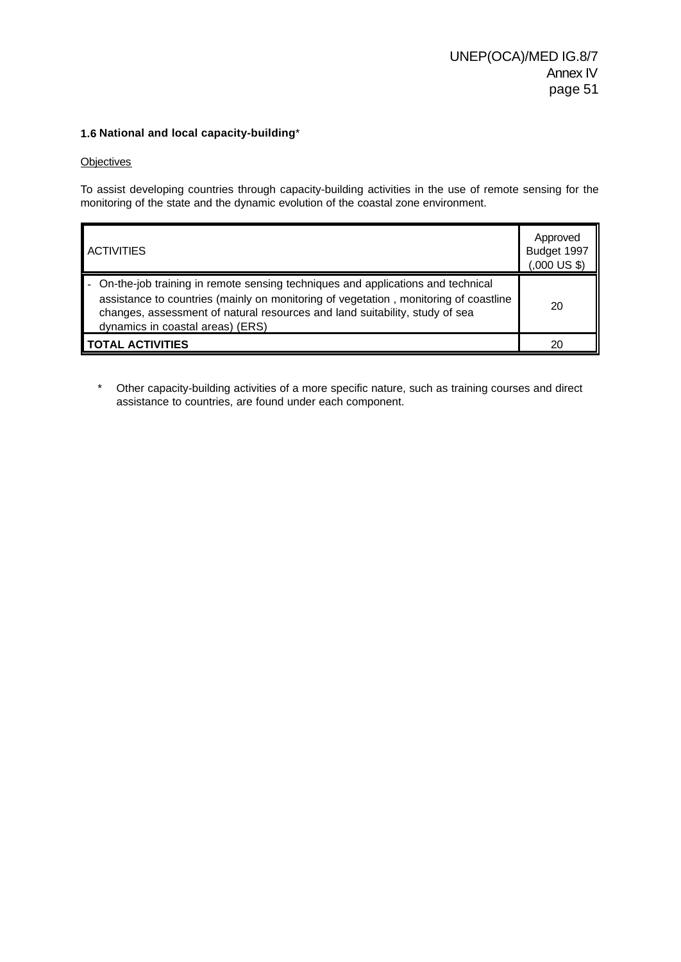## **1.6 National and local capacity-building**\*

#### **Objectives**

To assist developing countries through capacity-building activities in the use of remote sensing for the monitoring of the state and the dynamic evolution of the coastal zone environment.

| <b>ACTIVITIES</b>                                                                                                                                                                                                                                                                          | Approved<br>Budget 1997<br>$(.000 \text{ US } $)$ |
|--------------------------------------------------------------------------------------------------------------------------------------------------------------------------------------------------------------------------------------------------------------------------------------------|---------------------------------------------------|
| On-the-job training in remote sensing techniques and applications and technical<br>assistance to countries (mainly on monitoring of vegetation, monitoring of coastline<br>changes, assessment of natural resources and land suitability, study of sea<br>dynamics in coastal areas) (ERS) | 20                                                |
| <b>TOTAL ACTIVITIES</b>                                                                                                                                                                                                                                                                    | 20                                                |

 \* Other capacity-building activities of a more specific nature, such as training courses and direct assistance to countries, are found under each component.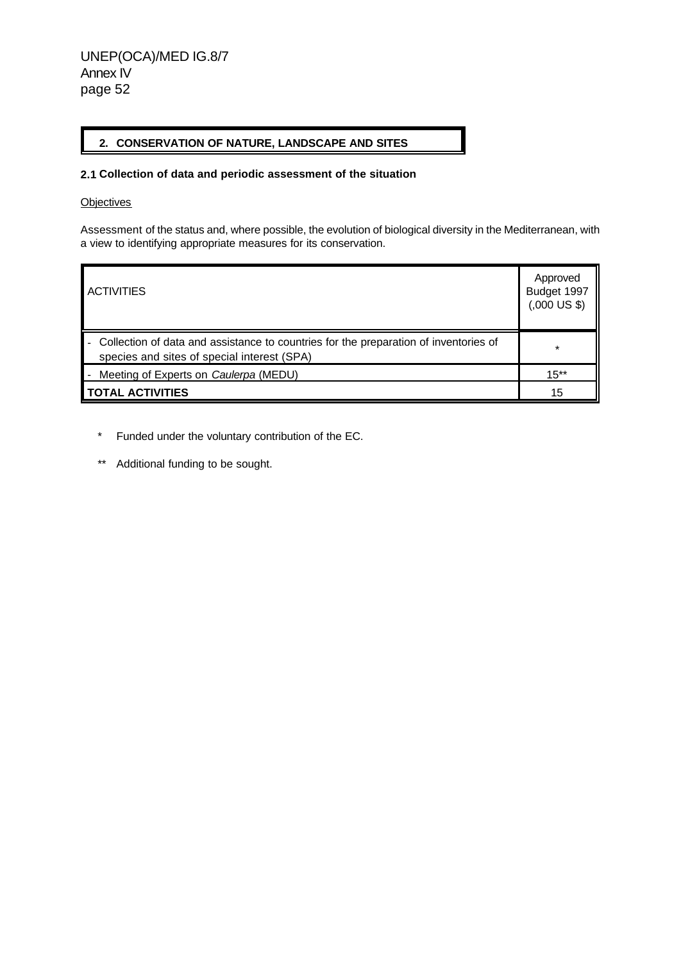## **2. CONSERVATION OF NATURE, LANDSCAPE AND SITES**

#### **2.1 Collection of data and periodic assessment of the situation**

#### **Objectives**

Assessment of the status and, where possible, the evolution of biological diversity in the Mediterranean, with a view to identifying appropriate measures for its conservation.

| <b>ACTIVITIES</b>                                                                                                                   | Approved<br>Budget 1997<br>$(.000 \text{ US } $)$ |
|-------------------------------------------------------------------------------------------------------------------------------------|---------------------------------------------------|
| Collection of data and assistance to countries for the preparation of inventories of<br>species and sites of special interest (SPA) | $\star$                                           |
| Meeting of Experts on Caulerpa (MEDU)                                                                                               | $15***$                                           |
| <b>TOTAL ACTIVITIES</b>                                                                                                             | 15                                                |

- \* Funded under the voluntary contribution of the EC.
- \*\* Additional funding to be sought.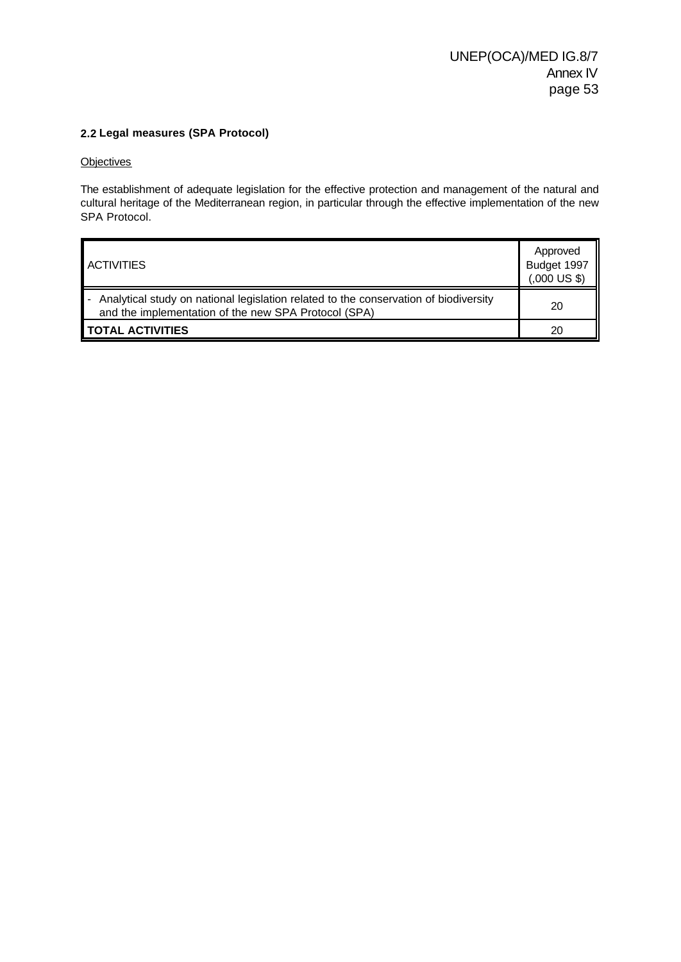## **2.2 Legal measures (SPA Protocol)**

**Objectives** 

The establishment of adequate legislation for the effective protection and management of the natural and cultural heritage of the Mediterranean region, in particular through the effective implementation of the new SPA Protocol.

| <b>ACTIVITIES</b>                                                                                                                            | Approved<br>Budget 1997<br>$(.000 \text{ US } $)$ |
|----------------------------------------------------------------------------------------------------------------------------------------------|---------------------------------------------------|
| Analytical study on national legislation related to the conservation of biodiversity<br>and the implementation of the new SPA Protocol (SPA) | 20                                                |
| <b>TOTAL ACTIVITIES</b>                                                                                                                      | 20                                                |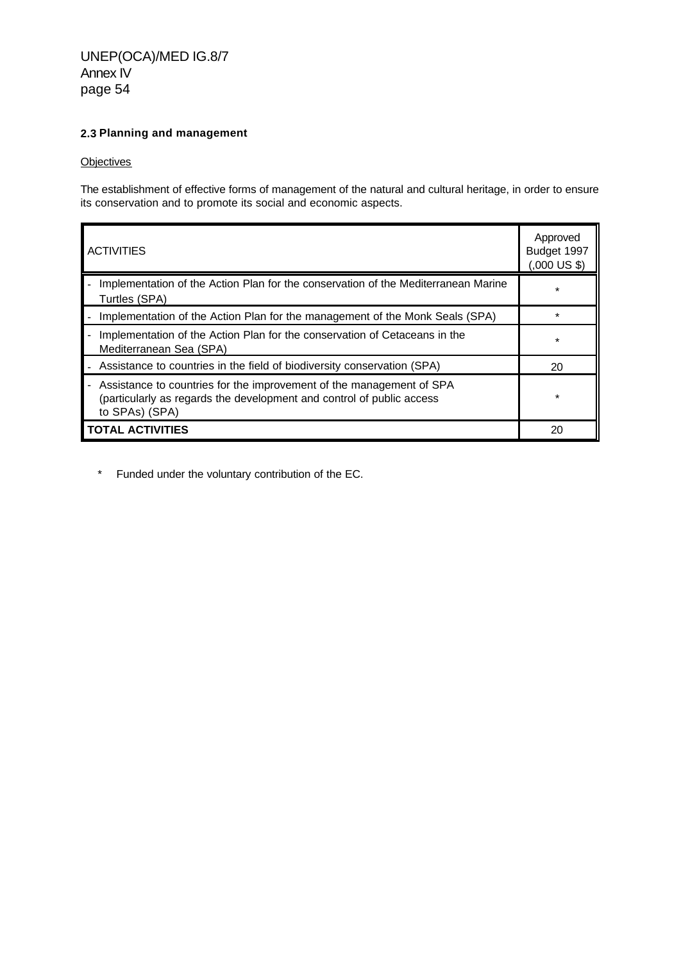## **2.3 Planning and management**

**Objectives** 

The establishment of effective forms of management of the natural and cultural heritage, in order to ensure its conservation and to promote its social and economic aspects.

| <b>ACTIVITIES</b>                                                                                                                                               | Approved<br>Budget 1997<br>$(.000 \text{ US } $)$ |
|-----------------------------------------------------------------------------------------------------------------------------------------------------------------|---------------------------------------------------|
| Implementation of the Action Plan for the conservation of the Mediterranean Marine<br>Turtles (SPA)                                                             | $\star$                                           |
| Implementation of the Action Plan for the management of the Monk Seals (SPA)                                                                                    |                                                   |
| Implementation of the Action Plan for the conservation of Cetaceans in the<br>Mediterranean Sea (SPA)                                                           | $\star$                                           |
| Assistance to countries in the field of biodiversity conservation (SPA)                                                                                         | 20                                                |
| Assistance to countries for the improvement of the management of SPA<br>(particularly as regards the development and control of public access<br>to SPAs) (SPA) | $\star$                                           |
| <b>TOTAL ACTIVITIES</b>                                                                                                                                         | 20                                                |

\* Funded under the voluntary contribution of the EC.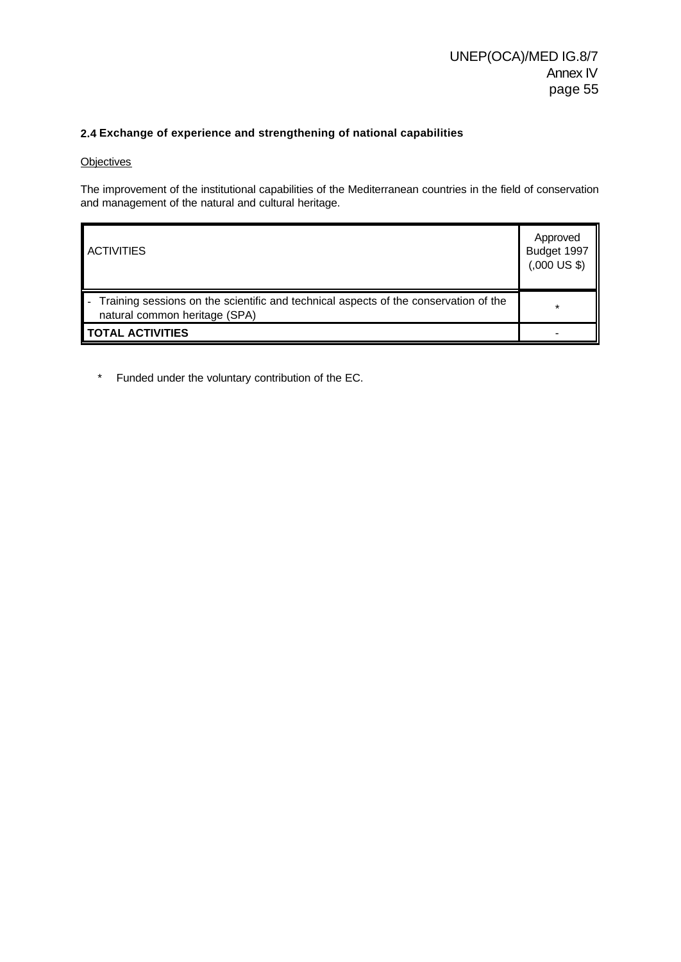## **2.4 Exchange of experience and strengthening of national capabilities**

**Objectives** 

The improvement of the institutional capabilities of the Mediterranean countries in the field of conservation and management of the natural and cultural heritage.

| <b>ACTIVITIES</b>                                                                                                     | Approved<br>Budget 1997<br>$(.000 \text{ US } $)$ |
|-----------------------------------------------------------------------------------------------------------------------|---------------------------------------------------|
| Training sessions on the scientific and technical aspects of the conservation of the<br>natural common heritage (SPA) | $\star$                                           |
| <b>TOTAL ACTIVITIES</b>                                                                                               |                                                   |

\* Funded under the voluntary contribution of the EC.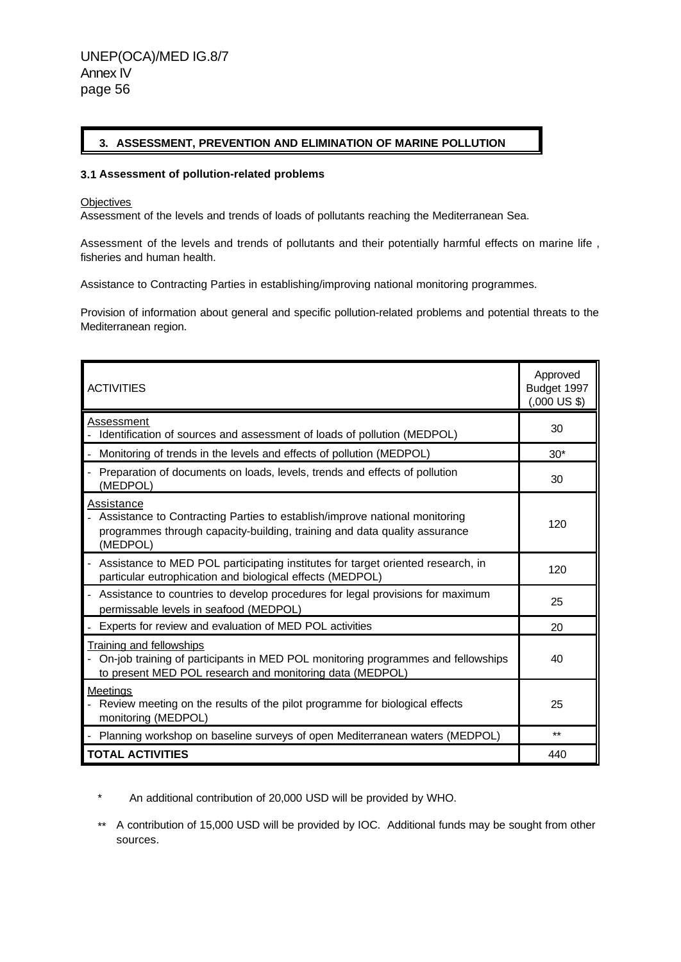## **3. ASSESSMENT, PREVENTION AND ELIMINATION OF MARINE POLLUTION**

#### **3.1 Assessment of pollution-related problems**

#### **Objectives**

Assessment of the levels and trends of loads of pollutants reaching the Mediterranean Sea.

Assessment of the levels and trends of pollutants and their potentially harmful effects on marine life, fisheries and human health.

Assistance to Contracting Parties in establishing/improving national monitoring programmes.

Provision of information about general and specific pollution-related problems and potential threats to the Mediterranean region.

| <b>ACTIVITIES</b>                                                                                                                                                                        | Approved<br>Budget 1997<br>$(.000 \text{ US } $)$ |
|------------------------------------------------------------------------------------------------------------------------------------------------------------------------------------------|---------------------------------------------------|
| Assessment<br>Identification of sources and assessment of loads of pollution (MEDPOL)                                                                                                    | 30                                                |
| Monitoring of trends in the levels and effects of pollution (MEDPOL)                                                                                                                     | $30*$                                             |
| Preparation of documents on loads, levels, trends and effects of pollution<br>(MEDPOL)                                                                                                   | 30                                                |
| <b>Assistance</b><br>Assistance to Contracting Parties to establish/improve national monitoring<br>programmes through capacity-building, training and data quality assurance<br>(MEDPOL) | 120                                               |
| Assistance to MED POL participating institutes for target oriented research, in<br>particular eutrophication and biological effects (MEDPOL)                                             | 120                                               |
| Assistance to countries to develop procedures for legal provisions for maximum<br>permissable levels in seafood (MEDPOL)                                                                 | 25                                                |
| Experts for review and evaluation of MED POL activities                                                                                                                                  | 20                                                |
| <b>Training and fellowships</b><br>On-job training of participants in MED POL monitoring programmes and fellowships<br>to present MED POL research and monitoring data (MEDPOL)          | 40                                                |
| <b>Meetings</b><br>Review meeting on the results of the pilot programme for biological effects<br>monitoring (MEDPOL)                                                                    | 25                                                |
| - Planning workshop on baseline surveys of open Mediterranean waters (MEDPOL)                                                                                                            | $***$                                             |
| <b>TOTAL ACTIVITIES</b>                                                                                                                                                                  | 440                                               |

- An additional contribution of 20,000 USD will be provided by WHO.
- \*\* A contribution of 15,000 USD will be provided by IOC. Additional funds may be sought from other sources.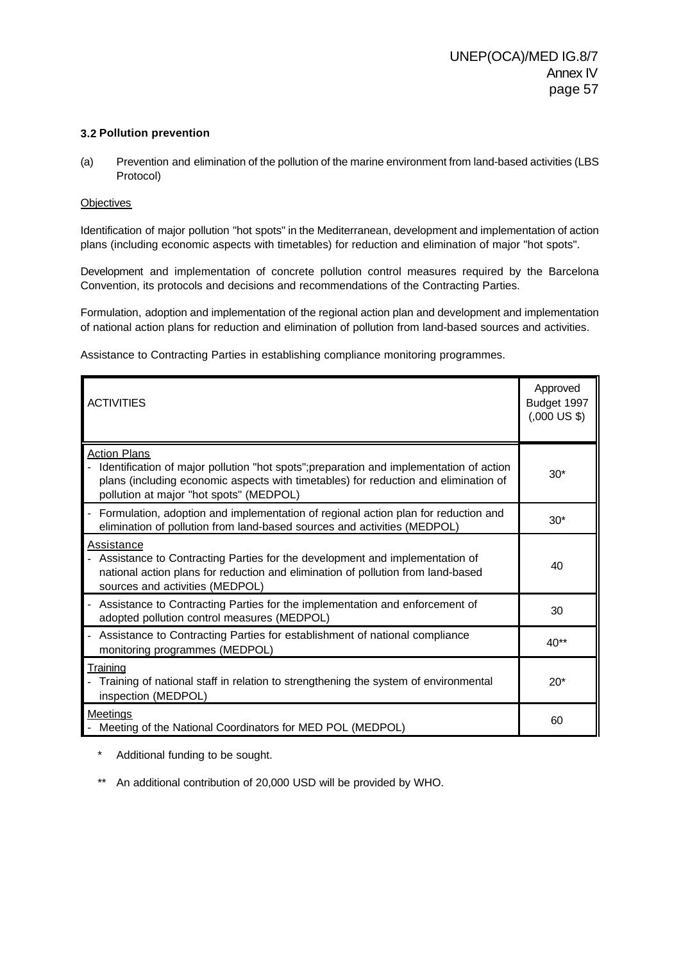#### **3.2 Pollution prevention**

(a) Prevention and elimination of the pollution of the marine environment from land-based activities (LBS Protocol)

#### **Objectives**

Identification of major pollution "hot spots" in the Mediterranean, development and implementation of action plans (including economic aspects with timetables) for reduction and elimination of major "hot spots".

Development and implementation of concrete pollution control measures required by the Barcelona Convention, its protocols and decisions and recommendations of the Contracting Parties.

Formulation, adoption and implementation of the regional action plan and development and implementation of national action plans for reduction and elimination of pollution from land-based sources and activities.

Assistance to Contracting Parties in establishing compliance monitoring programmes.

| <b>ACTIVITIES</b>                                                                                                                                                                                                                                | Approved<br>Budget 1997<br>$(.000 \text{ US } $)$ |
|--------------------------------------------------------------------------------------------------------------------------------------------------------------------------------------------------------------------------------------------------|---------------------------------------------------|
| <b>Action Plans</b><br>Identification of major pollution "hot spots"; preparation and implementation of action<br>plans (including economic aspects with timetables) for reduction and elimination of<br>pollution at major "hot spots" (MEDPOL) | $30*$                                             |
| Formulation, adoption and implementation of regional action plan for reduction and<br>elimination of pollution from land-based sources and activities (MEDPOL)                                                                                   | $30*$                                             |
| Assistance<br>Assistance to Contracting Parties for the development and implementation of<br>national action plans for reduction and elimination of pollution from land-based<br>sources and activities (MEDPOL)                                 | 40                                                |
| Assistance to Contracting Parties for the implementation and enforcement of<br>adopted pollution control measures (MEDPOL)                                                                                                                       | 30                                                |
| Assistance to Contracting Parties for establishment of national compliance<br>monitoring programmes (MEDPOL)                                                                                                                                     | $40**$                                            |
| Training<br>Training of national staff in relation to strengthening the system of environmental<br>inspection (MEDPOL)                                                                                                                           | $20*$                                             |
| <u>Meetings</u><br>Meeting of the National Coordinators for MED POL (MEDPOL)                                                                                                                                                                     | 60                                                |

Additional funding to be sought.

\*\* An additional contribution of 20,000 USD will be provided by WHO.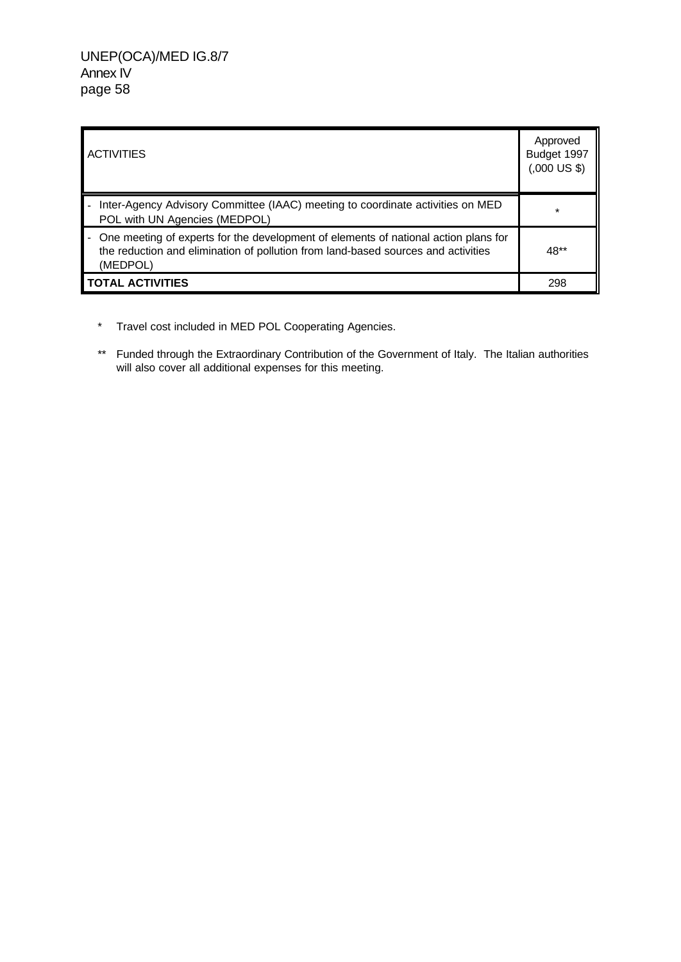| <b>ACTIVITIES</b>                                                                                                                                                                    | Approved<br>Budget 1997<br>$(.000 \text{ US } $)$ |
|--------------------------------------------------------------------------------------------------------------------------------------------------------------------------------------|---------------------------------------------------|
| Inter-Agency Advisory Committee (IAAC) meeting to coordinate activities on MED<br>POL with UN Agencies (MEDPOL)                                                                      | $\star$                                           |
| One meeting of experts for the development of elements of national action plans for<br>the reduction and elimination of pollution from land-based sources and activities<br>(MEDPOL) | $48**$                                            |
| <b>TOTAL ACTIVITIES</b>                                                                                                                                                              | 298                                               |

- \* Travel cost included in MED POL Cooperating Agencies.
- \*\* Funded through the Extraordinary Contribution of the Government of Italy. The Italian authorities will also cover all additional expenses for this meeting.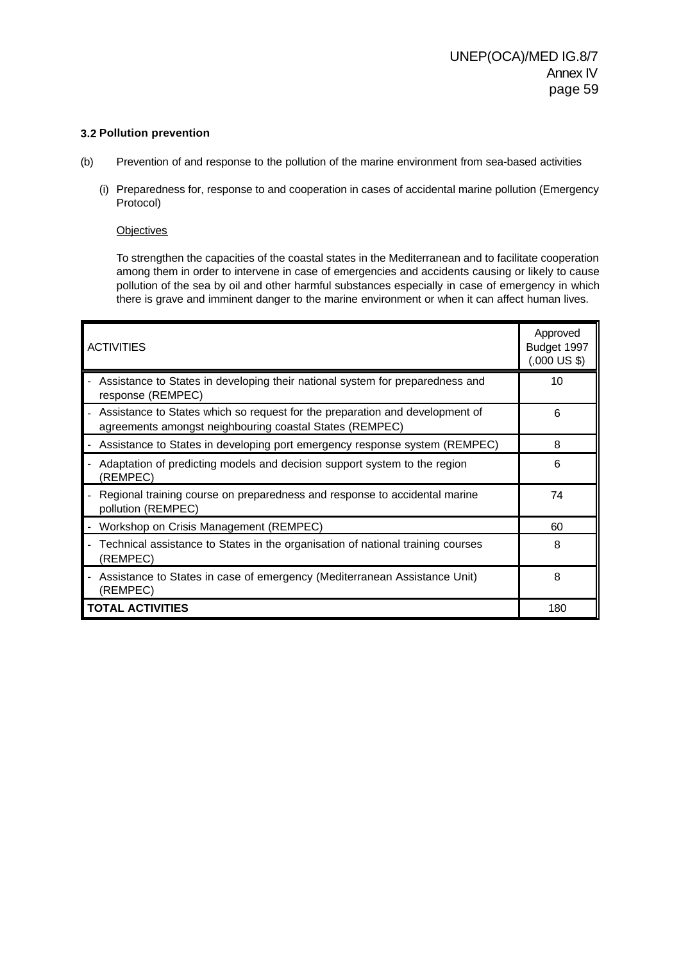#### **3.2 Pollution prevention**

- (b) Prevention of and response to the pollution of the marine environment from sea-based activities
	- (i) Preparedness for, response to and cooperation in cases of accidental marine pollution (Emergency Protocol)

#### **Objectives**

To strengthen the capacities of the coastal states in the Mediterranean and to facilitate cooperation among them in order to intervene in case of emergencies and accidents causing or likely to cause pollution of the sea by oil and other harmful substances especially in case of emergency in which there is grave and imminent danger to the marine environment or when it can affect human lives.

| <b>ACTIVITIES</b>                                                                                                                       | Approved<br>Budget 1997<br>$(.000 \text{ US } $)$ |
|-----------------------------------------------------------------------------------------------------------------------------------------|---------------------------------------------------|
| Assistance to States in developing their national system for preparedness and<br>response (REMPEC)                                      | 10                                                |
| Assistance to States which so request for the preparation and development of<br>agreements amongst neighbouring coastal States (REMPEC) | 6<br>8                                            |
| Assistance to States in developing port emergency response system (REMPEC)                                                              |                                                   |
| Adaptation of predicting models and decision support system to the region<br>(REMPEC)                                                   | 6                                                 |
| Regional training course on preparedness and response to accidental marine<br>pollution (REMPEC)                                        | 74<br>60                                          |
| Workshop on Crisis Management (REMPEC)                                                                                                  |                                                   |
| Technical assistance to States in the organisation of national training courses<br>(REMPEC)                                             | 8                                                 |
| Assistance to States in case of emergency (Mediterranean Assistance Unit)<br>(REMPEC)                                                   | 8                                                 |
| <b>TOTAL ACTIVITIES</b>                                                                                                                 | 180                                               |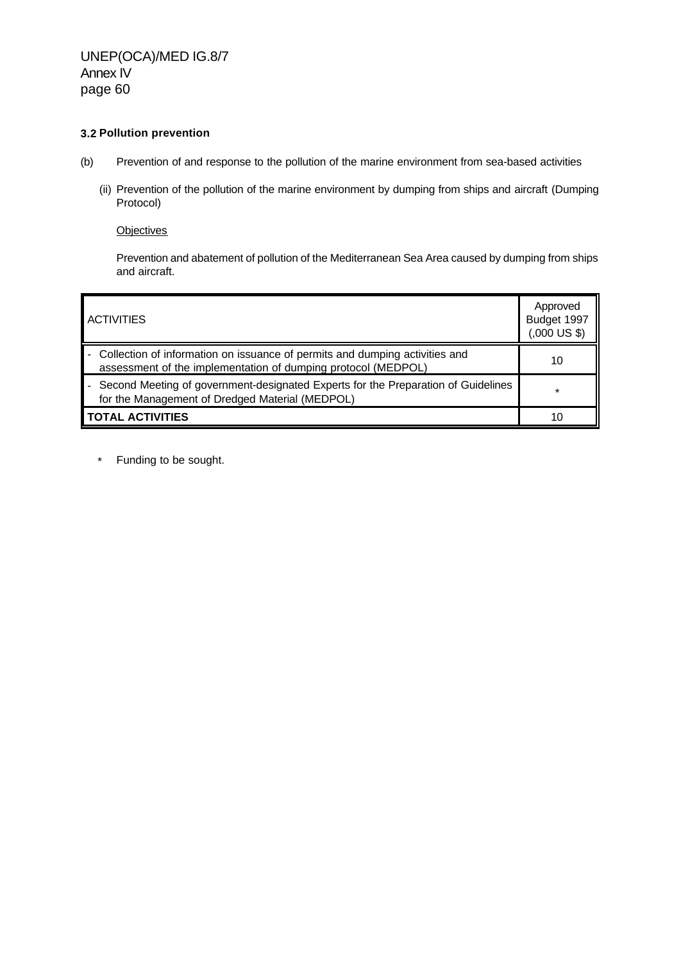## **3.2 Pollution prevention**

- (b) Prevention of and response to the pollution of the marine environment from sea-based activities
	- (ii) Prevention of the pollution of the marine environment by dumping from ships and aircraft (Dumping Protocol)

#### **Objectives**

Prevention and abatement of pollution of the Mediterranean Sea Area caused by dumping from ships and aircraft.

| <b>ACTIVITIES</b>                                                                                                                              | Approved<br>Budget 1997<br>$(.000 \text{ US } $)$ |
|------------------------------------------------------------------------------------------------------------------------------------------------|---------------------------------------------------|
| - Collection of information on issuance of permits and dumping activities and<br>assessment of the implementation of dumping protocol (MEDPOL) | 10                                                |
| - Second Meeting of government-designated Experts for the Preparation of Guidelines<br>for the Management of Dredged Material (MEDPOL)         | $\star$                                           |
| <b>TOTAL ACTIVITIES</b>                                                                                                                        | 10                                                |

\* Funding to be sought.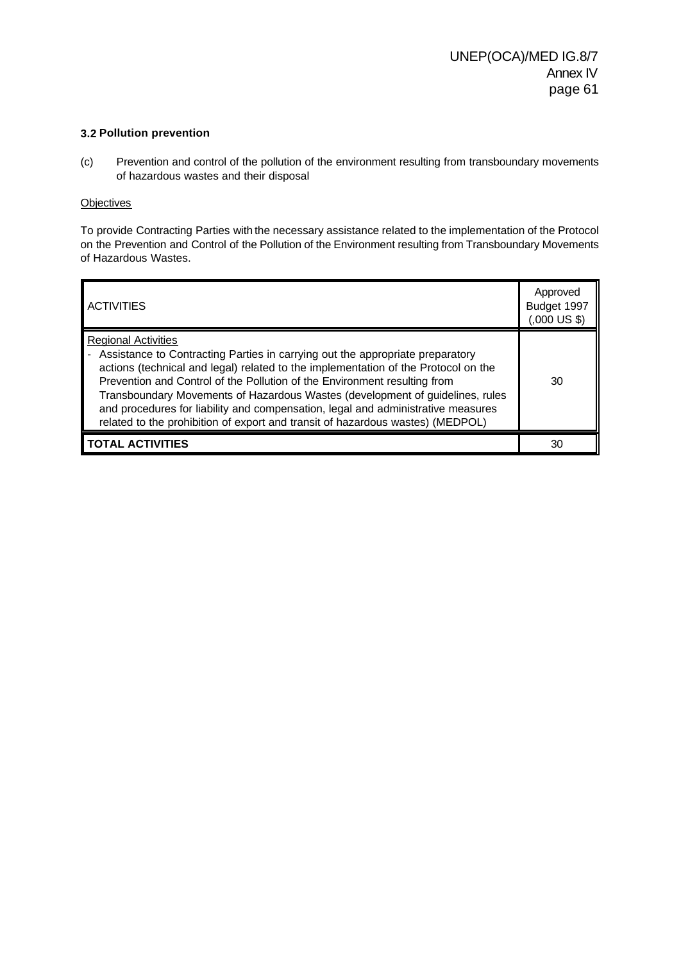#### **3.2 Pollution prevention**

(c) Prevention and control of the pollution of the environment resulting from transboundary movements of hazardous wastes and their disposal

#### **Objectives**

To provide Contracting Parties with the necessary assistance related to the implementation of the Protocol on the Prevention and Control of the Pollution of the Environment resulting from Transboundary Movements of Hazardous Wastes.

| <b>ACTIVITIES</b>                                                                                                                                                                                                                                                                                                                                                                                                                                                                                                                     | Approved<br>Budget 1997<br>$(.000 \text{ US } $)$ |
|---------------------------------------------------------------------------------------------------------------------------------------------------------------------------------------------------------------------------------------------------------------------------------------------------------------------------------------------------------------------------------------------------------------------------------------------------------------------------------------------------------------------------------------|---------------------------------------------------|
| <b>Regional Activities</b><br>Assistance to Contracting Parties in carrying out the appropriate preparatory<br>actions (technical and legal) related to the implementation of the Protocol on the<br>Prevention and Control of the Pollution of the Environment resulting from<br>Transboundary Movements of Hazardous Wastes (development of guidelines, rules<br>and procedures for liability and compensation, legal and administrative measures<br>related to the prohibition of export and transit of hazardous wastes) (MEDPOL) | 30                                                |
| <b>TOTAL ACTIVITIES</b>                                                                                                                                                                                                                                                                                                                                                                                                                                                                                                               | 30                                                |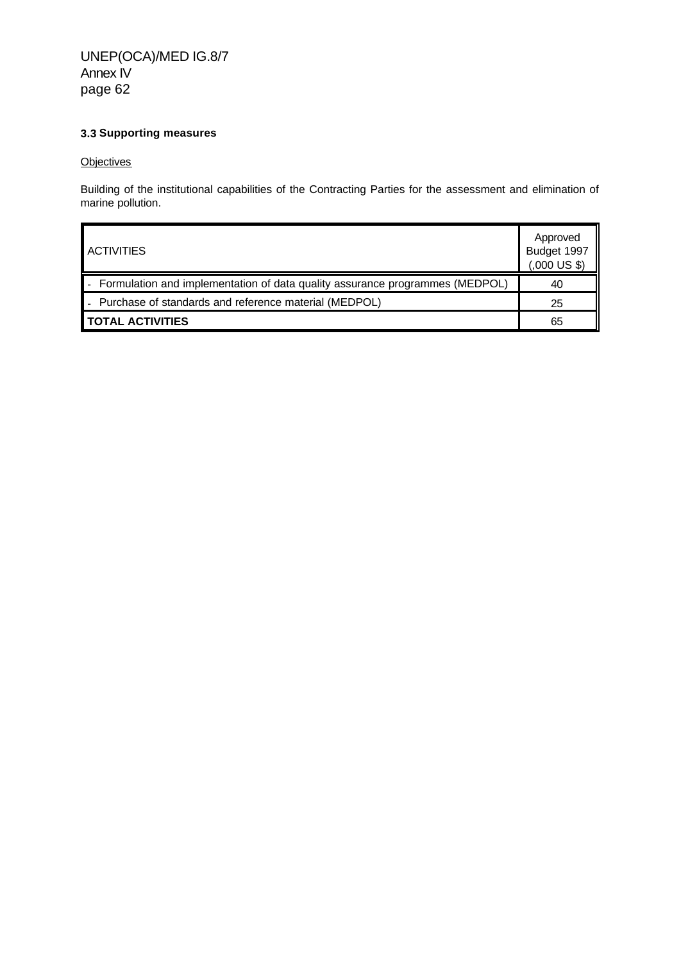## **3.3 Supporting measures**

**Objectives** 

Building of the institutional capabilities of the Contracting Parties for the assessment and elimination of marine pollution.

| <b>ACTIVITIES</b>                                                            | Approved<br>Budget 1997<br>$(.000 \text{ US } $)$ |
|------------------------------------------------------------------------------|---------------------------------------------------|
| Formulation and implementation of data quality assurance programmes (MEDPOL) | -40                                               |
| Purchase of standards and reference material (MEDPOL)                        | 25                                                |
| <b>TOTAL ACTIVITIES</b>                                                      | 65                                                |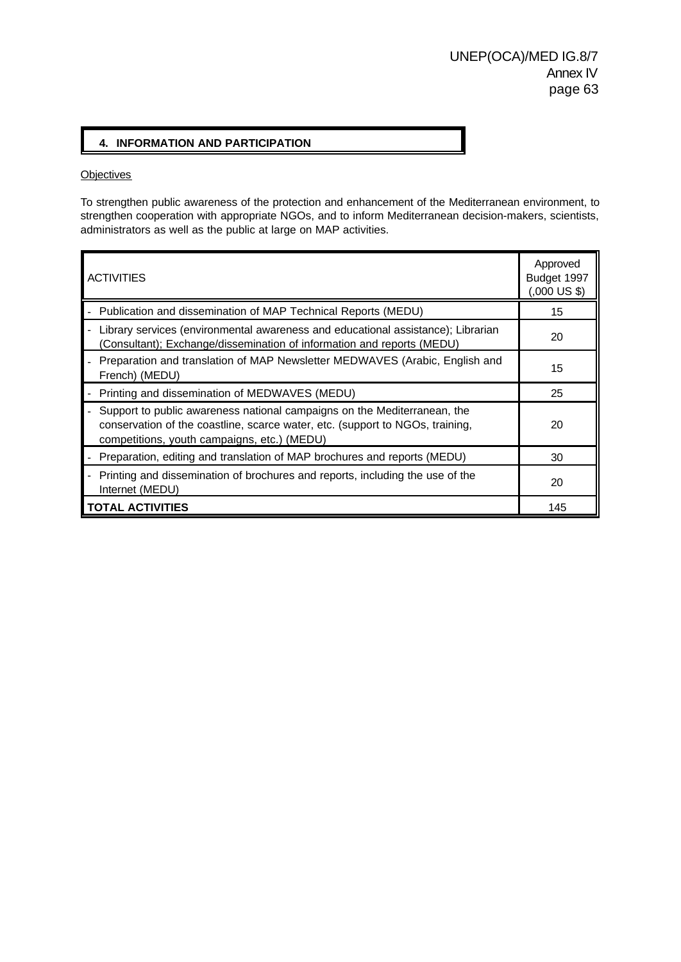## **4. INFORMATION AND PARTICIPATION**

#### **Objectives**

To strengthen public awareness of the protection and enhancement of the Mediterranean environment, to strengthen cooperation with appropriate NGOs, and to inform Mediterranean decision-makers, scientists, administrators as well as the public at large on MAP activities.

| <b>ACTIVITIES</b>                                                                                                                                                                                        | Approved<br>Budget 1997<br>$(.000 \text{ US } $)$ |
|----------------------------------------------------------------------------------------------------------------------------------------------------------------------------------------------------------|---------------------------------------------------|
| Publication and dissemination of MAP Technical Reports (MEDU)                                                                                                                                            | 15                                                |
| Library services (environmental awareness and educational assistance); Librarian<br>(Consultant); Exchange/dissemination of information and reports (MEDU)                                               | 20                                                |
| Preparation and translation of MAP Newsletter MEDWAVES (Arabic, English and<br>French) (MEDU)                                                                                                            | 15                                                |
| Printing and dissemination of MEDWAVES (MEDU)                                                                                                                                                            | 25                                                |
| Support to public awareness national campaigns on the Mediterranean, the<br>conservation of the coastline, scarce water, etc. (support to NGOs, training,<br>competitions, youth campaigns, etc.) (MEDU) | 20                                                |
| Preparation, editing and translation of MAP brochures and reports (MEDU)                                                                                                                                 | 30                                                |
| Printing and dissemination of brochures and reports, including the use of the<br>Internet (MEDU)                                                                                                         | 20                                                |
| <b>TOTAL ACTIVITIES</b>                                                                                                                                                                                  | 145                                               |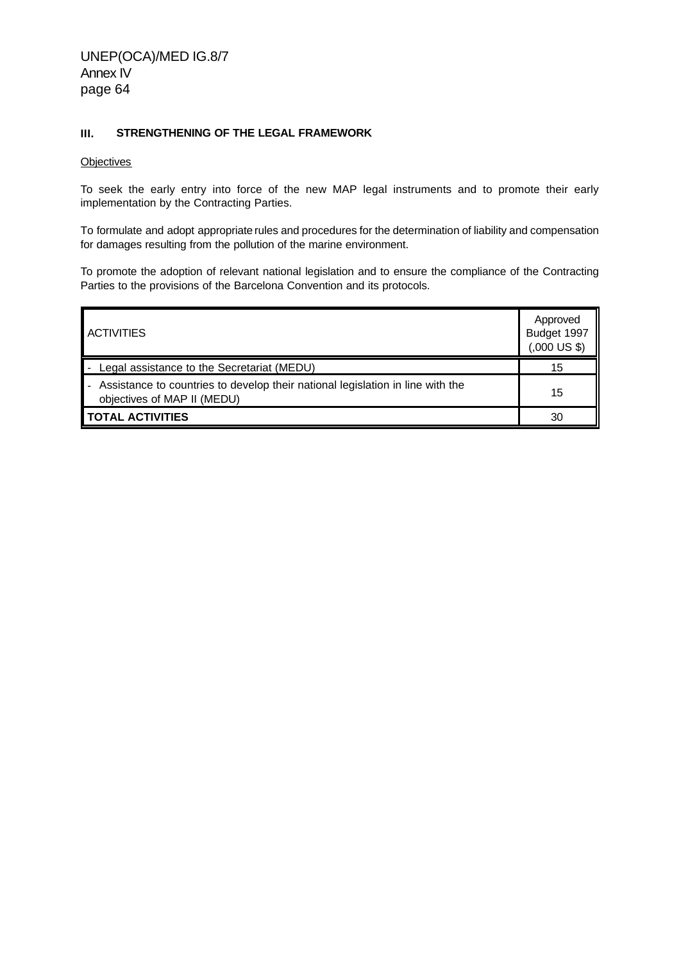### **III. STRENGTHENING OF THE LEGAL FRAMEWORK**

#### **Objectives**

To seek the early entry into force of the new MAP legal instruments and to promote their early implementation by the Contracting Parties.

To formulate and adopt appropriate rules and procedures for the determination of liability and compensation for damages resulting from the pollution of the marine environment.

To promote the adoption of relevant national legislation and to ensure the compliance of the Contracting Parties to the provisions of the Barcelona Convention and its protocols.

| <b>ACTIVITIES</b>                                                                                             | Approved<br>Budget 1997<br>$(.000 \text{ US } $)$ |
|---------------------------------------------------------------------------------------------------------------|---------------------------------------------------|
| Legal assistance to the Secretariat (MEDU)                                                                    |                                                   |
| Assistance to countries to develop their national legislation in line with the<br>objectives of MAP II (MEDU) | 15                                                |
| <b>TOTAL ACTIVITIES</b>                                                                                       | 30                                                |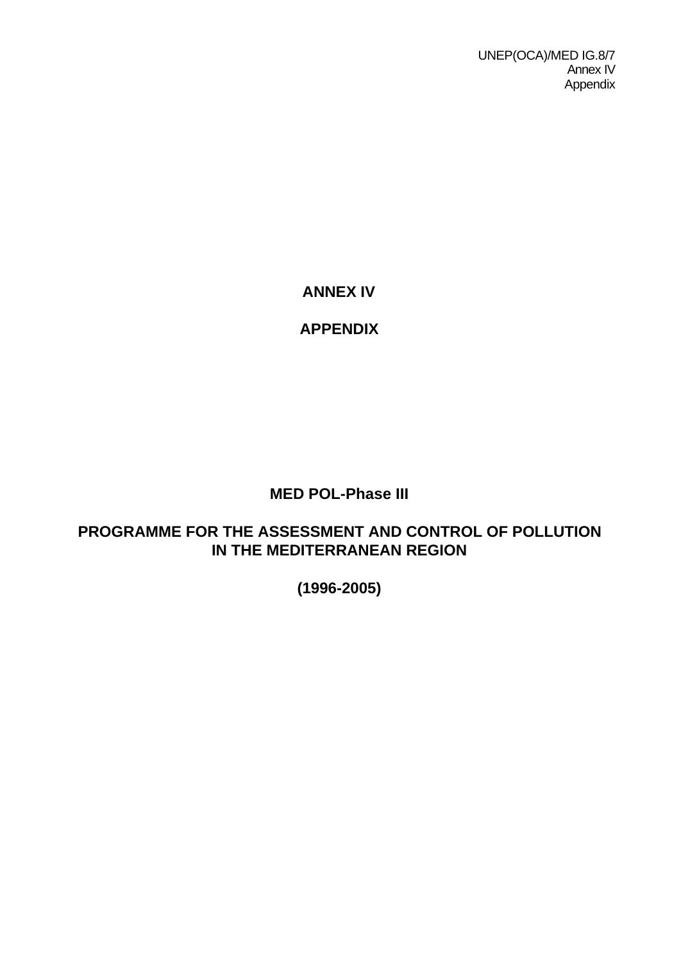**ANNEX IV**

# **APPENDIX**

**MED POL-Phase III**

# **PROGRAMME FOR THE ASSESSMENT AND CONTROL OF POLLUTION IN THE MEDITERRANEAN REGION**

**(1996-2005)**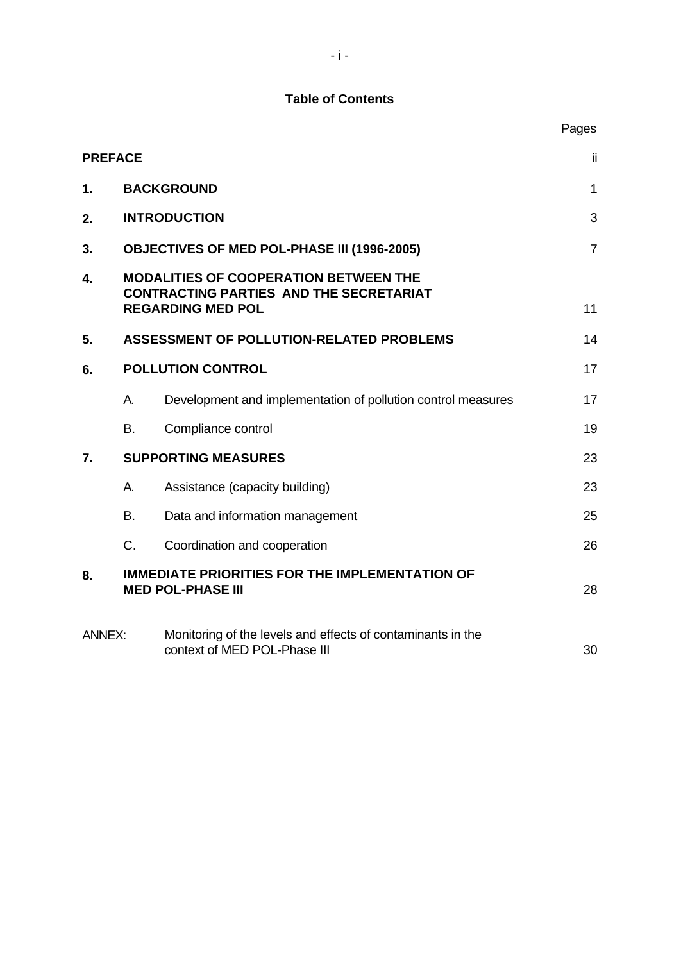# **Table of Contents**

|                |                                                                                                                            |                                                                                             | Pages |
|----------------|----------------------------------------------------------------------------------------------------------------------------|---------------------------------------------------------------------------------------------|-------|
| <b>PREFACE</b> |                                                                                                                            |                                                                                             | ii.   |
| 1.             | <b>BACKGROUND</b>                                                                                                          |                                                                                             |       |
| 2.             | <b>INTRODUCTION</b>                                                                                                        |                                                                                             |       |
| 3.             | <b>OBJECTIVES OF MED POL-PHASE III (1996-2005)</b>                                                                         |                                                                                             |       |
| 4.             | <b>MODALITIES OF COOPERATION BETWEEN THE</b><br><b>CONTRACTING PARTIES AND THE SECRETARIAT</b><br><b>REGARDING MED POL</b> |                                                                                             |       |
| 5.             |                                                                                                                            | ASSESSMENT OF POLLUTION-RELATED PROBLEMS                                                    | 14    |
| 6.             | <b>POLLUTION CONTROL</b>                                                                                                   |                                                                                             | 17    |
|                | А.                                                                                                                         | Development and implementation of pollution control measures                                | 17    |
|                | В.                                                                                                                         | Compliance control                                                                          | 19    |
| 7.             | <b>SUPPORTING MEASURES</b>                                                                                                 |                                                                                             | 23    |
|                | А.                                                                                                                         | Assistance (capacity building)                                                              | 23    |
|                | В.                                                                                                                         | Data and information management                                                             | 25    |
|                | C.                                                                                                                         | Coordination and cooperation                                                                | 26    |
| 8.             |                                                                                                                            | <b>IMMEDIATE PRIORITIES FOR THE IMPLEMENTATION OF</b><br><b>MED POL-PHASE III</b>           | 28    |
| ANNEX:         |                                                                                                                            | Monitoring of the levels and effects of contaminants in the<br>context of MED POL-Phase III | 30    |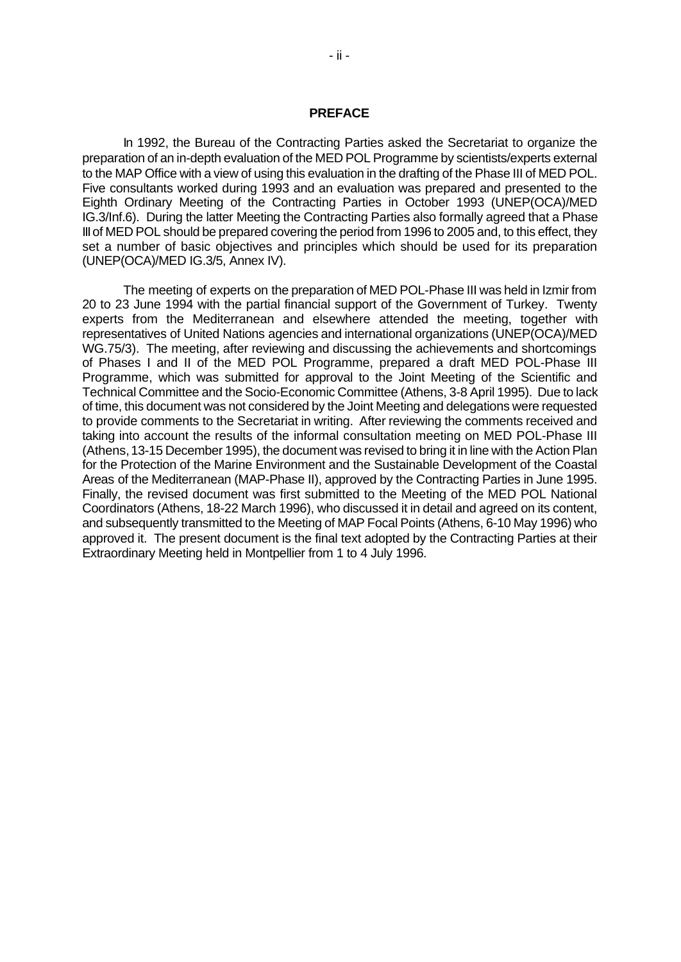#### **PREFACE**

In 1992, the Bureau of the Contracting Parties asked the Secretariat to organize the preparation of an in-depth evaluation of the MED POL Programme by scientists/experts external to the MAP Office with a view of using this evaluation in the drafting of the Phase III of MED POL. Five consultants worked during 1993 and an evaluation was prepared and presented to the Eighth Ordinary Meeting of the Contracting Parties in October 1993 (UNEP(OCA)/MED IG.3/Inf.6). During the latter Meeting the Contracting Parties also formally agreed that a Phase III of MED POL should be prepared covering the period from 1996 to 2005 and, to this effect, they set a number of basic objectives and principles which should be used for its preparation (UNEP(OCA)/MED IG.3/5, Annex IV).

The meeting of experts on the preparation of MED POL-Phase III was held in Izmir from 20 to 23 June 1994 with the partial financial support of the Government of Turkey. Twenty experts from the Mediterranean and elsewhere attended the meeting, together with representatives of United Nations agencies and international organizations (UNEP(OCA)/MED WG.75/3). The meeting, after reviewing and discussing the achievements and shortcomings of Phases I and II of the MED POL Programme, prepared a draft MED POL-Phase III Programme, which was submitted for approval to the Joint Meeting of the Scientific and Technical Committee and the Socio-Economic Committee (Athens, 3-8 April 1995). Due to lack of time, this document was not considered by the Joint Meeting and delegations were requested to provide comments to the Secretariat in writing. After reviewing the comments received and taking into account the results of the informal consultation meeting on MED POL-Phase III (Athens, 13-15 December 1995), the document was revised to bring it in line with the Action Plan for the Protection of the Marine Environment and the Sustainable Development of the Coastal Areas of the Mediterranean (MAP-Phase II), approved by the Contracting Parties in June 1995. Finally, the revised document was first submitted to the Meeting of the MED POL National Coordinators (Athens, 18-22 March 1996), who discussed it in detail and agreed on its content, and subsequently transmitted to the Meeting of MAP Focal Points (Athens, 6-10 May 1996) who approved it. The present document is the final text adopted by the Contracting Parties at their Extraordinary Meeting held in Montpellier from 1 to 4 July 1996.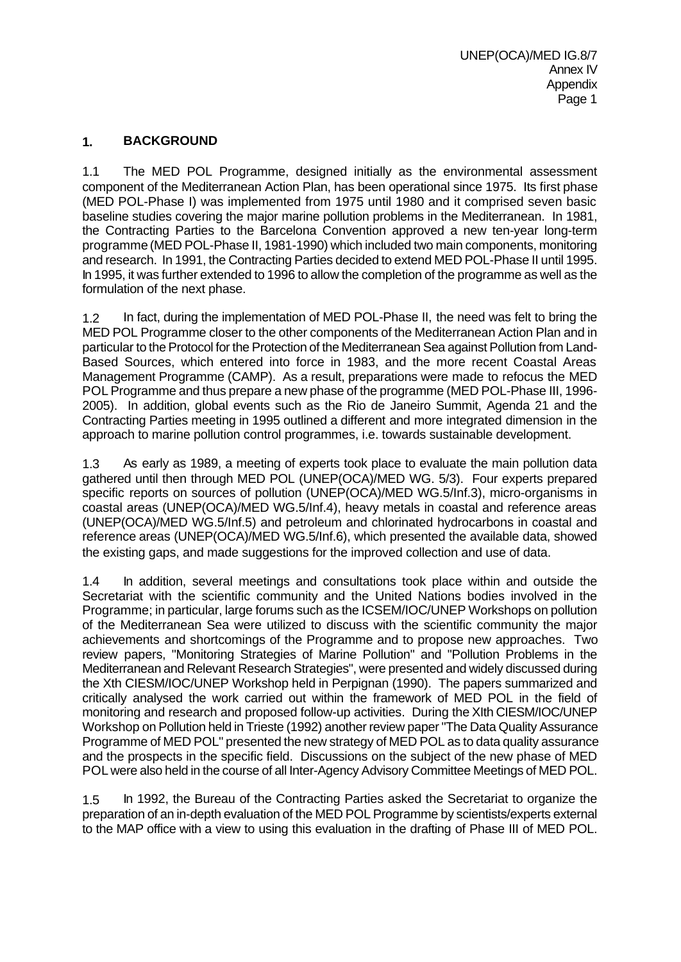## **1. BACKGROUND**

1.1 The MED POL Programme, designed initially as the environmental assessment component of the Mediterranean Action Plan, has been operational since 1975. Its first phase (MED POL-Phase I) was implemented from 1975 until 1980 and it comprised seven basic baseline studies covering the major marine pollution problems in the Mediterranean. In 1981, the Contracting Parties to the Barcelona Convention approved a new ten-year long-term programme (MED POL-Phase II, 1981-1990) which included two main components, monitoring and research. In 1991, the Contracting Parties decided to extend MED POL-Phase II until 1995. In 1995, it was further extended to 1996 to allow the completion of the programme as well as the formulation of the next phase.

1.2 In fact, during the implementation of MED POL-Phase II, the need was felt to bring the MED POL Programme closer to the other components of the Mediterranean Action Plan and in particular to the Protocol for the Protection of the Mediterranean Sea against Pollution from Land-Based Sources, which entered into force in 1983, and the more recent Coastal Areas Management Programme (CAMP). As a result, preparations were made to refocus the MED POL Programme and thus prepare a new phase of the programme (MED POL-Phase III, 1996- 2005). In addition, global events such as the Rio de Janeiro Summit, Agenda 21 and the Contracting Parties meeting in 1995 outlined a different and more integrated dimension in the approach to marine pollution control programmes, i.e. towards sustainable development.

1.3 As early as 1989, a meeting of experts took place to evaluate the main pollution data gathered until then through MED POL (UNEP(OCA)/MED WG. 5/3). Four experts prepared specific reports on sources of pollution (UNEP(OCA)/MED WG.5/Inf.3), micro-organisms in coastal areas (UNEP(OCA)/MED WG.5/Inf.4), heavy metals in coastal and reference areas (UNEP(OCA)/MED WG.5/Inf.5) and petroleum and chlorinated hydrocarbons in coastal and reference areas (UNEP(OCA)/MED WG.5/Inf.6), which presented the available data, showed the existing gaps, and made suggestions for the improved collection and use of data.

1.4 In addition, several meetings and consultations took place within and outside the Secretariat with the scientific community and the United Nations bodies involved in the Programme; in particular, large forums such as the ICSEM/IOC/UNEP Workshops on pollution of the Mediterranean Sea were utilized to discuss with the scientific community the major achievements and shortcomings of the Programme and to propose new approaches. Two review papers, "Monitoring Strategies of Marine Pollution" and "Pollution Problems in the Mediterranean and Relevant Research Strategies", were presented and widely discussed during the Xth CIESM/IOC/UNEP Workshop held in Perpignan (1990). The papers summarized and critically analysed the work carried out within the framework of MED POL in the field of monitoring and research and proposed follow-up activities. During the XIth CIESM/IOC/UNEP Workshop on Pollution held in Trieste (1992) another review paper "The Data Quality Assurance Programme of MED POL" presented the new strategy of MED POL as to data quality assurance and the prospects in the specific field. Discussions on the subject of the new phase of MED POL were also held in the course of all Inter-Agency Advisory Committee Meetings of MED POL.

1.5 In 1992, the Bureau of the Contracting Parties asked the Secretariat to organize the preparation of an in-depth evaluation of the MED POL Programme by scientists/experts external to the MAP office with a view to using this evaluation in the drafting of Phase III of MED POL.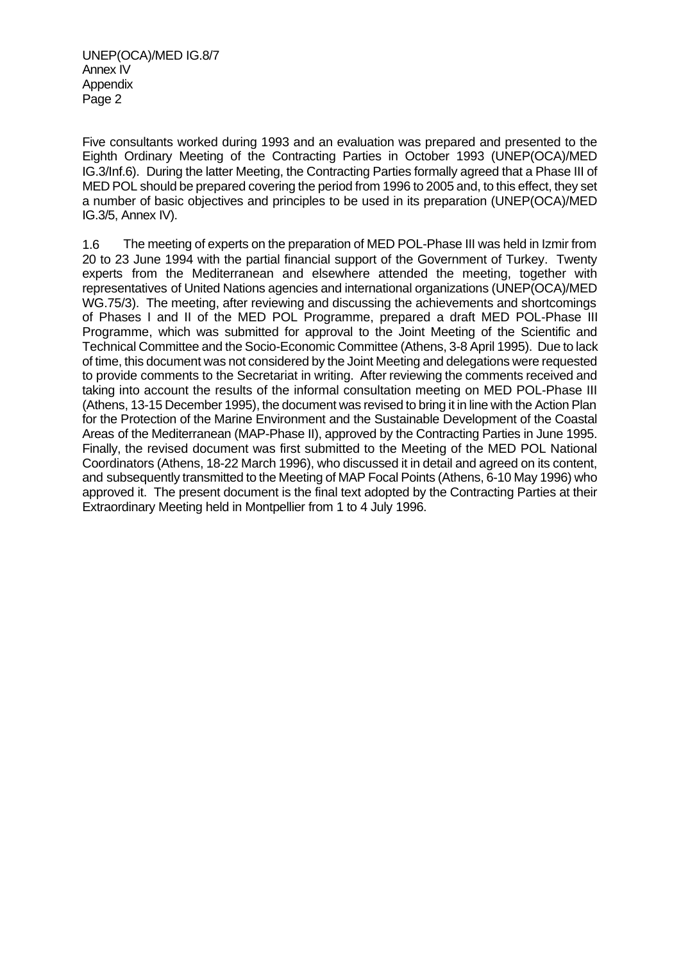UNEP(OCA)/MED IG.8/7 Annex IV Appendix Page 2

Five consultants worked during 1993 and an evaluation was prepared and presented to the Eighth Ordinary Meeting of the Contracting Parties in October 1993 (UNEP(OCA)/MED IG.3/Inf.6). During the latter Meeting, the Contracting Parties formally agreed that a Phase III of MED POL should be prepared covering the period from 1996 to 2005 and, to this effect, they set a number of basic objectives and principles to be used in its preparation (UNEP(OCA)/MED IG.3/5, Annex IV).

1.6 The meeting of experts on the preparation of MED POL-Phase III was held in Izmir from 20 to 23 June 1994 with the partial financial support of the Government of Turkey. Twenty experts from the Mediterranean and elsewhere attended the meeting, together with representatives of United Nations agencies and international organizations (UNEP(OCA)/MED WG.75/3). The meeting, after reviewing and discussing the achievements and shortcomings of Phases I and II of the MED POL Programme, prepared a draft MED POL-Phase III Programme, which was submitted for approval to the Joint Meeting of the Scientific and Technical Committee and the Socio-Economic Committee (Athens, 3-8 April 1995). Due to lack of time, this document was not considered by the Joint Meeting and delegations were requested to provide comments to the Secretariat in writing. After reviewing the comments received and taking into account the results of the informal consultation meeting on MED POL-Phase III (Athens, 13-15 December 1995), the document was revised to bring it in line with the Action Plan for the Protection of the Marine Environment and the Sustainable Development of the Coastal Areas of the Mediterranean (MAP-Phase II), approved by the Contracting Parties in June 1995. Finally, the revised document was first submitted to the Meeting of the MED POL National Coordinators (Athens, 18-22 March 1996), who discussed it in detail and agreed on its content, and subsequently transmitted to the Meeting of MAP Focal Points (Athens, 6-10 May 1996) who approved it. The present document is the final text adopted by the Contracting Parties at their Extraordinary Meeting held in Montpellier from 1 to 4 July 1996.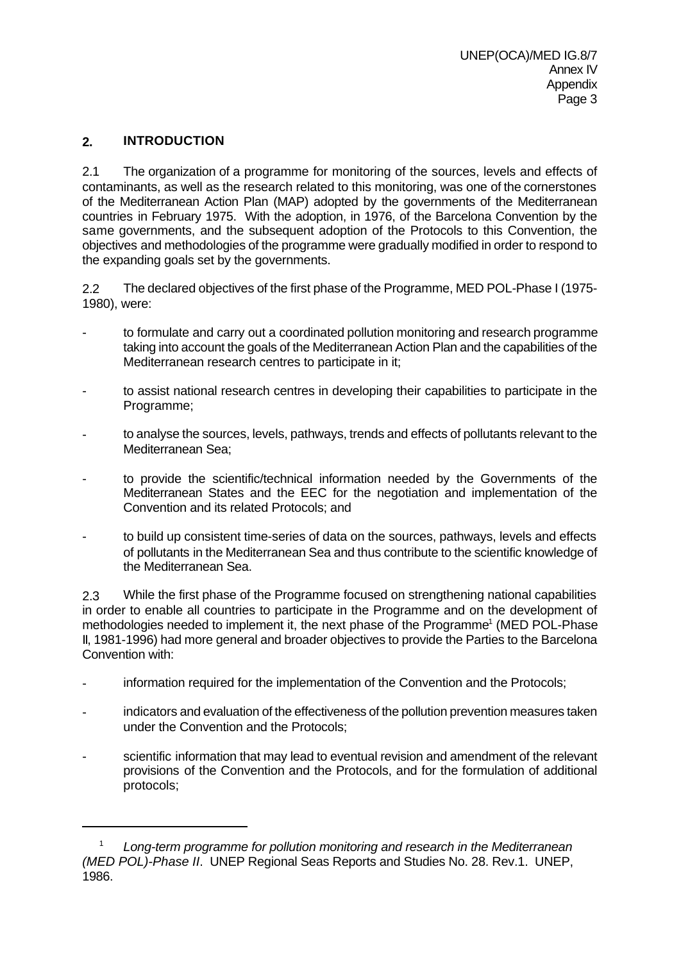# **2. INTRODUCTION**

2.1 The organization of a programme for monitoring of the sources, levels and effects of contaminants, as well as the research related to this monitoring, was one of the cornerstones of the Mediterranean Action Plan (MAP) adopted by the governments of the Mediterranean countries in February 1975. With the adoption, in 1976, of the Barcelona Convention by the same governments, and the subsequent adoption of the Protocols to this Convention, the objectives and methodologies of the programme were gradually modified in order to respond to the expanding goals set by the governments.

2.2 The declared objectives of the first phase of the Programme, MED POL-Phase I (1975- 1980), were:

- to formulate and carry out a coordinated pollution monitoring and research programme taking into account the goals of the Mediterranean Action Plan and the capabilities of the Mediterranean research centres to participate in it;
- to assist national research centres in developing their capabilities to participate in the Programme;
- to analyse the sources, levels, pathways, trends and effects of pollutants relevant to the Mediterranean Sea;
- to provide the scientific/technical information needed by the Governments of the Mediterranean States and the EEC for the negotiation and implementation of the Convention and its related Protocols; and
- to build up consistent time-series of data on the sources, pathways, levels and effects of pollutants in the Mediterranean Sea and thus contribute to the scientific knowledge of the Mediterranean Sea.

2.3 While the first phase of the Programme focused on strengthening national capabilities in order to enable all countries to participate in the Programme and on the development of methodologies needed to implement it, the next phase of the Programme<sup>1</sup> (MED POL-Phase II, 1981-1996) had more general and broader objectives to provide the Parties to the Barcelona Convention with:

- information required for the implementation of the Convention and the Protocols;
- indicators and evaluation of the effectiveness of the pollution prevention measures taken under the Convention and the Protocols;
- scientific information that may lead to eventual revision and amendment of the relevant provisions of the Convention and the Protocols, and for the formulation of additional protocols;

<sup>1</sup> *Long-term programme for pollution monitoring and research in the Mediterranean (MED POL)-Phase II*. UNEP Regional Seas Reports and Studies No. 28. Rev.1. UNEP, 1986.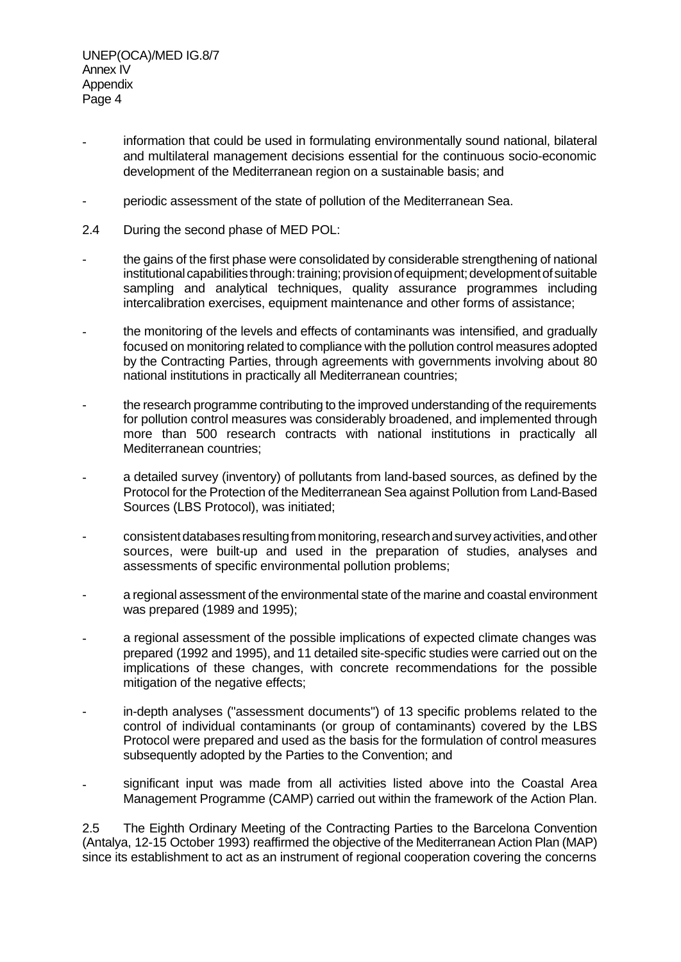- information that could be used in formulating environmentally sound national, bilateral and multilateral management decisions essential for the continuous socio-economic development of the Mediterranean region on a sustainable basis; and
- periodic assessment of the state of pollution of the Mediterranean Sea.
- 2.4 During the second phase of MED POL:
- the gains of the first phase were consolidated by considerable strengthening of national institutional capabilities through: training; provision of equipment; development of suitable sampling and analytical techniques, quality assurance programmes including intercalibration exercises, equipment maintenance and other forms of assistance;
- the monitoring of the levels and effects of contaminants was intensified, and gradually focused on monitoring related to compliance with the pollution control measures adopted by the Contracting Parties, through agreements with governments involving about 80 national institutions in practically all Mediterranean countries;
- the research programme contributing to the improved understanding of the requirements for pollution control measures was considerably broadened, and implemented through more than 500 research contracts with national institutions in practically all Mediterranean countries;
- a detailed survey (inventory) of pollutants from land-based sources, as defined by the Protocol for the Protection of the Mediterranean Sea against Pollution from Land-Based Sources (LBS Protocol), was initiated;
- consistent databases resulting from monitoring, research and survey activities, and other sources, were built-up and used in the preparation of studies, analyses and assessments of specific environmental pollution problems;
- a regional assessment of the environmental state of the marine and coastal environment was prepared (1989 and 1995);
- a regional assessment of the possible implications of expected climate changes was prepared (1992 and 1995), and 11 detailed site-specific studies were carried out on the implications of these changes, with concrete recommendations for the possible mitigation of the negative effects;
- in-depth analyses ("assessment documents") of 13 specific problems related to the control of individual contaminants (or group of contaminants) covered by the LBS Protocol were prepared and used as the basis for the formulation of control measures subsequently adopted by the Parties to the Convention; and
- significant input was made from all activities listed above into the Coastal Area Management Programme (CAMP) carried out within the framework of the Action Plan.

2.5 The Eighth Ordinary Meeting of the Contracting Parties to the Barcelona Convention (Antalya, 12-15 October 1993) reaffirmed the objective of the Mediterranean Action Plan (MAP) since its establishment to act as an instrument of regional cooperation covering the concerns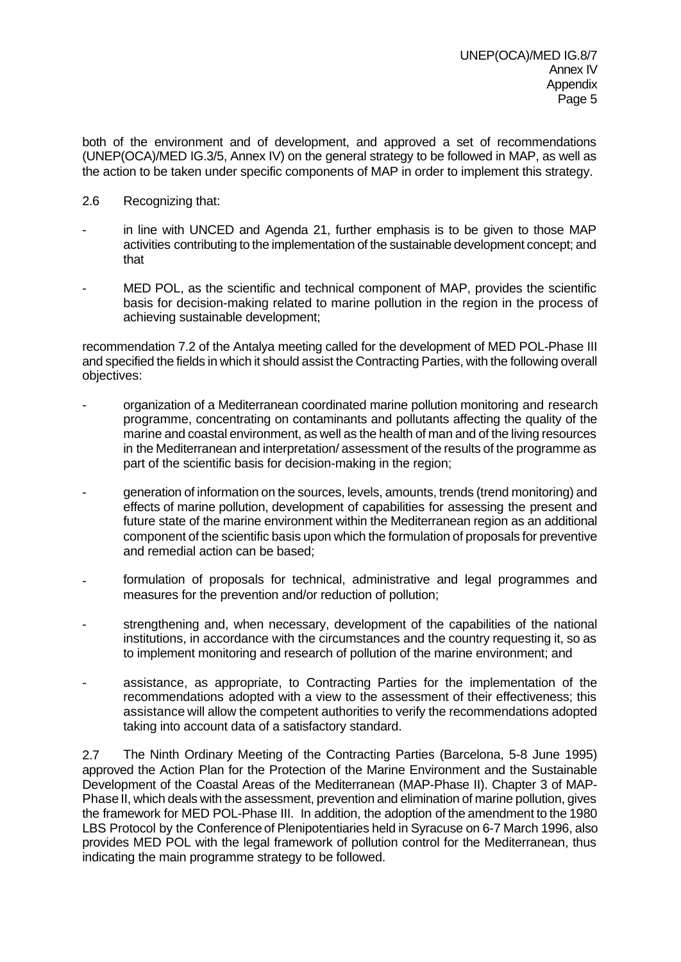both of the environment and of development, and approved a set of recommendations (UNEP(OCA)/MED IG.3/5, Annex IV) on the general strategy to be followed in MAP, as well as the action to be taken under specific components of MAP in order to implement this strategy.

- 2.6 Recognizing that:
- in line with UNCED and Agenda 21, further emphasis is to be given to those MAP activities contributing to the implementation of the sustainable development concept; and that
- MED POL, as the scientific and technical component of MAP, provides the scientific basis for decision-making related to marine pollution in the region in the process of achieving sustainable development;

recommendation 7.2 of the Antalya meeting called for the development of MED POL-Phase III and specified the fields in which it should assist the Contracting Parties, with the following overall objectives:

- organization of a Mediterranean coordinated marine pollution monitoring and research programme, concentrating on contaminants and pollutants affecting the quality of the marine and coastal environment, as well as the health of man and of the living resources in the Mediterranean and interpretation/ assessment of the results of the programme as part of the scientific basis for decision-making in the region;
- generation of information on the sources, levels, amounts, trends (trend monitoring) and effects of marine pollution, development of capabilities for assessing the present and future state of the marine environment within the Mediterranean region as an additional component of the scientific basis upon which the formulation of proposals for preventive and remedial action can be based;
- formulation of proposals for technical, administrative and legal programmes and measures for the prevention and/or reduction of pollution;
- strengthening and, when necessary, development of the capabilities of the national institutions, in accordance with the circumstances and the country requesting it, so as to implement monitoring and research of pollution of the marine environment; and
- assistance, as appropriate, to Contracting Parties for the implementation of the recommendations adopted with a view to the assessment of their effectiveness; this assistance will allow the competent authorities to verify the recommendations adopted taking into account data of a satisfactory standard.

2.7 The Ninth Ordinary Meeting of the Contracting Parties (Barcelona, 5-8 June 1995) approved the Action Plan for the Protection of the Marine Environment and the Sustainable Development of the Coastal Areas of the Mediterranean (MAP-Phase II). Chapter 3 of MAP-Phase II, which deals with the assessment, prevention and elimination of marine pollution, gives the framework for MED POL-Phase III. In addition, the adoption of the amendment to the 1980 LBS Protocol by the Conference of Plenipotentiaries held in Syracuse on 6-7 March 1996, also provides MED POL with the legal framework of pollution control for the Mediterranean, thus indicating the main programme strategy to be followed.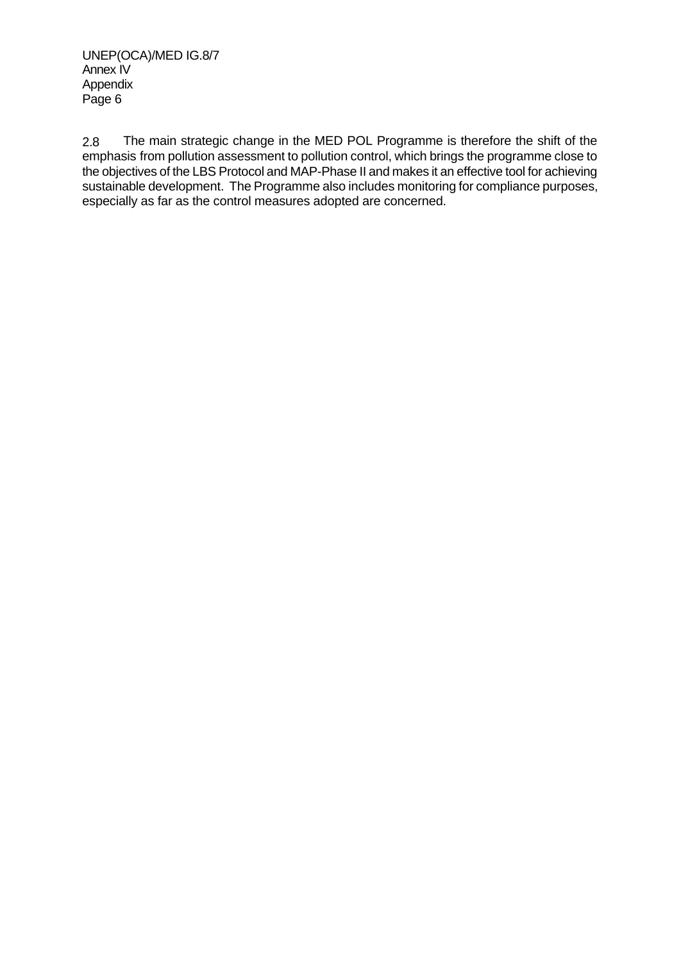2.8 The main strategic change in the MED POL Programme is therefore the shift of the emphasis from pollution assessment to pollution control, which brings the programme close to the objectives of the LBS Protocol and MAP-Phase II and makes it an effective tool for achieving sustainable development. The Programme also includes monitoring for compliance purposes, especially as far as the control measures adopted are concerned.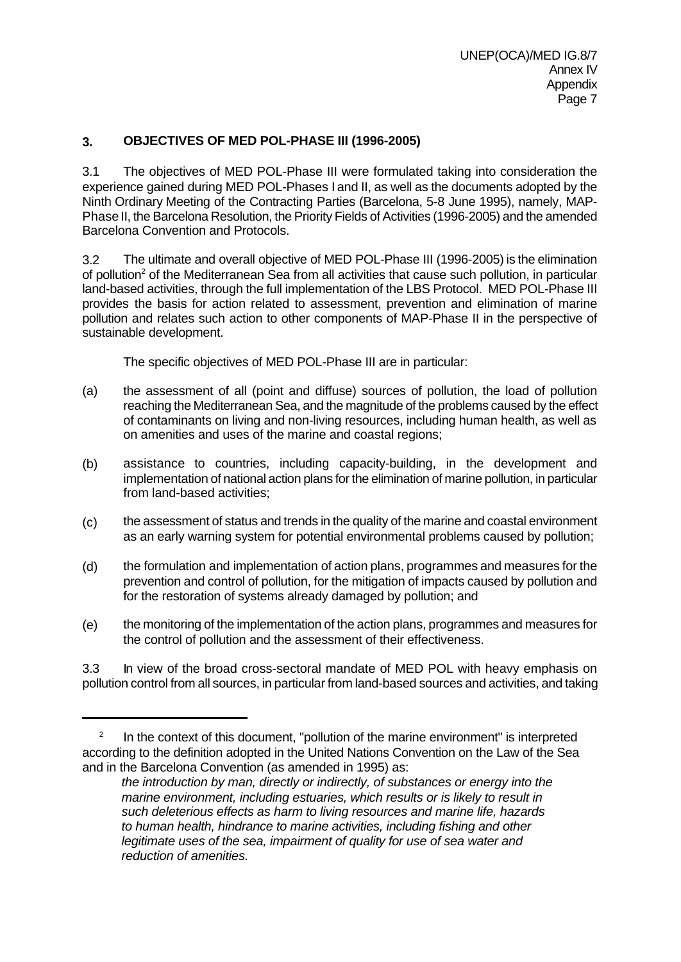# **3. OBJECTIVES OF MED POL-PHASE III (1996-2005)**

3.1 The objectives of MED POL-Phase III were formulated taking into consideration the experience gained during MED POL-Phases I and II, as well as the documents adopted by the Ninth Ordinary Meeting of the Contracting Parties (Barcelona, 5-8 June 1995), namely, MAP-Phase II, the Barcelona Resolution, the Priority Fields of Activities (1996-2005) and the amended Barcelona Convention and Protocols.

3.2 The ultimate and overall objective of MED POL-Phase III (1996-2005) is the elimination of pollution<sup>2</sup> of the Mediterranean Sea from all activities that cause such pollution, in particular land-based activities, through the full implementation of the LBS Protocol. MED POL-Phase III provides the basis for action related to assessment, prevention and elimination of marine pollution and relates such action to other components of MAP-Phase II in the perspective of sustainable development.

The specific objectives of MED POL-Phase III are in particular:

- (a) the assessment of all (point and diffuse) sources of pollution, the load of pollution reaching the Mediterranean Sea, and the magnitude of the problems caused by the effect of contaminants on living and non-living resources, including human health, as well as on amenities and uses of the marine and coastal regions;
- (b) assistance to countries, including capacity-building, in the development and implementation of national action plans for the elimination of marine pollution, in particular from land-based activities;
- (c) the assessment of status and trends in the quality of the marine and coastal environment as an early warning system for potential environmental problems caused by pollution;
- (d) the formulation and implementation of action plans, programmes and measures for the prevention and control of pollution, for the mitigation of impacts caused by pollution and for the restoration of systems already damaged by pollution; and
- (e) the monitoring of the implementation of the action plans, programmes and measures for the control of pollution and the assessment of their effectiveness.

3.3 In view of the broad cross-sectoral mandate of MED POL with heavy emphasis on pollution control from all sources, in particular from land-based sources and activities, and taking

<sup>2</sup> In the context of this document, "pollution of the marine environment" is interpreted according to the definition adopted in the United Nations Convention on the Law of the Sea and in the Barcelona Convention (as amended in 1995) as:

*the introduction by man, directly or indirectly, of substances or energy into the marine environment, including estuaries, which results or is likely to result in such deleterious effects as harm to living resources and marine life, hazards to human health, hindrance to marine activities, including fishing and other legitimate uses of the sea, impairment of quality for use of sea water and reduction of amenities.*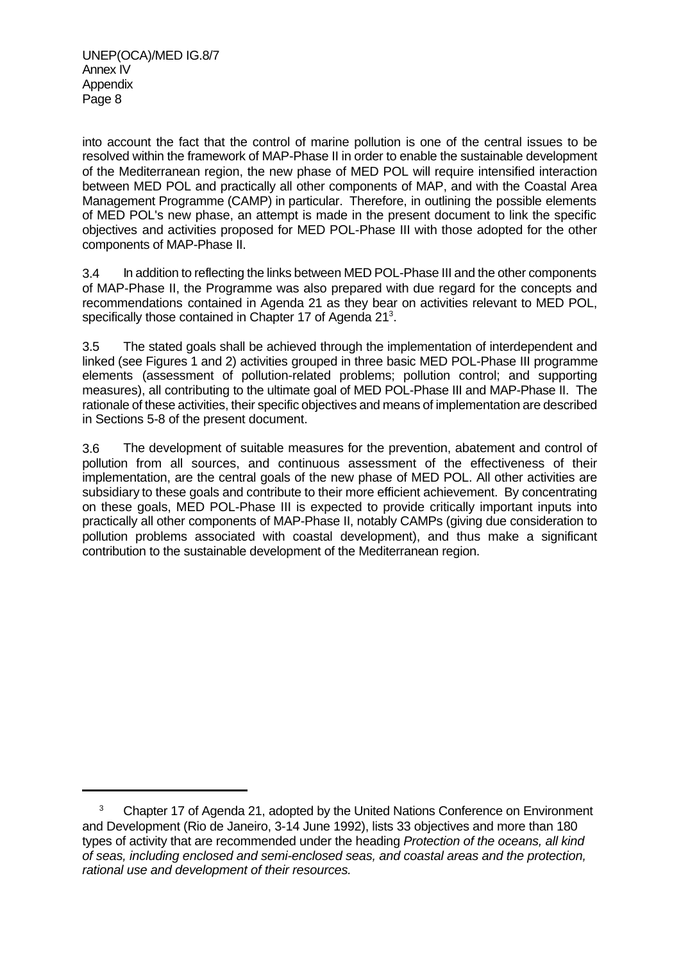into account the fact that the control of marine pollution is one of the central issues to be resolved within the framework of MAP-Phase II in order to enable the sustainable development of the Mediterranean region, the new phase of MED POL will require intensified interaction between MED POL and practically all other components of MAP, and with the Coastal Area Management Programme (CAMP) in particular. Therefore, in outlining the possible elements of MED POL's new phase, an attempt is made in the present document to link the specific objectives and activities proposed for MED POL-Phase III with those adopted for the other components of MAP-Phase II.

3.4 In addition to reflecting the links between MED POL-Phase III and the other components of MAP-Phase II, the Programme was also prepared with due regard for the concepts and recommendations contained in Agenda 21 as they bear on activities relevant to MED POL, specifically those contained in Chapter 17 of Agenda 21<sup>3</sup>.

3.5 The stated goals shall be achieved through the implementation of interdependent and linked (see Figures 1 and 2) activities grouped in three basic MED POL-Phase III programme elements (assessment of pollution-related problems; pollution control; and supporting measures), all contributing to the ultimate goal of MED POL-Phase III and MAP-Phase II. The rationale of these activities, their specific objectives and means of implementation are described in Sections 5-8 of the present document.

3.6 The development of suitable measures for the prevention, abatement and control of pollution from all sources, and continuous assessment of the effectiveness of their implementation, are the central goals of the new phase of MED POL. All other activities are subsidiary to these goals and contribute to their more efficient achievement. By concentrating on these goals, MED POL-Phase III is expected to provide critically important inputs into practically all other components of MAP-Phase II, notably CAMPs (giving due consideration to pollution problems associated with coastal development), and thus make a significant contribution to the sustainable development of the Mediterranean region.

<sup>3</sup> Chapter 17 of Agenda 21, adopted by the United Nations Conference on Environment and Development (Rio de Janeiro, 3-14 June 1992), lists 33 objectives and more than 180 types of activity that are recommended under the heading *Protection of the oceans, all kind of seas, including enclosed and semi-enclosed seas, and coastal areas and the protection, rational use and development of their resources.*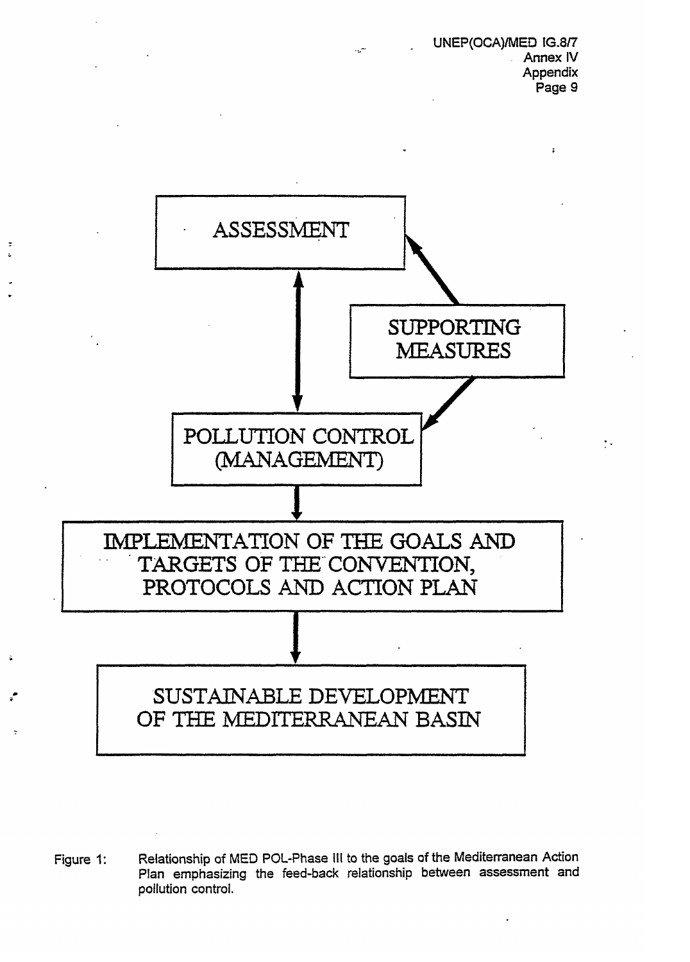UNEP(OCA)/MED IG.8/7 **Annex IV** Appendix Page 9

 $\bullet$  .



Relationship of MED POL-Phase III to the goals of the Mediterranean Action Figure 1: Plan emphasizing the feed-back relationship between assessment and pollution control.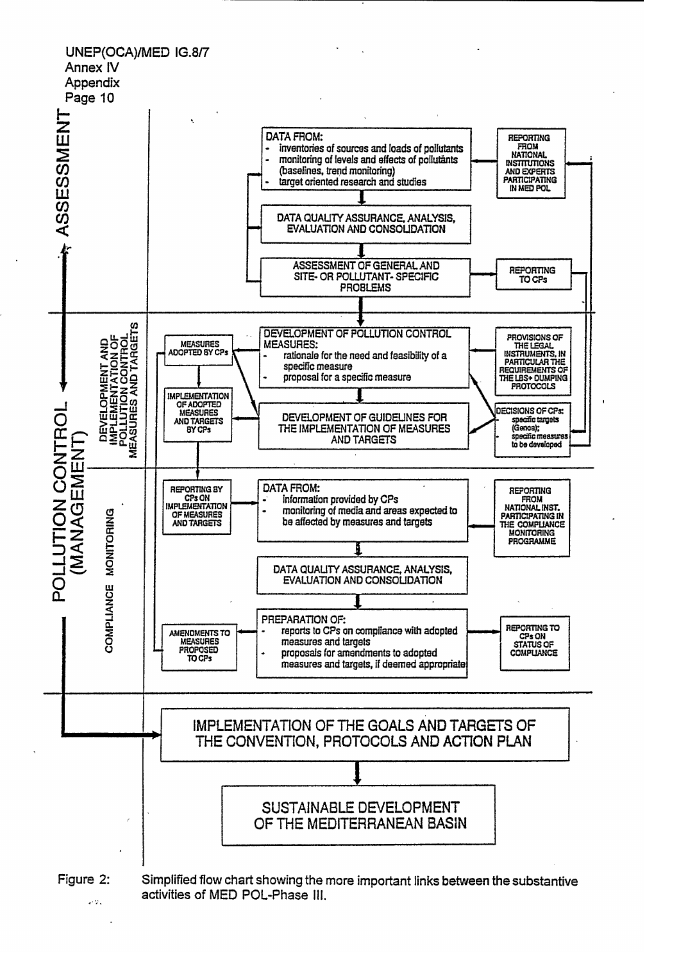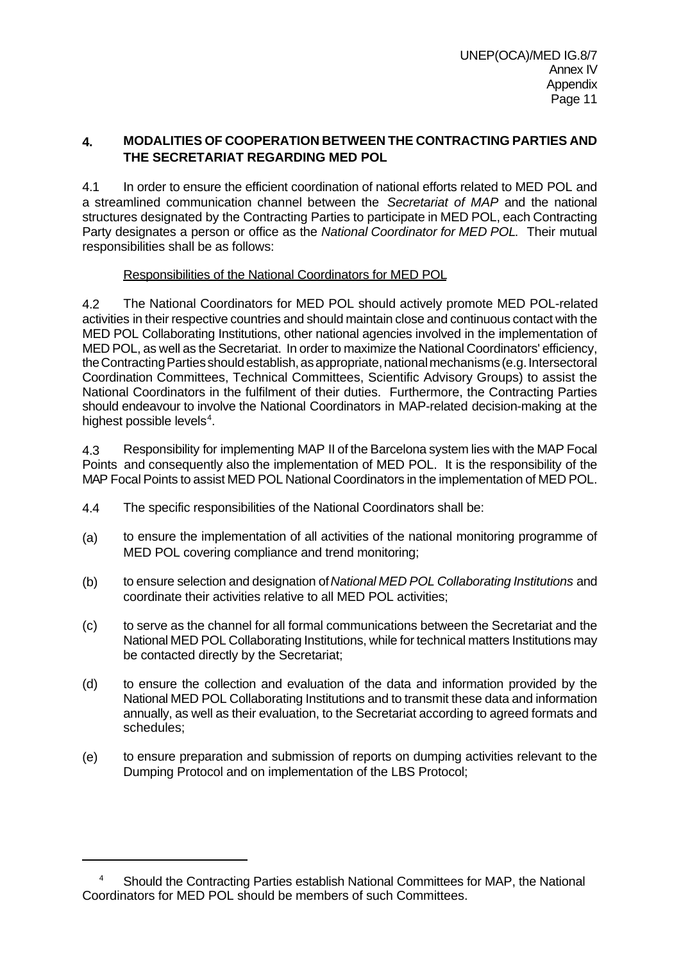# **4. MODALITIES OF COOPERATION BETWEEN THE CONTRACTING PARTIES AND THE SECRETARIAT REGARDING MED POL**

4.1 In order to ensure the efficient coordination of national efforts related to MED POL and a streamlined communication channel between the *Secretariat of MAP* and the national structures designated by the Contracting Parties to participate in MED POL, each Contracting Party designates a person or office as the *National Coordinator for MED POL*. Their mutual responsibilities shall be as follows:

# Responsibilities of the National Coordinators for MED POL

4.2 The National Coordinators for MED POL should actively promote MED POL-related activities in their respective countries and should maintain close and continuous contact with the MED POL Collaborating Institutions, other national agencies involved in the implementation of MED POL, as well as the Secretariat. In order to maximize the National Coordinators' efficiency, the Contracting Parties should establish, as appropriate, national mechanisms (e.g. Intersectoral Coordination Committees, Technical Committees, Scientific Advisory Groups) to assist the National Coordinators in the fulfilment of their duties. Furthermore, the Contracting Parties should endeavour to involve the National Coordinators in MAP-related decision-making at the highest possible levels $4$ .

4.3 Responsibility for implementing MAP II of the Barcelona system lies with the MAP Focal Points and consequently also the implementation of MED POL. It is the responsibility of the MAP Focal Points to assist MED POL National Coordinators in the implementation of MED POL.

- 4.4 The specific responsibilities of the National Coordinators shall be:
- (a) to ensure the implementation of all activities of the national monitoring programme of MED POL covering compliance and trend monitoring;
- (b) to ensure selection and designation of *National MED POL Collaborating Institutions* and coordinate their activities relative to all MED POL activities;
- (c) to serve as the channel for all formal communications between the Secretariat and the National MED POL Collaborating Institutions, while for technical matters Institutions may be contacted directly by the Secretariat;
- (d) to ensure the collection and evaluation of the data and information provided by the National MED POL Collaborating Institutions and to transmit these data and information annually, as well as their evaluation, to the Secretariat according to agreed formats and schedules;
- (e) to ensure preparation and submission of reports on dumping activities relevant to the Dumping Protocol and on implementation of the LBS Protocol;

<sup>4</sup> Should the Contracting Parties establish National Committees for MAP, the National Coordinators for MED POL should be members of such Committees.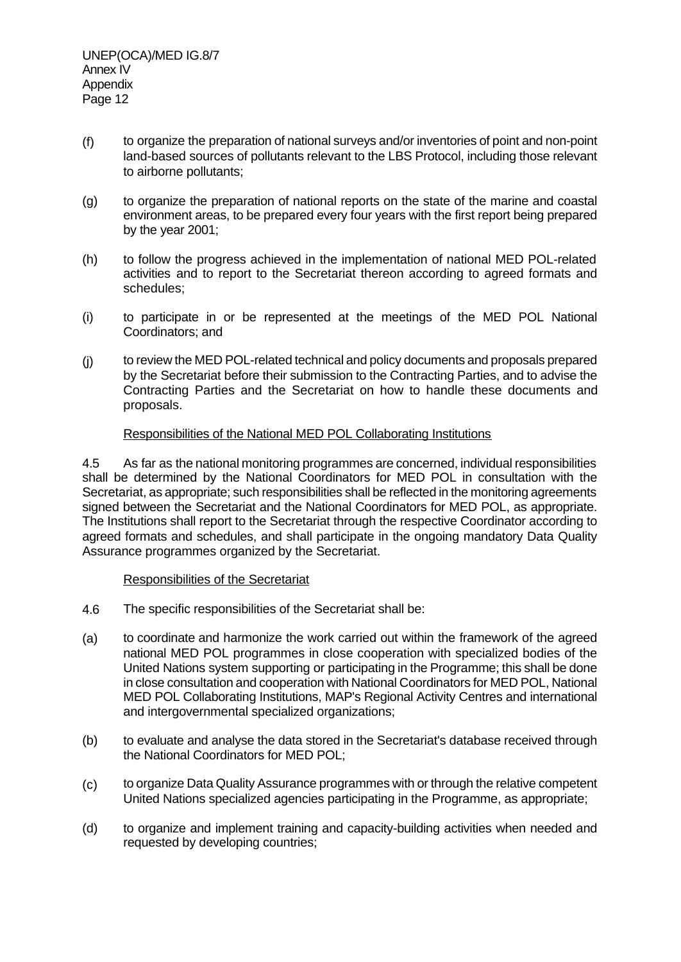- (f) to organize the preparation of national surveys and/or inventories of point and non-point land-based sources of pollutants relevant to the LBS Protocol, including those relevant to airborne pollutants;
- (g) to organize the preparation of national reports on the state of the marine and coastal environment areas, to be prepared every four years with the first report being prepared by the year 2001;
- (h) to follow the progress achieved in the implementation of national MED POL-related activities and to report to the Secretariat thereon according to agreed formats and schedules;
- (i) to participate in or be represented at the meetings of the MED POL National Coordinators; and
- (j) to review the MED POL-related technical and policy documents and proposals prepared by the Secretariat before their submission to the Contracting Parties, and to advise the Contracting Parties and the Secretariat on how to handle these documents and proposals.

#### Responsibilities of the National MED POL Collaborating Institutions

4.5 As far as the national monitoring programmes are concerned, individual responsibilities shall be determined by the National Coordinators for MED POL in consultation with the Secretariat, as appropriate; such responsibilities shall be reflected in the monitoring agreements signed between the Secretariat and the National Coordinators for MED POL, as appropriate. The Institutions shall report to the Secretariat through the respective Coordinator according to agreed formats and schedules, and shall participate in the ongoing mandatory Data Quality Assurance programmes organized by the Secretariat.

## Responsibilities of the Secretariat

- 4.6 The specific responsibilities of the Secretariat shall be:
- (a) to coordinate and harmonize the work carried out within the framework of the agreed national MED POL programmes in close cooperation with specialized bodies of the United Nations system supporting or participating in the Programme; this shall be done in close consultation and cooperation with National Coordinators for MED POL, National MED POL Collaborating Institutions, MAP's Regional Activity Centres and international and intergovernmental specialized organizations;
- (b) to evaluate and analyse the data stored in the Secretariat's database received through the National Coordinators for MED POL;
- (c) to organize Data Quality Assurance programmes with or through the relative competent United Nations specialized agencies participating in the Programme, as appropriate;
- (d) to organize and implement training and capacity-building activities when needed and requested by developing countries;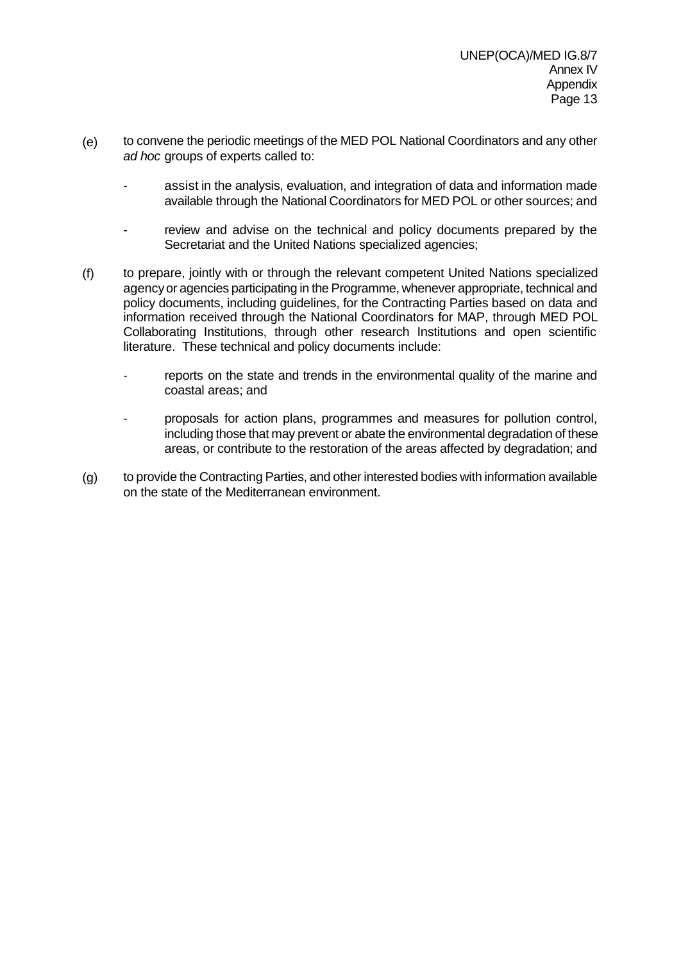- (e) to convene the periodic meetings of the MED POL National Coordinators and any other *ad hoc* groups of experts called to:
	- assist in the analysis, evaluation, and integration of data and information made available through the National Coordinators for MED POL or other sources; and
	- review and advise on the technical and policy documents prepared by the Secretariat and the United Nations specialized agencies;
- (f) to prepare, jointly with or through the relevant competent United Nations specialized agency or agencies participating in the Programme, whenever appropriate, technical and policy documents, including guidelines, for the Contracting Parties based on data and information received through the National Coordinators for MAP, through MED POL Collaborating Institutions, through other research Institutions and open scientific literature. These technical and policy documents include:
	- reports on the state and trends in the environmental quality of the marine and coastal areas; and
	- proposals for action plans, programmes and measures for pollution control, including those that may prevent or abate the environmental degradation of these areas, or contribute to the restoration of the areas affected by degradation; and
- (g) to provide the Contracting Parties, and other interested bodies with information available on the state of the Mediterranean environment.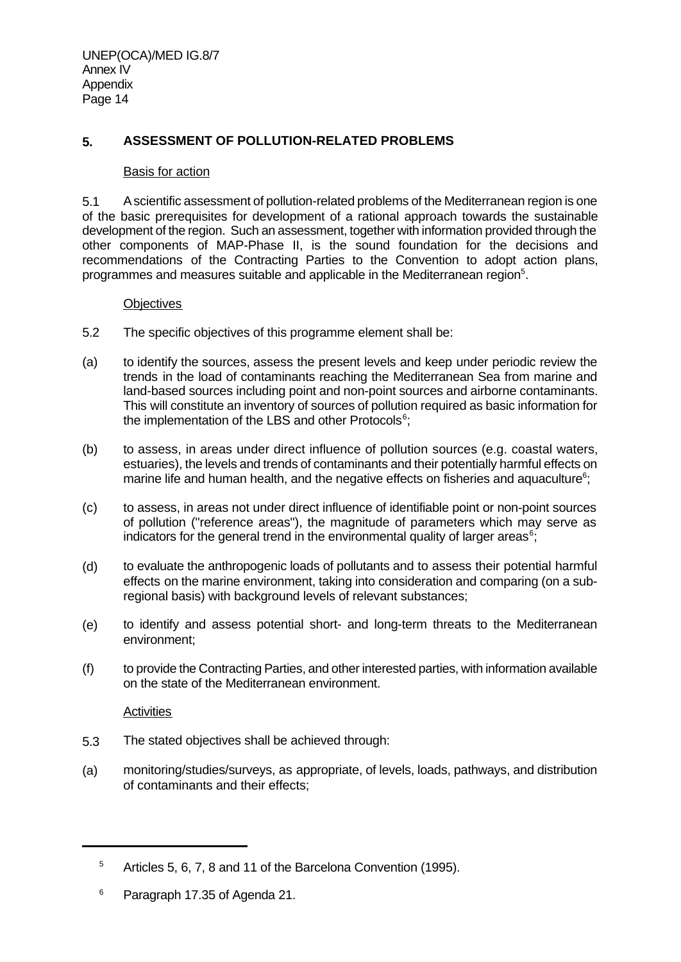# **5. ASSESSMENT OF POLLUTION-RELATED PROBLEMS**

#### Basis for action

5.1 A scientific assessment of pollution-related problems of the Mediterranean region is one of the basic prerequisites for development of a rational approach towards the sustainable development of the region. Such an assessment, together with information provided through the other components of MAP-Phase II, is the sound foundation for the decisions and recommendations of the Contracting Parties to the Convention to adopt action plans, programmes and measures suitable and applicable in the Mediterranean region $5$ .

## **Objectives**

- 5.2 The specific objectives of this programme element shall be:
- (a) to identify the sources, assess the present levels and keep under periodic review the trends in the load of contaminants reaching the Mediterranean Sea from marine and land-based sources including point and non-point sources and airborne contaminants. This will constitute an inventory of sources of pollution required as basic information for the implementation of the LBS and other Protocols<sup>6</sup>;
- (b) to assess, in areas under direct influence of pollution sources (e.g. coastal waters, estuaries), the levels and trends of contaminants and their potentially harmful effects on marine life and human health, and the negative effects on fisheries and aquaculture<sup>6</sup>;
- (c) to assess, in areas not under direct influence of identifiable point or non-point sources of pollution ("reference areas"), the magnitude of parameters which may serve as indicators for the general trend in the environmental quality of larger areas<sup>6</sup>;
- (d) to evaluate the anthropogenic loads of pollutants and to assess their potential harmful effects on the marine environment, taking into consideration and comparing (on a subregional basis) with background levels of relevant substances;
- (e) to identify and assess potential short- and long-term threats to the Mediterranean environment;
- (f) to provide the Contracting Parties, and other interested parties, with information available on the state of the Mediterranean environment.

**Activities** 

- 5.3 The stated objectives shall be achieved through:
- (a) monitoring/studies/surveys, as appropriate, of levels, loads, pathways, and distribution of contaminants and their effects;

<sup>6</sup> Paragraph 17.35 of Agenda 21.

<sup>5</sup> Articles 5, 6, 7, 8 and 11 of the Barcelona Convention (1995).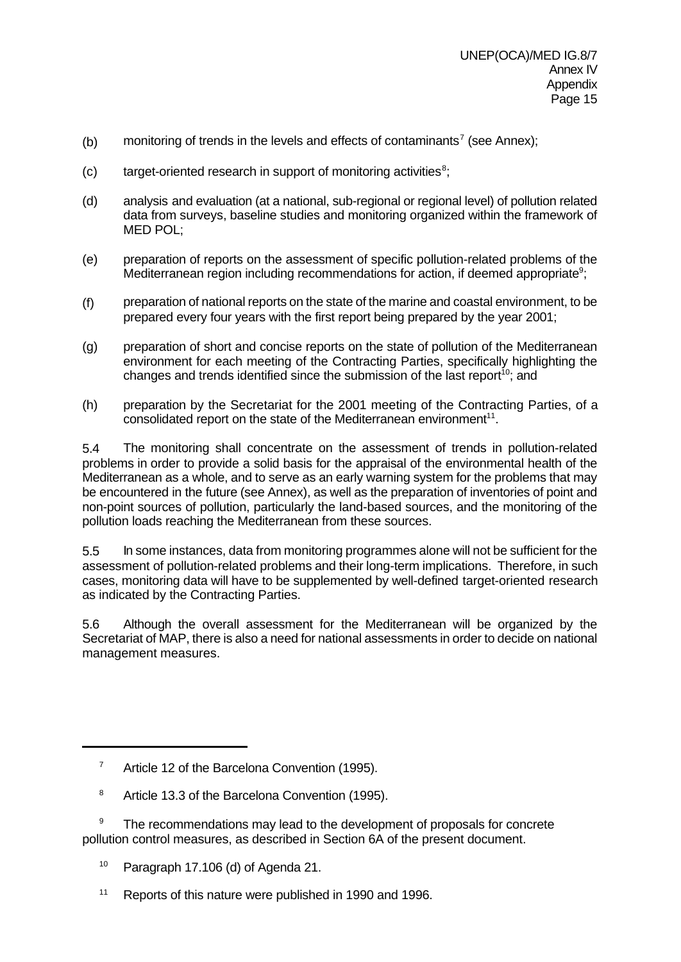- (b) monitoring of trends in the levels and effects of contaminants<sup>7</sup> (see Annex);
- $(c)$  target-oriented research in support of monitoring activities<sup>8</sup>;
- (d) analysis and evaluation (at a national, sub-regional or regional level) of pollution related data from surveys, baseline studies and monitoring organized within the framework of MED POL;
- (e) preparation of reports on the assessment of specific pollution-related problems of the Mediterranean region including recommendations for action, if deemed appropriate<sup>9</sup>;
- (f) preparation of national reports on the state of the marine and coastal environment, to be prepared every four years with the first report being prepared by the year 2001;
- (g) preparation of short and concise reports on the state of pollution of the Mediterranean environment for each meeting of the Contracting Parties, specifically highlighting the changes and trends identified since the submission of the last report<sup>10</sup>; and
- (h) preparation by the Secretariat for the 2001 meeting of the Contracting Parties, of a consolidated report on the state of the Mediterranean environment $11$ .

5.4 The monitoring shall concentrate on the assessment of trends in pollution-related problems in order to provide a solid basis for the appraisal of the environmental health of the Mediterranean as a whole, and to serve as an early warning system for the problems that may be encountered in the future (see Annex), as well as the preparation of inventories of point and non-point sources of pollution, particularly the land-based sources, and the monitoring of the pollution loads reaching the Mediterranean from these sources.

5.5 In some instances, data from monitoring programmes alone will not be sufficient for the assessment of pollution-related problems and their long-term implications. Therefore, in such cases, monitoring data will have to be supplemented by well-defined target-oriented research as indicated by the Contracting Parties.

5.6 Although the overall assessment for the Mediterranean will be organized by the Secretariat of MAP, there is also a need for national assessments in order to decide on national management measures.

- 8 Article 13.3 of the Barcelona Convention (1995).
- The recommendations may lead to the development of proposals for concrete pollution control measures, as described in Section 6A of the present document.
	- $10$  Paragraph 17.106 (d) of Agenda 21.
	- <sup>11</sup> Reports of this nature were published in 1990 and 1996.

<sup>&</sup>lt;sup>7</sup> Article 12 of the Barcelona Convention (1995).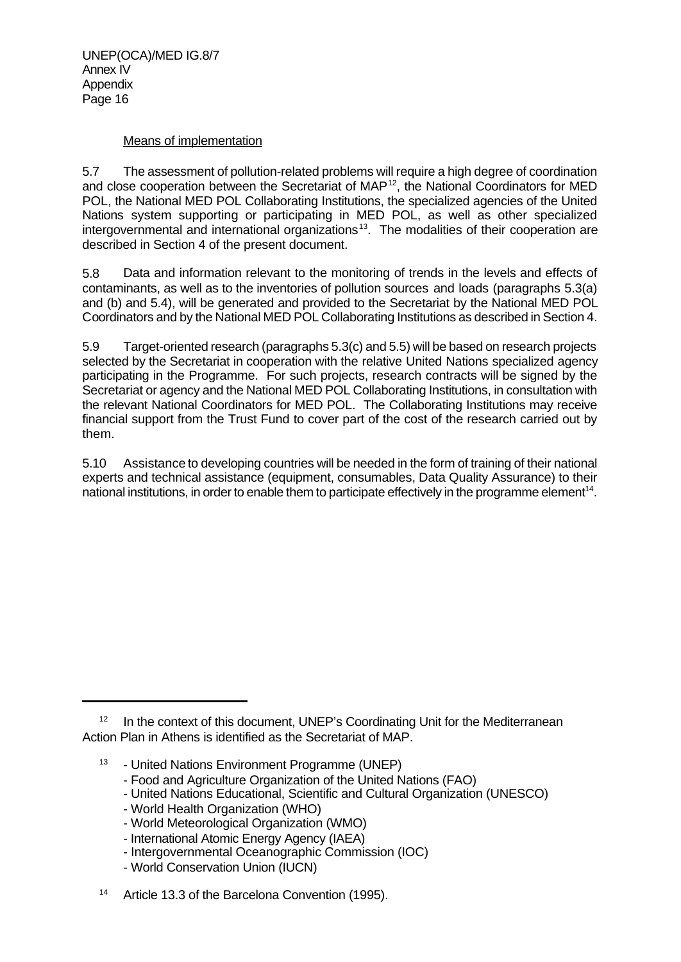UNEP(OCA)/MED IG.8/7 Annex IV Appendix Page 16

## Means of implementation

5.7 The assessment of pollution-related problems will require a high degree of coordination and close cooperation between the Secretariat of MAP<sup>12</sup>, the National Coordinators for MED POL, the National MED POL Collaborating Institutions, the specialized agencies of the United Nations system supporting or participating in MED POL, as well as other specialized intergovernmental and international organizations<sup>13</sup>. The modalities of their cooperation are described in Section 4 of the present document.

5.8 Data and information relevant to the monitoring of trends in the levels and effects of contaminants, as well as to the inventories of pollution sources and loads (paragraphs 5.3(a) and (b) and 5.4), will be generated and provided to the Secretariat by the National MED POL Coordinators and by the National MED POL Collaborating Institutions as described in Section 4.

5.9 Target-oriented research (paragraphs 5.3(c) and 5.5) will be based on research projects selected by the Secretariat in cooperation with the relative United Nations specialized agency participating in the Programme. For such projects, research contracts will be signed by the Secretariat or agency and the National MED POL Collaborating Institutions, in consultation with the relevant National Coordinators for MED POL. The Collaborating Institutions may receive financial support from the Trust Fund to cover part of the cost of the research carried out by them.

5.10 Assistance to developing countries will be needed in the form of training of their national experts and technical assistance (equipment, consumables, Data Quality Assurance) to their national institutions, in order to enable them to participate effectively in the programme element<sup>14</sup>.

- <sup>13</sup> United Nations Environment Programme (UNEP)
	- Food and Agriculture Organization of the United Nations (FAO)
	- United Nations Educational, Scientific and Cultural Organization (UNESCO)
	- World Health Organization (WHO)
	- World Meteorological Organization (WMO)
	- International Atomic Energy Agency (IAEA)
	- Intergovernmental Oceanographic Commission (IOC)
	- World Conservation Union (IUCN)
- <sup>14</sup> Article 13.3 of the Barcelona Convention (1995).

<sup>&</sup>lt;sup>12</sup> In the context of this document, UNEP's Coordinating Unit for the Mediterranean Action Plan in Athens is identified as the Secretariat of MAP.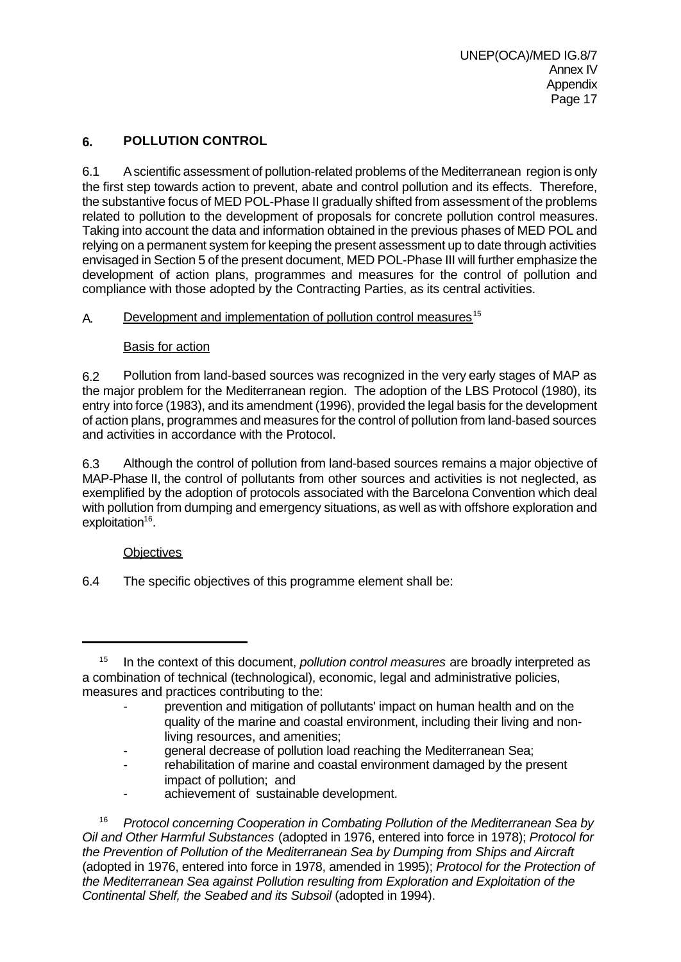# **6. POLLUTION CONTROL**

6.1 A scientific assessment of pollution-related problems of the Mediterranean region is only the first step towards action to prevent, abate and control pollution and its effects. Therefore, the substantive focus of MED POL-Phase II gradually shifted from assessment of the problems related to pollution to the development of proposals for concrete pollution control measures. Taking into account the data and information obtained in the previous phases of MED POL and relying on a permanent system for keeping the present assessment up to date through activities envisaged in Section 5 of the present document, MED POL-Phase III will further emphasize the development of action plans, programmes and measures for the control of pollution and compliance with those adopted by the Contracting Parties, as its central activities.

# A. Development and implementation of pollution control measures<sup>15</sup>

# Basis for action

6.2 Pollution from land-based sources was recognized in the very early stages of MAP as the major problem for the Mediterranean region. The adoption of the LBS Protocol (1980), its entry into force (1983), and its amendment (1996), provided the legal basis for the development of action plans, programmes and measures for the control of pollution from land-based sources and activities in accordance with the Protocol.

6.3 Although the control of pollution from land-based sources remains a major objective of MAP-Phase II, the control of pollutants from other sources and activities is not neglected, as exemplified by the adoption of protocols associated with the Barcelona Convention which deal with pollution from dumping and emergency situations, as well as with offshore exploration and exploitation<sup>16</sup>.

## **Objectives**

6.4 The specific objectives of this programme element shall be:

- prevention and mitigation of pollutants' impact on human health and on the quality of the marine and coastal environment, including their living and nonliving resources, and amenities;
- general decrease of pollution load reaching the Mediterranean Sea;
- rehabilitation of marine and coastal environment damaged by the present impact of pollution; and
- achievement of sustainable development.

<sup>16</sup> *Protocol concerning Cooperation in Combating Pollution of the Mediterranean Sea by Oil and Other Harmful Substances* (adopted in 1976, entered into force in 1978); *Protocol for the Prevention of Pollution of the Mediterranean Sea by Dumping from Ships and Aircraft* (adopted in 1976, entered into force in 1978, amended in 1995); *Protocol for the Protection of the Mediterranean Sea against Pollution resulting from Exploration and Exploitation of the Continental Shelf, the Seabed and its Subsoil* (adopted in 1994).

<sup>15</sup> In the context of this document, *pollution control measures* are broadly interpreted as a combination of technical (technological), economic, legal and administrative policies, measures and practices contributing to the: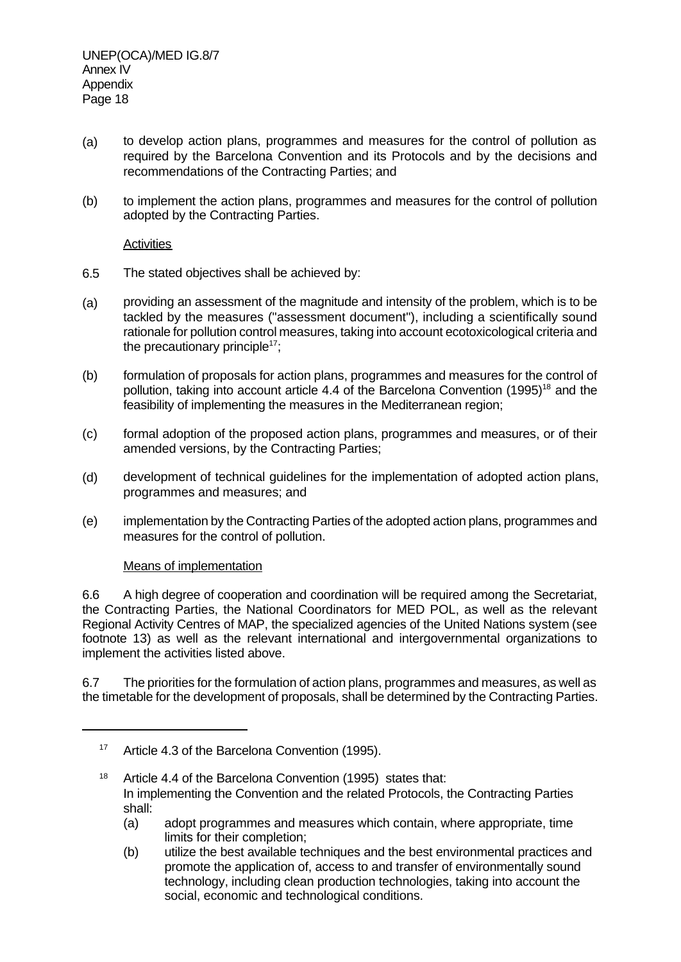- (a) to develop action plans, programmes and measures for the control of pollution as required by the Barcelona Convention and its Protocols and by the decisions and recommendations of the Contracting Parties; and
- (b) to implement the action plans, programmes and measures for the control of pollution adopted by the Contracting Parties.

#### **Activities**

- 6.5 The stated objectives shall be achieved by:
- (a) providing an assessment of the magnitude and intensity of the problem, which is to be tackled by the measures ("assessment document"), including a scientifically sound rationale for pollution control measures, taking into account ecotoxicological criteria and the precautionary principle<sup>17</sup>;
- (b) formulation of proposals for action plans, programmes and measures for the control of pollution, taking into account article 4.4 of the Barcelona Convention (1995)<sup>18</sup> and the feasibility of implementing the measures in the Mediterranean region;
- (c) formal adoption of the proposed action plans, programmes and measures, or of their amended versions, by the Contracting Parties;
- (d) development of technical guidelines for the implementation of adopted action plans, programmes and measures; and
- (e) implementation by the Contracting Parties of the adopted action plans, programmes and measures for the control of pollution.

## Means of implementation

6.6 A high degree of cooperation and coordination will be required among the Secretariat, the Contracting Parties, the National Coordinators for MED POL, as well as the relevant Regional Activity Centres of MAP, the specialized agencies of the United Nations system (see footnote 13) as well as the relevant international and intergovernmental organizations to implement the activities listed above.

6.7 The priorities for the formulation of action plans, programmes and measures, as well as the timetable for the development of proposals, shall be determined by the Contracting Parties.

- (a) adopt programmes and measures which contain, where appropriate, time limits for their completion;
- (b) utilize the best available techniques and the best environmental practices and promote the application of, access to and transfer of environmentally sound technology, including clean production technologies, taking into account the social, economic and technological conditions.

<sup>&</sup>lt;sup>17</sup> Article 4.3 of the Barcelona Convention (1995).

<sup>&</sup>lt;sup>18</sup> Article 4.4 of the Barcelona Convention (1995) states that: In implementing the Convention and the related Protocols, the Contracting Parties shall: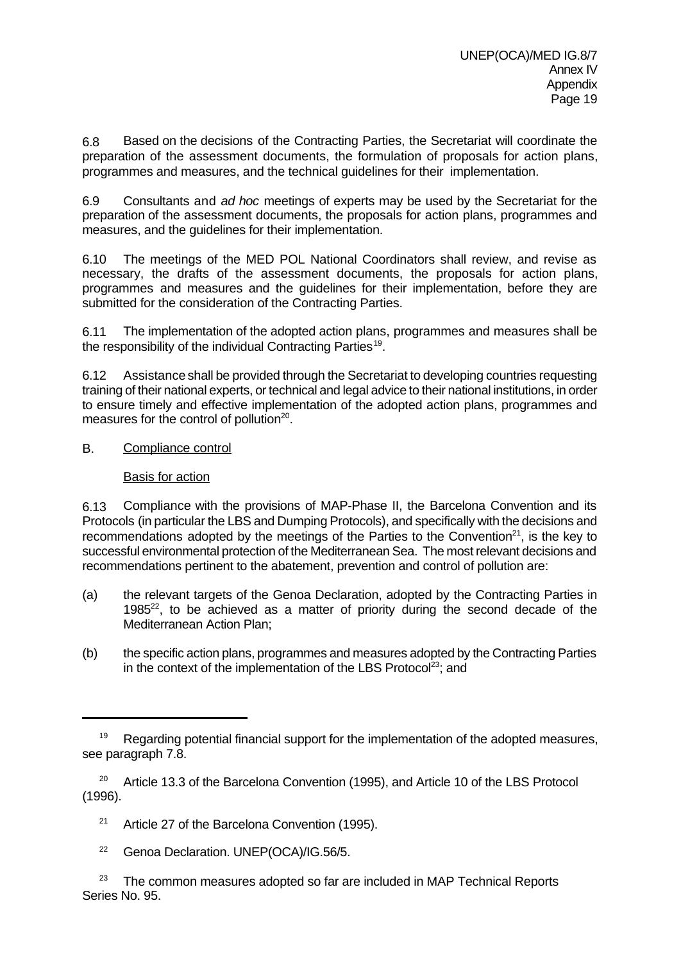6.8 Based on the decisions of the Contracting Parties, the Secretariat will coordinate the preparation of the assessment documents, the formulation of proposals for action plans, programmes and measures, and the technical guidelines for their implementation.

6.9 Consultants and *ad hoc* meetings of experts may be used by the Secretariat for the preparation of the assessment documents, the proposals for action plans, programmes and measures, and the guidelines for their implementation.

6.10 The meetings of the MED POL National Coordinators shall review, and revise as necessary, the drafts of the assessment documents, the proposals for action plans, programmes and measures and the guidelines for their implementation, before they are submitted for the consideration of the Contracting Parties.

6.11 The implementation of the adopted action plans, programmes and measures shall be the responsibility of the individual Contracting Parties<sup>19</sup>.

6.12 Assistance shall be provided through the Secretariat to developing countries requesting training of their national experts, or technical and legal advice to their national institutions, in order to ensure timely and effective implementation of the adopted action plans, programmes and measures for the control of pollution $20$ .

B. Compliance control

## Basis for action

6.13 Compliance with the provisions of MAP-Phase II, the Barcelona Convention and its Protocols (in particular the LBS and Dumping Protocols), and specifically with the decisions and recommendations adopted by the meetings of the Parties to the Convention<sup>21</sup>, is the key to successful environmental protection of the Mediterranean Sea. The most relevant decisions and recommendations pertinent to the abatement, prevention and control of pollution are:

- (a) the relevant targets of the Genoa Declaration, adopted by the Contracting Parties in 1985 $^{22}$ , to be achieved as a matter of priority during the second decade of the Mediterranean Action Plan;
- (b) the specific action plans, programmes and measures adopted by the Contracting Parties in the context of the implementation of the LBS Protocol<sup>23</sup>; and

<sup>&</sup>lt;sup>19</sup> Regarding potential financial support for the implementation of the adopted measures, see paragraph 7.8.

<sup>&</sup>lt;sup>20</sup> Article 13.3 of the Barcelona Convention (1995), and Article 10 of the LBS Protocol (1996).

<sup>&</sup>lt;sup>21</sup> Article 27 of the Barcelona Convention (1995).

<sup>22</sup> Genoa Declaration. UNEP(OCA)/IG.56/5.

 $23$  The common measures adopted so far are included in MAP Technical Reports Series No. 95.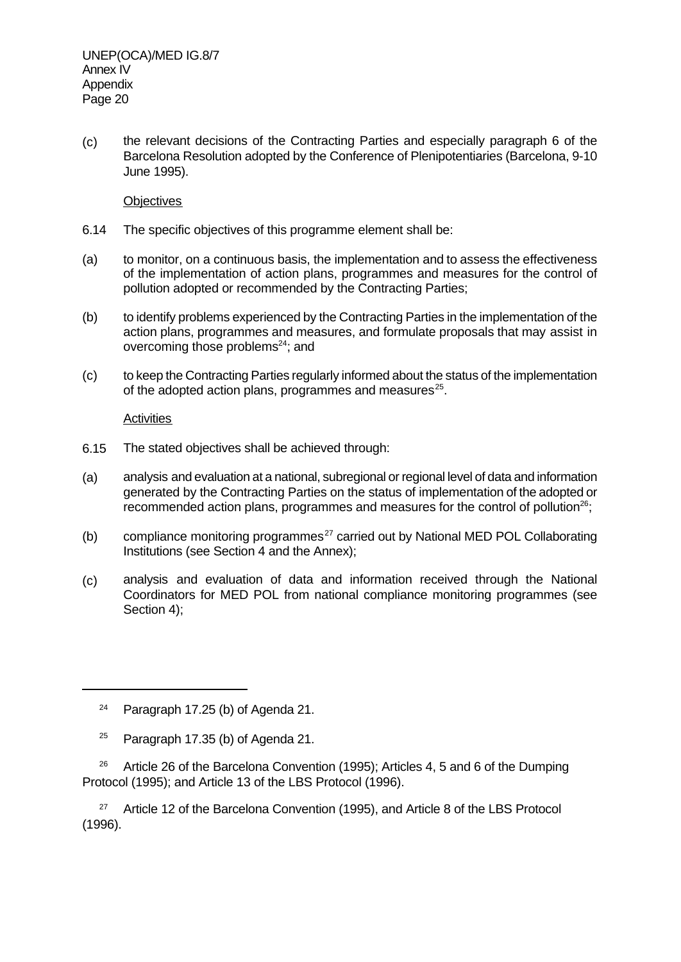(c) the relevant decisions of the Contracting Parties and especially paragraph 6 of the Barcelona Resolution adopted by the Conference of Plenipotentiaries (Barcelona, 9-10 June 1995).

#### **Objectives**

- 6.14 The specific objectives of this programme element shall be:
- (a) to monitor, on a continuous basis, the implementation and to assess the effectiveness of the implementation of action plans, programmes and measures for the control of pollution adopted or recommended by the Contracting Parties;
- (b) to identify problems experienced by the Contracting Parties in the implementation of the action plans, programmes and measures, and formulate proposals that may assist in overcoming those problems<sup>24</sup>; and
- (c) to keep the Contracting Parties regularly informed about the status of the implementation of the adopted action plans, programmes and measures<sup>25</sup>.

#### **Activities**

- 6.15 The stated objectives shall be achieved through:
- (a) analysis and evaluation at a national, subregional or regional level of data and information generated by the Contracting Parties on the status of implementation of the adopted or recommended action plans, programmes and measures for the control of pollution<sup>26</sup>;
- (b) compliance monitoring programmes<sup>27</sup> carried out by National MED POL Collaborating Institutions (see Section 4 and the Annex);
- (c) analysis and evaluation of data and information received through the National Coordinators for MED POL from national compliance monitoring programmes (see Section 4);

<sup>25</sup> Paragraph 17.35 (b) of Agenda 21.

<sup>26</sup> Article 26 of the Barcelona Convention (1995); Articles 4, 5 and 6 of the Dumping Protocol (1995); and Article 13 of the LBS Protocol (1996).

<sup>27</sup> Article 12 of the Barcelona Convention (1995), and Article 8 of the LBS Protocol (1996).

<sup>&</sup>lt;sup>24</sup> Paragraph 17.25 (b) of Agenda 21.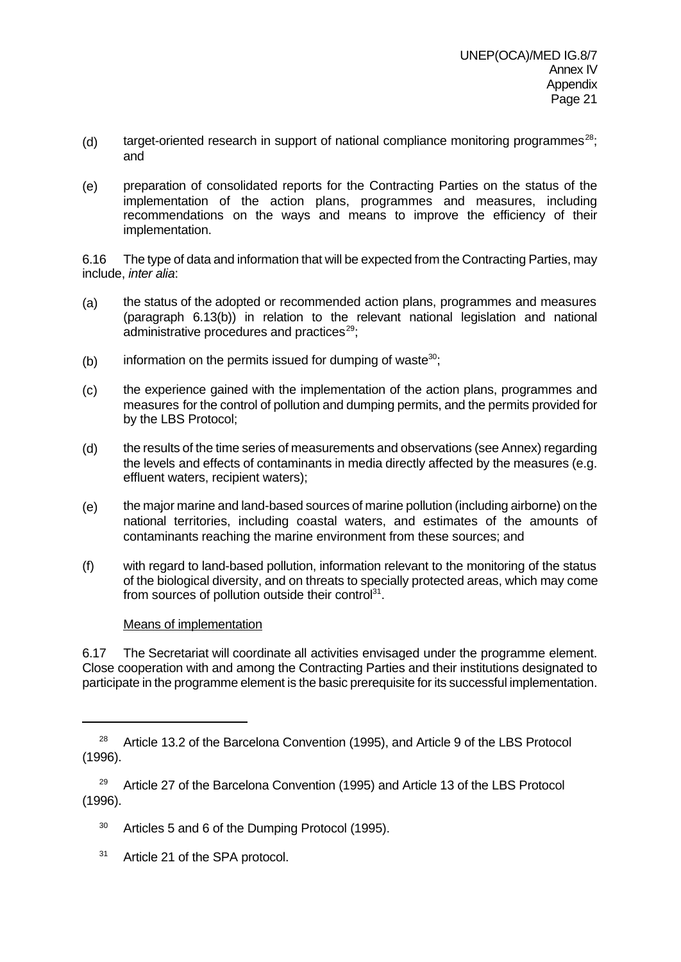- (d) target-oriented research in support of national compliance monitoring programmes $^{28}$ ; and
- (e) preparation of consolidated reports for the Contracting Parties on the status of the implementation of the action plans, programmes and measures, including recommendations on the ways and means to improve the efficiency of their implementation.

6.16 The type of data and information that will be expected from the Contracting Parties, may include, *inter alia*:

- (a) the status of the adopted or recommended action plans, programmes and measures (paragraph 6.13(b)) in relation to the relevant national legislation and national administrative procedures and practices $29$ ;
- (b) information on the permits issued for dumping of waste $30$ ;
- (c) the experience gained with the implementation of the action plans, programmes and measures for the control of pollution and dumping permits, and the permits provided for by the LBS Protocol;
- (d) the results of the time series of measurements and observations (see Annex) regarding the levels and effects of contaminants in media directly affected by the measures (e.g. effluent waters, recipient waters);
- (e) the major marine and land-based sources of marine pollution (including airborne) on the national territories, including coastal waters, and estimates of the amounts of contaminants reaching the marine environment from these sources; and
- (f) with regard to land-based pollution, information relevant to the monitoring of the status of the biological diversity, and on threats to specially protected areas, which may come from sources of pollution outside their control $31$ .

## Means of implementation

6.17 The Secretariat will coordinate all activities envisaged under the programme element. Close cooperation with and among the Contracting Parties and their institutions designated to participate in the programme element is the basic prerequisite for its successful implementation.

<sup>31</sup> Article 21 of the SPA protocol.

 $28$  Article 13.2 of the Barcelona Convention (1995), and Article 9 of the LBS Protocol (1996).

<sup>&</sup>lt;sup>29</sup> Article 27 of the Barcelona Convention (1995) and Article 13 of the LBS Protocol (1996).

<sup>&</sup>lt;sup>30</sup> Articles 5 and 6 of the Dumping Protocol (1995).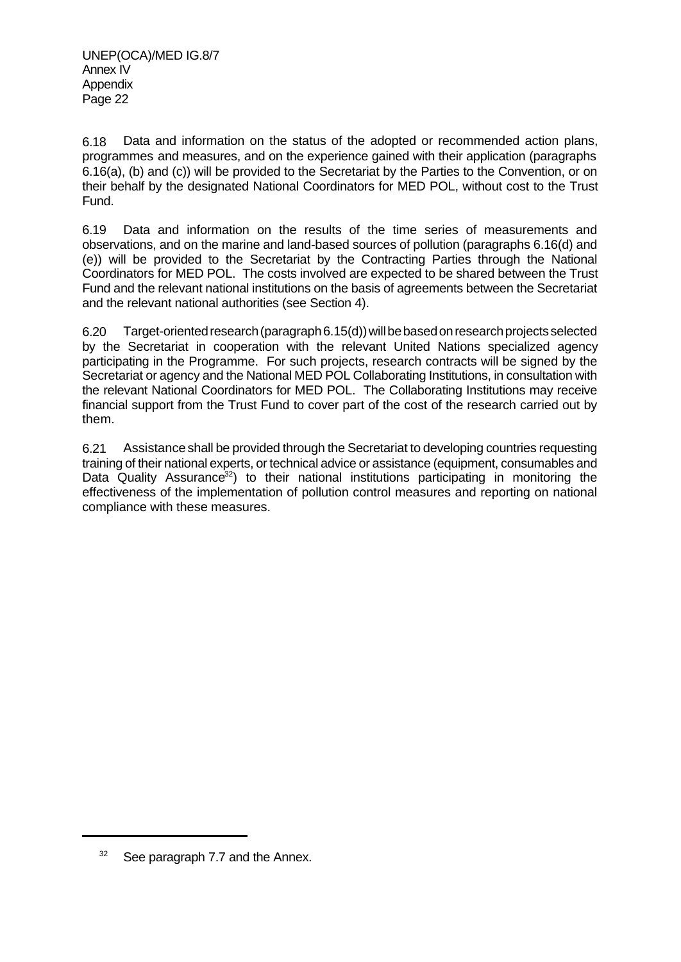6.18 Data and information on the status of the adopted or recommended action plans, programmes and measures, and on the experience gained with their application (paragraphs 6.16(a), (b) and (c)) will be provided to the Secretariat by the Parties to the Convention, or on their behalf by the designated National Coordinators for MED POL, without cost to the Trust Fund.

6.19 Data and information on the results of the time series of measurements and observations, and on the marine and land-based sources of pollution (paragraphs 6.16(d) and (e)) will be provided to the Secretariat by the Contracting Parties through the National Coordinators for MED POL. The costs involved are expected to be shared between the Trust Fund and the relevant national institutions on the basis of agreements between the Secretariat and the relevant national authorities (see Section 4).

6.20 Target-oriented research (paragraph 6.15(d)) will be based on research projects selected by the Secretariat in cooperation with the relevant United Nations specialized agency participating in the Programme. For such projects, research contracts will be signed by the Secretariat or agency and the National MED POL Collaborating Institutions, in consultation with the relevant National Coordinators for MED POL. The Collaborating Institutions may receive financial support from the Trust Fund to cover part of the cost of the research carried out by them.

6.21 Assistance shall be provided through the Secretariat to developing countries requesting training of their national experts, or technical advice or assistance (equipment, consumables and Data Quality Assurance<sup>32</sup>) to their national institutions participating in monitoring the effectiveness of the implementation of pollution control measures and reporting on national compliance with these measures.

 $32$  See paragraph 7.7 and the Annex.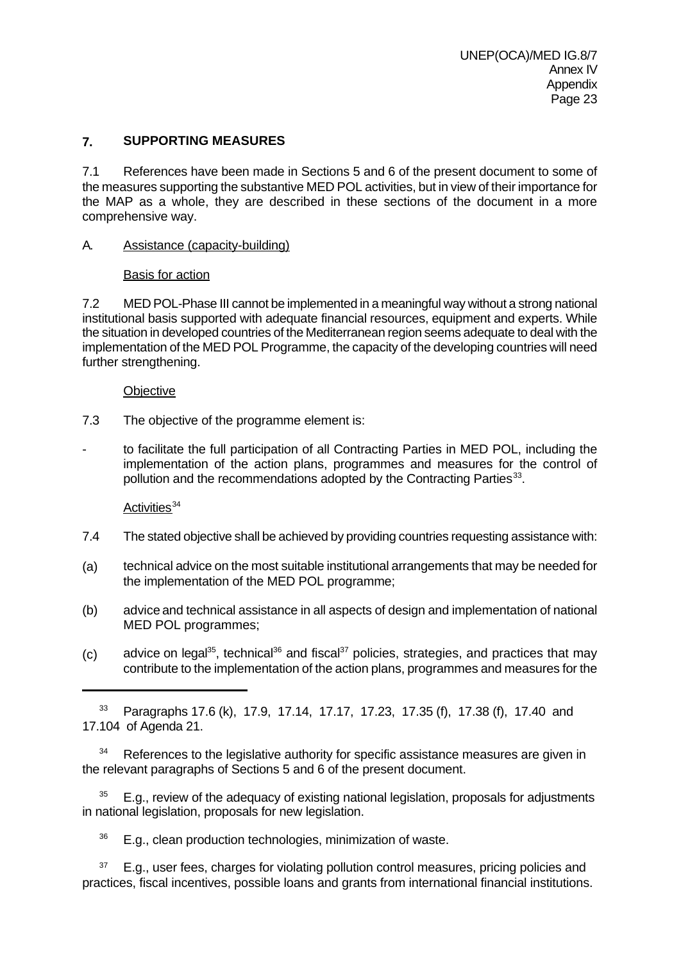# **7. SUPPORTING MEASURES**

7.1 References have been made in Sections 5 and 6 of the present document to some of the measures supporting the substantive MED POL activities, but in view of their importance for the MAP as a whole, they are described in these sections of the document in a more comprehensive way.

# A. Assistance (capacity-building)

## Basis for action

7.2 MED POL-Phase III cannot be implemented in a meaningful way without a strong national institutional basis supported with adequate financial resources, equipment and experts. While the situation in developed countries of the Mediterranean region seems adequate to deal with the implementation of the MED POL Programme, the capacity of the developing countries will need further strengthening.

## **Objective**

- 7.3 The objective of the programme element is:
- to facilitate the full participation of all Contracting Parties in MED POL, including the implementation of the action plans, programmes and measures for the control of pollution and the recommendations adopted by the Contracting Parties<sup>33</sup>.

## Activities<sup>34</sup>

- 7.4 The stated objective shall be achieved by providing countries requesting assistance with:
- (a) technical advice on the most suitable institutional arrangements that may be needed for the implementation of the MED POL programme;
- (b) advice and technical assistance in all aspects of design and implementation of national MED POL programmes;
- (c) advice on legal<sup>35</sup>, technical<sup>36</sup> and fiscal<sup>37</sup> policies, strategies, and practices that may contribute to the implementation of the action plans, programmes and measures for the

 $34$  References to the legislative authority for specific assistance measures are given in the relevant paragraphs of Sections 5 and 6 of the present document.

 $35$  E.g., review of the adequacy of existing national legislation, proposals for adjustments in national legislation, proposals for new legislation.

 $36$  E.g., clean production technologies, minimization of waste.

E.g., user fees, charges for violating pollution control measures, pricing policies and practices, fiscal incentives, possible loans and grants from international financial institutions.

<sup>33</sup> Paragraphs 17.6 (k), 17.9, 17.14, 17.17, 17.23, 17.35 (f), 17.38 (f), 17.40 and 17.104 of Agenda 21.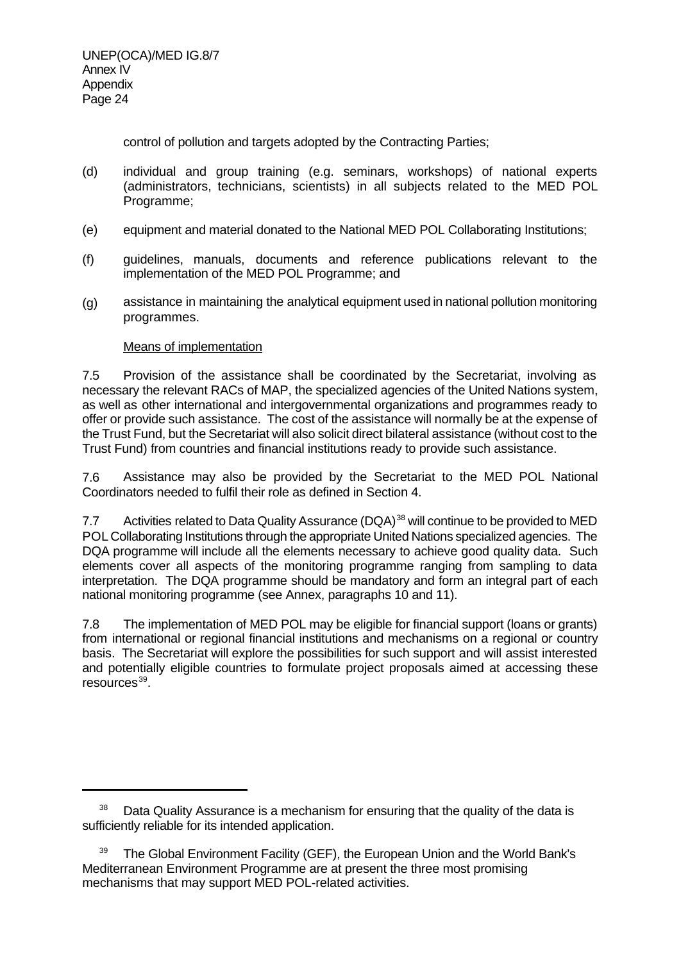UNEP(OCA)/MED IG.8/7 Annex IV **Appendix** Page 24

control of pollution and targets adopted by the Contracting Parties;

- (d) individual and group training (e.g. seminars, workshops) of national experts (administrators, technicians, scientists) in all subjects related to the MED POL Programme;
- (e) equipment and material donated to the National MED POL Collaborating Institutions;
- (f) guidelines, manuals, documents and reference publications relevant to the implementation of the MED POL Programme; and
- (g) assistance in maintaining the analytical equipment used in national pollution monitoring programmes.

#### Means of implementation

7.5 Provision of the assistance shall be coordinated by the Secretariat, involving as necessary the relevant RACs of MAP, the specialized agencies of the United Nations system, as well as other international and intergovernmental organizations and programmes ready to offer or provide such assistance. The cost of the assistance will normally be at the expense of the Trust Fund, but the Secretariat will also solicit direct bilateral assistance (without cost to the Trust Fund) from countries and financial institutions ready to provide such assistance.

7.6 Assistance may also be provided by the Secretariat to the MED POL National Coordinators needed to fulfil their role as defined in Section 4.

7.7 Activities related to Data Quality Assurance (DQA)<sup>38</sup> will continue to be provided to MED POL Collaborating Institutions through the appropriate United Nations specialized agencies. The DQA programme will include all the elements necessary to achieve good quality data. Such elements cover all aspects of the monitoring programme ranging from sampling to data interpretation. The DQA programme should be mandatory and form an integral part of each national monitoring programme (see Annex, paragraphs 10 and 11).

7.8 The implementation of MED POL may be eligible for financial support (loans or grants) from international or regional financial institutions and mechanisms on a regional or country basis. The Secretariat will explore the possibilities for such support and will assist interested and potentially eligible countries to formulate project proposals aimed at accessing these resources<sup>39</sup>.

 $38$  Data Quality Assurance is a mechanism for ensuring that the quality of the data is sufficiently reliable for its intended application.

<sup>&</sup>lt;sup>39</sup> The Global Environment Facility (GEF), the European Union and the World Bank's Mediterranean Environment Programme are at present the three most promising mechanisms that may support MED POL-related activities.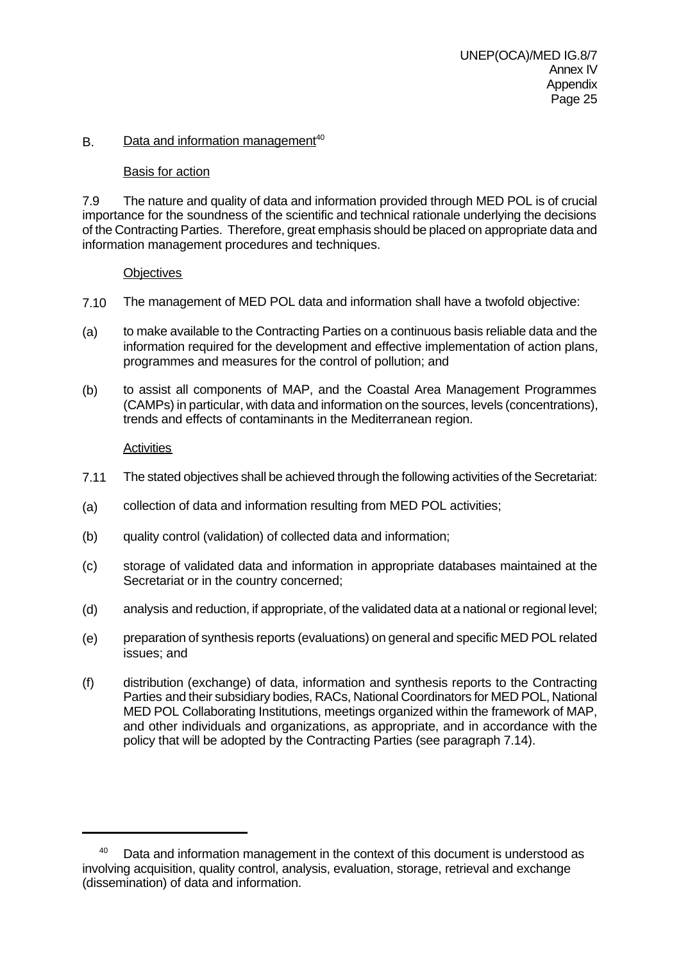## $B.$  Data and information management<sup>40</sup>

# Basis for action

7.9 The nature and quality of data and information provided through MED POL is of crucial importance for the soundness of the scientific and technical rationale underlying the decisions of the Contracting Parties. Therefore, great emphasis should be placed on appropriate data and information management procedures and techniques.

# **Objectives**

- 7.10 The management of MED POL data and information shall have a twofold objective:
- (a) to make available to the Contracting Parties on a continuous basis reliable data and the information required for the development and effective implementation of action plans, programmes and measures for the control of pollution; and
- (b) to assist all components of MAP, and the Coastal Area Management Programmes (CAMPs) in particular, with data and information on the sources, levels (concentrations), trends and effects of contaminants in the Mediterranean region.

# **Activities**

- 7.11 The stated objectives shall be achieved through the following activities of the Secretariat:
- (a) collection of data and information resulting from MED POL activities;
- (b) quality control (validation) of collected data and information;
- (c) storage of validated data and information in appropriate databases maintained at the Secretariat or in the country concerned;
- (d) analysis and reduction, if appropriate, of the validated data at a national or regional level;
- (e) preparation of synthesis reports (evaluations) on general and specific MED POL related issues; and
- (f) distribution (exchange) of data, information and synthesis reports to the Contracting Parties and their subsidiary bodies, RACs, National Coordinators for MED POL, National MED POL Collaborating Institutions, meetings organized within the framework of MAP, and other individuals and organizations, as appropriate, and in accordance with the policy that will be adopted by the Contracting Parties (see paragraph 7.14).

 $40$  Data and information management in the context of this document is understood as involving acquisition, quality control, analysis, evaluation, storage, retrieval and exchange (dissemination) of data and information.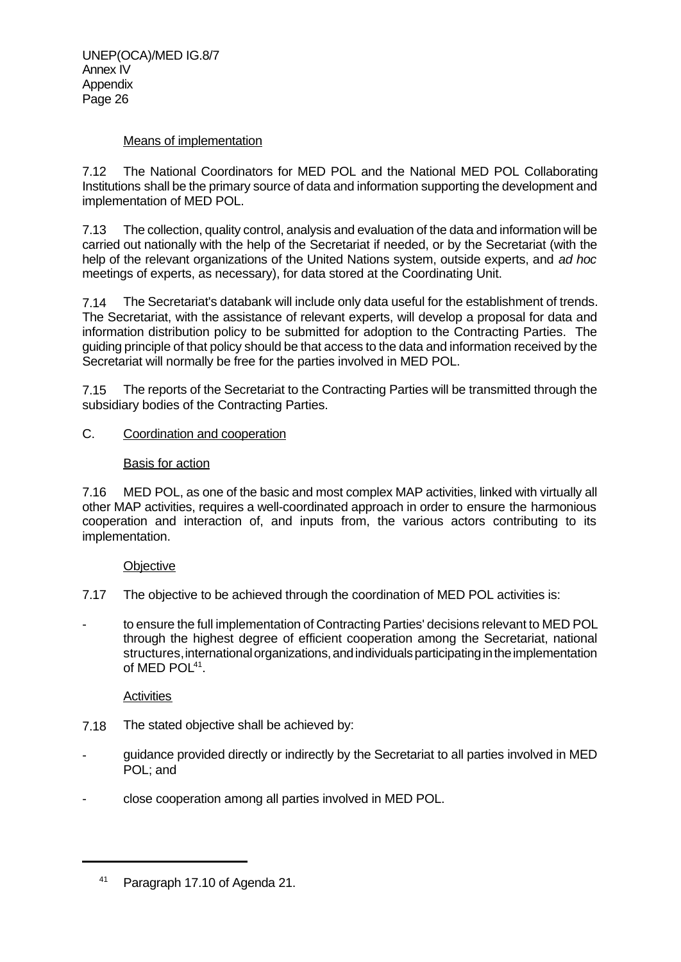## Means of implementation

7.12 The National Coordinators for MED POL and the National MED POL Collaborating Institutions shall be the primary source of data and information supporting the development and implementation of MED POL.

7.13 The collection, quality control, analysis and evaluation of the data and information will be carried out nationally with the help of the Secretariat if needed, or by the Secretariat (with the help of the relevant organizations of the United Nations system, outside experts, and *ad hoc* meetings of experts, as necessary), for data stored at the Coordinating Unit.

7.14 The Secretariat's databank will include only data useful for the establishment of trends. The Secretariat, with the assistance of relevant experts, will develop a proposal for data and information distribution policy to be submitted for adoption to the Contracting Parties. The guiding principle of that policy should be that access to the data and information received by the Secretariat will normally be free for the parties involved in MED POL.

7.15 The reports of the Secretariat to the Contracting Parties will be transmitted through the subsidiary bodies of the Contracting Parties.

## C. Coordination and cooperation

# Basis for action

7.16 MED POL, as one of the basic and most complex MAP activities, linked with virtually all other MAP activities, requires a well-coordinated approach in order to ensure the harmonious cooperation and interaction of, and inputs from, the various actors contributing to its implementation.

## **Objective**

- 7.17 The objective to be achieved through the coordination of MED POL activities is:
- to ensure the full implementation of Contracting Parties' decisions relevant to MED POL through the highest degree of efficient cooperation among the Secretariat, national structures, international organizations, and individuals participating in the implementation of MED POL<sup>41</sup>.

## **Activities**

- 7.18 The stated objective shall be achieved by:
- guidance provided directly or indirectly by the Secretariat to all parties involved in MED POL; and
- close cooperation among all parties involved in MED POL.

<sup>41</sup> Paragraph 17.10 of Agenda 21.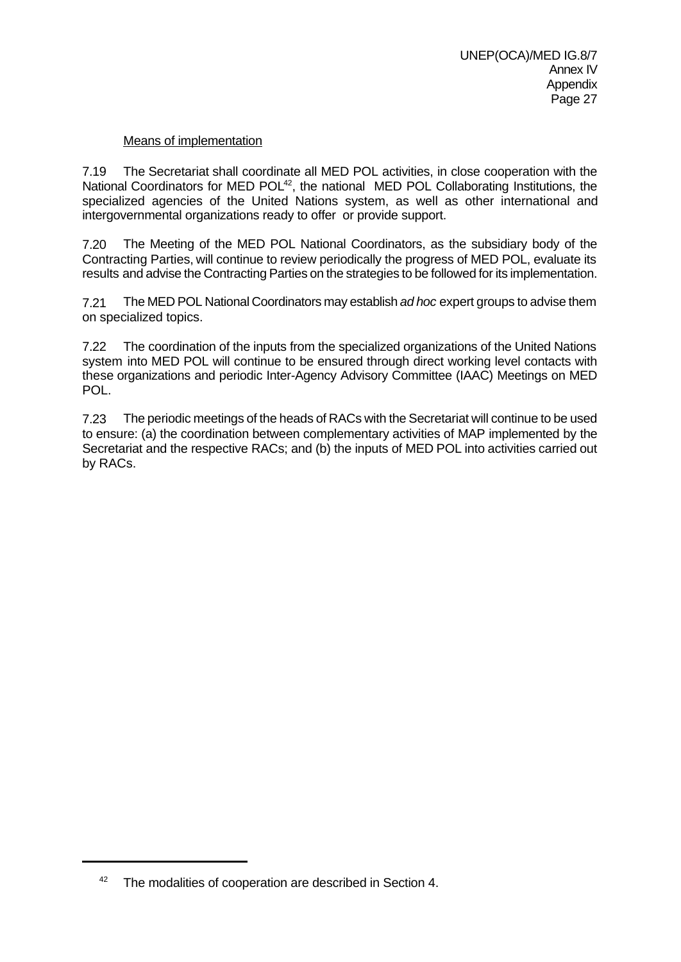# Means of implementation

7.19 The Secretariat shall coordinate all MED POL activities, in close cooperation with the National Coordinators for MED POL<sup>42</sup>, the national MED POL Collaborating Institutions, the specialized agencies of the United Nations system, as well as other international and intergovernmental organizations ready to offer or provide support.

7.20 The Meeting of the MED POL National Coordinators, as the subsidiary body of the Contracting Parties, will continue to review periodically the progress of MED POL, evaluate its results and advise the Contracting Parties on the strategies to be followed for its implementation.

7.21 The MED POL National Coordinators may establish *ad hoc* expert groups to advise them on specialized topics.

7.22 The coordination of the inputs from the specialized organizations of the United Nations system into MED POL will continue to be ensured through direct working level contacts with these organizations and periodic Inter-Agency Advisory Committee (IAAC) Meetings on MED POL.

7.23 The periodic meetings of the heads of RACs with the Secretariat will continue to be used to ensure: (a) the coordination between complementary activities of MAP implemented by the Secretariat and the respective RACs; and (b) the inputs of MED POL into activities carried out by RACs.

<sup>&</sup>lt;sup>42</sup> The modalities of cooperation are described in Section 4.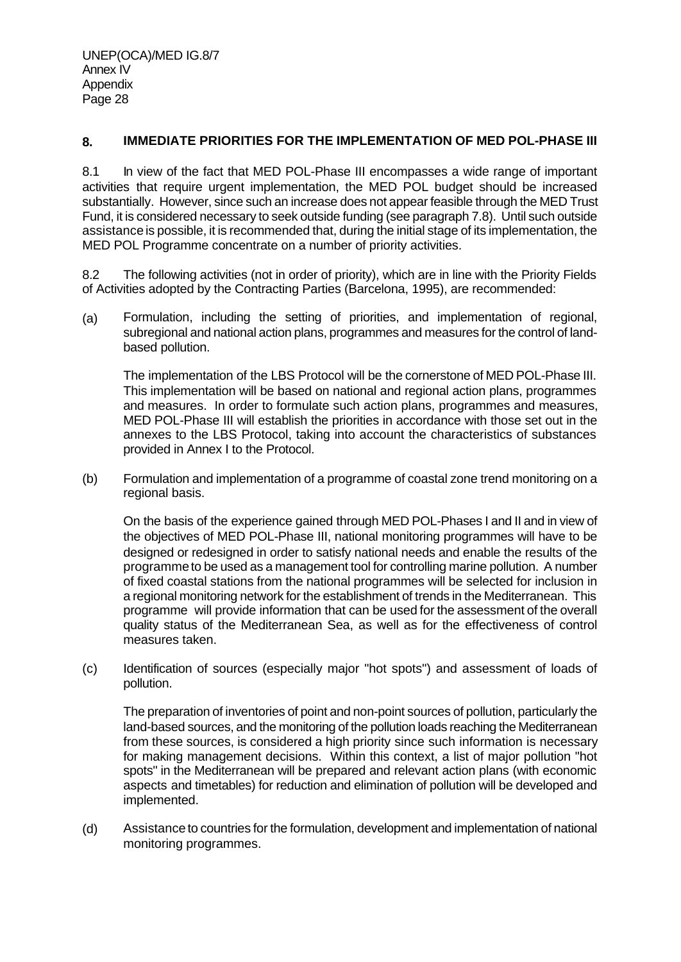# **8. IMMEDIATE PRIORITIES FOR THE IMPLEMENTATION OF MED POL-PHASE III**

8.1 In view of the fact that MED POL-Phase III encompasses a wide range of important activities that require urgent implementation, the MED POL budget should be increased substantially. However, since such an increase does not appear feasible through the MED Trust Fund, it is considered necessary to seek outside funding (see paragraph 7.8). Until such outside assistance is possible, it is recommended that, during the initial stage of its implementation, the MED POL Programme concentrate on a number of priority activities.

8.2 The following activities (not in order of priority), which are in line with the Priority Fields of Activities adopted by the Contracting Parties (Barcelona, 1995), are recommended:

(a) Formulation, including the setting of priorities, and implementation of regional, subregional and national action plans, programmes and measures for the control of landbased pollution.

The implementation of the LBS Protocol will be the cornerstone of MED POL-Phase III. This implementation will be based on national and regional action plans, programmes and measures. In order to formulate such action plans, programmes and measures, MED POL-Phase III will establish the priorities in accordance with those set out in the annexes to the LBS Protocol, taking into account the characteristics of substances provided in Annex I to the Protocol.

(b) Formulation and implementation of a programme of coastal zone trend monitoring on a regional basis.

On the basis of the experience gained through MED POL-Phases I and II and in view of the objectives of MED POL-Phase III, national monitoring programmes will have to be designed or redesigned in order to satisfy national needs and enable the results of the programme to be used as a management tool for controlling marine pollution. A number of fixed coastal stations from the national programmes will be selected for inclusion in a regional monitoring network for the establishment of trends in the Mediterranean. This programme will provide information that can be used for the assessment of the overall quality status of the Mediterranean Sea, as well as for the effectiveness of control measures taken.

(c) Identification of sources (especially major "hot spots") and assessment of loads of pollution.

The preparation of inventories of point and non-point sources of pollution, particularly the land-based sources, and the monitoring of the pollution loads reaching the Mediterranean from these sources, is considered a high priority since such information is necessary for making management decisions. Within this context, a list of major pollution "hot spots" in the Mediterranean will be prepared and relevant action plans (with economic aspects and timetables) for reduction and elimination of pollution will be developed and implemented.

(d) Assistance to countries for the formulation, development and implementation of national monitoring programmes.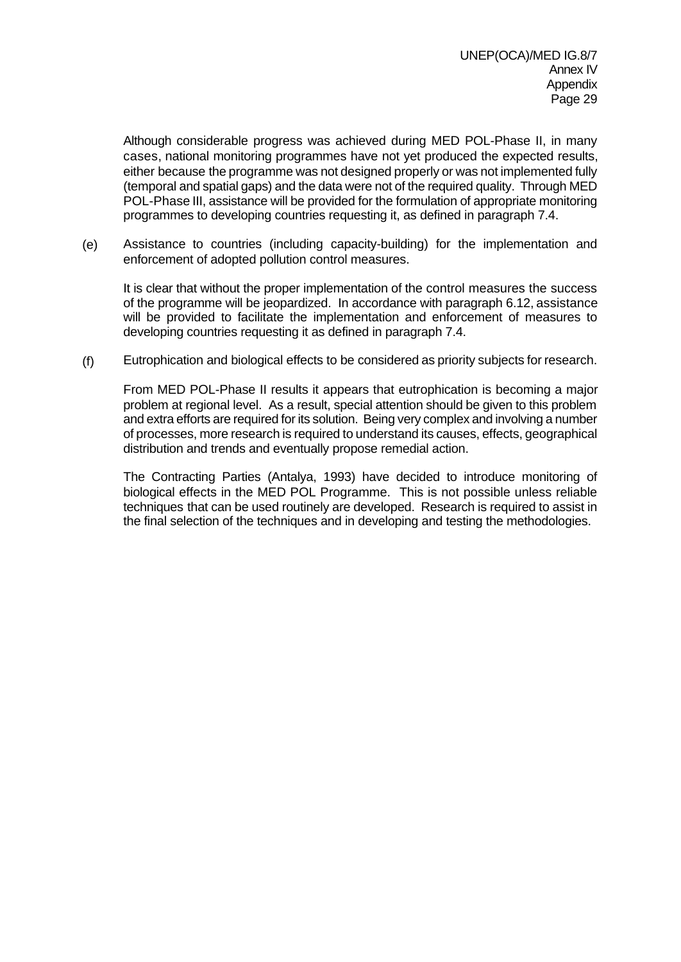Although considerable progress was achieved during MED POL-Phase II, in many cases, national monitoring programmes have not yet produced the expected results, either because the programme was not designed properly or was not implemented fully (temporal and spatial gaps) and the data were not of the required quality. Through MED POL-Phase III, assistance will be provided for the formulation of appropriate monitoring programmes to developing countries requesting it, as defined in paragraph 7.4.

(e) Assistance to countries (including capacity-building) for the implementation and enforcement of adopted pollution control measures.

It is clear that without the proper implementation of the control measures the success of the programme will be jeopardized. In accordance with paragraph 6.12, assistance will be provided to facilitate the implementation and enforcement of measures to developing countries requesting it as defined in paragraph 7.4.

(f) Eutrophication and biological effects to be considered as priority subjects for research.

From MED POL-Phase II results it appears that eutrophication is becoming a major problem at regional level. As a result, special attention should be given to this problem and extra efforts are required for its solution. Being very complex and involving a number of processes, more research is required to understand its causes, effects, geographical distribution and trends and eventually propose remedial action.

The Contracting Parties (Antalya, 1993) have decided to introduce monitoring of biological effects in the MED POL Programme. This is not possible unless reliable techniques that can be used routinely are developed. Research is required to assist in the final selection of the techniques and in developing and testing the methodologies.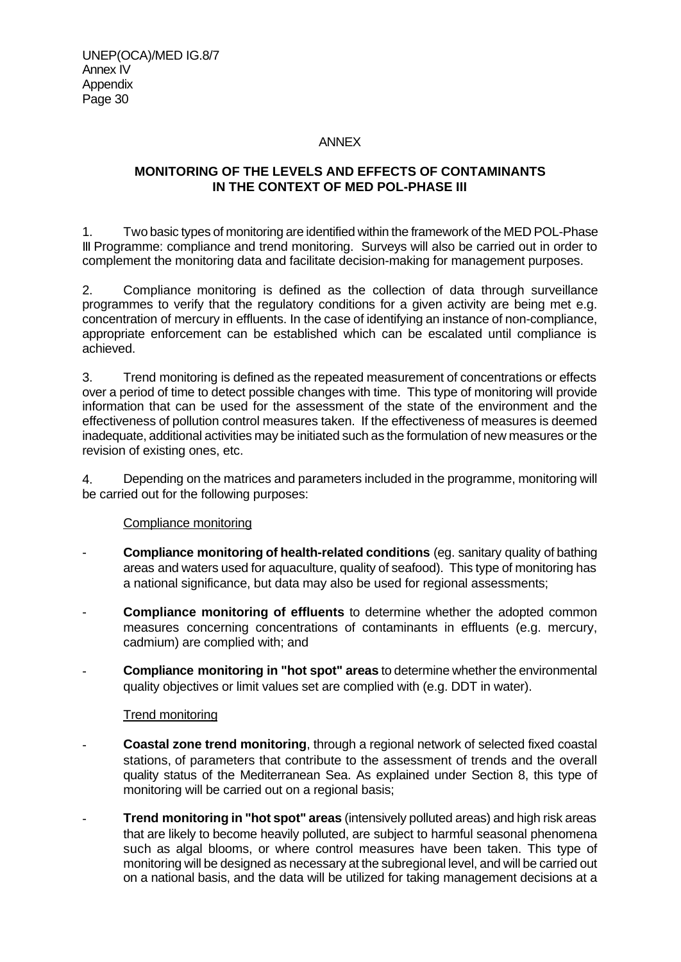UNEP(OCA)/MED IG.8/7 Annex IV **Appendix** Page 30

#### ANNEX

# **MONITORING OF THE LEVELS AND EFFECTS OF CONTAMINANTS IN THE CONTEXT OF MED POL-PHASE III**

1. Two basic types of monitoring are identified within the framework of the MED POL-Phase III Programme: compliance and trend monitoring. Surveys will also be carried out in order to complement the monitoring data and facilitate decision-making for management purposes.

2. Compliance monitoring is defined as the collection of data through surveillance programmes to verify that the regulatory conditions for a given activity are being met e.g. concentration of mercury in effluents. In the case of identifying an instance of non-compliance, appropriate enforcement can be established which can be escalated until compliance is achieved.

3. Trend monitoring is defined as the repeated measurement of concentrations or effects over a period of time to detect possible changes with time. This type of monitoring will provide information that can be used for the assessment of the state of the environment and the effectiveness of pollution control measures taken. If the effectiveness of measures is deemed inadequate, additional activities may be initiated such as the formulation of new measures or the revision of existing ones, etc.

4. Depending on the matrices and parameters included in the programme, monitoring will be carried out for the following purposes:

#### Compliance monitoring

- **Compliance monitoring of health-related conditions** (eg. sanitary quality of bathing areas and waters used for aquaculture, quality of seafood). This type of monitoring has a national significance, but data may also be used for regional assessments;
- **Compliance monitoring of effluents** to determine whether the adopted common measures concerning concentrations of contaminants in effluents (e.g. mercury, cadmium) are complied with; and
- **Compliance monitoring in "hot spot" areas** to determine whether the environmental quality objectives or limit values set are complied with (e.g. DDT in water).

## Trend monitoring

- **Coastal zone trend monitoring**, through a regional network of selected fixed coastal stations, of parameters that contribute to the assessment of trends and the overall quality status of the Mediterranean Sea. As explained under Section 8, this type of monitoring will be carried out on a regional basis;
- **Trend monitoring in "hot spot" areas** (intensively polluted areas) and high risk areas that are likely to become heavily polluted, are subject to harmful seasonal phenomena such as algal blooms, or where control measures have been taken. This type of monitoring will be designed as necessary at the subregional level, and will be carried out on a national basis, and the data will be utilized for taking management decisions at a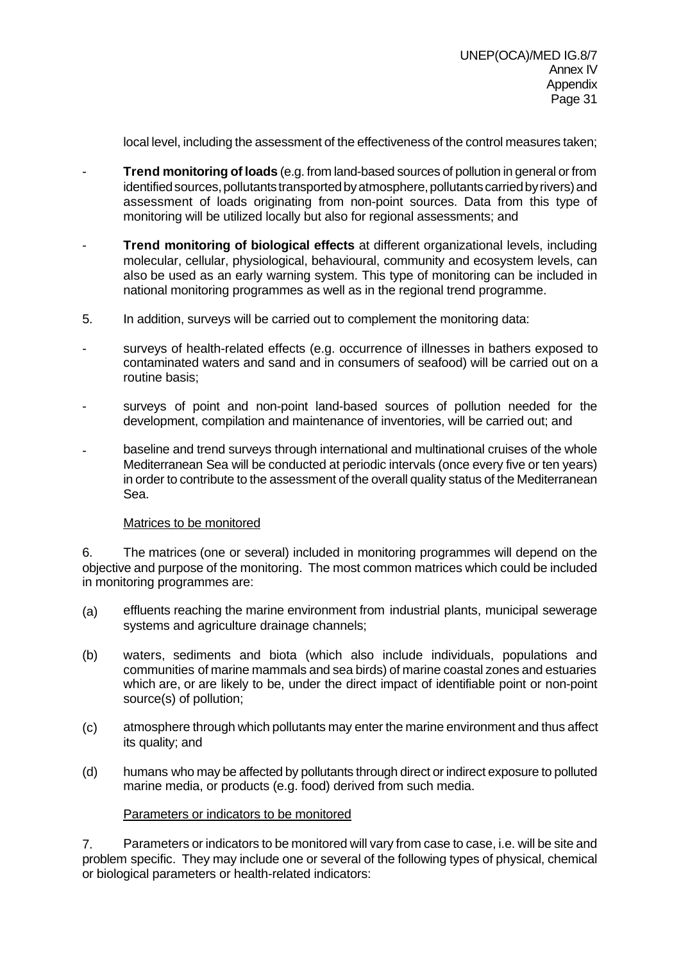local level, including the assessment of the effectiveness of the control measures taken;

- **Trend monitoring of loads** (e.g. from land-based sources of pollution in general or from identified sources, pollutants transported by atmosphere, pollutants carried by rivers) and assessment of loads originating from non-point sources. Data from this type of monitoring will be utilized locally but also for regional assessments; and
- **Trend monitoring of biological effects** at different organizational levels, including molecular, cellular, physiological, behavioural, community and ecosystem levels, can also be used as an early warning system. This type of monitoring can be included in national monitoring programmes as well as in the regional trend programme.
- 5. In addition, surveys will be carried out to complement the monitoring data:
- surveys of health-related effects (e.g. occurrence of illnesses in bathers exposed to contaminated waters and sand and in consumers of seafood) will be carried out on a routine basis;
- surveys of point and non-point land-based sources of pollution needed for the development, compilation and maintenance of inventories, will be carried out; and
- baseline and trend surveys through international and multinational cruises of the whole Mediterranean Sea will be conducted at periodic intervals (once every five or ten years) in order to contribute to the assessment of the overall quality status of the Mediterranean Sea.

#### Matrices to be monitored

6. The matrices (one or several) included in monitoring programmes will depend on the objective and purpose of the monitoring. The most common matrices which could be included in monitoring programmes are:

- (a) effluents reaching the marine environment from industrial plants, municipal sewerage systems and agriculture drainage channels;
- (b) waters, sediments and biota (which also include individuals, populations and communities of marine mammals and sea birds) of marine coastal zones and estuaries which are, or are likely to be, under the direct impact of identifiable point or non-point source(s) of pollution;
- (c) atmosphere through which pollutants may enter the marine environment and thus affect its quality; and
- (d) humans who may be affected by pollutants through direct or indirect exposure to polluted marine media, or products (e.g. food) derived from such media.

#### Parameters or indicators to be monitored

7. Parameters or indicators to be monitored will vary from case to case, i.e. will be site and problem specific. They may include one or several of the following types of physical, chemical or biological parameters or health-related indicators: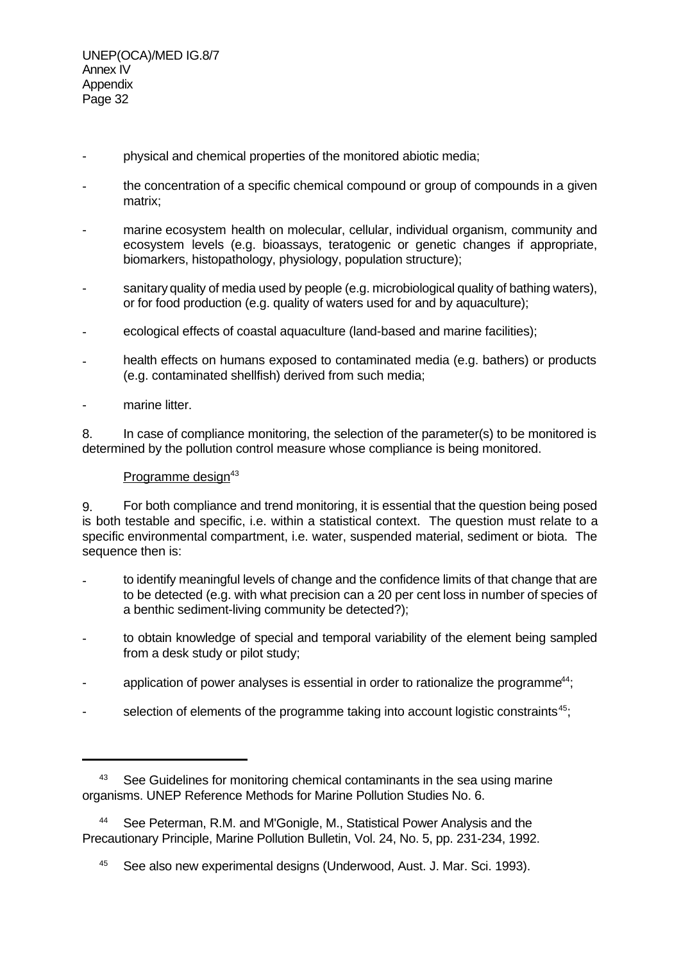- physical and chemical properties of the monitored abiotic media;
- the concentration of a specific chemical compound or group of compounds in a given matrix;
- marine ecosystem health on molecular, cellular, individual organism, community and ecosystem levels (e.g. bioassays, teratogenic or genetic changes if appropriate, biomarkers, histopathology, physiology, population structure);
- sanitary quality of media used by people (e.g. microbiological quality of bathing waters), or for food production (e.g. quality of waters used for and by aquaculture);
- ecological effects of coastal aquaculture (land-based and marine facilities);
- health effects on humans exposed to contaminated media (e.g. bathers) or products (e.g. contaminated shellfish) derived from such media;
- marine litter.

8. In case of compliance monitoring, the selection of the parameter(s) to be monitored is determined by the pollution control measure whose compliance is being monitored.

#### Programme design<sup>43</sup>

9. For both compliance and trend monitoring, it is essential that the question being posed is both testable and specific, i.e. within a statistical context. The question must relate to a specific environmental compartment, i.e. water, suspended material, sediment or biota. The sequence then is:

- to identify meaningful levels of change and the confidence limits of that change that are to be detected (e.g. with what precision can a 20 per cent loss in number of species of a benthic sediment-living community be detected?);
- to obtain knowledge of special and temporal variability of the element being sampled from a desk study or pilot study;
- application of power analyses is essential in order to rationalize the programme<sup>44</sup>;
- selection of elements of the programme taking into account logistic constraints<sup>45</sup>;

See Peterman, R.M. and M'Gonigle, M., Statistical Power Analysis and the Precautionary Principle, Marine Pollution Bulletin, Vol. 24, No. 5, pp. 231-234, 1992.

<sup>&</sup>lt;sup>43</sup> See Guidelines for monitoring chemical contaminants in the sea using marine organisms. UNEP Reference Methods for Marine Pollution Studies No. 6.

<sup>45</sup> See also new experimental designs (Underwood, Aust. J. Mar. Sci. 1993).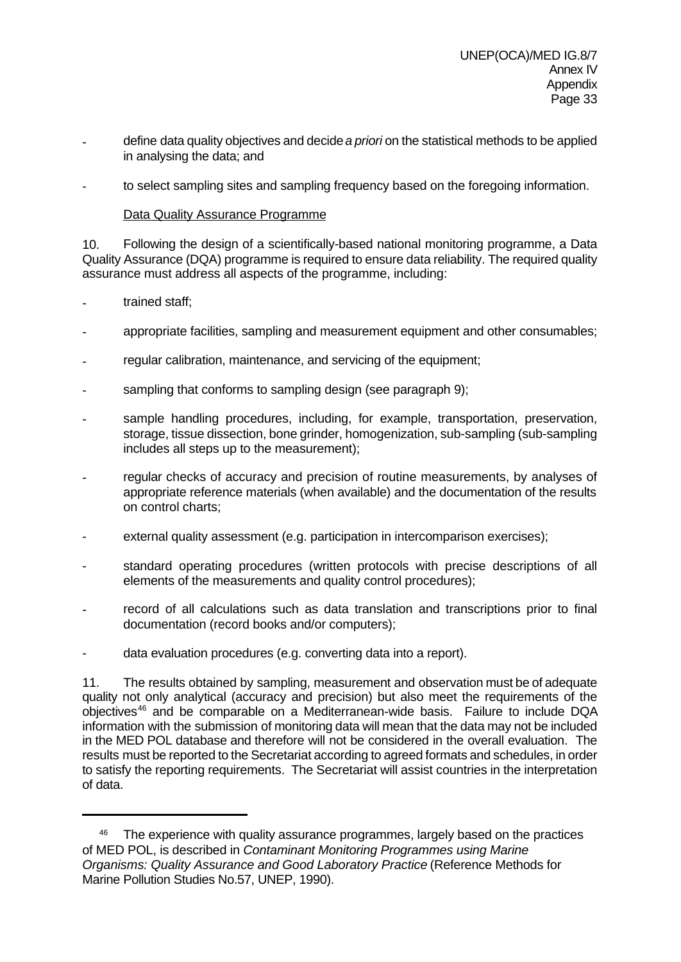- define data quality objectives and decide *a priori* on the statistical methods to be applied in analysing the data; and
- to select sampling sites and sampling frequency based on the foregoing information.

#### Data Quality Assurance Programme

10. Following the design of a scientifically-based national monitoring programme, a Data Quality Assurance (DQA) programme is required to ensure data reliability. The required quality assurance must address all aspects of the programme, including:

- trained staff;
- appropriate facilities, sampling and measurement equipment and other consumables;
- regular calibration, maintenance, and servicing of the equipment;
- sampling that conforms to sampling design (see paragraph 9);
- sample handling procedures, including, for example, transportation, preservation, storage, tissue dissection, bone grinder, homogenization, sub-sampling (sub-sampling includes all steps up to the measurement);
- regular checks of accuracy and precision of routine measurements, by analyses of appropriate reference materials (when available) and the documentation of the results on control charts;
- external quality assessment (e.g. participation in intercomparison exercises);
- standard operating procedures (written protocols with precise descriptions of all elements of the measurements and quality control procedures);
- record of all calculations such as data translation and transcriptions prior to final documentation (record books and/or computers);
- data evaluation procedures (e.g. converting data into a report).

11. The results obtained by sampling, measurement and observation must be of adequate quality not only analytical (accuracy and precision) but also meet the requirements of the objectives<sup>46</sup> and be comparable on a Mediterranean-wide basis. Failure to include DQA information with the submission of monitoring data will mean that the data may not be included in the MED POL database and therefore will not be considered in the overall evaluation. The results must be reported to the Secretariat according to agreed formats and schedules, in order to satisfy the reporting requirements. The Secretariat will assist countries in the interpretation of data.

<sup>&</sup>lt;sup>46</sup> The experience with quality assurance programmes, largely based on the practices of MED POL, is described in *Contaminant Monitoring Programmes using Marine Organisms: Quality Assurance and Good Laboratory Practice* (Reference Methods for Marine Pollution Studies No.57, UNEP, 1990).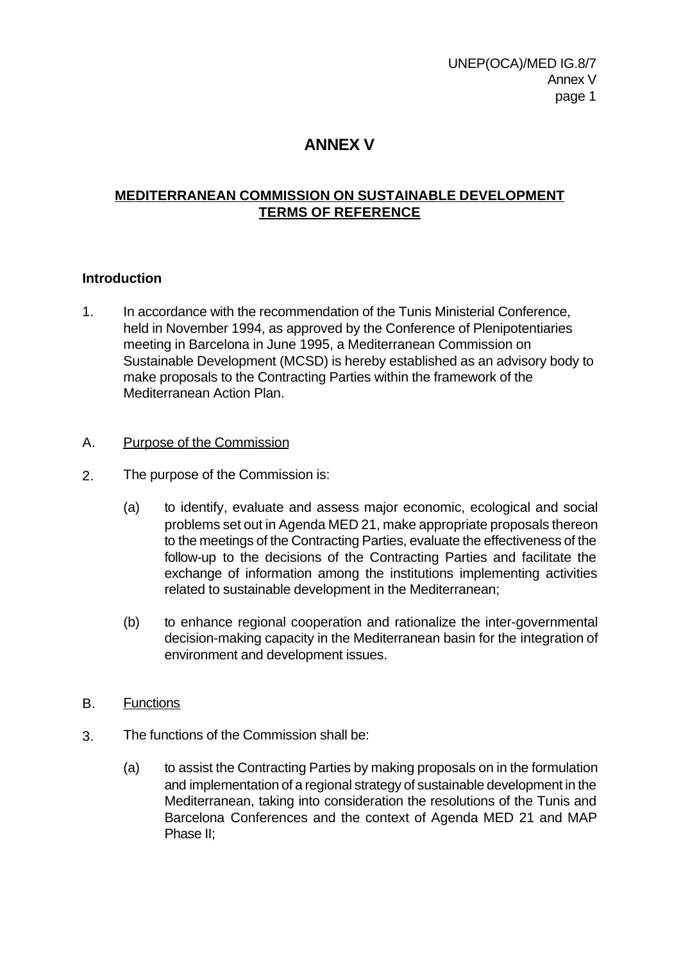# **ANNEX V**

# **MEDITERRANEAN COMMISSION ON SUSTAINABLE DEVELOPMENT TERMS OF REFERENCE**

# **Introduction**

- 1. In accordance with the recommendation of the Tunis Ministerial Conference, held in November 1994, as approved by the Conference of Plenipotentiaries meeting in Barcelona in June 1995, a Mediterranean Commission on Sustainable Development (MCSD) is hereby established as an advisory body to make proposals to the Contracting Parties within the framework of the Mediterranean Action Plan.
- A. Purpose of the Commission
- 2. The purpose of the Commission is:
	- (a) to identify, evaluate and assess major economic, ecological and social problems set out in Agenda MED 21, make appropriate proposals thereon to the meetings of the Contracting Parties, evaluate the effectiveness of the follow-up to the decisions of the Contracting Parties and facilitate the exchange of information among the institutions implementing activities related to sustainable development in the Mediterranean;
	- (b) to enhance regional cooperation and rationalize the inter-governmental decision-making capacity in the Mediterranean basin for the integration of environment and development issues.
- B. Functions
- 3. The functions of the Commission shall be:
	- (a) to assist the Contracting Parties by making proposals on in the formulation and implementation of a regional strategy of sustainable development in the Mediterranean, taking into consideration the resolutions of the Tunis and Barcelona Conferences and the context of Agenda MED 21 and MAP Phase II;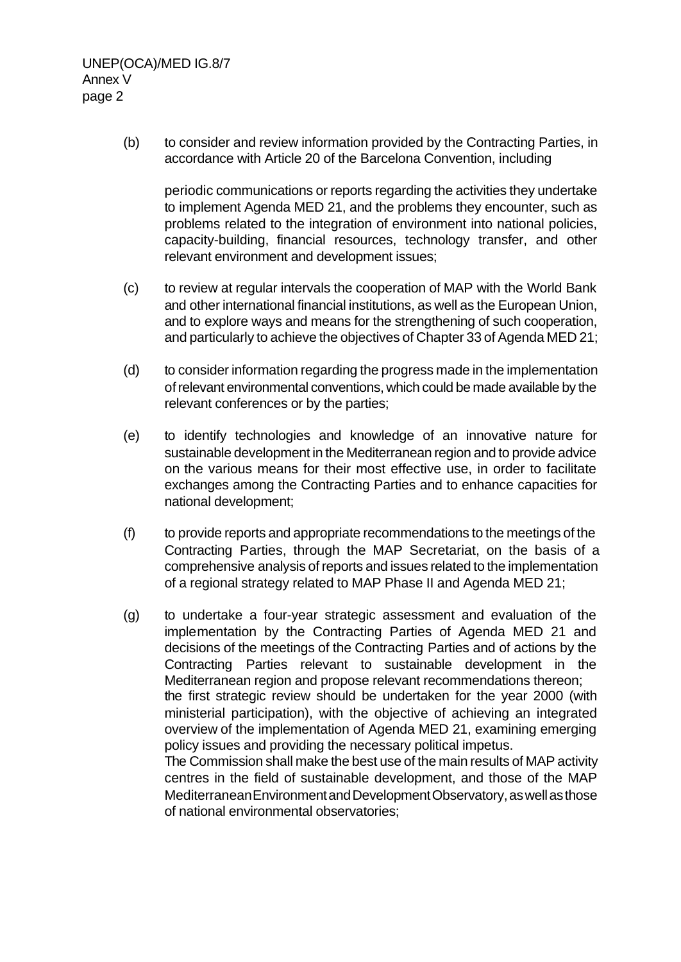UNEP(OCA)/MED IG.8/7 Annex V page 2

> (b) to consider and review information provided by the Contracting Parties, in accordance with Article 20 of the Barcelona Convention, including

periodic communications or reports regarding the activities they undertake to implement Agenda MED 21, and the problems they encounter, such as problems related to the integration of environment into national policies, capacity-building, financial resources, technology transfer, and other relevant environment and development issues;

- (c) to review at regular intervals the cooperation of MAP with the World Bank and other international financial institutions, as well as the European Union, and to explore ways and means for the strengthening of such cooperation, and particularly to achieve the objectives of Chapter 33 of Agenda MED 21;
- (d) to consider information regarding the progress made in the implementation of relevant environmental conventions, which could be made available by the relevant conferences or by the parties;
- (e) to identify technologies and knowledge of an innovative nature for sustainable development in the Mediterranean region and to provide advice on the various means for their most effective use, in order to facilitate exchanges among the Contracting Parties and to enhance capacities for national development;
- (f) to provide reports and appropriate recommendations to the meetings of the Contracting Parties, through the MAP Secretariat, on the basis of a comprehensive analysis of reports and issues related to the implementation of a regional strategy related to MAP Phase II and Agenda MED 21;
- (g) to undertake a four-year strategic assessment and evaluation of the implementation by the Contracting Parties of Agenda MED 21 and decisions of the meetings of the Contracting Parties and of actions by the Contracting Parties relevant to sustainable development in the Mediterranean region and propose relevant recommendations thereon; the first strategic review should be undertaken for the year 2000 (with ministerial participation), with the objective of achieving an integrated overview of the implementation of Agenda MED 21, examining emerging policy issues and providing the necessary political impetus. The Commission shall make the best use of the main results of MAP activity centres in the field of sustainable development, and those of the MAP Mediterranean Environment and Development Observatory, as well as those of national environmental observatories;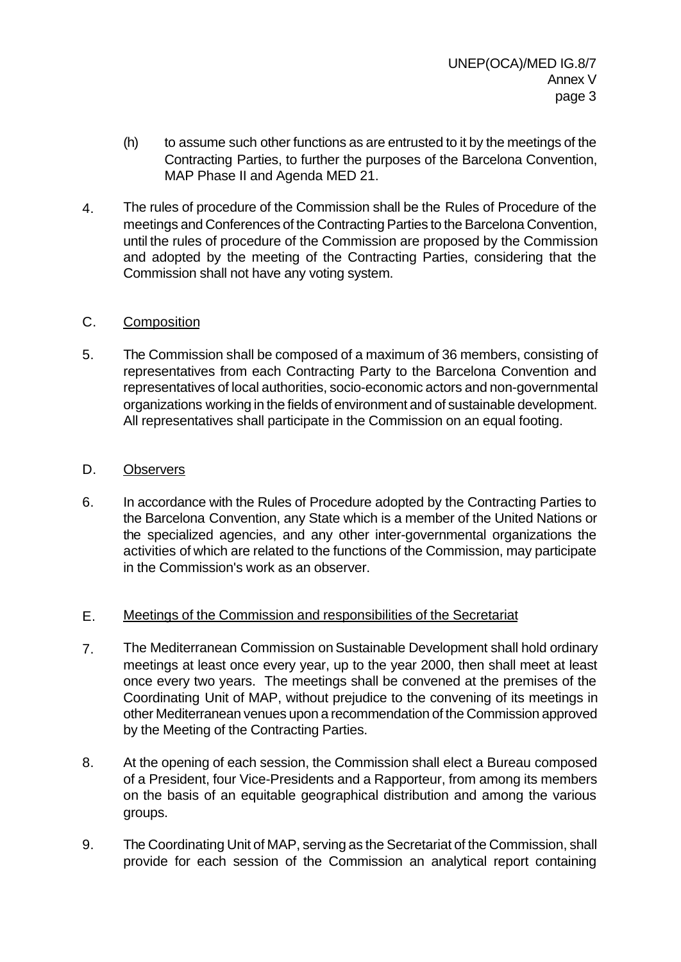- (h) to assume such other functions as are entrusted to it by the meetings of the Contracting Parties, to further the purposes of the Barcelona Convention, MAP Phase II and Agenda MED 21.
- 4. The rules of procedure of the Commission shall be the Rules of Procedure of the meetings and Conferences of the Contracting Parties to the Barcelona Convention, until the rules of procedure of the Commission are proposed by the Commission and adopted by the meeting of the Contracting Parties, considering that the Commission shall not have any voting system.

# C. Composition

5. The Commission shall be composed of a maximum of 36 members, consisting of representatives from each Contracting Party to the Barcelona Convention and representatives of local authorities, socio-economic actors and non-governmental organizations working in the fields of environment and of sustainable development. All representatives shall participate in the Commission on an equal footing.

# D. Observers

6. In accordance with the Rules of Procedure adopted by the Contracting Parties to the Barcelona Convention, any State which is a member of the United Nations or the specialized agencies, and any other inter-governmental organizations the activities of which are related to the functions of the Commission, may participate in the Commission's work as an observer.

# E. Meetings of the Commission and responsibilities of the Secretariat

- 7. The Mediterranean Commission on Sustainable Development shall hold ordinary meetings at least once every year, up to the year 2000, then shall meet at least once every two years. The meetings shall be convened at the premises of the Coordinating Unit of MAP, without prejudice to the convening of its meetings in other Mediterranean venues upon a recommendation of the Commission approved by the Meeting of the Contracting Parties.
- 8. At the opening of each session, the Commission shall elect a Bureau composed of a President, four Vice-Presidents and a Rapporteur, from among its members on the basis of an equitable geographical distribution and among the various groups.
- 9. The Coordinating Unit of MAP, serving as the Secretariat of the Commission, shall provide for each session of the Commission an analytical report containing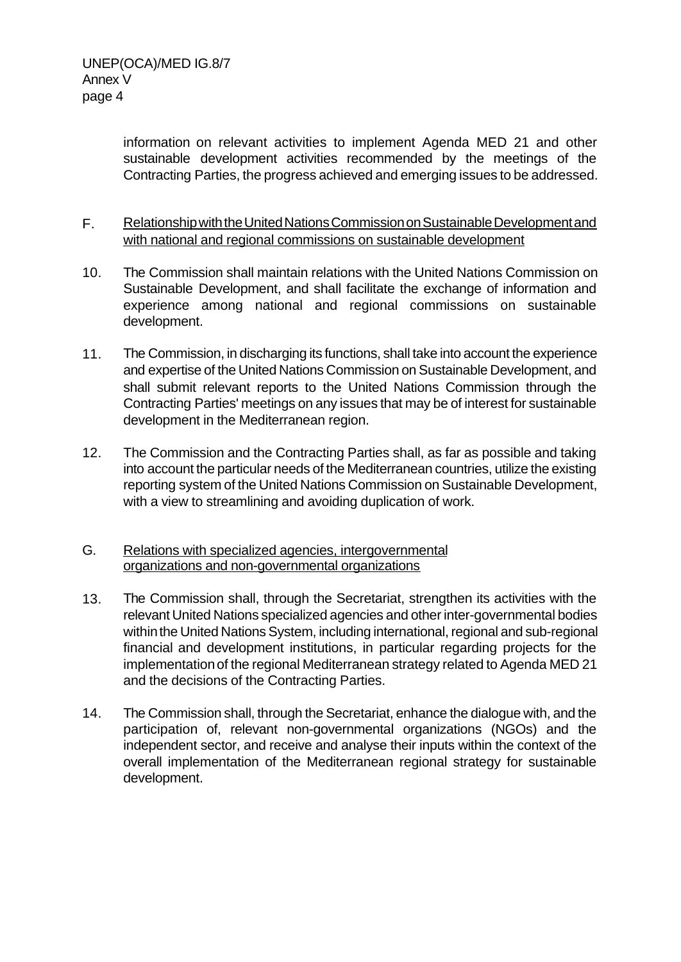information on relevant activities to implement Agenda MED 21 and other sustainable development activities recommended by the meetings of the Contracting Parties, the progress achieved and emerging issues to be addressed.

# F. Relationship with the United Nations Commission on Sustainable Development and with national and regional commissions on sustainable development

- 10. The Commission shall maintain relations with the United Nations Commission on Sustainable Development, and shall facilitate the exchange of information and experience among national and regional commissions on sustainable development.
- 11. The Commission, in discharging its functions, shall take into account the experience and expertise of the United Nations Commission on Sustainable Development, and shall submit relevant reports to the United Nations Commission through the Contracting Parties' meetings on any issues that may be of interest for sustainable development in the Mediterranean region.
- 12. The Commission and the Contracting Parties shall, as far as possible and taking into account the particular needs of the Mediterranean countries, utilize the existing reporting system of the United Nations Commission on Sustainable Development, with a view to streamlining and avoiding duplication of work.

# G. Relations with specialized agencies, intergovernmental organizations and non-governmental organizations

- 13. The Commission shall, through the Secretariat, strengthen its activities with the relevant United Nations specialized agencies and other inter-governmental bodies within the United Nations System, including international, regional and sub-regional financial and development institutions, in particular regarding projects for the implementation of the regional Mediterranean strategy related to Agenda MED 21 and the decisions of the Contracting Parties.
- 14. The Commission shall, through the Secretariat, enhance the dialogue with, and the participation of, relevant non-governmental organizations (NGOs) and the independent sector, and receive and analyse their inputs within the context of the overall implementation of the Mediterranean regional strategy for sustainable development.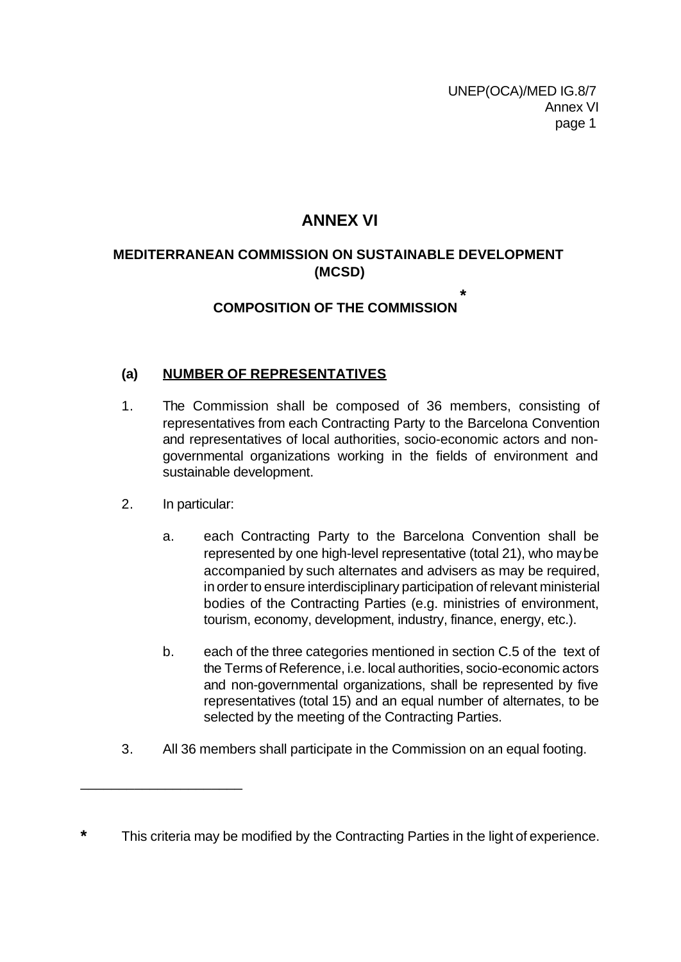# **ANNEX VI**

# **MEDITERRANEAN COMMISSION ON SUSTAINABLE DEVELOPMENT (MCSD)**

#### **COMPOSITION OF THE COMMISSION \***

## **(a) NUMBER OF REPRESENTATIVES**

- 1. The Commission shall be composed of 36 members, consisting of representatives from each Contracting Party to the Barcelona Convention and representatives of local authorities, socio-economic actors and nongovernmental organizations working in the fields of environment and sustainable development.
- 2. In particular:

\_\_\_\_\_\_\_\_\_\_\_\_\_\_\_\_\_\_\_\_\_

- a. each Contracting Party to the Barcelona Convention shall be represented by one high-level representative (total 21), who may be accompanied by such alternates and advisers as may be required, in order to ensure interdisciplinary participation of relevant ministerial bodies of the Contracting Parties (e.g. ministries of environment, tourism, economy, development, industry, finance, energy, etc.).
- b. each of the three categories mentioned in section C.5 of the text of the Terms of Reference, i.e. local authorities, socio-economic actors and non-governmental organizations, shall be represented by five representatives (total 15) and an equal number of alternates, to be selected by the meeting of the Contracting Parties.
- 3. All 36 members shall participate in the Commission on an equal footing.

**<sup>\*</sup>** This criteria may be modified by the Contracting Parties in the light of experience.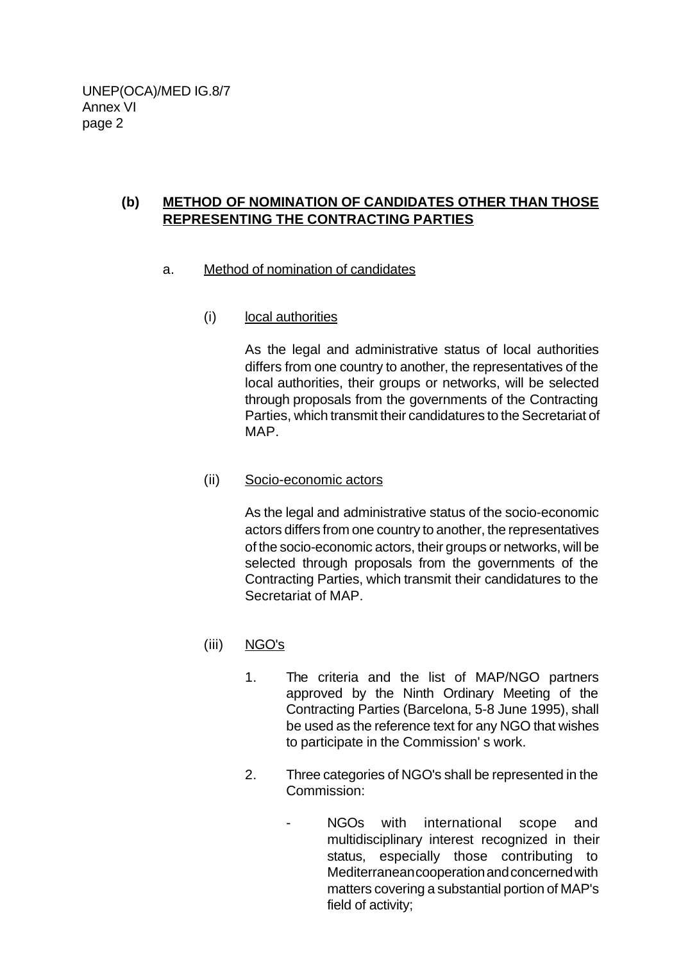#### **(b) METHOD OF NOMINATION OF CANDIDATES OTHER THAN THOSE REPRESENTING THE CONTRACTING PARTIES**

#### a. Method of nomination of candidates

(i) local authorities

As the legal and administrative status of local authorities differs from one country to another, the representatives of the local authorities, their groups or networks, will be selected through proposals from the governments of the Contracting Parties, which transmit their candidatures to the Secretariat of MAP.

#### (ii) Socio-economic actors

As the legal and administrative status of the socio-economic actors differs from one country to another, the representatives of the socio-economic actors, their groups or networks, will be selected through proposals from the governments of the Contracting Parties, which transmit their candidatures to the Secretariat of MAP.

### (iii) NGO's

- 1. The criteria and the list of MAP/NGO partners approved by the Ninth Ordinary Meeting of the Contracting Parties (Barcelona, 5-8 June 1995), shall be used as the reference text for any NGO that wishes to participate in the Commission' s work.
- 2. Three categories of NGO's shall be represented in the Commission:
	- NGOs with international scope and multidisciplinary interest recognized in their status, especially those contributing to Mediterranean cooperation and concerned with matters covering a substantial portion of MAP's field of activity;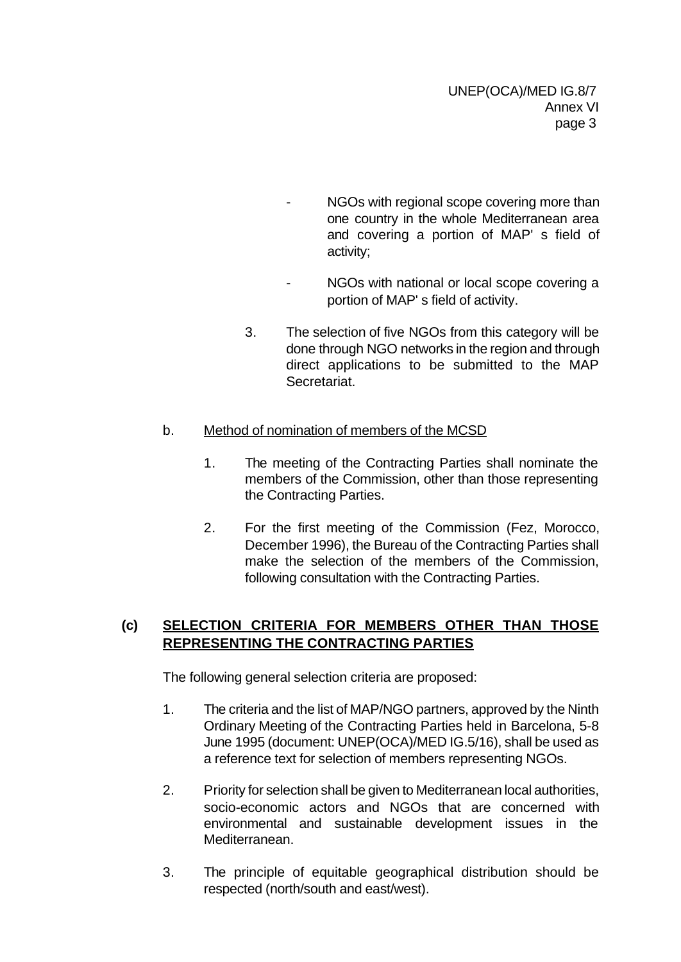- NGOs with regional scope covering more than one country in the whole Mediterranean area and covering a portion of MAP' s field of activity;
- NGOs with national or local scope covering a portion of MAP' s field of activity.
- 3. The selection of five NGOs from this category will be done through NGO networks in the region and through direct applications to be submitted to the MAP Secretariat.

### b. Method of nomination of members of the MCSD

- 1. The meeting of the Contracting Parties shall nominate the members of the Commission, other than those representing the Contracting Parties.
- 2. For the first meeting of the Commission (Fez, Morocco, December 1996), the Bureau of the Contracting Parties shall make the selection of the members of the Commission, following consultation with the Contracting Parties.

# **(c) SELECTION CRITERIA FOR MEMBERS OTHER THAN THOSE REPRESENTING THE CONTRACTING PARTIES**

The following general selection criteria are proposed:

- 1. The criteria and the list of MAP/NGO partners, approved by the Ninth Ordinary Meeting of the Contracting Parties held in Barcelona, 5-8 June 1995 (document: UNEP(OCA)/MED IG.5/16), shall be used as a reference text for selection of members representing NGOs.
- 2. Priority for selection shall be given to Mediterranean local authorities, socio-economic actors and NGOs that are concerned with environmental and sustainable development issues in the Mediterranean.
- 3. The principle of equitable geographical distribution should be respected (north/south and east/west).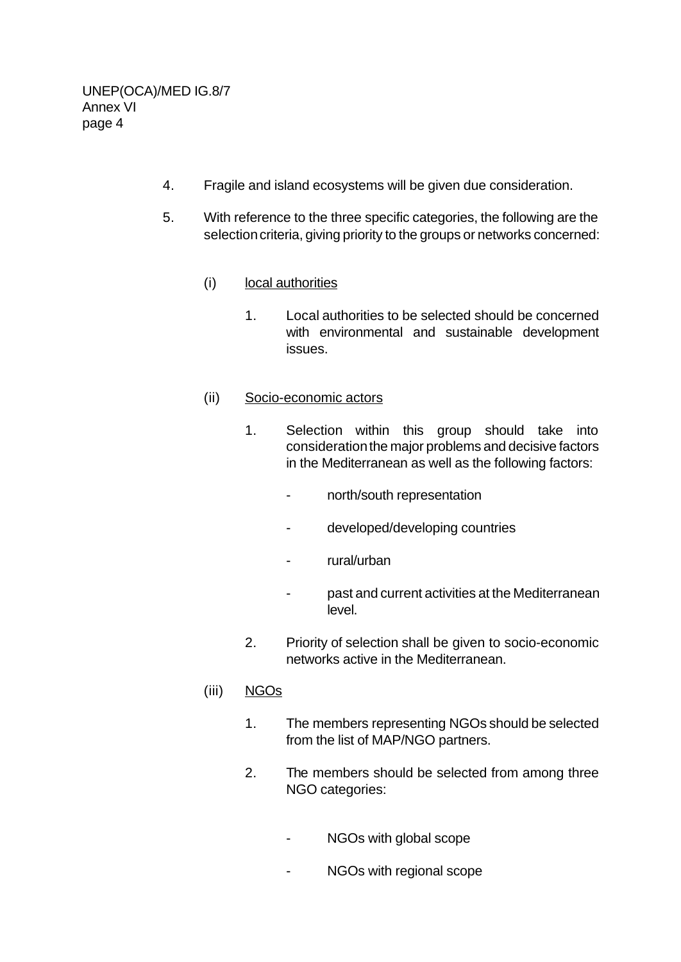- 4. Fragile and island ecosystems will be given due consideration.
- 5. With reference to the three specific categories, the following are the selection criteria, giving priority to the groups or networks concerned:
	- (i) local authorities
		- 1. Local authorities to be selected should be concerned with environmental and sustainable development issues.

#### (ii) Socio-economic actors

- 1. Selection within this group should take into consideration the major problems and decisive factors in the Mediterranean as well as the following factors:
	- north/south representation
	- developed/developing countries
	- rural/urban
	- past and current activities at the Mediterranean level.
- 2. Priority of selection shall be given to socio-economic networks active in the Mediterranean.

#### (iii) NGOs

- 1. The members representing NGOs should be selected from the list of MAP/NGO partners.
- 2. The members should be selected from among three NGO categories:
	- NGOs with global scope
	- NGOs with regional scope